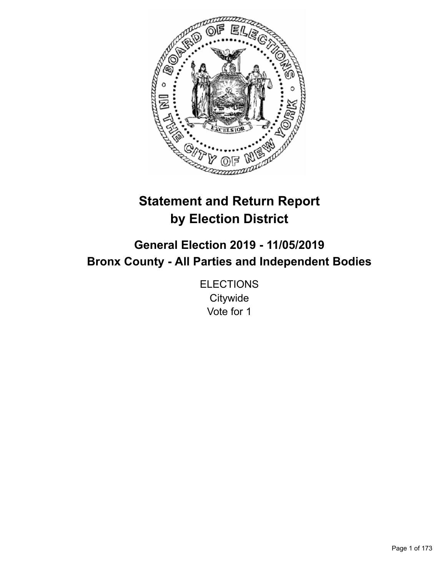

# **Statement and Return Report by Election District**

# **General Election 2019 - 11/05/2019 Bronx County - All Parties and Independent Bodies**

**ELECTIONS Citywide** Vote for 1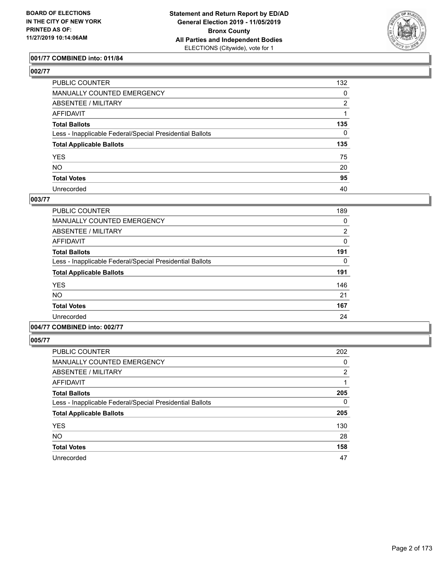

## **001/77 COMBINED into: 011/84**

# **002/77**

| PUBLIC COUNTER                                           | 132            |
|----------------------------------------------------------|----------------|
| MANUALLY COUNTED EMERGENCY                               | 0              |
| ABSENTEE / MILITARY                                      | $\overline{2}$ |
| AFFIDAVIT                                                |                |
| Total Ballots                                            | 135            |
| Less - Inapplicable Federal/Special Presidential Ballots | $\mathbf{0}$   |
| <b>Total Applicable Ballots</b>                          | 135            |
| YES                                                      | 75             |
| NO.                                                      | 20             |
| <b>Total Votes</b>                                       | 95             |
| Unrecorded                                               | 40             |

#### **003/77**

| PUBLIC COUNTER                                           | 189            |
|----------------------------------------------------------|----------------|
| MANUALLY COUNTED EMERGENCY                               | 0              |
| ABSENTEE / MILITARY                                      | $\overline{2}$ |
| AFFIDAVIT                                                | $\Omega$       |
| <b>Total Ballots</b>                                     | 191            |
| Less - Inapplicable Federal/Special Presidential Ballots | 0              |
| <b>Total Applicable Ballots</b>                          | 191            |
| <b>YES</b>                                               | 146            |
| <b>NO</b>                                                | 21             |
| <b>Total Votes</b>                                       | 167            |
| Unrecorded                                               | 24             |
|                                                          |                |

# **004/77 COMBINED into: 002/77**

| <b>PUBLIC COUNTER</b>                                    | 202            |
|----------------------------------------------------------|----------------|
| MANUALLY COUNTED EMERGENCY                               | 0              |
| ABSENTEE / MILITARY                                      | $\overline{2}$ |
| AFFIDAVIT                                                | 1              |
| <b>Total Ballots</b>                                     | 205            |
| Less - Inapplicable Federal/Special Presidential Ballots | 0              |
| <b>Total Applicable Ballots</b>                          | 205            |
| <b>YES</b>                                               | 130            |
| <b>NO</b>                                                | 28             |
| <b>Total Votes</b>                                       | 158            |
| Unrecorded                                               | 47             |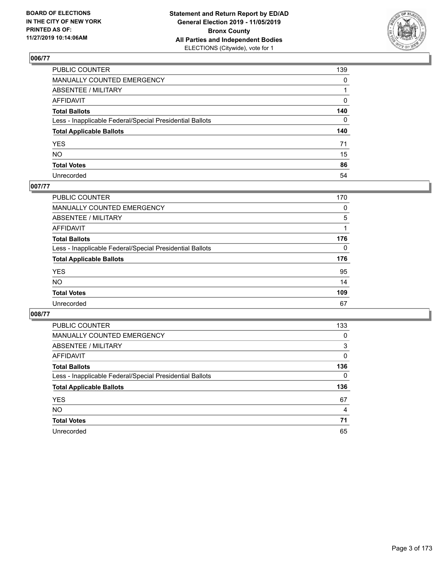

| PUBLIC COUNTER                                           | 139          |
|----------------------------------------------------------|--------------|
| MANUALLY COUNTED EMERGENCY                               | $\mathbf{0}$ |
| ABSENTEE / MILITARY                                      |              |
| AFFIDAVIT                                                | 0            |
| Total Ballots                                            | 140          |
| Less - Inapplicable Federal/Special Presidential Ballots | 0            |
| <b>Total Applicable Ballots</b>                          | 140          |
| YES                                                      | 71           |
| NO.                                                      | 15           |
| <b>Total Votes</b>                                       | 86           |
| Unrecorded                                               | 54           |

## **007/77**

| <b>PUBLIC COUNTER</b>                                    | 170 |
|----------------------------------------------------------|-----|
| MANUALLY COUNTED EMERGENCY                               | 0   |
| ABSENTEE / MILITARY                                      | 5   |
| AFFIDAVIT                                                | 1   |
| <b>Total Ballots</b>                                     | 176 |
| Less - Inapplicable Federal/Special Presidential Ballots | 0   |
| <b>Total Applicable Ballots</b>                          | 176 |
| <b>YES</b>                                               | 95  |
| <b>NO</b>                                                | 14  |
| <b>Total Votes</b>                                       | 109 |
| Unrecorded                                               | 67  |

| <b>PUBLIC COUNTER</b>                                    | 133            |
|----------------------------------------------------------|----------------|
| <b>MANUALLY COUNTED EMERGENCY</b>                        | 0              |
| ABSENTEE / MILITARY                                      | 3              |
| AFFIDAVIT                                                | 0              |
| <b>Total Ballots</b>                                     | 136            |
| Less - Inapplicable Federal/Special Presidential Ballots | 0              |
|                                                          |                |
| <b>Total Applicable Ballots</b>                          | 136            |
| <b>YES</b>                                               | 67             |
| NO.                                                      | $\overline{4}$ |
| <b>Total Votes</b>                                       | 71             |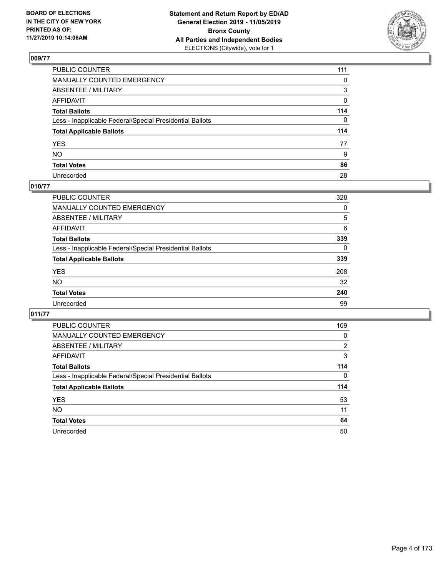

| PUBLIC COUNTER                                           | 111 |
|----------------------------------------------------------|-----|
| MANUALLY COUNTED EMERGENCY                               | 0   |
| ABSENTEE / MILITARY                                      | 3   |
| AFFIDAVIT                                                | 0   |
| Total Ballots                                            | 114 |
| Less - Inapplicable Federal/Special Presidential Ballots | 0   |
| <b>Total Applicable Ballots</b>                          | 114 |
| YES                                                      | 77  |
| NO.                                                      | 9   |
| <b>Total Votes</b>                                       | 86  |
| Unrecorded                                               | 28  |

## **010/77**

| PUBLIC COUNTER                                           | 328      |
|----------------------------------------------------------|----------|
| <b>MANUALLY COUNTED EMERGENCY</b>                        | 0        |
| ABSENTEE / MILITARY                                      | 5        |
| AFFIDAVIT                                                | 6        |
| <b>Total Ballots</b>                                     | 339      |
| Less - Inapplicable Federal/Special Presidential Ballots | $\Omega$ |
| <b>Total Applicable Ballots</b>                          | 339      |
| <b>YES</b>                                               | 208      |
| <b>NO</b>                                                | 32       |
| <b>Total Votes</b>                                       | 240      |
| Unrecorded                                               | 99       |

| <b>PUBLIC COUNTER</b>                                    | 109            |
|----------------------------------------------------------|----------------|
| <b>MANUALLY COUNTED EMERGENCY</b>                        | 0              |
| ABSENTEE / MILITARY                                      | $\overline{2}$ |
| AFFIDAVIT                                                | 3              |
| <b>Total Ballots</b>                                     | 114            |
| Less - Inapplicable Federal/Special Presidential Ballots | $\Omega$       |
| <b>Total Applicable Ballots</b>                          | 114            |
| <b>YES</b>                                               | 53             |
| NO.                                                      | 11             |
| <b>Total Votes</b>                                       | 64             |
| Unrecorded                                               | 50             |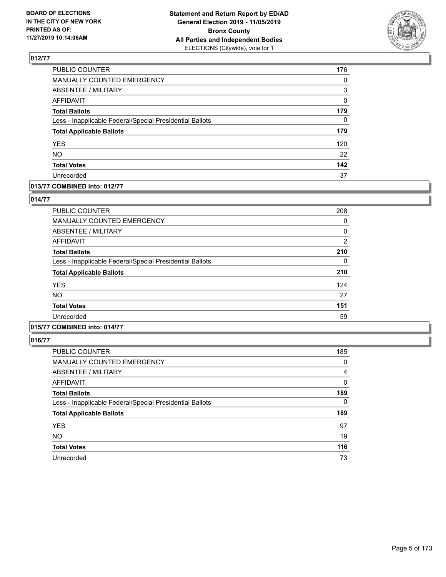

| PUBLIC COUNTER                                           | 176 |
|----------------------------------------------------------|-----|
| MANUALLY COUNTED EMERGENCY                               | 0   |
| <b>ABSENTEE / MILITARY</b>                               | 3   |
| <b>AFFIDAVIT</b>                                         | 0   |
| <b>Total Ballots</b>                                     | 179 |
| Less - Inapplicable Federal/Special Presidential Ballots | 0   |
| <b>Total Applicable Ballots</b>                          | 179 |
| <b>YES</b>                                               | 120 |
| <b>NO</b>                                                | 22  |
| <b>Total Votes</b>                                       | 142 |
| Unrecorded                                               | 37  |

#### **013/77 COMBINED into: 012/77**

#### **014/77**

| <b>PUBLIC COUNTER</b>                                    | 208            |
|----------------------------------------------------------|----------------|
| <b>MANUALLY COUNTED EMERGENCY</b>                        | 0              |
| ABSENTEE / MILITARY                                      | 0              |
| <b>AFFIDAVIT</b>                                         | $\overline{2}$ |
| <b>Total Ballots</b>                                     | 210            |
| Less - Inapplicable Federal/Special Presidential Ballots | 0              |
| <b>Total Applicable Ballots</b>                          | 210            |
| <b>YES</b>                                               | 124            |
| <b>NO</b>                                                | 27             |
| <b>Total Votes</b>                                       | 151            |
| Unrecorded                                               | 59             |
|                                                          |                |

# **015/77 COMBINED into: 014/77**

| <b>PUBLIC COUNTER</b>                                    | 185      |
|----------------------------------------------------------|----------|
| <b>MANUALLY COUNTED EMERGENCY</b>                        | 0        |
| <b>ABSENTEE / MILITARY</b>                               | 4        |
| AFFIDAVIT                                                | 0        |
| <b>Total Ballots</b>                                     | 189      |
| Less - Inapplicable Federal/Special Presidential Ballots | $\Omega$ |
| <b>Total Applicable Ballots</b>                          | 189      |
| <b>YES</b>                                               | 97       |
| <b>NO</b>                                                | 19       |
| <b>Total Votes</b>                                       | 116      |
| Unrecorded                                               | 73       |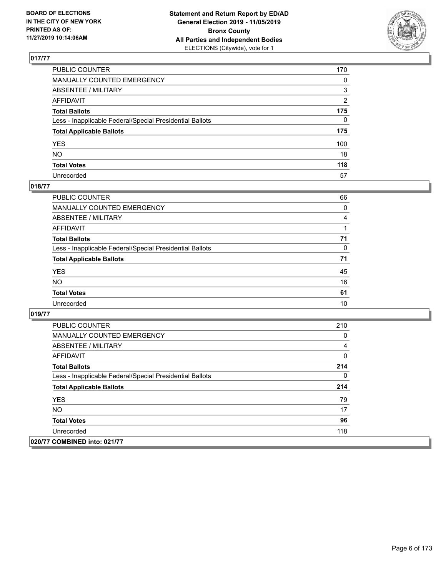

| PUBLIC COUNTER                                           | 170 |
|----------------------------------------------------------|-----|
| MANUALLY COUNTED EMERGENCY                               | 0   |
| ABSENTEE / MILITARY                                      | 3   |
| AFFIDAVIT                                                | 2   |
| Total Ballots                                            | 175 |
| Less - Inapplicable Federal/Special Presidential Ballots | 0   |
| <b>Total Applicable Ballots</b>                          | 175 |
| YES                                                      | 100 |
| NO.                                                      | 18  |
| <b>Total Votes</b>                                       | 118 |
| Unrecorded                                               | 57  |

## **018/77**

| <b>PUBLIC COUNTER</b>                                    | 66       |
|----------------------------------------------------------|----------|
| MANUALLY COUNTED EMERGENCY                               | $\Omega$ |
| ABSENTEE / MILITARY                                      | 4        |
| AFFIDAVIT                                                |          |
| <b>Total Ballots</b>                                     | 71       |
| Less - Inapplicable Federal/Special Presidential Ballots | $\Omega$ |
| <b>Total Applicable Ballots</b>                          | 71       |
| <b>YES</b>                                               | 45       |
| <b>NO</b>                                                | 16       |
| <b>Total Votes</b>                                       | 61       |
| Unrecorded                                               | 10       |

| <b>PUBLIC COUNTER</b>                                    | 210 |
|----------------------------------------------------------|-----|
| <b>MANUALLY COUNTED EMERGENCY</b>                        | 0   |
| ABSENTEE / MILITARY                                      | 4   |
| AFFIDAVIT                                                | 0   |
| <b>Total Ballots</b>                                     | 214 |
| Less - Inapplicable Federal/Special Presidential Ballots | 0   |
| <b>Total Applicable Ballots</b>                          | 214 |
| <b>YES</b>                                               | 79  |
| <b>NO</b>                                                | 17  |
| <b>Total Votes</b>                                       | 96  |
| Unrecorded                                               | 118 |
| 020/77 COMBINED into: 021/77                             |     |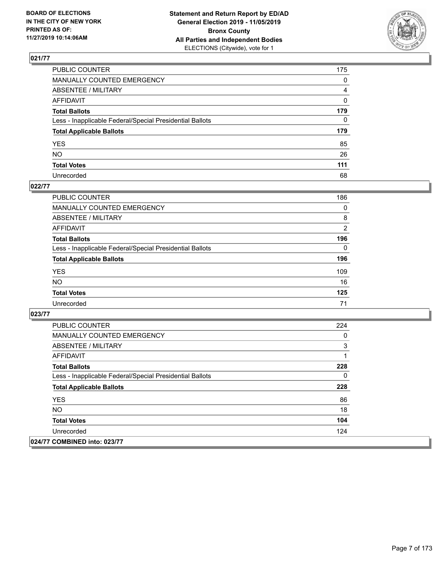

| PUBLIC COUNTER                                           | 175 |
|----------------------------------------------------------|-----|
| MANUALLY COUNTED EMERGENCY                               | 0   |
| ABSENTEE / MILITARY                                      | 4   |
| AFFIDAVIT                                                | 0   |
| Total Ballots                                            | 179 |
| Less - Inapplicable Federal/Special Presidential Ballots | 0   |
| <b>Total Applicable Ballots</b>                          | 179 |
| YES                                                      | 85  |
| NO.                                                      | 26  |
| <b>Total Votes</b>                                       | 111 |
| Unrecorded                                               | 68  |

## **022/77**

| <b>PUBLIC COUNTER</b>                                    | 186            |
|----------------------------------------------------------|----------------|
| MANUALLY COUNTED EMERGENCY                               | 0              |
| ABSENTEE / MILITARY                                      | 8              |
| AFFIDAVIT                                                | $\overline{2}$ |
| <b>Total Ballots</b>                                     | 196            |
| Less - Inapplicable Federal/Special Presidential Ballots | 0              |
| <b>Total Applicable Ballots</b>                          | 196            |
| <b>YES</b>                                               | 109            |
| <b>NO</b>                                                | 16             |
| <b>Total Votes</b>                                       | 125            |
| Unrecorded                                               | 71             |

| <b>PUBLIC COUNTER</b>                                    | 224 |
|----------------------------------------------------------|-----|
| <b>MANUALLY COUNTED EMERGENCY</b>                        | 0   |
| ABSENTEE / MILITARY                                      | 3   |
| AFFIDAVIT                                                | 1   |
| <b>Total Ballots</b>                                     | 228 |
| Less - Inapplicable Federal/Special Presidential Ballots | 0   |
| <b>Total Applicable Ballots</b>                          | 228 |
| <b>YES</b>                                               | 86  |
| <b>NO</b>                                                | 18  |
| <b>Total Votes</b>                                       | 104 |
| Unrecorded                                               | 124 |
| 024/77 COMBINED into: 023/77                             |     |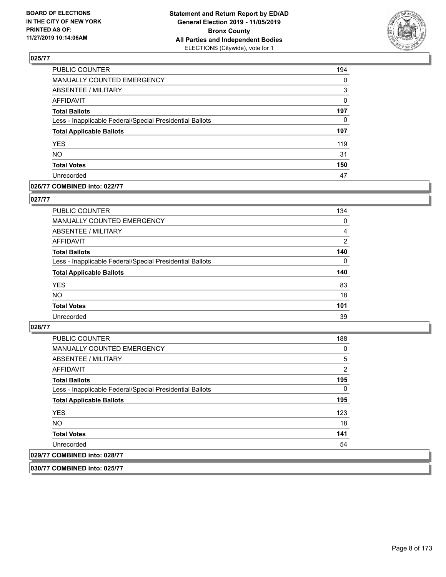

| PUBLIC COUNTER                                           | 194      |
|----------------------------------------------------------|----------|
| MANUALLY COUNTED EMERGENCY                               | $\Omega$ |
| <b>ABSENTEE / MILITARY</b>                               | 3        |
| <b>AFFIDAVIT</b>                                         | 0        |
| <b>Total Ballots</b>                                     | 197      |
| Less - Inapplicable Federal/Special Presidential Ballots | 0        |
| <b>Total Applicable Ballots</b>                          | 197      |
| YES                                                      | 119      |
| <b>NO</b>                                                | 31       |
| <b>Total Votes</b>                                       | 150      |
| Unrecorded                                               | 47       |

#### **026/77 COMBINED into: 022/77**

#### **027/77**

| <b>PUBLIC COUNTER</b>                                    | 134            |
|----------------------------------------------------------|----------------|
| MANUALLY COUNTED EMERGENCY                               | 0              |
| ABSENTEE / MILITARY                                      | 4              |
| AFFIDAVIT                                                | $\overline{2}$ |
| <b>Total Ballots</b>                                     | 140            |
| Less - Inapplicable Federal/Special Presidential Ballots | $\Omega$       |
| <b>Total Applicable Ballots</b>                          | 140            |
| <b>YES</b>                                               | 83             |
| <b>NO</b>                                                | 18             |
| <b>Total Votes</b>                                       | 101            |
| Unrecorded                                               | 39             |

#### **028/77**

| <b>PUBLIC COUNTER</b>                                    | 188            |
|----------------------------------------------------------|----------------|
| <b>MANUALLY COUNTED EMERGENCY</b>                        | 0              |
| ABSENTEE / MILITARY                                      | 5              |
| AFFIDAVIT                                                | $\overline{2}$ |
| <b>Total Ballots</b>                                     | 195            |
| Less - Inapplicable Federal/Special Presidential Ballots | 0              |
| <b>Total Applicable Ballots</b>                          | 195            |
| <b>YES</b>                                               | 123            |
| NO.                                                      | 18             |
| <b>Total Votes</b>                                       | 141            |
| Unrecorded                                               | 54             |
| 029/77 COMBINED into: 028/77                             |                |

**030/77 COMBINED into: 025/77**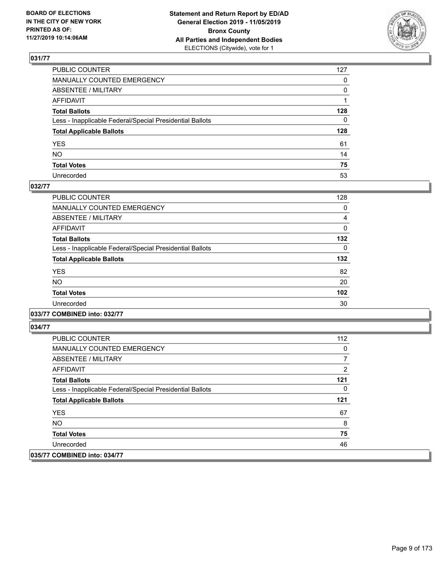

| PUBLIC COUNTER                                           | 127          |
|----------------------------------------------------------|--------------|
| MANUALLY COUNTED EMERGENCY                               | $\mathbf{0}$ |
| ABSENTEE / MILITARY                                      | 0            |
| AFFIDAVIT                                                |              |
| Total Ballots                                            | 128          |
| Less - Inapplicable Federal/Special Presidential Ballots | 0            |
| <b>Total Applicable Ballots</b>                          | 128          |
| YES                                                      | 61           |
| NO.                                                      | 14           |
| <b>Total Votes</b>                                       | 75           |
| Unrecorded                                               | 53           |

## **032/77**

| PUBLIC COUNTER                                           | 128      |
|----------------------------------------------------------|----------|
| <b>MANUALLY COUNTED EMERGENCY</b>                        | 0        |
| ABSENTEE / MILITARY                                      | 4        |
| AFFIDAVIT                                                | 0        |
| <b>Total Ballots</b>                                     | 132      |
| Less - Inapplicable Federal/Special Presidential Ballots | $\Omega$ |
| <b>Total Applicable Ballots</b>                          | 132      |
| <b>YES</b>                                               | 82       |
| <b>NO</b>                                                | 20       |
| <b>Total Votes</b>                                       | 102      |
| Unrecorded                                               | 30       |

**033/77 COMBINED into: 032/77**

| PUBLIC COUNTER                                           | 112 |
|----------------------------------------------------------|-----|
| <b>MANUALLY COUNTED EMERGENCY</b>                        | 0   |
| ABSENTEE / MILITARY                                      |     |
| AFFIDAVIT                                                | 2   |
| <b>Total Ballots</b>                                     | 121 |
| Less - Inapplicable Federal/Special Presidential Ballots | 0   |
| <b>Total Applicable Ballots</b>                          | 121 |
| <b>YES</b>                                               | 67  |
| NO.                                                      | 8   |
| <b>Total Votes</b>                                       | 75  |
| Unrecorded                                               | 46  |
| 035/77 COMBINED into: 034/77                             |     |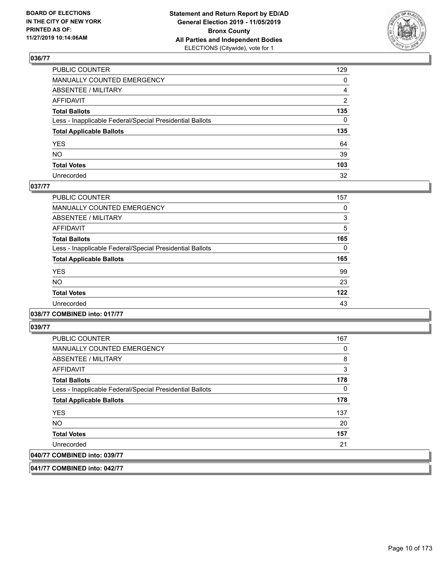

| PUBLIC COUNTER                                           | 129 |
|----------------------------------------------------------|-----|
| MANUALLY COUNTED EMERGENCY                               | 0   |
| ABSENTEE / MILITARY                                      | 4   |
| AFFIDAVIT                                                | 2   |
| Total Ballots                                            | 135 |
| Less - Inapplicable Federal/Special Presidential Ballots | 0   |
| <b>Total Applicable Ballots</b>                          | 135 |
| YES                                                      | 64  |
| NO.                                                      | 39  |
| <b>Total Votes</b>                                       | 103 |
| Unrecorded                                               | 32  |

## **037/77**

| PUBLIC COUNTER                                           | 157 |
|----------------------------------------------------------|-----|
| <b>MANUALLY COUNTED EMERGENCY</b>                        | 0   |
| ABSENTEE / MILITARY                                      | 3   |
| <b>AFFIDAVIT</b>                                         | 5   |
| <b>Total Ballots</b>                                     | 165 |
| Less - Inapplicable Federal/Special Presidential Ballots | 0   |
| <b>Total Applicable Ballots</b>                          | 165 |
| <b>YES</b>                                               | 99  |
| <b>NO</b>                                                | 23  |
| <b>Total Votes</b>                                       | 122 |
| Unrecorded                                               | 43  |
|                                                          |     |

**038/77 COMBINED into: 017/77**

**039/77** 

| <b>PUBLIC COUNTER</b>                                    | 167 |
|----------------------------------------------------------|-----|
| MANUALLY COUNTED EMERGENCY                               | 0   |
| ABSENTEE / MILITARY                                      | 8   |
| AFFIDAVIT                                                | 3   |
| <b>Total Ballots</b>                                     | 178 |
| Less - Inapplicable Federal/Special Presidential Ballots | 0   |
| <b>Total Applicable Ballots</b>                          | 178 |
| <b>YES</b>                                               | 137 |
| <b>NO</b>                                                | 20  |
| <b>Total Votes</b>                                       | 157 |
| Unrecorded                                               | 21  |
| 040/77 COMBINED into: 039/77                             |     |

**041/77 COMBINED into: 042/77**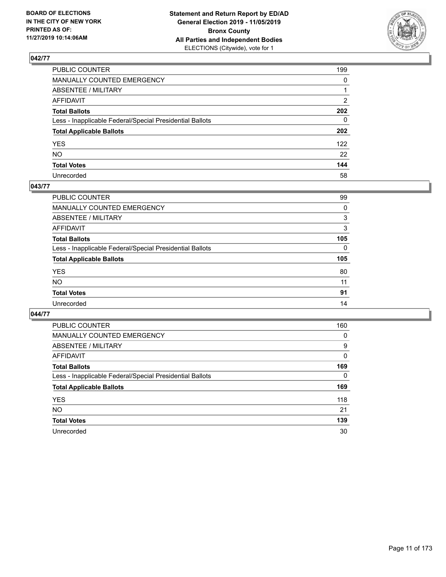

| PUBLIC COUNTER                                           | 199          |
|----------------------------------------------------------|--------------|
| MANUALLY COUNTED EMERGENCY                               | $\mathbf{0}$ |
| ABSENTEE / MILITARY                                      |              |
| AFFIDAVIT                                                | 2            |
| Total Ballots                                            | 202          |
| Less - Inapplicable Federal/Special Presidential Ballots | 0            |
| <b>Total Applicable Ballots</b>                          | 202          |
| YES                                                      | 122          |
| NO.                                                      | 22           |
| <b>Total Votes</b>                                       | 144          |
| Unrecorded                                               | 58           |

## **043/77**

| <b>PUBLIC COUNTER</b>                                    | 99       |
|----------------------------------------------------------|----------|
| <b>MANUALLY COUNTED EMERGENCY</b>                        | 0        |
| ABSENTEE / MILITARY                                      | 3        |
| AFFIDAVIT                                                | 3        |
| <b>Total Ballots</b>                                     | 105      |
| Less - Inapplicable Federal/Special Presidential Ballots | $\Omega$ |
| <b>Total Applicable Ballots</b>                          | 105      |
| <b>YES</b>                                               | 80       |
| <b>NO</b>                                                | 11       |
| <b>Total Votes</b>                                       | 91       |
| Unrecorded                                               | 14       |

| PUBLIC COUNTER                                           | 160      |
|----------------------------------------------------------|----------|
| MANUALLY COUNTED EMERGENCY                               | $\Omega$ |
| ABSENTEE / MILITARY                                      | 9        |
| AFFIDAVIT                                                | 0        |
| <b>Total Ballots</b>                                     | 169      |
| Less - Inapplicable Federal/Special Presidential Ballots | $\Omega$ |
| <b>Total Applicable Ballots</b>                          | 169      |
| <b>YES</b>                                               | 118      |
| <b>NO</b>                                                | 21       |
| <b>Total Votes</b>                                       | 139      |
| Unrecorded                                               | 30       |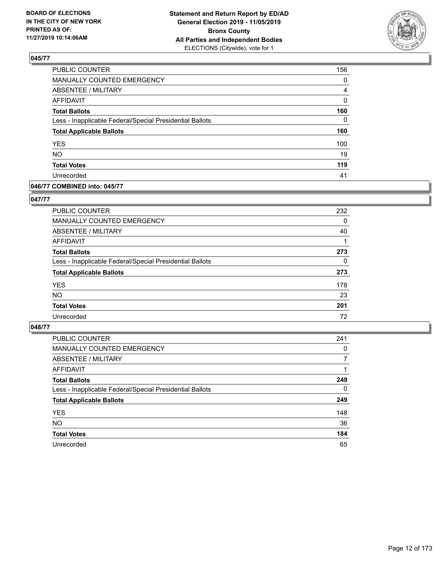

| PUBLIC COUNTER                                           | 156          |
|----------------------------------------------------------|--------------|
| MANUALLY COUNTED EMERGENCY                               | 0            |
| <b>ABSENTEE / MILITARY</b>                               | 4            |
| <b>AFFIDAVIT</b>                                         | 0            |
| <b>Total Ballots</b>                                     | 160          |
| Less - Inapplicable Federal/Special Presidential Ballots | $\mathbf{0}$ |
| <b>Total Applicable Ballots</b>                          | 160          |
| <b>YES</b>                                               | 100          |
| <b>NO</b>                                                | 19           |
| <b>Total Votes</b>                                       | 119          |
| Unrecorded                                               | 41           |

## **046/77 COMBINED into: 045/77**

#### **047/77**

| PUBLIC COUNTER                                           | 232      |
|----------------------------------------------------------|----------|
| MANUALLY COUNTED EMERGENCY                               | 0        |
| <b>ABSENTEE / MILITARY</b>                               | 40       |
| AFFIDAVIT                                                |          |
| <b>Total Ballots</b>                                     | 273      |
| Less - Inapplicable Federal/Special Presidential Ballots | $\Omega$ |
| <b>Total Applicable Ballots</b>                          | 273      |
| <b>YES</b>                                               | 178      |
| <b>NO</b>                                                | 23       |
| <b>Total Votes</b>                                       | 201      |
| Unrecorded                                               | 72       |

| <b>PUBLIC COUNTER</b>                                    | 241      |
|----------------------------------------------------------|----------|
| <b>MANUALLY COUNTED EMERGENCY</b>                        | 0        |
| ABSENTEE / MILITARY                                      | 7        |
| AFFIDAVIT                                                |          |
| <b>Total Ballots</b>                                     | 249      |
| Less - Inapplicable Federal/Special Presidential Ballots | $\Omega$ |
| <b>Total Applicable Ballots</b>                          | 249      |
| <b>YES</b>                                               | 148      |
| <b>NO</b>                                                | 36       |
| <b>Total Votes</b>                                       | 184      |
| Unrecorded                                               | 65       |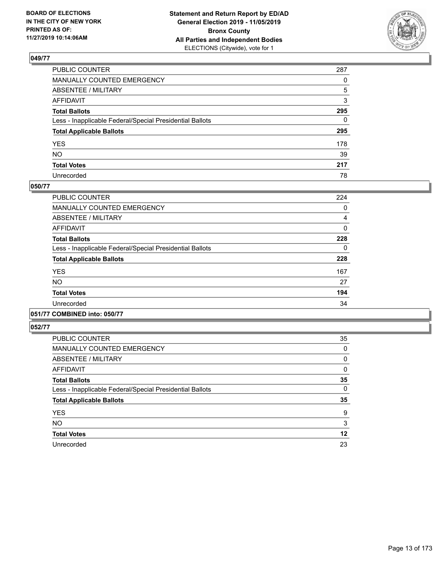

| PUBLIC COUNTER                                           | 287      |
|----------------------------------------------------------|----------|
| MANUALLY COUNTED EMERGENCY                               | $\Omega$ |
| ABSENTEE / MILITARY                                      | 5        |
| AFFIDAVIT                                                | 3        |
| Total Ballots                                            | 295      |
| Less - Inapplicable Federal/Special Presidential Ballots | 0        |
| <b>Total Applicable Ballots</b>                          | 295      |
| YES                                                      | 178      |
| NO.                                                      | 39       |
| <b>Total Votes</b>                                       | 217      |
| Unrecorded                                               | 78       |

#### **050/77**

| <b>PUBLIC COUNTER</b>                                    | 224      |
|----------------------------------------------------------|----------|
| <b>MANUALLY COUNTED EMERGENCY</b>                        | 0        |
| ABSENTEE / MILITARY                                      | 4        |
| AFFIDAVIT                                                | $\Omega$ |
| <b>Total Ballots</b>                                     | 228      |
| Less - Inapplicable Federal/Special Presidential Ballots | 0        |
| <b>Total Applicable Ballots</b>                          | 228      |
| <b>YES</b>                                               | 167      |
| <b>NO</b>                                                | 27       |
| <b>Total Votes</b>                                       | 194      |
| Unrecorded                                               | 34       |
|                                                          |          |

## **051/77 COMBINED into: 050/77**

| <b>PUBLIC COUNTER</b>                                    | 35 |
|----------------------------------------------------------|----|
| <b>MANUALLY COUNTED EMERGENCY</b>                        | 0  |
| <b>ABSENTEE / MILITARY</b>                               | 0  |
| <b>AFFIDAVIT</b>                                         | 0  |
| <b>Total Ballots</b>                                     | 35 |
| Less - Inapplicable Federal/Special Presidential Ballots | 0  |
| <b>Total Applicable Ballots</b>                          | 35 |
| <b>YES</b>                                               | 9  |
| <b>NO</b>                                                | 3  |
| <b>Total Votes</b>                                       | 12 |
| Unrecorded                                               | 23 |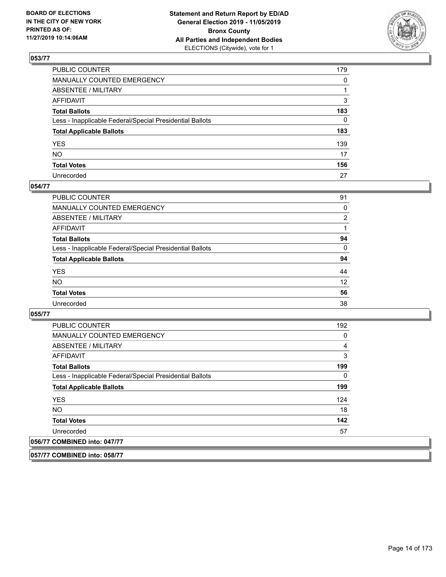

| PUBLIC COUNTER                                           | 179          |
|----------------------------------------------------------|--------------|
| MANUALLY COUNTED EMERGENCY                               | $\mathbf{0}$ |
| ABSENTEE / MILITARY                                      |              |
| AFFIDAVIT                                                | 3            |
| Total Ballots                                            | 183          |
| Less - Inapplicable Federal/Special Presidential Ballots | 0            |
| <b>Total Applicable Ballots</b>                          | 183          |
| YES                                                      | 139          |
| NO.                                                      | 17           |
| <b>Total Votes</b>                                       | 156          |
| Unrecorded                                               | 27           |

#### **054/77**

| PUBLIC COUNTER                                           | 91       |
|----------------------------------------------------------|----------|
| MANUALLY COUNTED EMERGENCY                               | 0        |
| ABSENTEE / MILITARY                                      | 2        |
| AFFIDAVIT                                                |          |
| <b>Total Ballots</b>                                     | 94       |
| Less - Inapplicable Federal/Special Presidential Ballots | $\Omega$ |
| <b>Total Applicable Ballots</b>                          | 94       |
| <b>YES</b>                                               | 44       |
| <b>NO</b>                                                | 12       |
| <b>Total Votes</b>                                       | 56       |
| Unrecorded                                               | 38       |

#### **055/77**

| <b>PUBLIC COUNTER</b>                                    | 192      |
|----------------------------------------------------------|----------|
| <b>MANUALLY COUNTED EMERGENCY</b>                        | 0        |
| ABSENTEE / MILITARY                                      | 4        |
| AFFIDAVIT                                                | 3        |
| <b>Total Ballots</b>                                     | 199      |
| Less - Inapplicable Federal/Special Presidential Ballots | $\Omega$ |
| <b>Total Applicable Ballots</b>                          | 199      |
| <b>YES</b>                                               | 124      |
| NO.                                                      | 18       |
| <b>Total Votes</b>                                       | 142      |
| Unrecorded                                               | 57       |
| 056/77 COMBINED into: 047/77                             |          |

**057/77 COMBINED into: 058/77**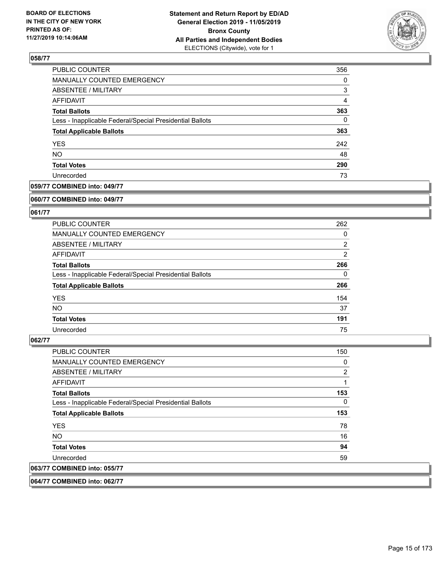

| PUBLIC COUNTER                                           | 356            |
|----------------------------------------------------------|----------------|
| MANUALLY COUNTED EMERGENCY                               | 0              |
| <b>ABSENTEE / MILITARY</b>                               | 3              |
| AFFIDAVIT                                                | $\overline{4}$ |
| <b>Total Ballots</b>                                     | 363            |
| Less - Inapplicable Federal/Special Presidential Ballots | 0              |
| <b>Total Applicable Ballots</b>                          | 363            |
| <b>YES</b>                                               | 242            |
| <b>NO</b>                                                | 48             |
| <b>Total Votes</b>                                       | 290            |
| Unrecorded                                               | 73             |

## **059/77 COMBINED into: 049/77**

#### **060/77 COMBINED into: 049/77**

## **061/77**

| <b>PUBLIC COUNTER</b>                                    | 262            |
|----------------------------------------------------------|----------------|
| <b>MANUALLY COUNTED EMERGENCY</b>                        | 0              |
| ABSENTEE / MILITARY                                      | $\overline{2}$ |
| AFFIDAVIT                                                | $\overline{2}$ |
| <b>Total Ballots</b>                                     | 266            |
| Less - Inapplicable Federal/Special Presidential Ballots | $\Omega$       |
| <b>Total Applicable Ballots</b>                          | 266            |
| <b>YES</b>                                               | 154            |
| NO.                                                      | 37             |
| <b>Total Votes</b>                                       | 191            |
| Unrecorded                                               | 75             |

#### **062/77**

| <b>PUBLIC COUNTER</b>                                    | 150            |
|----------------------------------------------------------|----------------|
| <b>MANUALLY COUNTED EMERGENCY</b>                        | 0              |
| ABSENTEE / MILITARY                                      | $\overline{2}$ |
| <b>AFFIDAVIT</b>                                         |                |
| <b>Total Ballots</b>                                     | 153            |
| Less - Inapplicable Federal/Special Presidential Ballots | 0              |
| <b>Total Applicable Ballots</b>                          | 153            |
| <b>YES</b>                                               | 78             |
| <b>NO</b>                                                | 16             |
| <b>Total Votes</b>                                       | 94             |
| Unrecorded                                               | 59             |
| 063/77 COMBINED into: 055/77                             |                |

**064/77 COMBINED into: 062/77**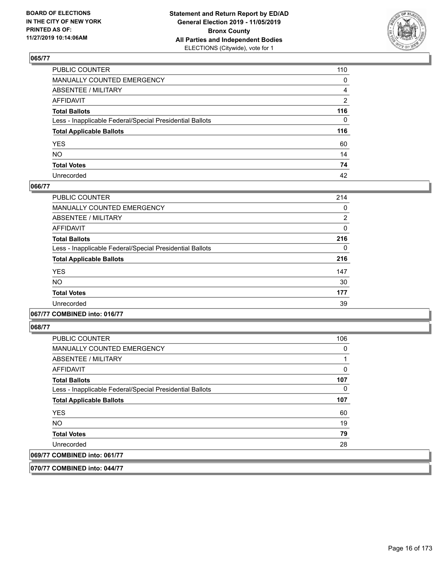

| PUBLIC COUNTER                                           | 110 |
|----------------------------------------------------------|-----|
| MANUALLY COUNTED EMERGENCY                               | 0   |
| ABSENTEE / MILITARY                                      | 4   |
| AFFIDAVIT                                                | 2   |
| Total Ballots                                            | 116 |
| Less - Inapplicable Federal/Special Presidential Ballots | 0   |
| <b>Total Applicable Ballots</b>                          | 116 |
| YES                                                      | 60  |
| NO.                                                      | 14  |
| <b>Total Votes</b>                                       | 74  |
| Unrecorded                                               | 42  |

#### **066/77**

| 214            |
|----------------|
| 0              |
| $\overline{2}$ |
| 0              |
| 216            |
| 0              |
| 216            |
| 147            |
| 30             |
| 177            |
| 39             |
|                |

## **067/77 COMBINED into: 016/77**

**068/77** 

| <b>PUBLIC COUNTER</b>                                    | 106 |
|----------------------------------------------------------|-----|
| <b>MANUALLY COUNTED EMERGENCY</b>                        | 0   |
| ABSENTEE / MILITARY                                      |     |
| AFFIDAVIT                                                | 0   |
| <b>Total Ballots</b>                                     | 107 |
| Less - Inapplicable Federal/Special Presidential Ballots | 0   |
| <b>Total Applicable Ballots</b>                          | 107 |
| <b>YES</b>                                               | 60  |
| NO.                                                      | 19  |
| <b>Total Votes</b>                                       | 79  |
| Unrecorded                                               | 28  |
| 069/77 COMBINED into: 061/77                             |     |

**070/77 COMBINED into: 044/77**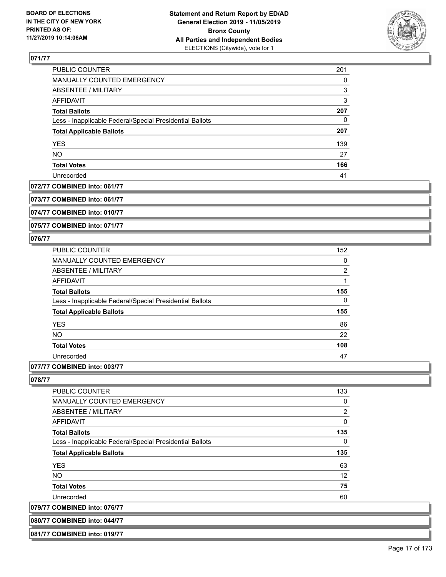

| PUBLIC COUNTER                                           | 201 |
|----------------------------------------------------------|-----|
| MANUALLY COUNTED EMERGENCY                               | 0   |
| ABSENTEE / MILITARY                                      | 3   |
| AFFIDAVIT                                                | 3   |
| <b>Total Ballots</b>                                     | 207 |
| Less - Inapplicable Federal/Special Presidential Ballots | 0   |
| <b>Total Applicable Ballots</b>                          | 207 |
| <b>YES</b>                                               | 139 |
| <b>NO</b>                                                | 27  |
| <b>Total Votes</b>                                       | 166 |
| Unrecorded                                               | 41  |

#### **072/77 COMBINED into: 061/77**

**073/77 COMBINED into: 061/77**

**074/77 COMBINED into: 010/77**

**075/77 COMBINED into: 071/77**

### **076/77**

| <b>PUBLIC COUNTER</b>                                    | 152            |
|----------------------------------------------------------|----------------|
| <b>MANUALLY COUNTED EMERGENCY</b>                        | 0              |
| ABSENTEE / MILITARY                                      | $\overline{2}$ |
| AFFIDAVIT                                                |                |
| <b>Total Ballots</b>                                     | 155            |
| Less - Inapplicable Federal/Special Presidential Ballots | $\Omega$       |
| <b>Total Applicable Ballots</b>                          | 155            |
| <b>YES</b>                                               | 86             |
| <b>NO</b>                                                | 22             |
| <b>Total Votes</b>                                       | 108            |
| Unrecorded                                               | 47             |
|                                                          |                |

## **077/77 COMBINED into: 003/77**

**080/77 COMBINED into: 044/77 081/77 COMBINED into: 019/77**

| <b>PUBLIC COUNTER</b>                                    | 133            |
|----------------------------------------------------------|----------------|
| <b>MANUALLY COUNTED EMERGENCY</b>                        | 0              |
| ABSENTEE / MILITARY                                      | $\overline{2}$ |
| AFFIDAVIT                                                | 0              |
| <b>Total Ballots</b>                                     | 135            |
| Less - Inapplicable Federal/Special Presidential Ballots | 0              |
| <b>Total Applicable Ballots</b>                          | 135            |
| <b>YES</b>                                               | 63             |
| NO.                                                      | 12             |
| <b>Total Votes</b>                                       | 75             |
| Unrecorded                                               | 60             |
| 079/77 COMBINED into: 076/77                             |                |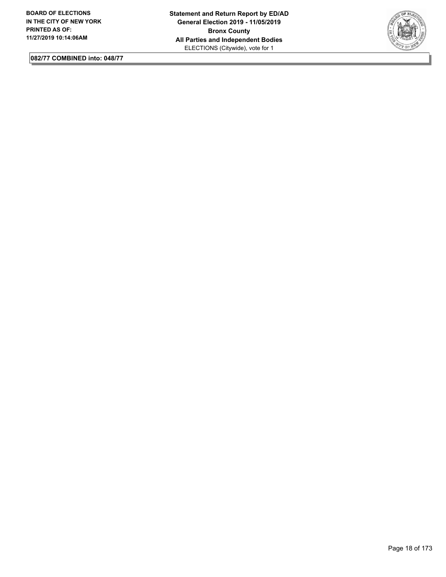

**082/77 COMBINED into: 048/77**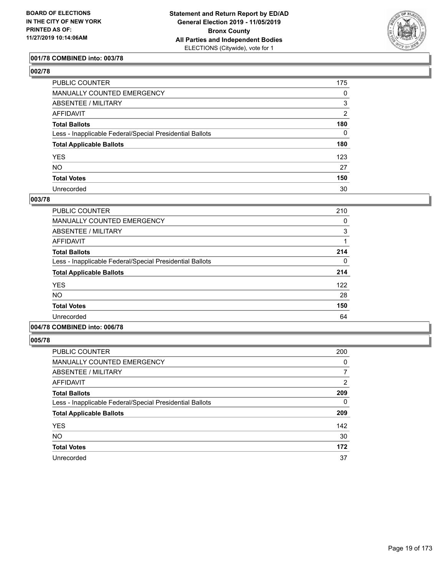

## **001/78 COMBINED into: 003/78**

| ۰.<br>۰.<br>۰, |  |
|----------------|--|
|----------------|--|

| PUBLIC COUNTER                                           | 175      |
|----------------------------------------------------------|----------|
| <b>MANUALLY COUNTED EMERGENCY</b>                        | 0        |
| <b>ABSENTEE / MILITARY</b>                               | 3        |
| AFFIDAVIT                                                | 2        |
| <b>Total Ballots</b>                                     | 180      |
| Less - Inapplicable Federal/Special Presidential Ballots | $\Omega$ |
| <b>Total Applicable Ballots</b>                          | 180      |
| <b>YES</b>                                               | 123      |
| <b>NO</b>                                                | 27       |
| <b>Total Votes</b>                                       | 150      |
| Unrecorded                                               | 30       |

#### **003/78**

| PUBLIC COUNTER                                           | 210      |
|----------------------------------------------------------|----------|
|                                                          |          |
| <b>MANUALLY COUNTED EMERGENCY</b>                        | 0        |
| ABSENTEE / MILITARY                                      | 3        |
| <b>AFFIDAVIT</b>                                         |          |
| <b>Total Ballots</b>                                     | 214      |
| Less - Inapplicable Federal/Special Presidential Ballots | $\Omega$ |
| <b>Total Applicable Ballots</b>                          | 214      |
| <b>YES</b>                                               | 122      |
| NO.                                                      | 28       |
| <b>Total Votes</b>                                       | 150      |
| Unrecorded                                               | 64       |
|                                                          |          |

# **004/78 COMBINED into: 006/78**

| <b>PUBLIC COUNTER</b>                                    | 200            |
|----------------------------------------------------------|----------------|
| <b>MANUALLY COUNTED EMERGENCY</b>                        | 0              |
| ABSENTEE / MILITARY                                      |                |
| AFFIDAVIT                                                | $\overline{2}$ |
| <b>Total Ballots</b>                                     | 209            |
| Less - Inapplicable Federal/Special Presidential Ballots | 0              |
| <b>Total Applicable Ballots</b>                          | 209            |
| <b>YES</b>                                               | 142            |
| <b>NO</b>                                                | 30             |
| <b>Total Votes</b>                                       | 172            |
| Unrecorded                                               | 37             |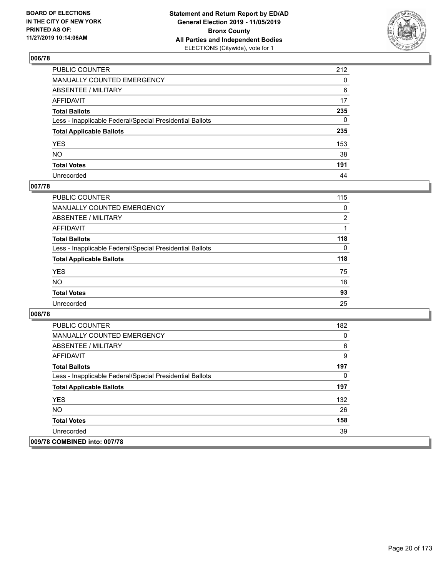

| PUBLIC COUNTER                                           | 212 |
|----------------------------------------------------------|-----|
| MANUALLY COUNTED EMERGENCY                               | 0   |
| ABSENTEE / MILITARY                                      | 6   |
| AFFIDAVIT                                                | 17  |
| Total Ballots                                            | 235 |
| Less - Inapplicable Federal/Special Presidential Ballots | 0   |
| <b>Total Applicable Ballots</b>                          | 235 |
| YES                                                      | 153 |
| NO.                                                      | 38  |
| <b>Total Votes</b>                                       | 191 |
| Unrecorded                                               | 44  |

#### **007/78**

| <b>PUBLIC COUNTER</b>                                    | 115            |
|----------------------------------------------------------|----------------|
| MANUALLY COUNTED EMERGENCY                               | $\Omega$       |
| ABSENTEE / MILITARY                                      | $\overline{2}$ |
| AFFIDAVIT                                                |                |
| <b>Total Ballots</b>                                     | 118            |
| Less - Inapplicable Federal/Special Presidential Ballots | $\Omega$       |
| <b>Total Applicable Ballots</b>                          | 118            |
| <b>YES</b>                                               | 75             |
| <b>NO</b>                                                | 18             |
| <b>Total Votes</b>                                       | 93             |
| Unrecorded                                               | 25             |

| <b>PUBLIC COUNTER</b>                                    | 182 |
|----------------------------------------------------------|-----|
| <b>MANUALLY COUNTED EMERGENCY</b>                        | 0   |
| ABSENTEE / MILITARY                                      | 6   |
| AFFIDAVIT                                                | 9   |
| <b>Total Ballots</b>                                     | 197 |
| Less - Inapplicable Federal/Special Presidential Ballots | 0   |
| <b>Total Applicable Ballots</b>                          | 197 |
| <b>YES</b>                                               | 132 |
| <b>NO</b>                                                | 26  |
| <b>Total Votes</b>                                       | 158 |
| Unrecorded                                               | 39  |
| 009/78 COMBINED into: 007/78                             |     |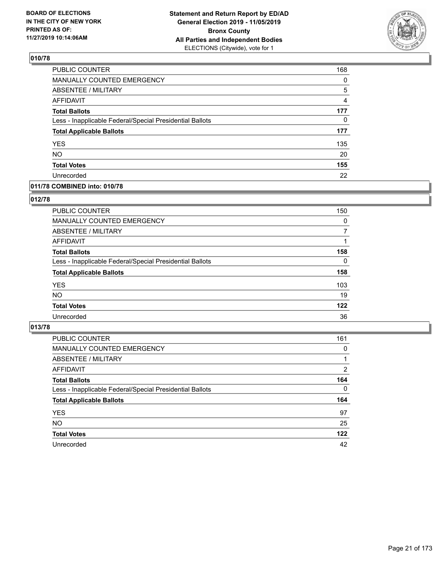

| PUBLIC COUNTER                                           | 168            |
|----------------------------------------------------------|----------------|
| <b>MANUALLY COUNTED EMERGENCY</b>                        | 0              |
| <b>ABSENTEE / MILITARY</b>                               | 5              |
| <b>AFFIDAVIT</b>                                         | $\overline{4}$ |
| <b>Total Ballots</b>                                     | 177            |
| Less - Inapplicable Federal/Special Presidential Ballots | 0              |
| <b>Total Applicable Ballots</b>                          | 177            |
| <b>YES</b>                                               | 135            |
| <b>NO</b>                                                | 20             |
| <b>Total Votes</b>                                       | 155            |
| Unrecorded                                               | 22             |

#### **011/78 COMBINED into: 010/78**

#### **012/78**

| <b>PUBLIC COUNTER</b>                                    | 150      |
|----------------------------------------------------------|----------|
| <b>MANUALLY COUNTED EMERGENCY</b>                        | $\Omega$ |
| ABSENTEE / MILITARY                                      | 7        |
| AFFIDAVIT                                                |          |
| <b>Total Ballots</b>                                     | 158      |
| Less - Inapplicable Federal/Special Presidential Ballots | $\Omega$ |
| <b>Total Applicable Ballots</b>                          | 158      |
| <b>YES</b>                                               | 103      |
| <b>NO</b>                                                | 19       |
| <b>Total Votes</b>                                       | 122      |
| Unrecorded                                               | 36       |
|                                                          |          |

| <b>PUBLIC COUNTER</b>                                    | 161      |
|----------------------------------------------------------|----------|
| MANUALLY COUNTED EMERGENCY                               | $\Omega$ |
| ABSENTEE / MILITARY                                      |          |
| AFFIDAVIT                                                | 2        |
| <b>Total Ballots</b>                                     | 164      |
| Less - Inapplicable Federal/Special Presidential Ballots | $\Omega$ |
| <b>Total Applicable Ballots</b>                          | 164      |
| <b>YES</b>                                               | 97       |
| <b>NO</b>                                                | 25       |
| <b>Total Votes</b>                                       | 122      |
| Unrecorded                                               | 42       |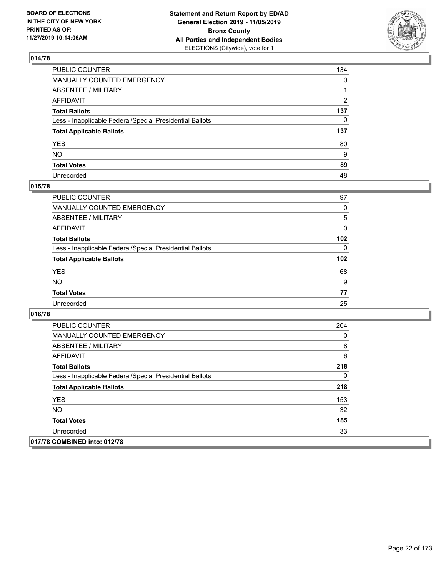

| PUBLIC COUNTER                                           | 134          |
|----------------------------------------------------------|--------------|
| MANUALLY COUNTED EMERGENCY                               | $\mathbf{0}$ |
| ABSENTEE / MILITARY                                      |              |
| AFFIDAVIT                                                | 2            |
| Total Ballots                                            | 137          |
| Less - Inapplicable Federal/Special Presidential Ballots | $\Omega$     |
| <b>Total Applicable Ballots</b>                          | 137          |
| YES                                                      | 80           |
| NO.                                                      | 9            |
| <b>Total Votes</b>                                       | 89           |
| Unrecorded                                               | 48           |

#### **015/78**

| <b>PUBLIC COUNTER</b>                                    | 97       |
|----------------------------------------------------------|----------|
| MANUALLY COUNTED EMERGENCY                               | 0        |
| ABSENTEE / MILITARY                                      | 5        |
| AFFIDAVIT                                                | $\Omega$ |
| <b>Total Ballots</b>                                     | 102      |
| Less - Inapplicable Federal/Special Presidential Ballots | $\Omega$ |
| <b>Total Applicable Ballots</b>                          | 102      |
| <b>YES</b>                                               | 68       |
| <b>NO</b>                                                | 9        |
| <b>Total Votes</b>                                       | 77       |
| Unrecorded                                               | 25       |

| <b>PUBLIC COUNTER</b>                                    | 204 |
|----------------------------------------------------------|-----|
| <b>MANUALLY COUNTED EMERGENCY</b>                        | 0   |
| ABSENTEE / MILITARY                                      | 8   |
| AFFIDAVIT                                                | 6   |
| <b>Total Ballots</b>                                     | 218 |
| Less - Inapplicable Federal/Special Presidential Ballots | 0   |
| <b>Total Applicable Ballots</b>                          | 218 |
| <b>YES</b>                                               | 153 |
| NO.                                                      | 32  |
| <b>Total Votes</b>                                       | 185 |
| Unrecorded                                               | 33  |
| 017/78 COMBINED into: 012/78                             |     |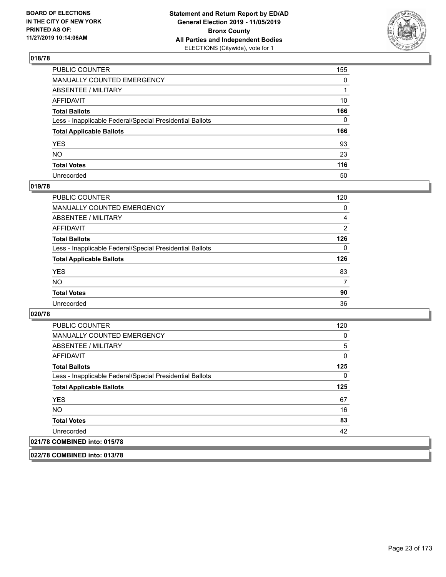

| PUBLIC COUNTER                                           | 155          |
|----------------------------------------------------------|--------------|
| MANUALLY COUNTED EMERGENCY                               | 0            |
| ABSENTEE / MILITARY                                      |              |
| AFFIDAVIT                                                | 10           |
| Total Ballots                                            | 166          |
| Less - Inapplicable Federal/Special Presidential Ballots | $\mathbf{0}$ |
| <b>Total Applicable Ballots</b>                          | 166          |
| YES                                                      | 93           |
| NO.                                                      | 23           |
| <b>Total Votes</b>                                       | 116          |
| Unrecorded                                               | 50           |

#### **019/78**

| <b>PUBLIC COUNTER</b>                                    | 120            |
|----------------------------------------------------------|----------------|
| <b>MANUALLY COUNTED EMERGENCY</b>                        | $\Omega$       |
| ABSENTEE / MILITARY                                      | 4              |
| AFFIDAVIT                                                | $\overline{2}$ |
| <b>Total Ballots</b>                                     | 126            |
| Less - Inapplicable Federal/Special Presidential Ballots | $\Omega$       |
| <b>Total Applicable Ballots</b>                          | 126            |
| <b>YES</b>                                               | 83             |
| <b>NO</b>                                                | 7              |
| <b>Total Votes</b>                                       | 90             |
| Unrecorded                                               | 36             |

**020/78** 

| <b>PUBLIC COUNTER</b>                                    | 120      |
|----------------------------------------------------------|----------|
| <b>MANUALLY COUNTED EMERGENCY</b>                        | 0        |
| ABSENTEE / MILITARY                                      | 5        |
| AFFIDAVIT                                                | $\Omega$ |
| <b>Total Ballots</b>                                     | 125      |
| Less - Inapplicable Federal/Special Presidential Ballots | 0        |
| <b>Total Applicable Ballots</b>                          | 125      |
| <b>YES</b>                                               | 67       |
| NO.                                                      | 16       |
| <b>Total Votes</b>                                       | 83       |
| Unrecorded                                               | 42       |
| 021/78 COMBINED into: 015/78                             |          |

**022/78 COMBINED into: 013/78**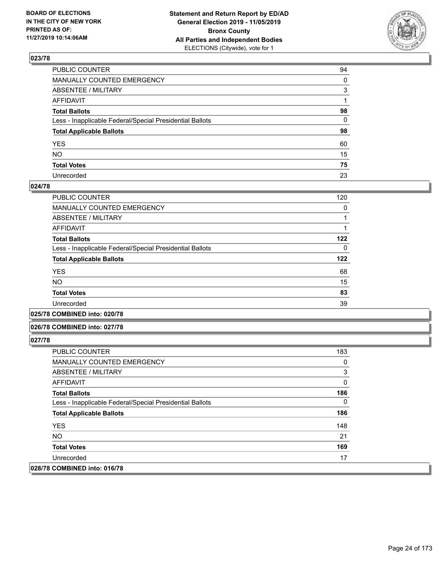

| PUBLIC COUNTER                                           | 94 |
|----------------------------------------------------------|----|
| MANUALLY COUNTED EMERGENCY                               | 0  |
| ABSENTEE / MILITARY                                      | 3  |
| AFFIDAVIT                                                |    |
| Total Ballots                                            | 98 |
| Less - Inapplicable Federal/Special Presidential Ballots | 0  |
| <b>Total Applicable Ballots</b>                          | 98 |
| YES                                                      | 60 |
| NO.                                                      | 15 |
| <b>Total Votes</b>                                       | 75 |
| Unrecorded                                               | 23 |

#### **024/78**

| <b>PUBLIC COUNTER</b>                                    | 120 |
|----------------------------------------------------------|-----|
| MANUALLY COUNTED EMERGENCY                               | 0   |
| ABSENTEE / MILITARY                                      |     |
| AFFIDAVIT                                                |     |
| <b>Total Ballots</b>                                     | 122 |
| Less - Inapplicable Federal/Special Presidential Ballots | 0   |
| <b>Total Applicable Ballots</b>                          | 122 |
| <b>YES</b>                                               | 68  |
| <b>NO</b>                                                | 15  |
| <b>Total Votes</b>                                       | 83  |
| Unrecorded                                               | 39  |
|                                                          |     |

**025/78 COMBINED into: 020/78**

#### **026/78 COMBINED into: 027/78**

| <b>PUBLIC COUNTER</b>                                    | 183 |
|----------------------------------------------------------|-----|
| <b>MANUALLY COUNTED EMERGENCY</b>                        | 0   |
| ABSENTEE / MILITARY                                      | 3   |
| AFFIDAVIT                                                | 0   |
| <b>Total Ballots</b>                                     | 186 |
| Less - Inapplicable Federal/Special Presidential Ballots | 0   |
| <b>Total Applicable Ballots</b>                          | 186 |
| <b>YES</b>                                               | 148 |
| NO.                                                      | 21  |
| <b>Total Votes</b>                                       | 169 |
| Unrecorded                                               | 17  |
| 028/78 COMBINED into: 016/78                             |     |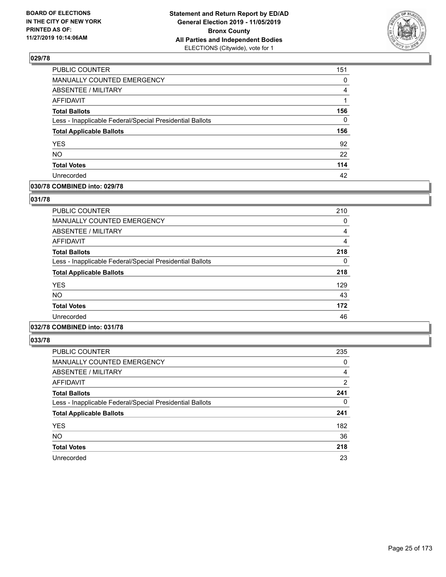

| PUBLIC COUNTER                                           | 151 |
|----------------------------------------------------------|-----|
| MANUALLY COUNTED EMERGENCY                               | 0   |
| <b>ABSENTEE / MILITARY</b>                               | 4   |
| <b>AFFIDAVIT</b>                                         |     |
| <b>Total Ballots</b>                                     | 156 |
| Less - Inapplicable Federal/Special Presidential Ballots | 0   |
| <b>Total Applicable Ballots</b>                          | 156 |
| <b>YES</b>                                               | 92  |
| <b>NO</b>                                                | 22  |
| <b>Total Votes</b>                                       | 114 |
| Unrecorded                                               | 42  |

#### **030/78 COMBINED into: 029/78**

#### **031/78**

| <b>PUBLIC COUNTER</b>                                    | 210 |
|----------------------------------------------------------|-----|
| MANUALLY COUNTED EMERGENCY                               | 0   |
| ABSENTEE / MILITARY                                      | 4   |
| AFFIDAVIT                                                | 4   |
| <b>Total Ballots</b>                                     | 218 |
| Less - Inapplicable Federal/Special Presidential Ballots | 0   |
| <b>Total Applicable Ballots</b>                          | 218 |
| <b>YES</b>                                               | 129 |
| <b>NO</b>                                                | 43  |
| <b>Total Votes</b>                                       | 172 |
| Unrecorded                                               | 46  |

# **032/78 COMBINED into: 031/78**

| <b>PUBLIC COUNTER</b>                                    | 235            |
|----------------------------------------------------------|----------------|
| MANUALLY COUNTED EMERGENCY                               | 0              |
| ABSENTEE / MILITARY                                      | $\overline{4}$ |
| AFFIDAVIT                                                | $\overline{2}$ |
| <b>Total Ballots</b>                                     | 241            |
| Less - Inapplicable Federal/Special Presidential Ballots | 0              |
| <b>Total Applicable Ballots</b>                          | 241            |
| <b>YES</b>                                               | 182            |
| <b>NO</b>                                                | 36             |
| <b>Total Votes</b>                                       | 218            |
| Unrecorded                                               | 23             |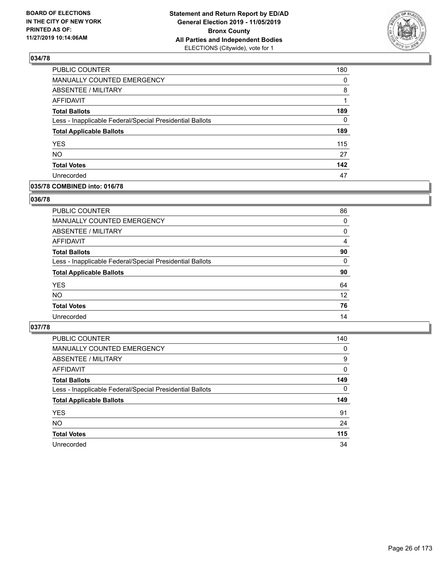

| PUBLIC COUNTER                                           | 180      |
|----------------------------------------------------------|----------|
| <b>MANUALLY COUNTED EMERGENCY</b>                        | $\Omega$ |
| ABSENTEE / MILITARY                                      | 8        |
| <b>AFFIDAVIT</b>                                         |          |
| <b>Total Ballots</b>                                     | 189      |
| Less - Inapplicable Federal/Special Presidential Ballots | 0        |
| <b>Total Applicable Ballots</b>                          | 189      |
| <b>YES</b>                                               | 115      |
| <b>NO</b>                                                | 27       |
| <b>Total Votes</b>                                       | 142      |
| Unrecorded                                               | 47       |

## **035/78 COMBINED into: 016/78**

#### **036/78**

| PUBLIC COUNTER                                           | 86       |
|----------------------------------------------------------|----------|
| <b>MANUALLY COUNTED EMERGENCY</b>                        | 0        |
| <b>ABSENTEE / MILITARY</b>                               | 0        |
| AFFIDAVIT                                                | 4        |
| <b>Total Ballots</b>                                     | 90       |
| Less - Inapplicable Federal/Special Presidential Ballots | $\Omega$ |
| <b>Total Applicable Ballots</b>                          | 90       |
| <b>YES</b>                                               | 64       |
| <b>NO</b>                                                | 12       |
| <b>Total Votes</b>                                       | 76       |
| Unrecorded                                               | 14       |
|                                                          |          |

| <b>PUBLIC COUNTER</b>                                    | 140      |
|----------------------------------------------------------|----------|
| MANUALLY COUNTED EMERGENCY                               | 0        |
| ABSENTEE / MILITARY                                      | 9        |
| AFFIDAVIT                                                | $\Omega$ |
| <b>Total Ballots</b>                                     | 149      |
| Less - Inapplicable Federal/Special Presidential Ballots | $\Omega$ |
| <b>Total Applicable Ballots</b>                          | 149      |
| <b>YES</b>                                               | 91       |
| <b>NO</b>                                                | 24       |
| <b>Total Votes</b>                                       | 115      |
|                                                          |          |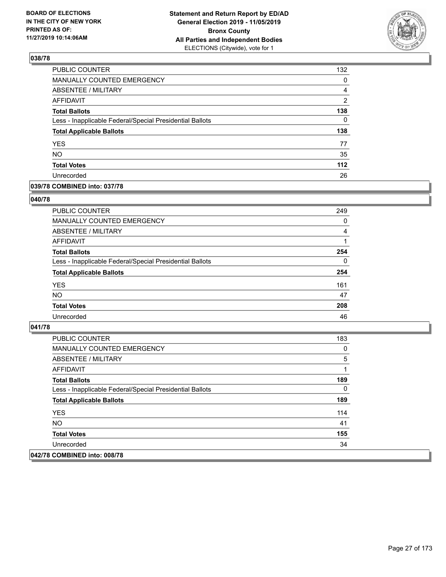

| <b>PUBLIC COUNTER</b>                                    | 132            |
|----------------------------------------------------------|----------------|
| MANUALLY COUNTED EMERGENCY                               | 0              |
| ABSENTEE / MILITARY                                      | 4              |
| <b>AFFIDAVIT</b>                                         | $\overline{2}$ |
| <b>Total Ballots</b>                                     | 138            |
| Less - Inapplicable Federal/Special Presidential Ballots | $\Omega$       |
| <b>Total Applicable Ballots</b>                          | 138            |
| <b>YES</b>                                               | 77             |
| <b>NO</b>                                                | 35             |
| <b>Total Votes</b>                                       | 112            |
| Unrecorded                                               | 26             |

## **039/78 COMBINED into: 037/78**

#### **040/78**

| <b>PUBLIC COUNTER</b>                                    | 249      |
|----------------------------------------------------------|----------|
| MANUALLY COUNTED EMERGENCY                               | 0        |
| ABSENTEE / MILITARY                                      | 4        |
| AFFIDAVIT                                                |          |
| <b>Total Ballots</b>                                     | 254      |
| Less - Inapplicable Federal/Special Presidential Ballots | $\Omega$ |
| <b>Total Applicable Ballots</b>                          | 254      |
| <b>YES</b>                                               | 161      |
| <b>NO</b>                                                | 47       |
| <b>Total Votes</b>                                       | 208      |
| Unrecorded                                               | 46       |
|                                                          |          |

| <b>PUBLIC COUNTER</b>                                    | 183 |
|----------------------------------------------------------|-----|
| MANUALLY COUNTED EMERGENCY                               | 0   |
| ABSENTEE / MILITARY                                      | 5   |
| AFFIDAVIT                                                |     |
| <b>Total Ballots</b>                                     | 189 |
| Less - Inapplicable Federal/Special Presidential Ballots | 0   |
| <b>Total Applicable Ballots</b>                          | 189 |
| <b>YES</b>                                               | 114 |
| NO.                                                      | 41  |
| <b>Total Votes</b>                                       | 155 |
| Unrecorded                                               | 34  |
| 042/78 COMBINED into: 008/78                             |     |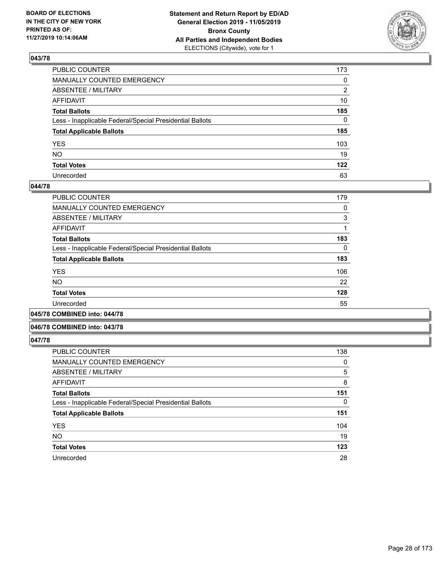

| PUBLIC COUNTER                                           | 173 |
|----------------------------------------------------------|-----|
| MANUALLY COUNTED EMERGENCY                               | 0   |
| ABSENTEE / MILITARY                                      | 2   |
| AFFIDAVIT                                                | 10  |
| Total Ballots                                            | 185 |
| Less - Inapplicable Federal/Special Presidential Ballots | 0   |
| <b>Total Applicable Ballots</b>                          | 185 |
| YES                                                      | 103 |
| NO.                                                      | 19  |
| <b>Total Votes</b>                                       | 122 |
| Unrecorded                                               | 63  |

#### **044/78**

| PUBLIC COUNTER                                           | 179      |
|----------------------------------------------------------|----------|
| <b>MANUALLY COUNTED EMERGENCY</b>                        | 0        |
| ABSENTEE / MILITARY                                      | 3        |
| AFFIDAVIT                                                |          |
| <b>Total Ballots</b>                                     | 183      |
| Less - Inapplicable Federal/Special Presidential Ballots | $\Omega$ |
| <b>Total Applicable Ballots</b>                          | 183      |
| <b>YES</b>                                               | 106      |
| NO.                                                      | 22       |
| <b>Total Votes</b>                                       | 128      |
| Unrecorded                                               | 55       |
|                                                          |          |

**045/78 COMBINED into: 044/78**

#### **046/78 COMBINED into: 043/78**

| <b>PUBLIC COUNTER</b>                                    | 138      |
|----------------------------------------------------------|----------|
| <b>MANUALLY COUNTED EMERGENCY</b>                        | 0        |
| ABSENTEE / MILITARY                                      | 5        |
| <b>AFFIDAVIT</b>                                         | 8        |
| <b>Total Ballots</b>                                     | 151      |
| Less - Inapplicable Federal/Special Presidential Ballots | $\Omega$ |
| <b>Total Applicable Ballots</b>                          | 151      |
| <b>YES</b>                                               | 104      |
| <b>NO</b>                                                | 19       |
| <b>Total Votes</b>                                       | 123      |
| Unrecorded                                               | 28       |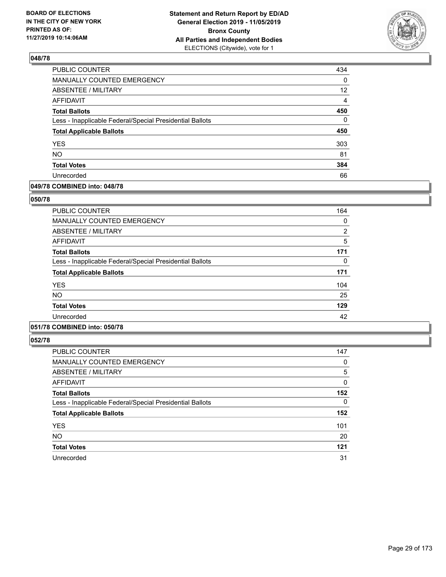

| <b>PUBLIC COUNTER</b>                                    | 434               |
|----------------------------------------------------------|-------------------|
| MANUALLY COUNTED EMERGENCY                               | 0                 |
| ABSENTEE / MILITARY                                      | $12 \overline{ }$ |
| <b>AFFIDAVIT</b>                                         | $\overline{4}$    |
| <b>Total Ballots</b>                                     | 450               |
| Less - Inapplicable Federal/Special Presidential Ballots | $\Omega$          |
| <b>Total Applicable Ballots</b>                          | 450               |
| <b>YES</b>                                               | 303               |
| <b>NO</b>                                                | 81                |
| <b>Total Votes</b>                                       | 384               |
| Unrecorded                                               | 66                |

#### **049/78 COMBINED into: 048/78**

#### **050/78**

| <b>PUBLIC COUNTER</b>                                    | 164            |
|----------------------------------------------------------|----------------|
| <b>MANUALLY COUNTED EMERGENCY</b>                        | 0              |
| ABSENTEE / MILITARY                                      | $\overline{2}$ |
| AFFIDAVIT                                                | 5              |
| <b>Total Ballots</b>                                     | 171            |
| Less - Inapplicable Federal/Special Presidential Ballots | $\Omega$       |
| <b>Total Applicable Ballots</b>                          | 171            |
| <b>YES</b>                                               | 104            |
| <b>NO</b>                                                | 25             |
| <b>Total Votes</b>                                       | 129            |
| Unrecorded                                               | 42             |

## **051/78 COMBINED into: 050/78**

| <b>PUBLIC COUNTER</b>                                    | 147 |
|----------------------------------------------------------|-----|
| <b>MANUALLY COUNTED EMERGENCY</b>                        | 0   |
| ABSENTEE / MILITARY                                      | 5   |
| AFFIDAVIT                                                | 0   |
| <b>Total Ballots</b>                                     | 152 |
| Less - Inapplicable Federal/Special Presidential Ballots | 0   |
| <b>Total Applicable Ballots</b>                          | 152 |
| <b>YES</b>                                               | 101 |
| <b>NO</b>                                                | 20  |
| <b>Total Votes</b>                                       | 121 |
| Unrecorded                                               | 31  |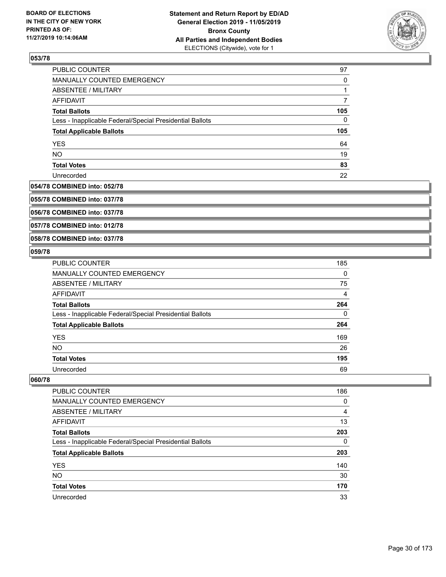

| PUBLIC COUNTER                                           | 97  |
|----------------------------------------------------------|-----|
| MANUALLY COUNTED EMERGENCY                               | 0   |
| ABSENTEE / MILITARY                                      |     |
| AFFIDAVIT                                                |     |
| <b>Total Ballots</b>                                     | 105 |
| Less - Inapplicable Federal/Special Presidential Ballots | 0   |
| <b>Total Applicable Ballots</b>                          | 105 |
| <b>YES</b>                                               | 64  |
| <b>NO</b>                                                | 19  |
| <b>Total Votes</b>                                       | 83  |
| Unrecorded                                               | 22  |

## **054/78 COMBINED into: 052/78**

**055/78 COMBINED into: 037/78**

**056/78 COMBINED into: 037/78**

**057/78 COMBINED into: 012/78**

**058/78 COMBINED into: 037/78**

#### **059/78**

| <b>PUBLIC COUNTER</b>                                    | 185      |
|----------------------------------------------------------|----------|
| MANUALLY COUNTED EMERGENCY                               | $\Omega$ |
| ABSENTEE / MILITARY                                      | 75       |
| <b>AFFIDAVIT</b>                                         | 4        |
| <b>Total Ballots</b>                                     | 264      |
| Less - Inapplicable Federal/Special Presidential Ballots | $\Omega$ |
| <b>Total Applicable Ballots</b>                          | 264      |
| <b>YES</b>                                               | 169      |
| <b>NO</b>                                                | 26       |
| <b>Total Votes</b>                                       | 195      |
| Unrecorded                                               | 69       |

| <b>PUBLIC COUNTER</b>                                    | 186 |
|----------------------------------------------------------|-----|
| <b>MANUALLY COUNTED EMERGENCY</b>                        | 0   |
| ABSENTEE / MILITARY                                      | 4   |
| AFFIDAVIT                                                | 13  |
| <b>Total Ballots</b>                                     | 203 |
| Less - Inapplicable Federal/Special Presidential Ballots | 0   |
| <b>Total Applicable Ballots</b>                          | 203 |
| <b>YES</b>                                               | 140 |
| <b>NO</b>                                                | 30  |
| <b>Total Votes</b>                                       | 170 |
| Unrecorded                                               | 33  |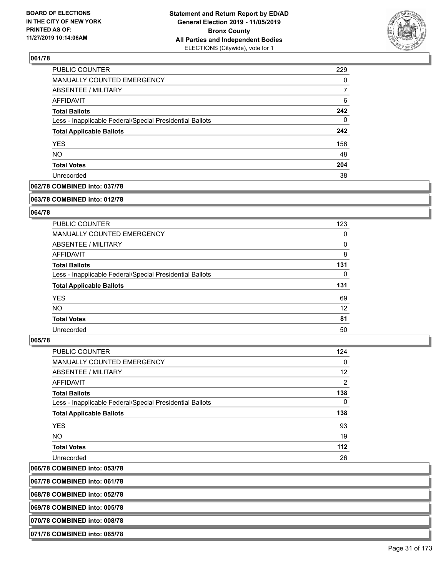

| PUBLIC COUNTER                                           | 229 |
|----------------------------------------------------------|-----|
| <b>MANUALLY COUNTED EMERGENCY</b>                        | 0   |
| <b>ABSENTEE / MILITARY</b>                               | 7   |
| AFFIDAVIT                                                | 6   |
| <b>Total Ballots</b>                                     | 242 |
| Less - Inapplicable Federal/Special Presidential Ballots | 0   |
| <b>Total Applicable Ballots</b>                          | 242 |
| <b>YES</b>                                               | 156 |
| <b>NO</b>                                                | 48  |
| <b>Total Votes</b>                                       | 204 |
| Unrecorded                                               | 38  |

#### **062/78 COMBINED into: 037/78**

#### **063/78 COMBINED into: 012/78**

## **064/78**

| PUBLIC COUNTER                                           | 123      |
|----------------------------------------------------------|----------|
| MANUALLY COUNTED EMERGENCY                               | 0        |
| ABSENTEE / MILITARY                                      | 0        |
| AFFIDAVIT                                                | 8        |
| <b>Total Ballots</b>                                     | 131      |
| Less - Inapplicable Federal/Special Presidential Ballots | $\Omega$ |
| <b>Total Applicable Ballots</b>                          | 131      |
| <b>YES</b>                                               | 69       |
| NO.                                                      | 12       |
|                                                          |          |
| <b>Total Votes</b>                                       | 81       |

#### **065/78**

| <b>PUBLIC COUNTER</b>                                    | 124            |
|----------------------------------------------------------|----------------|
| MANUALLY COUNTED EMERGENCY                               | 0              |
| ABSENTEE / MILITARY                                      | 12             |
| AFFIDAVIT                                                | $\overline{2}$ |
| <b>Total Ballots</b>                                     | 138            |
| Less - Inapplicable Federal/Special Presidential Ballots | 0              |
| <b>Total Applicable Ballots</b>                          | 138            |
| <b>YES</b>                                               | 93             |
| NO.                                                      | 19             |
| <b>Total Votes</b>                                       | 112            |
| Unrecorded                                               | 26             |
|                                                          |                |

# **066/78 COMBINED into: 053/78**

**067/78 COMBINED into: 061/78**

**068/78 COMBINED into: 052/78**

**069/78 COMBINED into: 005/78**

**070/78 COMBINED into: 008/78**

**071/78 COMBINED into: 065/78**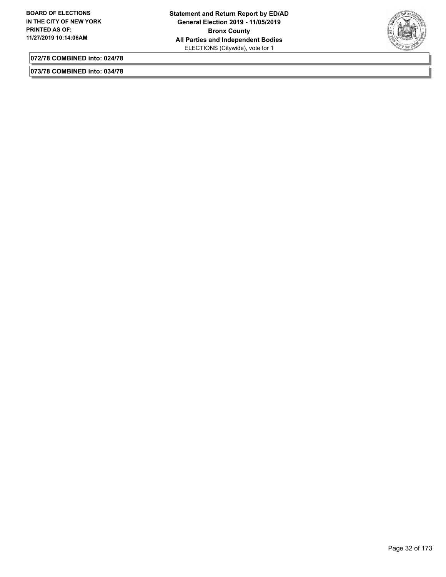

**072/78 COMBINED into: 024/78**

**073/78 COMBINED into: 034/78**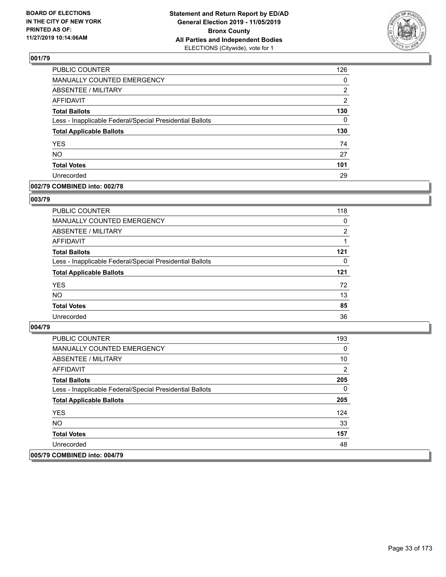

| PUBLIC COUNTER                                           | 126            |
|----------------------------------------------------------|----------------|
| <b>MANUALLY COUNTED EMERGENCY</b>                        | 0              |
| <b>ABSENTEE / MILITARY</b>                               | 2              |
| <b>AFFIDAVIT</b>                                         | $\overline{2}$ |
| <b>Total Ballots</b>                                     | 130            |
| Less - Inapplicable Federal/Special Presidential Ballots | 0              |
| <b>Total Applicable Ballots</b>                          | 130            |
| <b>YES</b>                                               | 74             |
| <b>NO</b>                                                | 27             |
| <b>Total Votes</b>                                       | 101            |
| Unrecorded                                               | 29             |

#### **002/79 COMBINED into: 002/78**

#### **003/79**

| <b>PUBLIC COUNTER</b>                                    | 118      |
|----------------------------------------------------------|----------|
| <b>MANUALLY COUNTED EMERGENCY</b>                        | 0        |
| ABSENTEE / MILITARY                                      | 2        |
| AFFIDAVIT                                                |          |
| <b>Total Ballots</b>                                     | 121      |
| Less - Inapplicable Federal/Special Presidential Ballots | $\Omega$ |
| <b>Total Applicable Ballots</b>                          | 121      |
| <b>YES</b>                                               | 72       |
| <b>NO</b>                                                | 13       |
| <b>Total Votes</b>                                       | 85       |
| Unrecorded                                               | 36       |

| <b>PUBLIC COUNTER</b>                                    | 193 |
|----------------------------------------------------------|-----|
| <b>MANUALLY COUNTED EMERGENCY</b>                        | 0   |
| ABSENTEE / MILITARY                                      | 10  |
| AFFIDAVIT                                                | 2   |
| <b>Total Ballots</b>                                     | 205 |
| Less - Inapplicable Federal/Special Presidential Ballots | 0   |
| <b>Total Applicable Ballots</b>                          | 205 |
| <b>YES</b>                                               | 124 |
| NO.                                                      | 33  |
| <b>Total Votes</b>                                       | 157 |
| Unrecorded                                               | 48  |
| 005/79 COMBINED into: 004/79                             |     |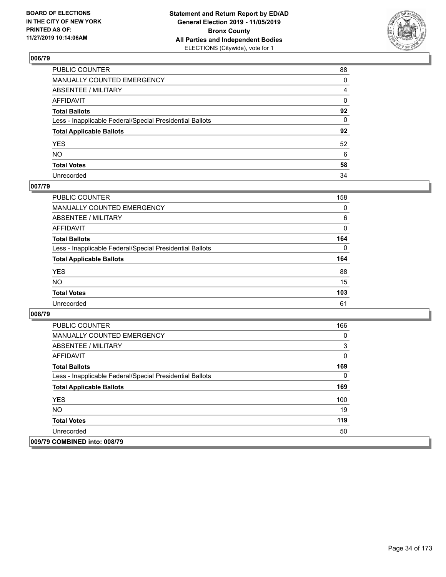

| PUBLIC COUNTER                                           | 88 |
|----------------------------------------------------------|----|
| MANUALLY COUNTED EMERGENCY                               | 0  |
| ABSENTEE / MILITARY                                      | 4  |
| AFFIDAVIT                                                | 0  |
| Total Ballots                                            | 92 |
| Less - Inapplicable Federal/Special Presidential Ballots | 0  |
| <b>Total Applicable Ballots</b>                          | 92 |
| YES                                                      | 52 |
| NO.                                                      | 6  |
| <b>Total Votes</b>                                       | 58 |
| Unrecorded                                               | 34 |

## **007/79**

| <b>PUBLIC COUNTER</b>                                    | 158      |
|----------------------------------------------------------|----------|
| <b>MANUALLY COUNTED EMERGENCY</b>                        | $\Omega$ |
| ABSENTEE / MILITARY                                      | 6        |
| AFFIDAVIT                                                | 0        |
| <b>Total Ballots</b>                                     | 164      |
| Less - Inapplicable Federal/Special Presidential Ballots | $\Omega$ |
| <b>Total Applicable Ballots</b>                          | 164      |
| <b>YES</b>                                               | 88       |
| <b>NO</b>                                                | 15       |
| <b>Total Votes</b>                                       | 103      |
| Unrecorded                                               | 61       |

| <b>PUBLIC COUNTER</b>                                    | 166 |
|----------------------------------------------------------|-----|
| <b>MANUALLY COUNTED EMERGENCY</b>                        | 0   |
| ABSENTEE / MILITARY                                      | 3   |
| AFFIDAVIT                                                | 0   |
| <b>Total Ballots</b>                                     | 169 |
| Less - Inapplicable Federal/Special Presidential Ballots | 0   |
| <b>Total Applicable Ballots</b>                          | 169 |
| <b>YES</b>                                               | 100 |
| NO.                                                      | 19  |
| <b>Total Votes</b>                                       | 119 |
| Unrecorded                                               | 50  |
| 009/79 COMBINED into: 008/79                             |     |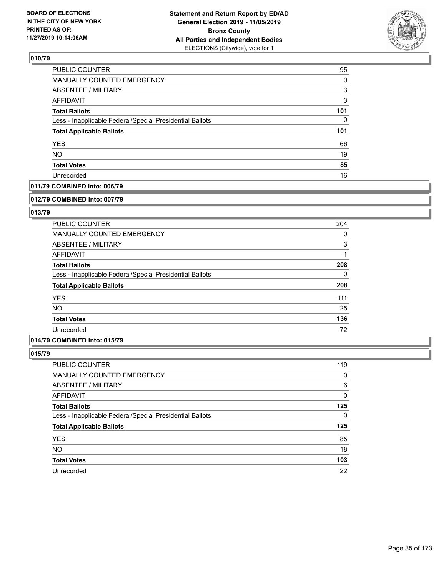

| PUBLIC COUNTER                                           | 95  |
|----------------------------------------------------------|-----|
| <b>MANUALLY COUNTED EMERGENCY</b>                        | 0   |
| <b>ABSENTEE / MILITARY</b>                               | 3   |
| AFFIDAVIT                                                | 3   |
| <b>Total Ballots</b>                                     | 101 |
| Less - Inapplicable Federal/Special Presidential Ballots | 0   |
| <b>Total Applicable Ballots</b>                          | 101 |
| <b>YES</b>                                               | 66  |
| <b>NO</b>                                                | 19  |
| <b>Total Votes</b>                                       | 85  |
| Unrecorded                                               | 16  |

## **011/79 COMBINED into: 006/79**

#### **012/79 COMBINED into: 007/79**

## **013/79**

| <b>PUBLIC COUNTER</b>                                    | 204      |
|----------------------------------------------------------|----------|
| <b>MANUALLY COUNTED EMERGENCY</b>                        | 0        |
| ABSENTEE / MILITARY                                      | 3        |
| AFFIDAVIT                                                |          |
| <b>Total Ballots</b>                                     | 208      |
| Less - Inapplicable Federal/Special Presidential Ballots | $\Omega$ |
| <b>Total Applicable Ballots</b>                          | 208      |
| <b>YES</b>                                               | 111      |
| <b>NO</b>                                                | 25       |
| <b>Total Votes</b>                                       | 136      |
| Unrecorded                                               | 72       |

## **014/79 COMBINED into: 015/79**

| PUBLIC COUNTER                                           | 119 |
|----------------------------------------------------------|-----|
| MANUALLY COUNTED EMERGENCY                               | 0   |
| <b>ABSENTEE / MILITARY</b>                               | 6   |
| AFFIDAVIT                                                | 0   |
| <b>Total Ballots</b>                                     | 125 |
| Less - Inapplicable Federal/Special Presidential Ballots | 0   |
| <b>Total Applicable Ballots</b>                          | 125 |
| <b>YES</b>                                               | 85  |
| <b>NO</b>                                                | 18  |
| <b>Total Votes</b>                                       | 103 |
| Unrecorded                                               | 22  |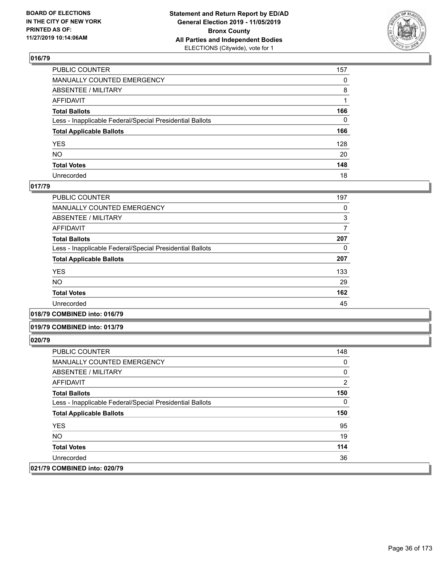

| PUBLIC COUNTER                                           | 157          |
|----------------------------------------------------------|--------------|
| MANUALLY COUNTED EMERGENCY                               | $\mathbf{0}$ |
| ABSENTEE / MILITARY                                      | 8            |
| AFFIDAVIT                                                |              |
| Total Ballots                                            | 166          |
| Less - Inapplicable Federal/Special Presidential Ballots | $\Omega$     |
| <b>Total Applicable Ballots</b>                          | 166          |
| YES                                                      | 128          |
| NO.                                                      | 20           |
| <b>Total Votes</b>                                       | 148          |
| Unrecorded                                               | 18           |

#### **017/79**

| 197 |
|-----|
| 0   |
| 3   |
|     |
| 207 |
| 0   |
| 207 |
| 133 |
| 29  |
| 162 |
| 45  |
|     |

#### **018/79 COMBINED into: 016/79**

#### **019/79 COMBINED into: 013/79**

| PUBLIC COUNTER                                           | 148 |
|----------------------------------------------------------|-----|
| MANUALLY COUNTED EMERGENCY                               | 0   |
| ABSENTEE / MILITARY                                      | 0   |
| AFFIDAVIT                                                | 2   |
| <b>Total Ballots</b>                                     | 150 |
| Less - Inapplicable Federal/Special Presidential Ballots | 0   |
| <b>Total Applicable Ballots</b>                          | 150 |
| <b>YES</b>                                               | 95  |
| NO.                                                      | 19  |
| <b>Total Votes</b>                                       | 114 |
| Unrecorded                                               | 36  |
| 021/79 COMBINED into: 020/79                             |     |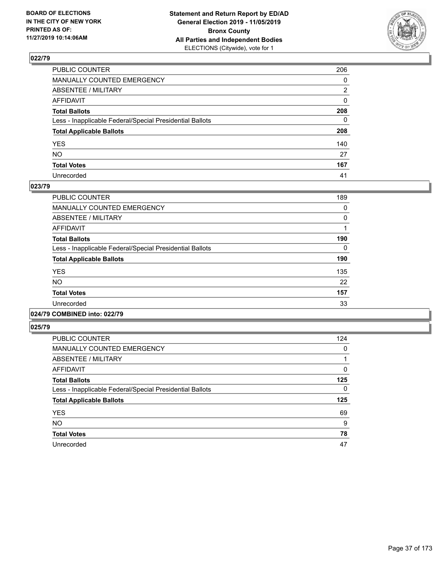

| PUBLIC COUNTER                                           | 206          |
|----------------------------------------------------------|--------------|
| MANUALLY COUNTED EMERGENCY                               | $\mathbf{0}$ |
| ABSENTEE / MILITARY                                      | 2            |
| AFFIDAVIT                                                | $\mathbf{0}$ |
| Total Ballots                                            | 208          |
| Less - Inapplicable Federal/Special Presidential Ballots | $\mathbf{0}$ |
| <b>Total Applicable Ballots</b>                          | 208          |
| YES                                                      | 140          |
| NO.                                                      | 27           |
| <b>Total Votes</b>                                       | 167          |
| Unrecorded                                               | 41           |

### **023/79**

| <b>PUBLIC COUNTER</b>                                    | 189 |
|----------------------------------------------------------|-----|
| <b>MANUALLY COUNTED EMERGENCY</b>                        | 0   |
| ABSENTEE / MILITARY                                      | 0   |
| <b>AFFIDAVIT</b>                                         |     |
| <b>Total Ballots</b>                                     | 190 |
| Less - Inapplicable Federal/Special Presidential Ballots | 0   |
| <b>Total Applicable Ballots</b>                          | 190 |
| <b>YES</b>                                               | 135 |
| <b>NO</b>                                                | 22  |
| <b>Total Votes</b>                                       | 157 |
| Unrecorded                                               | 33  |
|                                                          |     |

### **024/79 COMBINED into: 022/79**

| PUBLIC COUNTER                                           | 124 |
|----------------------------------------------------------|-----|
| MANUALLY COUNTED EMERGENCY                               | 0   |
| ABSENTEE / MILITARY                                      |     |
| AFFIDAVIT                                                | 0   |
| <b>Total Ballots</b>                                     | 125 |
| Less - Inapplicable Federal/Special Presidential Ballots | 0   |
| <b>Total Applicable Ballots</b>                          | 125 |
| <b>YES</b>                                               | 69  |
| <b>NO</b>                                                | 9   |
| <b>Total Votes</b>                                       | 78  |
| Unrecorded                                               | 47  |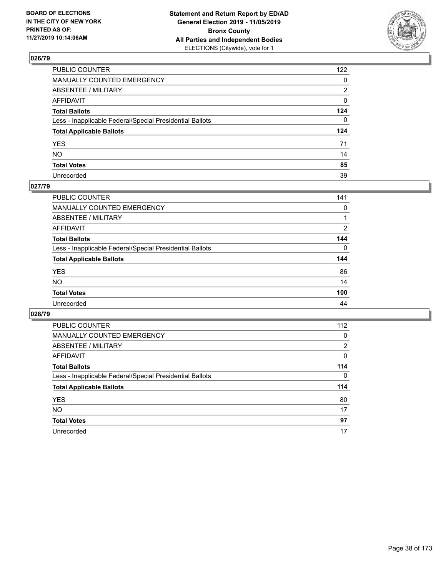

| PUBLIC COUNTER                                           | 122 |
|----------------------------------------------------------|-----|
| MANUALLY COUNTED EMERGENCY                               | 0   |
| ABSENTEE / MILITARY                                      | 2   |
| AFFIDAVIT                                                | 0   |
| Total Ballots                                            | 124 |
| Less - Inapplicable Federal/Special Presidential Ballots | 0   |
| <b>Total Applicable Ballots</b>                          | 124 |
| YES                                                      | 71  |
| NO.                                                      | 14  |
| <b>Total Votes</b>                                       | 85  |
| Unrecorded                                               | 39  |

### **027/79**

| <b>PUBLIC COUNTER</b>                                    | 141      |
|----------------------------------------------------------|----------|
| MANUALLY COUNTED EMERGENCY                               | $\Omega$ |
| ABSENTEE / MILITARY                                      |          |
| AFFIDAVIT                                                | 2        |
| <b>Total Ballots</b>                                     | 144      |
| Less - Inapplicable Federal/Special Presidential Ballots | $\Omega$ |
| <b>Total Applicable Ballots</b>                          | 144      |
| <b>YES</b>                                               | 86       |
| <b>NO</b>                                                | 14       |
| <b>Total Votes</b>                                       | 100      |
| Unrecorded                                               | 44       |

| PUBLIC COUNTER                                           | 112            |
|----------------------------------------------------------|----------------|
| <b>MANUALLY COUNTED EMERGENCY</b>                        | 0              |
| ABSENTEE / MILITARY                                      | $\overline{2}$ |
| AFFIDAVIT                                                | 0              |
| <b>Total Ballots</b>                                     | 114            |
| Less - Inapplicable Federal/Special Presidential Ballots | $\Omega$       |
| <b>Total Applicable Ballots</b>                          | 114            |
| <b>YES</b>                                               | 80             |
| <b>NO</b>                                                | 17             |
|                                                          | 97             |
| <b>Total Votes</b>                                       |                |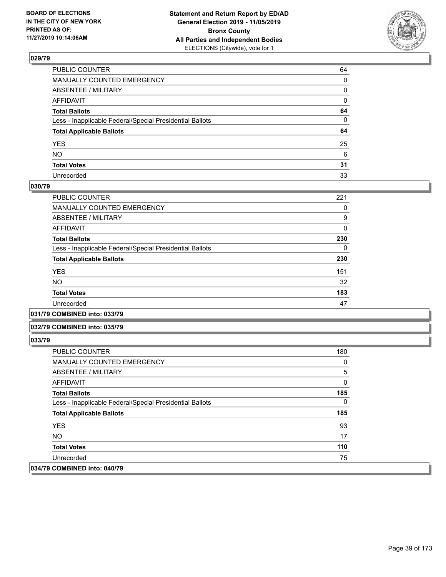

| PUBLIC COUNTER                                           | 64 |
|----------------------------------------------------------|----|
| MANUALLY COUNTED EMERGENCY                               | 0  |
| ABSENTEE / MILITARY                                      | 0  |
| AFFIDAVIT                                                | 0  |
| Total Ballots                                            | 64 |
| Less - Inapplicable Federal/Special Presidential Ballots | 0  |
| <b>Total Applicable Ballots</b>                          | 64 |
| YES                                                      | 25 |
| NO.                                                      | 6  |
| <b>Total Votes</b>                                       | 31 |
| Unrecorded                                               | 33 |

### **030/79**

| PUBLIC COUNTER                                           | 221 |
|----------------------------------------------------------|-----|
| MANUALLY COUNTED EMERGENCY                               | 0   |
| ABSENTEE / MILITARY                                      | 9   |
| AFFIDAVIT                                                | 0   |
| <b>Total Ballots</b>                                     | 230 |
| Less - Inapplicable Federal/Special Presidential Ballots | 0   |
| <b>Total Applicable Ballots</b>                          | 230 |
| <b>YES</b>                                               | 151 |
| NO.                                                      | 32  |
| <b>Total Votes</b>                                       | 183 |
| Unrecorded                                               | 47  |
|                                                          |     |

### **031/79 COMBINED into: 033/79**

### **032/79 COMBINED into: 035/79**

| <b>PUBLIC COUNTER</b>                                    | 180 |
|----------------------------------------------------------|-----|
| <b>MANUALLY COUNTED EMERGENCY</b>                        | 0   |
| ABSENTEE / MILITARY                                      | 5   |
| AFFIDAVIT                                                | 0   |
| <b>Total Ballots</b>                                     | 185 |
| Less - Inapplicable Federal/Special Presidential Ballots | 0   |
| <b>Total Applicable Ballots</b>                          | 185 |
| <b>YES</b>                                               | 93  |
| NO.                                                      | 17  |
| <b>Total Votes</b>                                       | 110 |
| Unrecorded                                               | 75  |
| 034/79 COMBINED into: 040/79                             |     |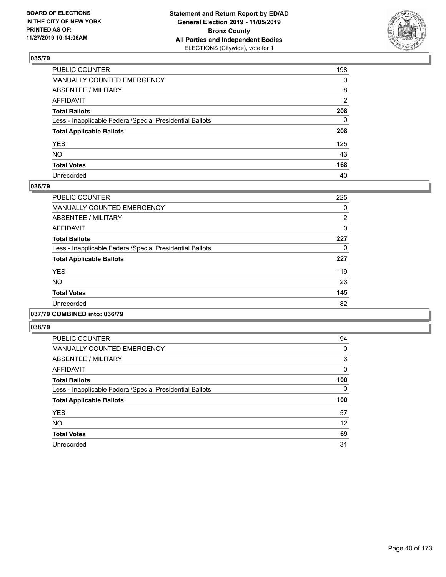

| PUBLIC COUNTER                                           | 198          |
|----------------------------------------------------------|--------------|
| MANUALLY COUNTED EMERGENCY                               | $\mathbf{0}$ |
| ABSENTEE / MILITARY                                      | 8            |
| AFFIDAVIT                                                | 2            |
| Total Ballots                                            | 208          |
| Less - Inapplicable Federal/Special Presidential Ballots | 0            |
| <b>Total Applicable Ballots</b>                          | 208          |
| YES                                                      | 125          |
| NO.                                                      | 43           |
| <b>Total Votes</b>                                       | 168          |
| Unrecorded                                               | 40           |

### **036/79**

| <b>PUBLIC COUNTER</b>                                    | 225            |
|----------------------------------------------------------|----------------|
| <b>MANUALLY COUNTED EMERGENCY</b>                        | 0              |
| ABSENTEE / MILITARY                                      | $\overline{2}$ |
| <b>AFFIDAVIT</b>                                         | 0              |
| <b>Total Ballots</b>                                     | 227            |
| Less - Inapplicable Federal/Special Presidential Ballots | 0              |
| <b>Total Applicable Ballots</b>                          | 227            |
| <b>YES</b>                                               | 119            |
| <b>NO</b>                                                | 26             |
| <b>Total Votes</b>                                       | 145            |
| Unrecorded                                               | 82             |
|                                                          |                |

### **037/79 COMBINED into: 036/79**

| <b>PUBLIC COUNTER</b>                                    | 94       |
|----------------------------------------------------------|----------|
| <b>MANUALLY COUNTED EMERGENCY</b>                        | 0        |
| ABSENTEE / MILITARY                                      | 6        |
| AFFIDAVIT                                                | $\Omega$ |
| <b>Total Ballots</b>                                     | 100      |
| Less - Inapplicable Federal/Special Presidential Ballots | $\Omega$ |
| <b>Total Applicable Ballots</b>                          | 100      |
| <b>YES</b>                                               | 57       |
| <b>NO</b>                                                | 12       |
| <b>Total Votes</b>                                       | 69       |
| Unrecorded                                               | 31       |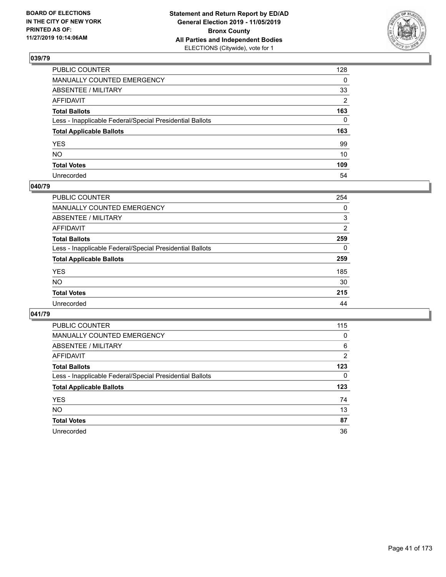

| PUBLIC COUNTER                                           | 128          |
|----------------------------------------------------------|--------------|
| MANUALLY COUNTED EMERGENCY                               | $\mathbf{0}$ |
| ABSENTEE / MILITARY                                      | 33           |
| AFFIDAVIT                                                | 2            |
| Total Ballots                                            | 163          |
| Less - Inapplicable Federal/Special Presidential Ballots | $\mathbf{0}$ |
| <b>Total Applicable Ballots</b>                          | 163          |
| YES                                                      | 99           |
| NO.                                                      | 10           |
| <b>Total Votes</b>                                       | 109          |
| Unrecorded                                               | 54           |

## **040/79**

| PUBLIC COUNTER                                           | 254 |
|----------------------------------------------------------|-----|
| <b>MANUALLY COUNTED EMERGENCY</b>                        | 0   |
| ABSENTEE / MILITARY                                      | 3   |
| AFFIDAVIT                                                | 2   |
| <b>Total Ballots</b>                                     | 259 |
| Less - Inapplicable Federal/Special Presidential Ballots | 0   |
| <b>Total Applicable Ballots</b>                          | 259 |
| <b>YES</b>                                               | 185 |
| <b>NO</b>                                                | 30  |
| <b>Total Votes</b>                                       | 215 |
| Unrecorded                                               | 44  |

| PUBLIC COUNTER                                           | 115 |
|----------------------------------------------------------|-----|
| <b>MANUALLY COUNTED EMERGENCY</b>                        | 0   |
| ABSENTEE / MILITARY                                      | 6   |
| AFFIDAVIT                                                | 2   |
| <b>Total Ballots</b>                                     | 123 |
| Less - Inapplicable Federal/Special Presidential Ballots | 0   |
| <b>Total Applicable Ballots</b>                          | 123 |
| <b>YES</b>                                               | 74  |
| NO.                                                      | 13  |
| <b>Total Votes</b>                                       | 87  |
| Unrecorded                                               | 36  |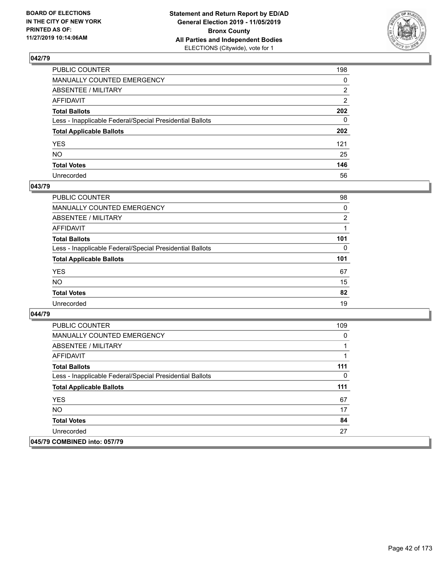

| PUBLIC COUNTER                                           | 198 |
|----------------------------------------------------------|-----|
| MANUALLY COUNTED EMERGENCY                               | 0   |
| ABSENTEE / MILITARY                                      | 2   |
| AFFIDAVIT                                                | 2   |
| Total Ballots                                            | 202 |
| Less - Inapplicable Federal/Special Presidential Ballots | 0   |
| <b>Total Applicable Ballots</b>                          | 202 |
| YES                                                      | 121 |
| NO.                                                      | 25  |
| <b>Total Votes</b>                                       | 146 |
| Unrecorded                                               | 56  |

### **043/79**

| PUBLIC COUNTER                                           | 98             |
|----------------------------------------------------------|----------------|
| MANUALLY COUNTED EMERGENCY                               | 0              |
| ABSENTEE / MILITARY                                      | $\overline{2}$ |
| AFFIDAVIT                                                |                |
| <b>Total Ballots</b>                                     | 101            |
| Less - Inapplicable Federal/Special Presidential Ballots | 0              |
| <b>Total Applicable Ballots</b>                          | 101            |
| <b>YES</b>                                               | 67             |
| <b>NO</b>                                                | 15             |
| <b>Total Votes</b>                                       | 82             |
| Unrecorded                                               | 19             |

| <b>PUBLIC COUNTER</b>                                    | 109 |
|----------------------------------------------------------|-----|
| <b>MANUALLY COUNTED EMERGENCY</b>                        | 0   |
| ABSENTEE / MILITARY                                      |     |
| AFFIDAVIT                                                |     |
| <b>Total Ballots</b>                                     | 111 |
| Less - Inapplicable Federal/Special Presidential Ballots | 0   |
| <b>Total Applicable Ballots</b>                          | 111 |
| <b>YES</b>                                               | 67  |
| NO.                                                      | 17  |
| <b>Total Votes</b>                                       | 84  |
| Unrecorded                                               | 27  |
| 045/79 COMBINED into: 057/79                             |     |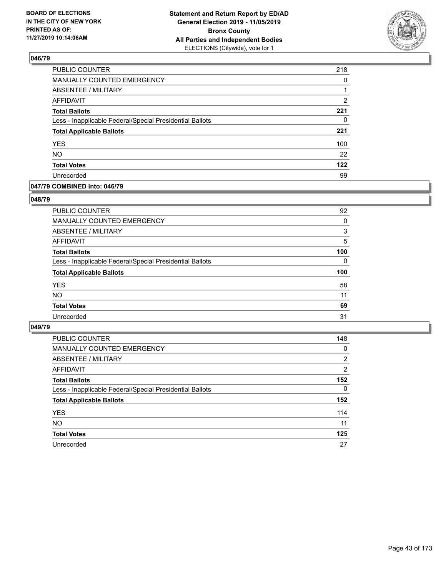

| PUBLIC COUNTER                                           | 218            |
|----------------------------------------------------------|----------------|
| MANUALLY COUNTED EMERGENCY                               | 0              |
| ABSENTEE / MILITARY                                      |                |
| <b>AFFIDAVIT</b>                                         | $\overline{2}$ |
| <b>Total Ballots</b>                                     | 221            |
| Less - Inapplicable Federal/Special Presidential Ballots | 0              |
| <b>Total Applicable Ballots</b>                          | 221            |
| <b>YES</b>                                               | 100            |
| <b>NO</b>                                                | 22             |
| <b>Total Votes</b>                                       | 122            |
| Unrecorded                                               | 99             |

## **047/79 COMBINED into: 046/79**

### **048/79**

| PUBLIC COUNTER                                           | 92       |
|----------------------------------------------------------|----------|
| <b>MANUALLY COUNTED EMERGENCY</b>                        | $\Omega$ |
| ABSENTEE / MILITARY                                      | 3        |
| AFFIDAVIT                                                | 5        |
| <b>Total Ballots</b>                                     | 100      |
| Less - Inapplicable Federal/Special Presidential Ballots | $\Omega$ |
| <b>Total Applicable Ballots</b>                          | 100      |
| <b>YES</b>                                               | 58       |
| <b>NO</b>                                                | 11       |
| <b>Total Votes</b>                                       | 69       |
| Unrecorded                                               | 31       |
|                                                          |          |

| <b>PUBLIC COUNTER</b>                                    | 148            |
|----------------------------------------------------------|----------------|
| MANUALLY COUNTED EMERGENCY                               | 0              |
| ABSENTEE / MILITARY                                      | $\overline{2}$ |
| AFFIDAVIT                                                | 2              |
| <b>Total Ballots</b>                                     | 152            |
| Less - Inapplicable Federal/Special Presidential Ballots | $\Omega$       |
| <b>Total Applicable Ballots</b>                          | 152            |
| <b>YES</b>                                               | 114            |
| <b>NO</b>                                                | 11             |
| <b>Total Votes</b>                                       | 125            |
| Unrecorded                                               | 27             |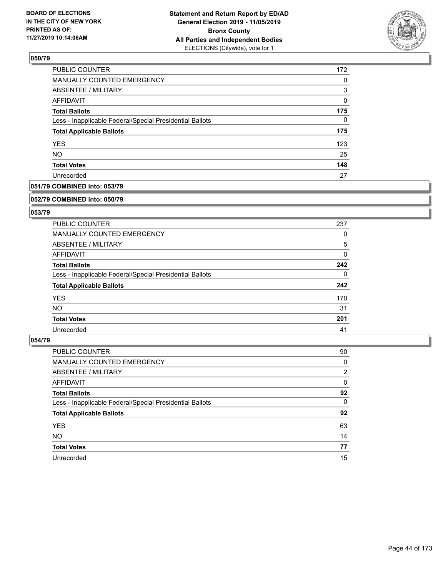

| PUBLIC COUNTER                                           | 172 |
|----------------------------------------------------------|-----|
| MANUALLY COUNTED EMERGENCY                               | 0   |
| <b>ABSENTEE / MILITARY</b>                               | 3   |
| AFFIDAVIT                                                | 0   |
| <b>Total Ballots</b>                                     | 175 |
| Less - Inapplicable Federal/Special Presidential Ballots | 0   |
| <b>Total Applicable Ballots</b>                          | 175 |
| <b>YES</b>                                               | 123 |
| <b>NO</b>                                                | 25  |
| <b>Total Votes</b>                                       | 148 |
| Unrecorded                                               | 27  |

## **051/79 COMBINED into: 053/79**

#### **052/79 COMBINED into: 050/79**

## **053/79**

| <b>PUBLIC COUNTER</b>                                    | 237 |
|----------------------------------------------------------|-----|
| <b>MANUALLY COUNTED EMERGENCY</b>                        | 0   |
| ABSENTEE / MILITARY                                      | 5   |
| AFFIDAVIT                                                | 0   |
| <b>Total Ballots</b>                                     | 242 |
| Less - Inapplicable Federal/Special Presidential Ballots | 0   |
| <b>Total Applicable Ballots</b>                          | 242 |
| <b>YES</b>                                               | 170 |
| NO.                                                      | 31  |
| <b>Total Votes</b>                                       | 201 |
| Unrecorded                                               | 41  |

| <b>PUBLIC COUNTER</b>                                    | 90             |
|----------------------------------------------------------|----------------|
| <b>MANUALLY COUNTED EMERGENCY</b>                        | 0              |
| ABSENTEE / MILITARY                                      | $\overline{2}$ |
| AFFIDAVIT                                                | 0              |
| <b>Total Ballots</b>                                     | 92             |
| Less - Inapplicable Federal/Special Presidential Ballots | $\Omega$       |
| <b>Total Applicable Ballots</b>                          | 92             |
| <b>YES</b>                                               | 63             |
| <b>NO</b>                                                | 14             |
| <b>Total Votes</b>                                       | 77             |
| Unrecorded                                               | 15             |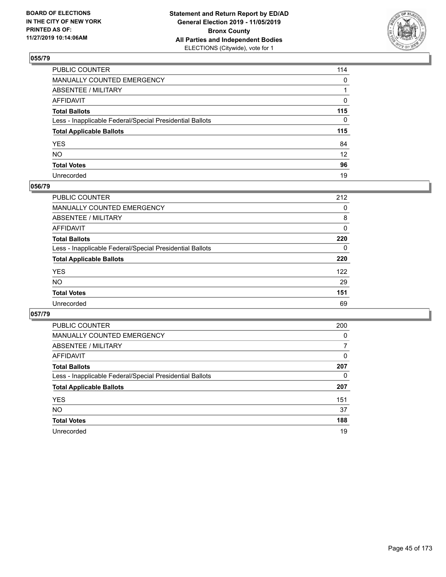

| PUBLIC COUNTER                                           | 114             |
|----------------------------------------------------------|-----------------|
| MANUALLY COUNTED EMERGENCY                               | $\mathbf{0}$    |
| ABSENTEE / MILITARY                                      |                 |
| AFFIDAVIT                                                | 0               |
| Total Ballots                                            | 115             |
| Less - Inapplicable Federal/Special Presidential Ballots | 0               |
| <b>Total Applicable Ballots</b>                          | 115             |
| YES                                                      | 84              |
| NO.                                                      | 12 <sup>2</sup> |
| <b>Total Votes</b>                                       | 96              |
| Unrecorded                                               | 19              |

### **056/79**

| <b>PUBLIC COUNTER</b>                                    | 212      |
|----------------------------------------------------------|----------|
| MANUALLY COUNTED EMERGENCY                               | 0        |
| ABSENTEE / MILITARY                                      | 8        |
| AFFIDAVIT                                                | 0        |
| <b>Total Ballots</b>                                     | 220      |
| Less - Inapplicable Federal/Special Presidential Ballots | $\Omega$ |
| <b>Total Applicable Ballots</b>                          | 220      |
| <b>YES</b>                                               | 122      |
| <b>NO</b>                                                | 29       |
| <b>Total Votes</b>                                       | 151      |
| Unrecorded                                               | 69       |

| PUBLIC COUNTER                                           | 200      |
|----------------------------------------------------------|----------|
| MANUALLY COUNTED EMERGENCY                               | $\Omega$ |
| ABSENTEE / MILITARY                                      | 7        |
| AFFIDAVIT                                                | 0        |
| <b>Total Ballots</b>                                     | 207      |
| Less - Inapplicable Federal/Special Presidential Ballots | 0        |
| <b>Total Applicable Ballots</b>                          | 207      |
| <b>YES</b>                                               | 151      |
| NO.                                                      | 37       |
| <b>Total Votes</b>                                       | 188      |
| Unrecorded                                               | 19       |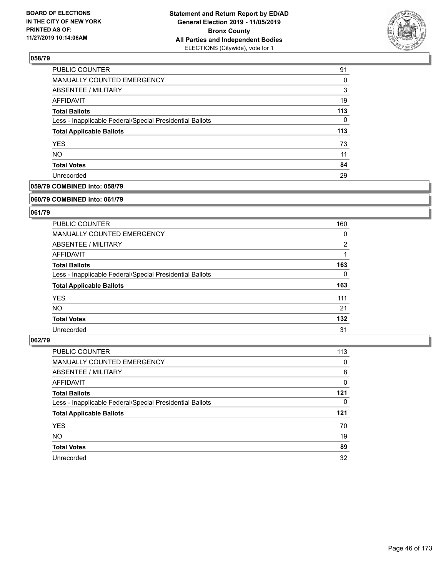

| PUBLIC COUNTER                                           | 91       |
|----------------------------------------------------------|----------|
| <b>MANUALLY COUNTED EMERGENCY</b>                        | $\Omega$ |
| ABSENTEE / MILITARY                                      | 3        |
| AFFIDAVIT                                                | 19       |
| <b>Total Ballots</b>                                     | 113      |
| Less - Inapplicable Federal/Special Presidential Ballots | $\Omega$ |
| <b>Total Applicable Ballots</b>                          | 113      |
| <b>YES</b>                                               | 73       |
| <b>NO</b>                                                | 11       |
| <b>Total Votes</b>                                       | 84       |
| Unrecorded                                               | 29       |

## **059/79 COMBINED into: 058/79**

#### **060/79 COMBINED into: 061/79**

## **061/79**

| <b>PUBLIC COUNTER</b>                                    | 160            |
|----------------------------------------------------------|----------------|
| <b>MANUALLY COUNTED EMERGENCY</b>                        | 0              |
| ABSENTEE / MILITARY                                      | $\overline{2}$ |
| AFFIDAVIT                                                |                |
| <b>Total Ballots</b>                                     | 163            |
| Less - Inapplicable Federal/Special Presidential Ballots | 0              |
| <b>Total Applicable Ballots</b>                          | 163            |
| <b>YES</b>                                               | 111            |
| NO.                                                      | 21             |
| <b>Total Votes</b>                                       | 132            |
| Unrecorded                                               | 31             |

| PUBLIC COUNTER                                           | 113 |
|----------------------------------------------------------|-----|
| <b>MANUALLY COUNTED EMERGENCY</b>                        | 0   |
| ABSENTEE / MILITARY                                      | 8   |
| AFFIDAVIT                                                | 0   |
| <b>Total Ballots</b>                                     | 121 |
| Less - Inapplicable Federal/Special Presidential Ballots | 0   |
| <b>Total Applicable Ballots</b>                          | 121 |
|                                                          |     |
| <b>YES</b>                                               | 70  |
| <b>NO</b>                                                | 19  |
| <b>Total Votes</b>                                       | 89  |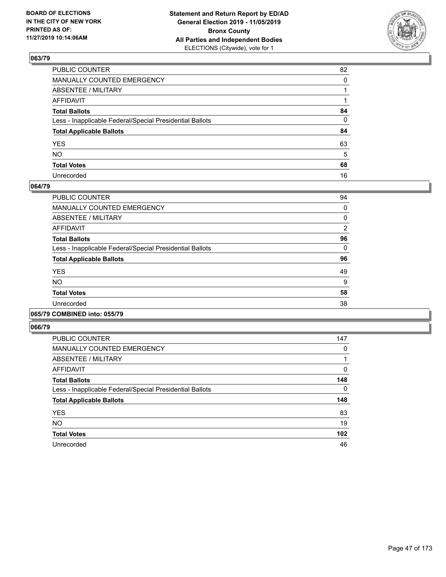

| PUBLIC COUNTER                                           | 82       |
|----------------------------------------------------------|----------|
| MANUALLY COUNTED EMERGENCY                               | $\Omega$ |
| ABSENTEE / MILITARY                                      |          |
| AFFIDAVIT                                                |          |
| Total Ballots                                            | 84       |
| Less - Inapplicable Federal/Special Presidential Ballots | 0        |
| <b>Total Applicable Ballots</b>                          | 84       |
| YES                                                      | 63       |
| NO.                                                      | 5        |
| <b>Total Votes</b>                                       | 68       |
| Unrecorded                                               | 16       |

### **064/79**

| <b>PUBLIC COUNTER</b>                                    | 94 |
|----------------------------------------------------------|----|
| MANUALLY COUNTED EMERGENCY                               | 0  |
| ABSENTEE / MILITARY                                      | 0  |
| AFFIDAVIT                                                | 2  |
| <b>Total Ballots</b>                                     | 96 |
| Less - Inapplicable Federal/Special Presidential Ballots | 0  |
| <b>Total Applicable Ballots</b>                          | 96 |
| <b>YES</b>                                               | 49 |
| <b>NO</b>                                                | 9  |
| <b>Total Votes</b>                                       | 58 |
| Unrecorded                                               | 38 |
|                                                          |    |

### **065/79 COMBINED into: 055/79**

| <b>PUBLIC COUNTER</b>                                    | 147 |
|----------------------------------------------------------|-----|
| MANUALLY COUNTED EMERGENCY                               | 0   |
| ABSENTEE / MILITARY                                      | 1   |
| AFFIDAVIT                                                | 0   |
| <b>Total Ballots</b>                                     | 148 |
| Less - Inapplicable Federal/Special Presidential Ballots | 0   |
| <b>Total Applicable Ballots</b>                          | 148 |
| <b>YES</b>                                               | 83  |
| <b>NO</b>                                                | 19  |
| <b>Total Votes</b>                                       | 102 |
| Unrecorded                                               | 46  |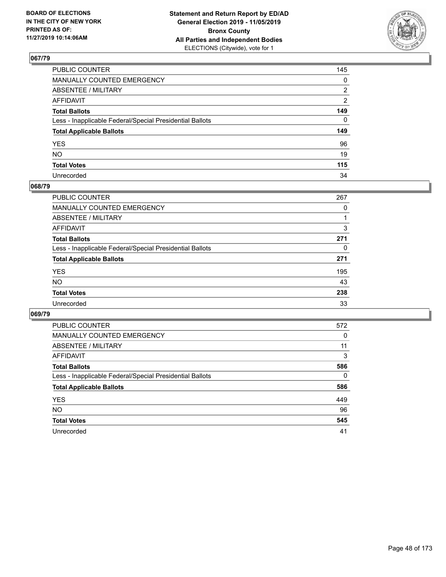

| PUBLIC COUNTER                                           | 145 |
|----------------------------------------------------------|-----|
| MANUALLY COUNTED EMERGENCY                               | 0   |
| ABSENTEE / MILITARY                                      | 2   |
| AFFIDAVIT                                                | 2   |
| Total Ballots                                            | 149 |
| Less - Inapplicable Federal/Special Presidential Ballots | 0   |
| <b>Total Applicable Ballots</b>                          | 149 |
| YES                                                      | 96  |
| NO.                                                      | 19  |
| <b>Total Votes</b>                                       | 115 |
| Unrecorded                                               | 34  |

### **068/79**

| PUBLIC COUNTER                                           | 267      |
|----------------------------------------------------------|----------|
| <b>MANUALLY COUNTED EMERGENCY</b>                        | 0        |
| ABSENTEE / MILITARY                                      |          |
| AFFIDAVIT                                                | 3        |
| <b>Total Ballots</b>                                     | 271      |
| Less - Inapplicable Federal/Special Presidential Ballots | $\Omega$ |
| <b>Total Applicable Ballots</b>                          | 271      |
| <b>YES</b>                                               | 195      |
| <b>NO</b>                                                | 43       |
| <b>Total Votes</b>                                       | 238      |
| Unrecorded                                               | 33       |

| PUBLIC COUNTER                                           | 572      |
|----------------------------------------------------------|----------|
| <b>MANUALLY COUNTED EMERGENCY</b>                        | 0        |
| ABSENTEE / MILITARY                                      | 11       |
| AFFIDAVIT                                                | 3        |
| <b>Total Ballots</b>                                     | 586      |
| Less - Inapplicable Federal/Special Presidential Ballots | $\Omega$ |
| <b>Total Applicable Ballots</b>                          | 586      |
| <b>YES</b>                                               | 449      |
| NO.                                                      | 96       |
| <b>Total Votes</b>                                       | 545      |
| Unrecorded                                               | 41       |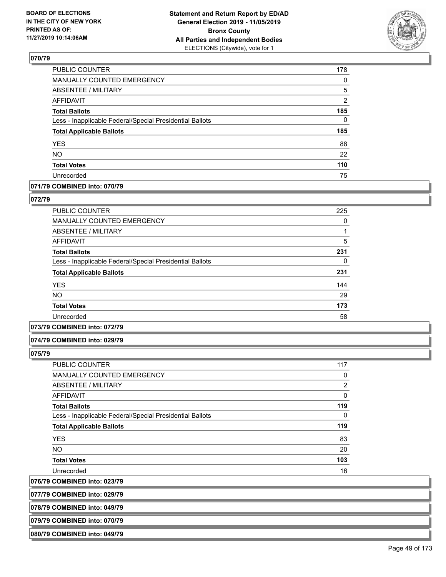

| 178            |
|----------------|
| 0              |
| 5              |
| $\overline{2}$ |
| 185            |
| $\mathbf{0}$   |
| 185            |
| 88             |
| 22             |
| 110            |
| 75             |
|                |

# **071/79 COMBINED into: 070/79**

### **072/79**

| <b>PUBLIC COUNTER</b>                                    | 225 |
|----------------------------------------------------------|-----|
| <b>MANUALLY COUNTED EMERGENCY</b>                        | 0   |
| ABSENTEE / MILITARY                                      |     |
| <b>AFFIDAVIT</b>                                         | 5   |
| <b>Total Ballots</b>                                     | 231 |
| Less - Inapplicable Federal/Special Presidential Ballots | 0   |
| <b>Total Applicable Ballots</b>                          | 231 |
| <b>YES</b>                                               | 144 |
| NO.                                                      | 29  |
| <b>Total Votes</b>                                       | 173 |
| Unrecorded                                               | 58  |

### **073/79 COMBINED into: 072/79**

### **074/79 COMBINED into: 029/79**

**075/79** 

| PUBLIC COUNTER                                           | 117            |
|----------------------------------------------------------|----------------|
| <b>MANUALLY COUNTED EMERGENCY</b>                        | 0              |
| ABSENTEE / MILITARY                                      | $\overline{2}$ |
| AFFIDAVIT                                                | 0              |
| <b>Total Ballots</b>                                     | 119            |
| Less - Inapplicable Federal/Special Presidential Ballots | $\Omega$       |
| <b>Total Applicable Ballots</b>                          | 119            |
| <b>YES</b>                                               | 83             |
| <b>NO</b>                                                | 20             |
| <b>Total Votes</b>                                       | 103            |
| Unrecorded                                               | 16             |

**076/79 COMBINED into: 023/79**

**077/79 COMBINED into: 029/79**

**078/79 COMBINED into: 049/79**

**079/79 COMBINED into: 070/79**

**080/79 COMBINED into: 049/79**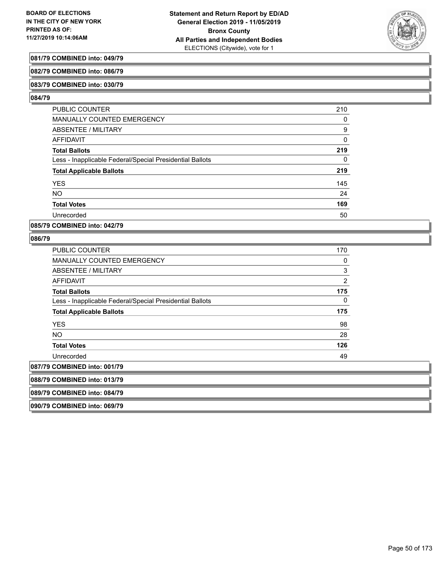

## **081/79 COMBINED into: 049/79**

#### **082/79 COMBINED into: 086/79**

#### **083/79 COMBINED into: 030/79**

#### **084/79**

| <b>PUBLIC COUNTER</b>                                    | 210 |
|----------------------------------------------------------|-----|
| <b>MANUALLY COUNTED EMERGENCY</b>                        | 0   |
| ABSENTEE / MILITARY                                      | 9   |
| AFFIDAVIT                                                | 0   |
| <b>Total Ballots</b>                                     | 219 |
| Less - Inapplicable Federal/Special Presidential Ballots | 0   |
| <b>Total Applicable Ballots</b>                          | 219 |
| <b>YES</b>                                               | 145 |
| <b>NO</b>                                                | 24  |
| <b>Total Votes</b>                                       | 169 |
| Unrecorded                                               | 50  |

### **085/79 COMBINED into: 042/79**

### **086/79**

| <b>PUBLIC COUNTER</b>                                    | 170 |
|----------------------------------------------------------|-----|
| <b>MANUALLY COUNTED EMERGENCY</b>                        | 0   |
| ABSENTEE / MILITARY                                      | 3   |
| <b>AFFIDAVIT</b>                                         | 2   |
| <b>Total Ballots</b>                                     | 175 |
| Less - Inapplicable Federal/Special Presidential Ballots | 0   |
| <b>Total Applicable Ballots</b>                          | 175 |
| <b>YES</b>                                               | 98  |
| NO.                                                      | 28  |
| <b>Total Votes</b>                                       | 126 |
| Unrecorded                                               | 49  |
| 087/79 COMBINED into: 001/79                             |     |
| 088/79 COMBINED into: 013/79                             |     |
| 089/79 COMBINED into: 084/79                             |     |
|                                                          |     |

**090/79 COMBINED into: 069/79**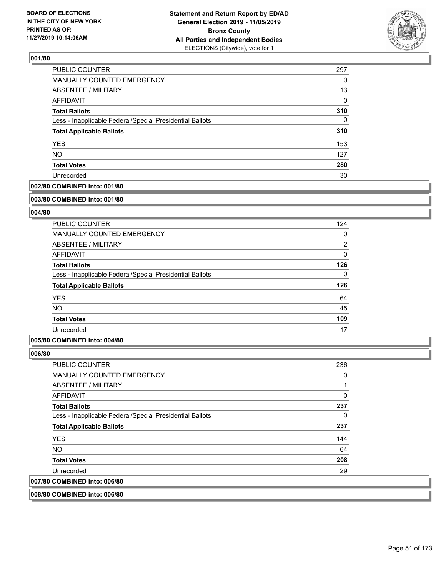

| PUBLIC COUNTER                                           | 297 |
|----------------------------------------------------------|-----|
| <b>MANUALLY COUNTED EMERGENCY</b>                        | 0   |
| <b>ABSENTEE / MILITARY</b>                               | 13  |
| AFFIDAVIT                                                | 0   |
| <b>Total Ballots</b>                                     | 310 |
| Less - Inapplicable Federal/Special Presidential Ballots | 0   |
| <b>Total Applicable Ballots</b>                          | 310 |
| <b>YES</b>                                               | 153 |
| <b>NO</b>                                                | 127 |
| <b>Total Votes</b>                                       | 280 |
| Unrecorded                                               | 30  |

## **002/80 COMBINED into: 001/80**

#### **003/80 COMBINED into: 001/80**

## **004/80**

| <b>PUBLIC COUNTER</b>                                    | 124            |
|----------------------------------------------------------|----------------|
| MANUALLY COUNTED EMERGENCY                               | 0              |
| ABSENTEE / MILITARY                                      | $\overline{2}$ |
| AFFIDAVIT                                                | $\Omega$       |
| <b>Total Ballots</b>                                     | 126            |
| Less - Inapplicable Federal/Special Presidential Ballots | $\Omega$       |
| <b>Total Applicable Ballots</b>                          | 126            |
| <b>YES</b>                                               | 64             |
| <b>NO</b>                                                | 45             |
| <b>Total Votes</b>                                       | 109            |
| Unrecorded                                               | 17             |

## **005/80 COMBINED into: 004/80**

### **006/80**

| PUBLIC COUNTER                                           | 236      |
|----------------------------------------------------------|----------|
| <b>MANUALLY COUNTED EMERGENCY</b>                        | 0        |
| ABSENTEE / MILITARY                                      |          |
| AFFIDAVIT                                                | $\Omega$ |
| <b>Total Ballots</b>                                     | 237      |
| Less - Inapplicable Federal/Special Presidential Ballots | 0        |
| <b>Total Applicable Ballots</b>                          | 237      |
| <b>YES</b>                                               | 144      |
| NO.                                                      | 64       |
| <b>Total Votes</b>                                       | 208      |
| Unrecorded                                               | 29       |
| 007/80 COMBINED into: 006/80                             |          |

## **008/80 COMBINED into: 006/80**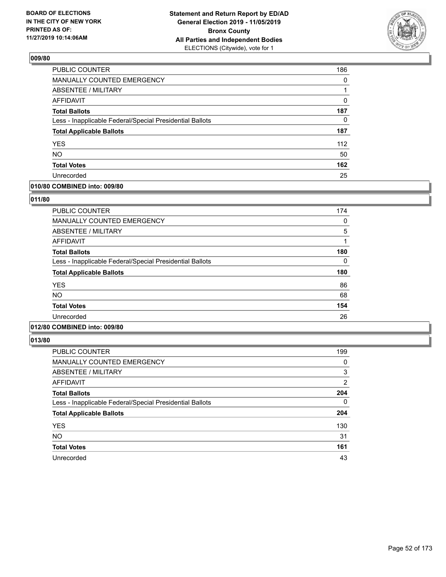

| PUBLIC COUNTER                                           | 186      |
|----------------------------------------------------------|----------|
| MANUALLY COUNTED EMERGENCY                               | 0        |
| ABSENTEE / MILITARY                                      |          |
| AFFIDAVIT                                                | 0        |
| <b>Total Ballots</b>                                     | 187      |
| Less - Inapplicable Federal/Special Presidential Ballots | $\Omega$ |
| <b>Total Applicable Ballots</b>                          | 187      |
| <b>YES</b>                                               | 112      |
| <b>NO</b>                                                | 50       |
| <b>Total Votes</b>                                       | 162      |
| Unrecorded                                               | 25       |

## **010/80 COMBINED into: 009/80**

### **011/80**

| <b>PUBLIC COUNTER</b>                                    | 174 |
|----------------------------------------------------------|-----|
| <b>MANUALLY COUNTED EMERGENCY</b>                        | 0   |
| ABSENTEE / MILITARY                                      | 5   |
| AFFIDAVIT                                                |     |
| <b>Total Ballots</b>                                     | 180 |
| Less - Inapplicable Federal/Special Presidential Ballots | 0   |
| <b>Total Applicable Ballots</b>                          | 180 |
| <b>YES</b>                                               | 86  |
| <b>NO</b>                                                | 68  |
| <b>Total Votes</b>                                       | 154 |
| Unrecorded                                               | 26  |
|                                                          |     |

# **012/80 COMBINED into: 009/80**

| <b>PUBLIC COUNTER</b>                                    | 199            |
|----------------------------------------------------------|----------------|
| <b>MANUALLY COUNTED EMERGENCY</b>                        | 0              |
| ABSENTEE / MILITARY                                      | 3              |
| AFFIDAVIT                                                | $\overline{2}$ |
| <b>Total Ballots</b>                                     | 204            |
| Less - Inapplicable Federal/Special Presidential Ballots | $\Omega$       |
| <b>Total Applicable Ballots</b>                          | 204            |
| <b>YES</b>                                               | 130            |
| <b>NO</b>                                                | 31             |
| <b>Total Votes</b>                                       | 161            |
| Unrecorded                                               | 43             |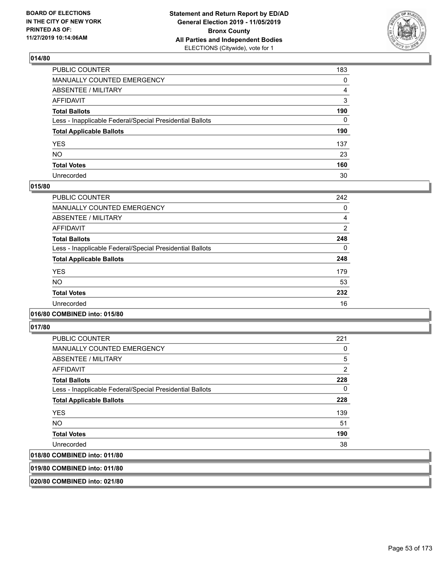

| PUBLIC COUNTER                                           | 183          |
|----------------------------------------------------------|--------------|
| MANUALLY COUNTED EMERGENCY                               | $\mathbf{0}$ |
| ABSENTEE / MILITARY                                      | 4            |
| AFFIDAVIT                                                | 3            |
| Total Ballots                                            | 190          |
| Less - Inapplicable Federal/Special Presidential Ballots | $\mathbf{0}$ |
| <b>Total Applicable Ballots</b>                          | 190          |
| YES                                                      | 137          |
| NO.                                                      | 23           |
| <b>Total Votes</b>                                       | 160          |
| Unrecorded                                               | 30           |

### **015/80**

| <b>PUBLIC COUNTER</b>                                    | 242            |
|----------------------------------------------------------|----------------|
| <b>MANUALLY COUNTED EMERGENCY</b>                        | 0              |
| ABSENTEE / MILITARY                                      | 4              |
| <b>AFFIDAVIT</b>                                         | $\overline{2}$ |
| <b>Total Ballots</b>                                     | 248            |
| Less - Inapplicable Federal/Special Presidential Ballots | 0              |
| <b>Total Applicable Ballots</b>                          | 248            |
| <b>YES</b>                                               | 179            |
| <b>NO</b>                                                | 53             |
| <b>Total Votes</b>                                       | 232            |
| Unrecorded                                               | 16             |

## **016/80 COMBINED into: 015/80**

**017/80** 

| <b>PUBLIC COUNTER</b>                                    | 221 |
|----------------------------------------------------------|-----|
| <b>MANUALLY COUNTED EMERGENCY</b>                        | 0   |
| ABSENTEE / MILITARY                                      | 5   |
| AFFIDAVIT                                                | 2   |
| <b>Total Ballots</b>                                     | 228 |
| Less - Inapplicable Federal/Special Presidential Ballots | 0   |
| <b>Total Applicable Ballots</b>                          | 228 |
| <b>YES</b>                                               | 139 |
| NO.                                                      | 51  |
| <b>Total Votes</b>                                       | 190 |
| Unrecorded                                               | 38  |
| 018/80 COMBINED into: 011/80                             |     |

**019/80 COMBINED into: 011/80**

**020/80 COMBINED into: 021/80**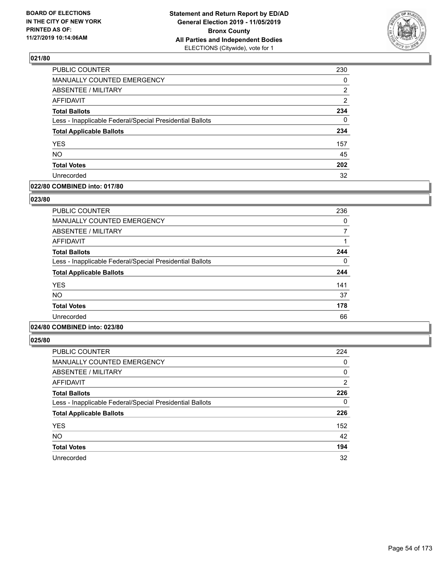

| PUBLIC COUNTER                                           | 230            |
|----------------------------------------------------------|----------------|
| MANUALLY COUNTED EMERGENCY                               | 0              |
| ABSENTEE / MILITARY                                      | 2              |
| AFFIDAVIT                                                | $\overline{2}$ |
| <b>Total Ballots</b>                                     | 234            |
| Less - Inapplicable Federal/Special Presidential Ballots | $\Omega$       |
| <b>Total Applicable Ballots</b>                          | 234            |
| <b>YES</b>                                               | 157            |
| <b>NO</b>                                                | 45             |
| <b>Total Votes</b>                                       | 202            |
| Unrecorded                                               | 32             |

## **022/80 COMBINED into: 017/80**

### **023/80**

| <b>PUBLIC COUNTER</b>                                    | 236 |
|----------------------------------------------------------|-----|
| <b>MANUALLY COUNTED EMERGENCY</b>                        | 0   |
| ABSENTEE / MILITARY                                      |     |
| AFFIDAVIT                                                |     |
| <b>Total Ballots</b>                                     | 244 |
| Less - Inapplicable Federal/Special Presidential Ballots | 0   |
| <b>Total Applicable Ballots</b>                          | 244 |
| <b>YES</b>                                               | 141 |
| <b>NO</b>                                                | 37  |
| <b>Total Votes</b>                                       | 178 |
| Unrecorded                                               | 66  |
|                                                          |     |

# **024/80 COMBINED into: 023/80**

| PUBLIC COUNTER                                           | 224 |
|----------------------------------------------------------|-----|
| <b>MANUALLY COUNTED EMERGENCY</b>                        | 0   |
| ABSENTEE / MILITARY                                      | 0   |
| AFFIDAVIT                                                | 2   |
| <b>Total Ballots</b>                                     | 226 |
| Less - Inapplicable Federal/Special Presidential Ballots | 0   |
| <b>Total Applicable Ballots</b>                          | 226 |
| <b>YES</b>                                               | 152 |
| <b>NO</b>                                                | 42  |
| <b>Total Votes</b>                                       | 194 |
| Unrecorded                                               | 32  |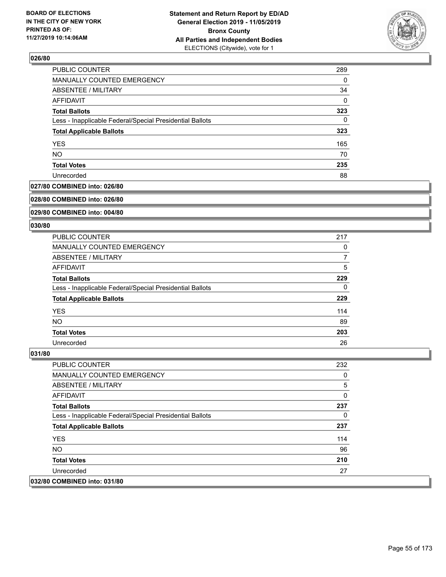

| PUBLIC COUNTER                                           | 289      |
|----------------------------------------------------------|----------|
| MANUALLY COUNTED EMERGENCY                               | 0        |
| <b>ABSENTEE / MILITARY</b>                               | 34       |
| AFFIDAVIT                                                | $\Omega$ |
| <b>Total Ballots</b>                                     | 323      |
| Less - Inapplicable Federal/Special Presidential Ballots | 0        |
| <b>Total Applicable Ballots</b>                          | 323      |
| <b>YES</b>                                               | 165      |
| <b>NO</b>                                                | 70       |
| <b>Total Votes</b>                                       | 235      |
| Unrecorded                                               | 88       |

## **027/80 COMBINED into: 026/80**

#### **028/80 COMBINED into: 026/80**

## **029/80 COMBINED into: 004/80**

#### **030/80**

| <b>PUBLIC COUNTER</b>                                    | 217 |
|----------------------------------------------------------|-----|
| MANUALLY COUNTED EMERGENCY                               | 0   |
| ABSENTEE / MILITARY                                      | 7   |
| AFFIDAVIT                                                | 5   |
| <b>Total Ballots</b>                                     | 229 |
| Less - Inapplicable Federal/Special Presidential Ballots | 0   |
| <b>Total Applicable Ballots</b>                          | 229 |
| <b>YES</b>                                               | 114 |
| <b>NO</b>                                                | 89  |
| <b>Total Votes</b>                                       | 203 |
| Unrecorded                                               | 26  |

| <b>PUBLIC COUNTER</b>                                    | 232 |
|----------------------------------------------------------|-----|
| <b>MANUALLY COUNTED EMERGENCY</b>                        | 0   |
| ABSENTEE / MILITARY                                      | 5   |
| AFFIDAVIT                                                | 0   |
| <b>Total Ballots</b>                                     | 237 |
| Less - Inapplicable Federal/Special Presidential Ballots | 0   |
| <b>Total Applicable Ballots</b>                          | 237 |
| <b>YES</b>                                               | 114 |
| NO.                                                      | 96  |
| <b>Total Votes</b>                                       | 210 |
| Unrecorded                                               | 27  |
| 032/80 COMBINED into: 031/80                             |     |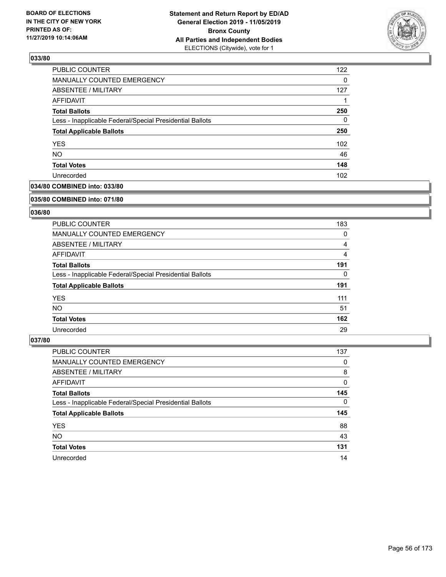

| PUBLIC COUNTER                                           | 122              |
|----------------------------------------------------------|------------------|
| MANUALLY COUNTED EMERGENCY                               | $\Omega$         |
| <b>ABSENTEE / MILITARY</b>                               | 127              |
| AFFIDAVIT                                                |                  |
| <b>Total Ballots</b>                                     | 250              |
| Less - Inapplicable Federal/Special Presidential Ballots | $\Omega$         |
| <b>Total Applicable Ballots</b>                          | 250              |
| <b>YES</b>                                               | 102 <sub>2</sub> |
| <b>NO</b>                                                | 46               |
| <b>Total Votes</b>                                       | 148              |
| Unrecorded                                               | 102              |

## **034/80 COMBINED into: 033/80**

#### **035/80 COMBINED into: 071/80**

## **036/80**

| <b>PUBLIC COUNTER</b>                                    | 183 |
|----------------------------------------------------------|-----|
| <b>MANUALLY COUNTED EMERGENCY</b>                        | 0   |
| ABSENTEE / MILITARY                                      | 4   |
| AFFIDAVIT                                                | 4   |
| <b>Total Ballots</b>                                     | 191 |
| Less - Inapplicable Federal/Special Presidential Ballots | 0   |
| <b>Total Applicable Ballots</b>                          | 191 |
| <b>YES</b>                                               | 111 |
| NO.                                                      | 51  |
| <b>Total Votes</b>                                       | 162 |
| Unrecorded                                               | 29  |

| <b>PUBLIC COUNTER</b>                                    | 137      |
|----------------------------------------------------------|----------|
| <b>MANUALLY COUNTED EMERGENCY</b>                        | 0        |
| ABSENTEE / MILITARY                                      | 8        |
| AFFIDAVIT                                                | 0        |
| <b>Total Ballots</b>                                     | 145      |
| Less - Inapplicable Federal/Special Presidential Ballots | $\Omega$ |
| <b>Total Applicable Ballots</b>                          | 145      |
| <b>YES</b>                                               | 88       |
| <b>NO</b>                                                | 43       |
| <b>Total Votes</b>                                       | 131      |
| Unrecorded                                               | 14       |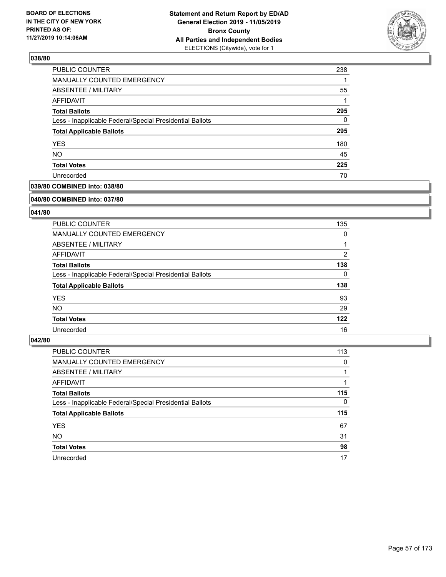

| PUBLIC COUNTER                                           | 238 |
|----------------------------------------------------------|-----|
| MANUALLY COUNTED EMERGENCY                               |     |
| ABSENTEE / MILITARY                                      | 55  |
| AFFIDAVIT                                                |     |
| <b>Total Ballots</b>                                     | 295 |
| Less - Inapplicable Federal/Special Presidential Ballots | 0   |
| <b>Total Applicable Ballots</b>                          | 295 |
| <b>YES</b>                                               | 180 |
| <b>NO</b>                                                | 45  |
| <b>Total Votes</b>                                       | 225 |
| Unrecorded                                               | 70  |

## **039/80 COMBINED into: 038/80**

#### **040/80 COMBINED into: 037/80**

## **041/80**

| <b>PUBLIC COUNTER</b>                                    | 135            |
|----------------------------------------------------------|----------------|
| <b>MANUALLY COUNTED EMERGENCY</b>                        | 0              |
| ABSENTEE / MILITARY                                      |                |
| AFFIDAVIT                                                | $\overline{2}$ |
| <b>Total Ballots</b>                                     | 138            |
| Less - Inapplicable Federal/Special Presidential Ballots | 0              |
| <b>Total Applicable Ballots</b>                          | 138            |
| <b>YES</b>                                               | 93             |
| NO.                                                      | 29             |
| <b>Total Votes</b>                                       | 122            |
| Unrecorded                                               | 16             |

| <b>PUBLIC COUNTER</b>                                    | 113      |
|----------------------------------------------------------|----------|
| <b>MANUALLY COUNTED EMERGENCY</b>                        | 0        |
| ABSENTEE / MILITARY                                      |          |
| AFFIDAVIT                                                |          |
| <b>Total Ballots</b>                                     | 115      |
| Less - Inapplicable Federal/Special Presidential Ballots | $\Omega$ |
| <b>Total Applicable Ballots</b>                          | 115      |
| <b>YES</b>                                               | 67       |
| <b>NO</b>                                                | 31       |
| <b>Total Votes</b>                                       | 98       |
| Unrecorded                                               | 17       |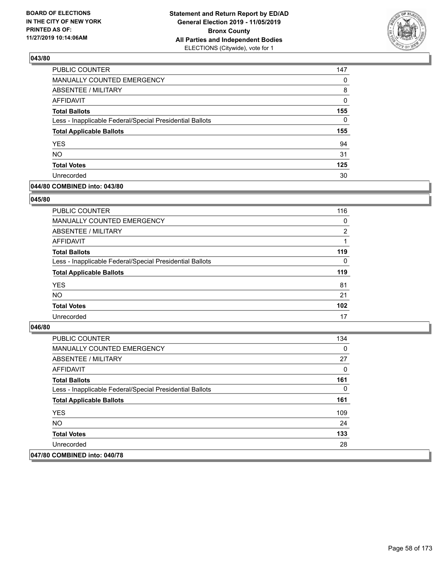

| PUBLIC COUNTER                                           | 147      |
|----------------------------------------------------------|----------|
| MANUALLY COUNTED EMERGENCY                               | 0        |
| ABSENTEE / MILITARY                                      | 8        |
| AFFIDAVIT                                                | 0        |
| <b>Total Ballots</b>                                     | 155      |
| Less - Inapplicable Federal/Special Presidential Ballots | $\Omega$ |
| <b>Total Applicable Ballots</b>                          | 155      |
| <b>YES</b>                                               | 94       |
| <b>NO</b>                                                | 31       |
| <b>Total Votes</b>                                       | 125      |
| Unrecorded                                               | 30       |

### **044/80 COMBINED into: 043/80**

### **045/80**

| <b>PUBLIC COUNTER</b>                                    | 116            |
|----------------------------------------------------------|----------------|
| MANUALLY COUNTED EMERGENCY                               | 0              |
| ABSENTEE / MILITARY                                      | $\overline{2}$ |
| AFFIDAVIT                                                |                |
| <b>Total Ballots</b>                                     | 119            |
| Less - Inapplicable Federal/Special Presidential Ballots | $\Omega$       |
| <b>Total Applicable Ballots</b>                          | 119            |
| <b>YES</b>                                               | 81             |
| <b>NO</b>                                                | 21             |
| <b>Total Votes</b>                                       | 102            |
| Unrecorded                                               | 17             |

| <b>PUBLIC COUNTER</b>                                    | 134 |
|----------------------------------------------------------|-----|
| <b>MANUALLY COUNTED EMERGENCY</b>                        | 0   |
| ABSENTEE / MILITARY                                      | 27  |
| AFFIDAVIT                                                | 0   |
| <b>Total Ballots</b>                                     | 161 |
| Less - Inapplicable Federal/Special Presidential Ballots | 0   |
| <b>Total Applicable Ballots</b>                          | 161 |
| <b>YES</b>                                               | 109 |
| NO.                                                      | 24  |
| <b>Total Votes</b>                                       | 133 |
| Unrecorded                                               | 28  |
| 047/80 COMBINED into: 040/78                             |     |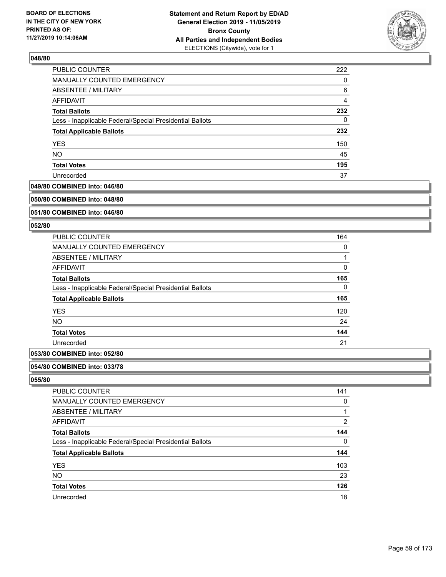

| PUBLIC COUNTER                                           | 222 |
|----------------------------------------------------------|-----|
| MANUALLY COUNTED EMERGENCY                               | 0   |
| ABSENTEE / MILITARY                                      | 6   |
| AFFIDAVIT                                                | 4   |
| <b>Total Ballots</b>                                     | 232 |
| Less - Inapplicable Federal/Special Presidential Ballots | 0   |
| <b>Total Applicable Ballots</b>                          | 232 |
| <b>YES</b>                                               | 150 |
| <b>NO</b>                                                | 45  |
| <b>Total Votes</b>                                       | 195 |
| Unrecorded                                               | 37  |

## **049/80 COMBINED into: 046/80**

#### **050/80 COMBINED into: 048/80**

### **051/80 COMBINED into: 046/80**

#### **052/80**

| <b>PUBLIC COUNTER</b>                                    | 164 |
|----------------------------------------------------------|-----|
| <b>MANUALLY COUNTED EMERGENCY</b>                        | 0   |
| ABSENTEE / MILITARY                                      |     |
| <b>AFFIDAVIT</b>                                         | 0   |
| <b>Total Ballots</b>                                     | 165 |
| Less - Inapplicable Federal/Special Presidential Ballots | 0   |
| <b>Total Applicable Ballots</b>                          | 165 |
| <b>YES</b>                                               | 120 |
| <b>NO</b>                                                | 24  |
| <b>Total Votes</b>                                       | 144 |
| Unrecorded                                               | 21  |
|                                                          |     |

# **053/80 COMBINED into: 052/80**

#### **054/80 COMBINED into: 033/78**

| PUBLIC COUNTER                                           | 141            |
|----------------------------------------------------------|----------------|
| <b>MANUALLY COUNTED EMERGENCY</b>                        | 0              |
| ABSENTEE / MILITARY                                      |                |
| AFFIDAVIT                                                | $\overline{2}$ |
| <b>Total Ballots</b>                                     | 144            |
| Less - Inapplicable Federal/Special Presidential Ballots | 0              |
| <b>Total Applicable Ballots</b>                          | 144            |
| <b>YES</b>                                               | 103            |
| <b>NO</b>                                                | 23             |
| <b>Total Votes</b>                                       | 126            |
| Unrecorded                                               | 18             |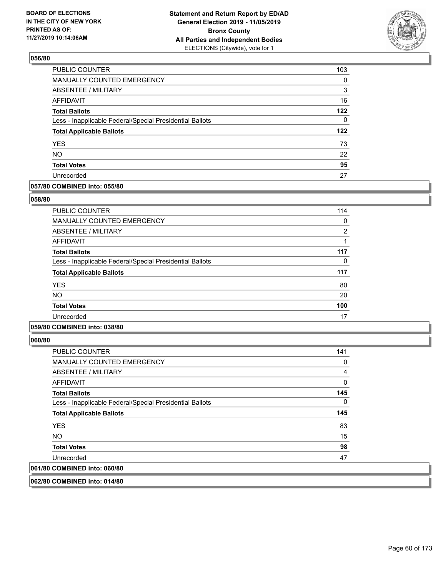

| PUBLIC COUNTER                                           | 103      |
|----------------------------------------------------------|----------|
| <b>MANUALLY COUNTED EMERGENCY</b>                        | $\Omega$ |
| ABSENTEE / MILITARY                                      | 3        |
| <b>AFFIDAVIT</b>                                         | 16       |
| <b>Total Ballots</b>                                     | 122      |
| Less - Inapplicable Federal/Special Presidential Ballots | 0        |
| <b>Total Applicable Ballots</b>                          | 122      |
| <b>YES</b>                                               | 73       |
| <b>NO</b>                                                | 22       |
| <b>Total Votes</b>                                       | 95       |
| Unrecorded                                               | 27       |

## **057/80 COMBINED into: 055/80**

### **058/80**

| PUBLIC COUNTER                                           | 114            |
|----------------------------------------------------------|----------------|
| <b>MANUALLY COUNTED EMERGENCY</b>                        | 0              |
| ABSENTEE / MILITARY                                      | $\overline{2}$ |
| <b>AFFIDAVIT</b>                                         |                |
| <b>Total Ballots</b>                                     | 117            |
| Less - Inapplicable Federal/Special Presidential Ballots | 0              |
| <b>Total Applicable Ballots</b>                          | 117            |
| <b>YES</b>                                               | 80             |
| <b>NO</b>                                                | 20             |
| <b>Total Votes</b>                                       | 100            |
| Unrecorded                                               | 17             |

# **059/80 COMBINED into: 038/80**

**060/80** 

| PUBLIC COUNTER                                           | 141 |
|----------------------------------------------------------|-----|
| <b>MANUALLY COUNTED EMERGENCY</b>                        | 0   |
| ABSENTEE / MILITARY                                      | 4   |
| AFFIDAVIT                                                | 0   |
| <b>Total Ballots</b>                                     | 145 |
| Less - Inapplicable Federal/Special Presidential Ballots | 0   |
| <b>Total Applicable Ballots</b>                          | 145 |
| <b>YES</b>                                               | 83  |
| NO.                                                      | 15  |
| <b>Total Votes</b>                                       | 98  |
| Unrecorded                                               | 47  |
| 061/80 COMBINED into: 060/80                             |     |
|                                                          |     |

**062/80 COMBINED into: 014/80**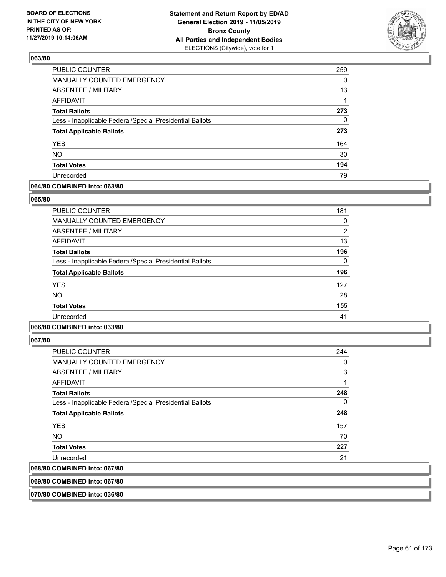

| PUBLIC COUNTER                                           | 259 |
|----------------------------------------------------------|-----|
| MANUALLY COUNTED EMERGENCY                               | 0   |
| <b>ABSENTEE / MILITARY</b>                               | 13  |
| AFFIDAVIT                                                |     |
| <b>Total Ballots</b>                                     | 273 |
| Less - Inapplicable Federal/Special Presidential Ballots | 0   |
| <b>Total Applicable Ballots</b>                          | 273 |
| <b>YES</b>                                               | 164 |
| <b>NO</b>                                                | 30  |
| <b>Total Votes</b>                                       | 194 |
| Unrecorded                                               | 79  |

## **064/80 COMBINED into: 063/80**

### **065/80**

| <b>PUBLIC COUNTER</b>                                    | 181            |
|----------------------------------------------------------|----------------|
| <b>MANUALLY COUNTED EMERGENCY</b>                        | 0              |
| ABSENTEE / MILITARY                                      | $\overline{2}$ |
| AFFIDAVIT                                                | 13             |
| <b>Total Ballots</b>                                     | 196            |
| Less - Inapplicable Federal/Special Presidential Ballots | 0              |
| <b>Total Applicable Ballots</b>                          | 196            |
| <b>YES</b>                                               | 127            |
| <b>NO</b>                                                | 28             |
| <b>Total Votes</b>                                       | 155            |
| Unrecorded                                               | 41             |
|                                                          |                |

# **066/80 COMBINED into: 033/80**

**067/80** 

| $\ldots$                                                 |     |
|----------------------------------------------------------|-----|
| 068/80 COMBINED into: 067/80                             |     |
| Unrecorded                                               | 21  |
| <b>Total Votes</b>                                       | 227 |
| <b>NO</b>                                                | 70  |
| <b>YES</b>                                               | 157 |
| <b>Total Applicable Ballots</b>                          | 248 |
| Less - Inapplicable Federal/Special Presidential Ballots | 0   |
| <b>Total Ballots</b>                                     | 248 |
| AFFIDAVIT                                                | 1   |
| ABSENTEE / MILITARY                                      | 3   |
| MANUALLY COUNTED EMERGENCY                               | 0   |
| <b>PUBLIC COUNTER</b>                                    | 244 |

**069/80 COMBINED into: 067/80**

**070/80 COMBINED into: 036/80**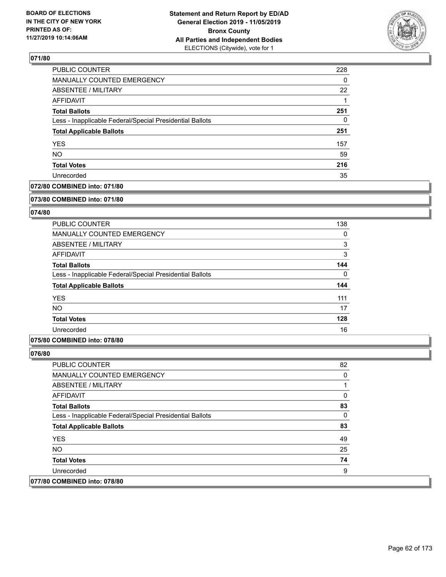

| PUBLIC COUNTER                                           | 228      |
|----------------------------------------------------------|----------|
| <b>MANUALLY COUNTED EMERGENCY</b>                        | $\Omega$ |
| <b>ABSENTEE / MILITARY</b>                               | 22       |
| AFFIDAVIT                                                |          |
| <b>Total Ballots</b>                                     | 251      |
| Less - Inapplicable Federal/Special Presidential Ballots | 0        |
| <b>Total Applicable Ballots</b>                          | 251      |
| <b>YES</b>                                               | 157      |
| <b>NO</b>                                                | 59       |
| <b>Total Votes</b>                                       | 216      |
| Unrecorded                                               | 35       |

## **072/80 COMBINED into: 071/80**

#### **073/80 COMBINED into: 071/80**

## **074/80**

| <b>PUBLIC COUNTER</b>                                    | 138      |
|----------------------------------------------------------|----------|
| MANUALLY COUNTED EMERGENCY                               | 0        |
| ABSENTEE / MILITARY                                      | 3        |
| AFFIDAVIT                                                | 3        |
| <b>Total Ballots</b>                                     | 144      |
| Less - Inapplicable Federal/Special Presidential Ballots | $\Omega$ |
| <b>Total Applicable Ballots</b>                          | 144      |
| <b>YES</b>                                               | 111      |
| <b>NO</b>                                                | 17       |
| <b>Total Votes</b>                                       | 128      |
| Unrecorded                                               | 16       |

## **075/80 COMBINED into: 078/80**

| <b>PUBLIC COUNTER</b>                                    | 82 |
|----------------------------------------------------------|----|
| <b>MANUALLY COUNTED EMERGENCY</b>                        | 0  |
| ABSENTEE / MILITARY                                      |    |
| AFFIDAVIT                                                | 0  |
| <b>Total Ballots</b>                                     | 83 |
| Less - Inapplicable Federal/Special Presidential Ballots | 0  |
| <b>Total Applicable Ballots</b>                          | 83 |
| <b>YES</b>                                               | 49 |
| NO.                                                      | 25 |
| <b>Total Votes</b>                                       | 74 |
| Unrecorded                                               | 9  |
| 077/80 COMBINED into: 078/80                             |    |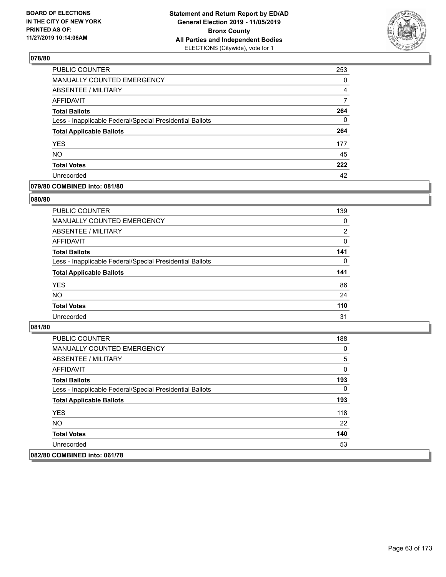

| PUBLIC COUNTER                                           | 253 |
|----------------------------------------------------------|-----|
| MANUALLY COUNTED EMERGENCY                               | 0   |
| ABSENTEE / MILITARY                                      | 4   |
| AFFIDAVIT                                                |     |
| <b>Total Ballots</b>                                     | 264 |
| Less - Inapplicable Federal/Special Presidential Ballots | 0   |
| <b>Total Applicable Ballots</b>                          | 264 |
| <b>YES</b>                                               | 177 |
| <b>NO</b>                                                | 45  |
| <b>Total Votes</b>                                       | 222 |
| Unrecorded                                               | 42  |

### **079/80 COMBINED into: 081/80**

### **080/80**

| <b>PUBLIC COUNTER</b>                                    | 139            |
|----------------------------------------------------------|----------------|
| <b>MANUALLY COUNTED EMERGENCY</b>                        | $\Omega$       |
| ABSENTEE / MILITARY                                      | $\overline{2}$ |
| AFFIDAVIT                                                | $\Omega$       |
| <b>Total Ballots</b>                                     | 141            |
| Less - Inapplicable Federal/Special Presidential Ballots | 0              |
| <b>Total Applicable Ballots</b>                          | 141            |
| <b>YES</b>                                               | 86             |
| <b>NO</b>                                                | 24             |
| <b>Total Votes</b>                                       | 110            |
| Unrecorded                                               | 31             |
|                                                          |                |

| <b>PUBLIC COUNTER</b>                                    | 188 |
|----------------------------------------------------------|-----|
| <b>MANUALLY COUNTED EMERGENCY</b>                        | 0   |
| ABSENTEE / MILITARY                                      | 5   |
| AFFIDAVIT                                                | 0   |
| <b>Total Ballots</b>                                     | 193 |
| Less - Inapplicable Federal/Special Presidential Ballots | 0   |
| <b>Total Applicable Ballots</b>                          | 193 |
| <b>YES</b>                                               | 118 |
| NO.                                                      | 22  |
| <b>Total Votes</b>                                       | 140 |
| Unrecorded                                               | 53  |
| 082/80 COMBINED into: 061/78                             |     |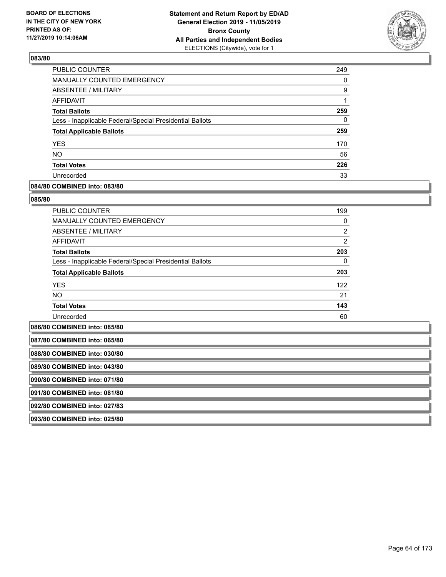

| <b>PUBLIC COUNTER</b>                                    | 249 |
|----------------------------------------------------------|-----|
| <b>MANUALLY COUNTED EMERGENCY</b>                        | 0   |
| <b>ABSENTEE / MILITARY</b>                               | 9   |
| AFFIDAVIT                                                |     |
| <b>Total Ballots</b>                                     | 259 |
| Less - Inapplicable Federal/Special Presidential Ballots | 0   |
| <b>Total Applicable Ballots</b>                          | 259 |
| <b>YES</b>                                               | 170 |
| <b>NO</b>                                                | 56  |
| <b>Total Votes</b>                                       | 226 |
| Unrecorded                                               | 33  |

### **084/80 COMBINED into: 083/80**

### **085/80**

| <b>PUBLIC COUNTER</b>                                    | 199            |
|----------------------------------------------------------|----------------|
| <b>MANUALLY COUNTED EMERGENCY</b>                        | $\Omega$       |
| ABSENTEE / MILITARY                                      | $\overline{2}$ |
| <b>AFFIDAVIT</b>                                         | $\overline{2}$ |
| <b>Total Ballots</b>                                     | 203            |
| Less - Inapplicable Federal/Special Presidential Ballots | 0              |
| <b>Total Applicable Ballots</b>                          | 203            |
| <b>YES</b>                                               | 122            |
| <b>NO</b>                                                | 21             |
| <b>Total Votes</b>                                       | 143            |
| Unrecorded                                               | 60             |

**086/80 COMBINED into: 085/80**

| 087/80 COMBINED into: 065/80 |
|------------------------------|
| 088/80 COMBINED into: 030/80 |
| 089/80 COMBINED into: 043/80 |
| 090/80 COMBINED into: 071/80 |
| 091/80 COMBINED into: 081/80 |
| 092/80 COMBINED into: 027/83 |
| 093/80 COMBINED into: 025/80 |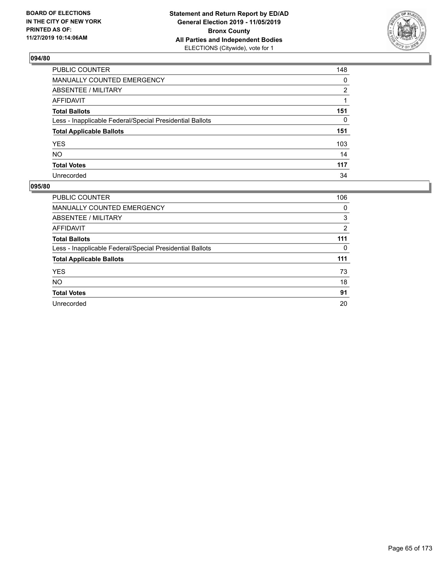

| PUBLIC COUNTER                                           | 148            |
|----------------------------------------------------------|----------------|
| MANUALLY COUNTED EMERGENCY                               | 0              |
| <b>ABSENTEE / MILITARY</b>                               | $\overline{2}$ |
| <b>AFFIDAVIT</b>                                         |                |
| <b>Total Ballots</b>                                     | 151            |
| Less - Inapplicable Federal/Special Presidential Ballots | 0              |
| <b>Total Applicable Ballots</b>                          | 151            |
| <b>YES</b>                                               | 103            |
| NO.                                                      | 14             |
| <b>Total Votes</b>                                       | 117            |
| Unrecorded                                               | 34             |

| <b>PUBLIC COUNTER</b>                                    | 106 |
|----------------------------------------------------------|-----|
| <b>MANUALLY COUNTED EMERGENCY</b>                        | 0   |
| ABSENTEE / MILITARY                                      | 3   |
| <b>AFFIDAVIT</b>                                         | 2   |
| <b>Total Ballots</b>                                     | 111 |
| Less - Inapplicable Federal/Special Presidential Ballots | 0   |
| <b>Total Applicable Ballots</b>                          | 111 |
| <b>YES</b>                                               | 73  |
| <b>NO</b>                                                | 18  |
| <b>Total Votes</b>                                       | 91  |
| Unrecorded                                               | 20  |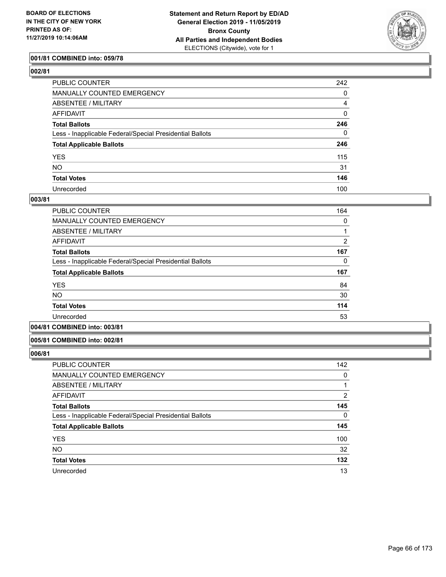

## **001/81 COMBINED into: 059/78**

| PUBLIC COUNTER                                           | 242         |
|----------------------------------------------------------|-------------|
| MANUALLY COUNTED EMERGENCY                               | 0           |
| <b>ABSENTEE / MILITARY</b>                               | 4           |
| AFFIDAVIT                                                | $\mathbf 0$ |
| Total Ballots                                            | 246         |
| Less - Inapplicable Federal/Special Presidential Ballots | 0           |
| <b>Total Applicable Ballots</b>                          | 246         |
| YES                                                      | 115         |
| NO.                                                      | 31          |
| <b>Total Votes</b>                                       | 146         |
| Unrecorded                                               | 100         |

#### **003/81**

| <b>PUBLIC COUNTER</b>                                    | 164 |
|----------------------------------------------------------|-----|
| <b>MANUALLY COUNTED EMERGENCY</b>                        | 0   |
| ABSENTEE / MILITARY                                      |     |
| AFFIDAVIT                                                | 2   |
| <b>Total Ballots</b>                                     | 167 |
| Less - Inapplicable Federal/Special Presidential Ballots | 0   |
| <b>Total Applicable Ballots</b>                          | 167 |
| <b>YES</b>                                               | 84  |
| <b>NO</b>                                                | 30  |
| <b>Total Votes</b>                                       | 114 |
| Unrecorded                                               | 53  |
|                                                          |     |

# **004/81 COMBINED into: 003/81**

#### **005/81 COMBINED into: 002/81**

| PUBLIC COUNTER                                           | 142 |
|----------------------------------------------------------|-----|
| <b>MANUALLY COUNTED EMERGENCY</b>                        | 0   |
| ABSENTEE / MILITARY                                      |     |
| AFFIDAVIT                                                | 2   |
| <b>Total Ballots</b>                                     | 145 |
| Less - Inapplicable Federal/Special Presidential Ballots | 0   |
| <b>Total Applicable Ballots</b>                          | 145 |
| <b>YES</b>                                               | 100 |
| <b>NO</b>                                                | 32  |
| <b>Total Votes</b>                                       | 132 |
| Unrecorded                                               | 13  |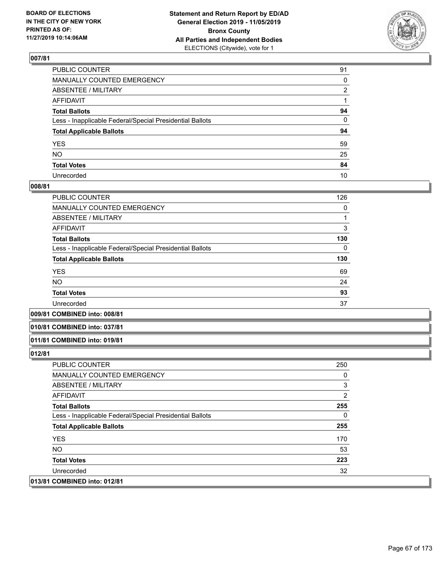

| PUBLIC COUNTER                                           | 91 |
|----------------------------------------------------------|----|
| MANUALLY COUNTED EMERGENCY                               | 0  |
| ABSENTEE / MILITARY                                      | 2  |
| AFFIDAVIT                                                |    |
| Total Ballots                                            | 94 |
| Less - Inapplicable Federal/Special Presidential Ballots | 0  |
| <b>Total Applicable Ballots</b>                          | 94 |
| YES                                                      | 59 |
| NO.                                                      | 25 |
| <b>Total Votes</b>                                       | 84 |
| Unrecorded                                               | 10 |

### **008/81**

| PUBLIC COUNTER                                           | 126 |
|----------------------------------------------------------|-----|
| <b>MANUALLY COUNTED EMERGENCY</b>                        | 0   |
| ABSENTEE / MILITARY                                      |     |
| <b>AFFIDAVIT</b>                                         | 3   |
| <b>Total Ballots</b>                                     | 130 |
| Less - Inapplicable Federal/Special Presidential Ballots | 0   |
| <b>Total Applicable Ballots</b>                          | 130 |
| <b>YES</b>                                               | 69  |
| <b>NO</b>                                                | 24  |
| <b>Total Votes</b>                                       | 93  |
| Unrecorded                                               | 37  |
|                                                          |     |

### **009/81 COMBINED into: 008/81**

#### **010/81 COMBINED into: 037/81**

### **011/81 COMBINED into: 019/81**

| PUBLIC COUNTER                                           | 250 |
|----------------------------------------------------------|-----|
| <b>MANUALLY COUNTED EMERGENCY</b>                        | 0   |
| ABSENTEE / MILITARY                                      | 3   |
| AFFIDAVIT                                                | 2   |
| <b>Total Ballots</b>                                     | 255 |
| Less - Inapplicable Federal/Special Presidential Ballots | 0   |
| <b>Total Applicable Ballots</b>                          | 255 |
| <b>YES</b>                                               | 170 |
| NO.                                                      | 53  |
| <b>Total Votes</b>                                       | 223 |
| Unrecorded                                               | 32  |
| 013/81 COMBINED into: 012/81                             |     |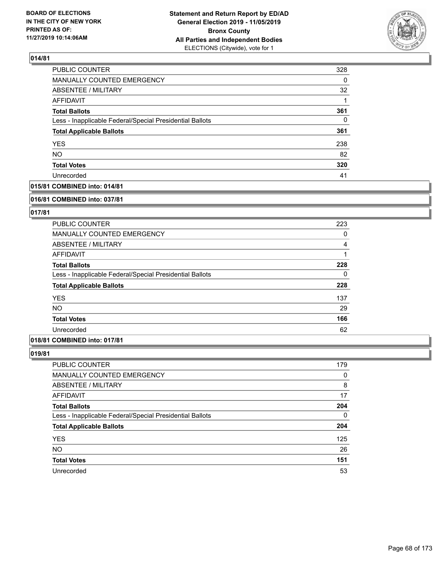

| PUBLIC COUNTER                                           | 328      |
|----------------------------------------------------------|----------|
| <b>MANUALLY COUNTED EMERGENCY</b>                        | $\Omega$ |
| <b>ABSENTEE / MILITARY</b>                               | 32       |
| AFFIDAVIT                                                |          |
| <b>Total Ballots</b>                                     | 361      |
| Less - Inapplicable Federal/Special Presidential Ballots | 0        |
| <b>Total Applicable Ballots</b>                          | 361      |
| <b>YES</b>                                               | 238      |
| <b>NO</b>                                                | 82       |
| <b>Total Votes</b>                                       | 320      |
| Unrecorded                                               | 41       |

## **015/81 COMBINED into: 014/81**

#### **016/81 COMBINED into: 037/81**

## **017/81**

| <b>PUBLIC COUNTER</b>                                    | 223 |
|----------------------------------------------------------|-----|
| <b>MANUALLY COUNTED EMERGENCY</b>                        | 0   |
| ABSENTEE / MILITARY                                      | 4   |
| AFFIDAVIT                                                |     |
| <b>Total Ballots</b>                                     | 228 |
| Less - Inapplicable Federal/Special Presidential Ballots | 0   |
| <b>Total Applicable Ballots</b>                          | 228 |
| <b>YES</b>                                               | 137 |
| <b>NO</b>                                                | 29  |
| <b>Total Votes</b>                                       | 166 |
| Unrecorded                                               | 62  |

# **018/81 COMBINED into: 017/81**

| PUBLIC COUNTER                                           | 179      |
|----------------------------------------------------------|----------|
| MANUALLY COUNTED EMERGENCY                               | 0        |
| ABSENTEE / MILITARY                                      | 8        |
| AFFIDAVIT                                                | 17       |
| <b>Total Ballots</b>                                     | 204      |
| Less - Inapplicable Federal/Special Presidential Ballots | $\Omega$ |
| <b>Total Applicable Ballots</b>                          | 204      |
| <b>YES</b>                                               | 125      |
| <b>NO</b>                                                | 26       |
| <b>Total Votes</b>                                       | 151      |
| Unrecorded                                               | 53       |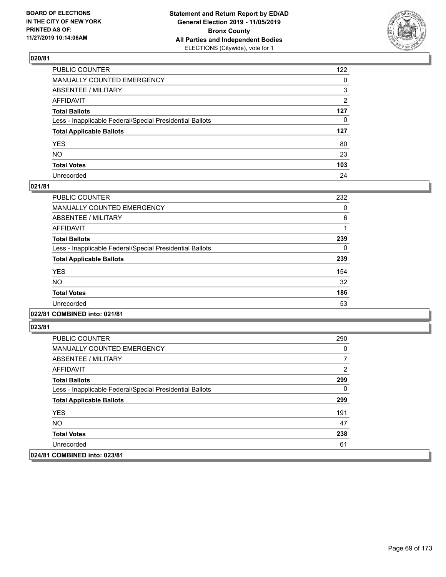

| PUBLIC COUNTER                                           | 122            |
|----------------------------------------------------------|----------------|
| MANUALLY COUNTED EMERGENCY                               | $\mathbf{0}$   |
| ABSENTEE / MILITARY                                      | 3              |
| AFFIDAVIT                                                | $\overline{2}$ |
| Total Ballots                                            | 127            |
| Less - Inapplicable Federal/Special Presidential Ballots | $\mathbf{0}$   |
| <b>Total Applicable Ballots</b>                          | 127            |
| YES                                                      | 80             |
| NO.                                                      | 23             |
| <b>Total Votes</b>                                       | 103            |
| Unrecorded                                               | 24             |

## **021/81**

| <b>PUBLIC COUNTER</b>                                    | 232 |
|----------------------------------------------------------|-----|
| <b>MANUALLY COUNTED EMERGENCY</b>                        | 0   |
| ABSENTEE / MILITARY                                      | 6   |
| <b>AFFIDAVIT</b>                                         |     |
| <b>Total Ballots</b>                                     | 239 |
| Less - Inapplicable Federal/Special Presidential Ballots | 0   |
| <b>Total Applicable Ballots</b>                          | 239 |
| <b>YES</b>                                               | 154 |
| NO.                                                      | 32  |
| <b>Total Votes</b>                                       | 186 |
| Unrecorded                                               | 53  |
|                                                          |     |

## **022/81 COMBINED into: 021/81**

| PUBLIC COUNTER                                           | 290 |
|----------------------------------------------------------|-----|
| MANUALLY COUNTED EMERGENCY                               | 0   |
| ABSENTEE / MILITARY                                      |     |
| AFFIDAVIT                                                | 2   |
| <b>Total Ballots</b>                                     | 299 |
| Less - Inapplicable Federal/Special Presidential Ballots | 0   |
| <b>Total Applicable Ballots</b>                          | 299 |
| <b>YES</b>                                               | 191 |
| NO.                                                      | 47  |
| <b>Total Votes</b>                                       | 238 |
| Unrecorded                                               | 61  |
| 024/81 COMBINED into: 023/81                             |     |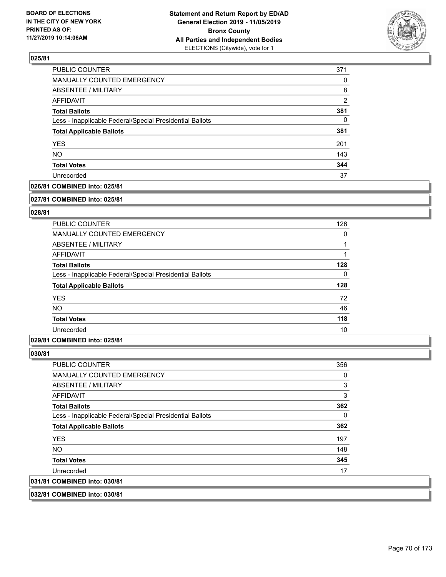

| PUBLIC COUNTER                                           | 371            |
|----------------------------------------------------------|----------------|
| <b>MANUALLY COUNTED EMERGENCY</b>                        | 0              |
| ABSENTEE / MILITARY                                      | 8              |
| AFFIDAVIT                                                | $\overline{2}$ |
| <b>Total Ballots</b>                                     | 381            |
| Less - Inapplicable Federal/Special Presidential Ballots | 0              |
| <b>Total Applicable Ballots</b>                          | 381            |
| <b>YES</b>                                               | 201            |
| <b>NO</b>                                                | 143            |
| <b>Total Votes</b>                                       | 344            |
| Unrecorded                                               | 37             |

### **026/81 COMBINED into: 025/81**

#### **027/81 COMBINED into: 025/81**

## **028/81**

| <b>PUBLIC COUNTER</b>                                    | 126      |
|----------------------------------------------------------|----------|
| <b>MANUALLY COUNTED EMERGENCY</b>                        | 0        |
| ABSENTEE / MILITARY                                      |          |
| AFFIDAVIT                                                |          |
| <b>Total Ballots</b>                                     | 128      |
| Less - Inapplicable Federal/Special Presidential Ballots | $\Omega$ |
| <b>Total Applicable Ballots</b>                          | 128      |
| <b>YES</b>                                               | 72       |
| <b>NO</b>                                                | 46       |
| <b>Total Votes</b>                                       | 118      |
| Unrecorded                                               | 10       |

### **029/81 COMBINED into: 025/81**

## **030/81**

| <b>PUBLIC COUNTER</b>                                    | 356 |
|----------------------------------------------------------|-----|
| <b>MANUALLY COUNTED EMERGENCY</b>                        | 0   |
| ABSENTEE / MILITARY                                      | 3   |
| AFFIDAVIT                                                | 3   |
| <b>Total Ballots</b>                                     | 362 |
| Less - Inapplicable Federal/Special Presidential Ballots | 0   |
| <b>Total Applicable Ballots</b>                          | 362 |
| <b>YES</b>                                               | 197 |
| NO.                                                      | 148 |
| <b>Total Votes</b>                                       | 345 |
| Unrecorded                                               | 17  |
| 031/81 COMBINED into: 030/81                             |     |
|                                                          |     |

## **032/81 COMBINED into: 030/81**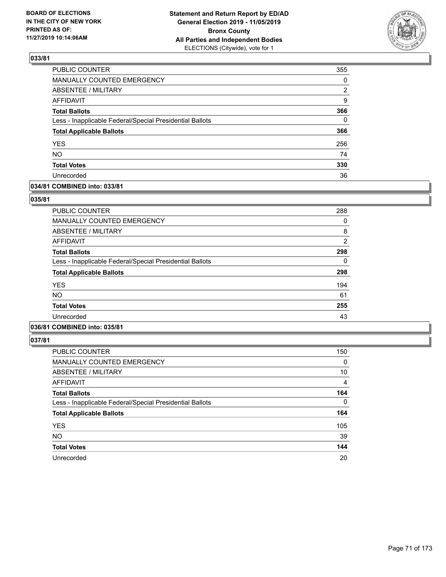

| PUBLIC COUNTER                                           | 355      |
|----------------------------------------------------------|----------|
| MANUALLY COUNTED EMERGENCY                               | 0        |
| <b>ABSENTEE / MILITARY</b>                               | 2        |
| <b>AFFIDAVIT</b>                                         | 9        |
| <b>Total Ballots</b>                                     | 366      |
| Less - Inapplicable Federal/Special Presidential Ballots | $\Omega$ |
| <b>Total Applicable Ballots</b>                          | 366      |
| <b>YES</b>                                               | 256      |
| <b>NO</b>                                                | 74       |
| <b>Total Votes</b>                                       | 330      |
| Unrecorded                                               | 36       |

## **034/81 COMBINED into: 033/81**

### **035/81**

| <b>PUBLIC COUNTER</b>                                    | 288            |
|----------------------------------------------------------|----------------|
| <b>MANUALLY COUNTED EMERGENCY</b>                        | 0              |
| ABSENTEE / MILITARY                                      | 8              |
| AFFIDAVIT                                                | $\overline{2}$ |
| <b>Total Ballots</b>                                     | 298            |
| Less - Inapplicable Federal/Special Presidential Ballots | 0              |
| <b>Total Applicable Ballots</b>                          | 298            |
| <b>YES</b>                                               | 194            |
| <b>NO</b>                                                | 61             |
| <b>Total Votes</b>                                       | 255            |
| Unrecorded                                               | 43             |
|                                                          |                |

# **036/81 COMBINED into: 035/81**

| <b>PUBLIC COUNTER</b>                                    | 150      |
|----------------------------------------------------------|----------|
| <b>MANUALLY COUNTED EMERGENCY</b>                        | 0        |
| ABSENTEE / MILITARY                                      | 10       |
| <b>AFFIDAVIT</b>                                         | 4        |
| <b>Total Ballots</b>                                     | 164      |
| Less - Inapplicable Federal/Special Presidential Ballots | $\Omega$ |
| <b>Total Applicable Ballots</b>                          | 164      |
| <b>YES</b>                                               | 105      |
| <b>NO</b>                                                | 39       |
| <b>Total Votes</b>                                       | 144      |
| Unrecorded                                               | 20       |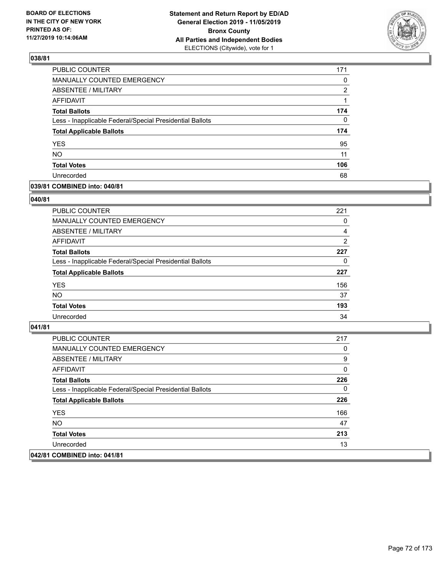

| PUBLIC COUNTER                                           | 171      |
|----------------------------------------------------------|----------|
| MANUALLY COUNTED EMERGENCY                               | 0        |
| ABSENTEE / MILITARY                                      | 2        |
| AFFIDAVIT                                                |          |
| <b>Total Ballots</b>                                     | 174      |
| Less - Inapplicable Federal/Special Presidential Ballots | $\Omega$ |
| <b>Total Applicable Ballots</b>                          | 174      |
| <b>YES</b>                                               | 95       |
| <b>NO</b>                                                | 11       |
| <b>Total Votes</b>                                       | 106      |
| Unrecorded                                               | 68       |

## **039/81 COMBINED into: 040/81**

### **040/81**

| PUBLIC COUNTER                                           | 221            |
|----------------------------------------------------------|----------------|
| <b>MANUALLY COUNTED EMERGENCY</b>                        | $\Omega$       |
| ABSENTEE / MILITARY                                      | 4              |
| AFFIDAVIT                                                | $\overline{2}$ |
| <b>Total Ballots</b>                                     | 227            |
| Less - Inapplicable Federal/Special Presidential Ballots | 0              |
| <b>Total Applicable Ballots</b>                          | 227            |
| <b>YES</b>                                               | 156            |
| <b>NO</b>                                                | 37             |
| <b>Total Votes</b>                                       | 193            |
| Unrecorded                                               | 34             |
|                                                          |                |

| <b>PUBLIC COUNTER</b>                                    | 217 |
|----------------------------------------------------------|-----|
| <b>MANUALLY COUNTED EMERGENCY</b>                        | 0   |
| ABSENTEE / MILITARY                                      | 9   |
| AFFIDAVIT                                                | 0   |
| <b>Total Ballots</b>                                     | 226 |
| Less - Inapplicable Federal/Special Presidential Ballots | 0   |
| <b>Total Applicable Ballots</b>                          | 226 |
| <b>YES</b>                                               | 166 |
| NO.                                                      | 47  |
| <b>Total Votes</b>                                       | 213 |
| Unrecorded                                               | 13  |
| 042/81 COMBINED into: 041/81                             |     |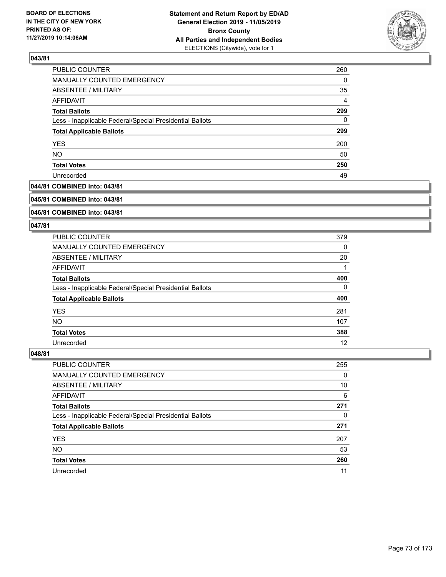

| PUBLIC COUNTER                                           | 260            |
|----------------------------------------------------------|----------------|
| MANUALLY COUNTED EMERGENCY                               | 0              |
| <b>ABSENTEE / MILITARY</b>                               | 35             |
| AFFIDAVIT                                                | $\overline{4}$ |
| <b>Total Ballots</b>                                     | 299            |
| Less - Inapplicable Federal/Special Presidential Ballots | 0              |
| <b>Total Applicable Ballots</b>                          | 299            |
| <b>YES</b>                                               | 200            |
| <b>NO</b>                                                | 50             |
| <b>Total Votes</b>                                       | 250            |
| Unrecorded                                               | 49             |

# **044/81 COMBINED into: 043/81**

#### **045/81 COMBINED into: 043/81**

# **046/81 COMBINED into: 043/81**

#### **047/81**

| <b>PUBLIC COUNTER</b>                                    | 379 |
|----------------------------------------------------------|-----|
| <b>MANUALLY COUNTED EMERGENCY</b>                        | 0   |
| ABSENTEE / MILITARY                                      | 20  |
| AFFIDAVIT                                                |     |
| <b>Total Ballots</b>                                     | 400 |
| Less - Inapplicable Federal/Special Presidential Ballots | 0   |
| <b>Total Applicable Ballots</b>                          | 400 |
| <b>YES</b>                                               | 281 |
| NO.                                                      | 107 |
| <b>Total Votes</b>                                       | 388 |
| Unrecorded                                               | 12  |

| <b>PUBLIC COUNTER</b>                                    | 255      |
|----------------------------------------------------------|----------|
| MANUALLY COUNTED EMERGENCY                               | $\Omega$ |
| ABSENTEE / MILITARY                                      | 10       |
| AFFIDAVIT                                                | 6        |
| <b>Total Ballots</b>                                     | 271      |
| Less - Inapplicable Federal/Special Presidential Ballots | 0        |
| <b>Total Applicable Ballots</b>                          | 271      |
| <b>YES</b>                                               | 207      |
| <b>NO</b>                                                | 53       |
| <b>Total Votes</b>                                       | 260      |
| Unrecorded                                               | 11       |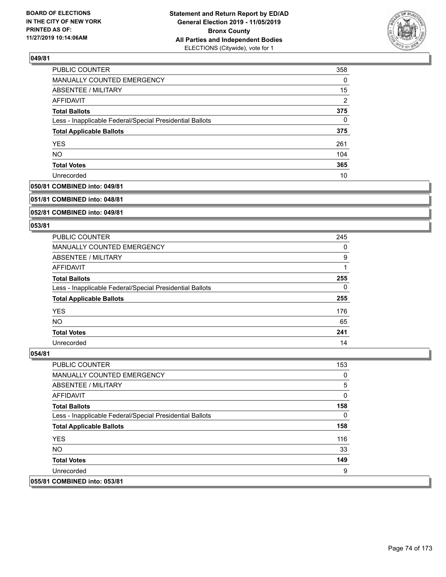

| PUBLIC COUNTER                                           | 358            |
|----------------------------------------------------------|----------------|
| MANUALLY COUNTED EMERGENCY                               | 0              |
| ABSENTEE / MILITARY                                      | 15             |
| AFFIDAVIT                                                | $\overline{2}$ |
| <b>Total Ballots</b>                                     | 375            |
| Less - Inapplicable Federal/Special Presidential Ballots | 0              |
| <b>Total Applicable Ballots</b>                          | 375            |
| <b>YES</b>                                               | 261            |
| <b>NO</b>                                                | 104            |
| <b>Total Votes</b>                                       | 365            |
| Unrecorded                                               | 10             |

# **050/81 COMBINED into: 049/81**

#### **051/81 COMBINED into: 048/81**

# **052/81 COMBINED into: 049/81**

#### **053/81**

| <b>PUBLIC COUNTER</b>                                    | 245 |
|----------------------------------------------------------|-----|
| MANUALLY COUNTED EMERGENCY                               | 0   |
| ABSENTEE / MILITARY                                      | 9   |
| AFFIDAVIT                                                |     |
| <b>Total Ballots</b>                                     | 255 |
| Less - Inapplicable Federal/Special Presidential Ballots | 0   |
| <b>Total Applicable Ballots</b>                          | 255 |
| <b>YES</b>                                               | 176 |
| NO.                                                      | 65  |
| <b>Total Votes</b>                                       | 241 |
| Unrecorded                                               | 14  |

| <b>PUBLIC COUNTER</b>                                    | 153 |
|----------------------------------------------------------|-----|
| MANUALLY COUNTED EMERGENCY                               | 0   |
| ABSENTEE / MILITARY                                      | 5   |
| AFFIDAVIT                                                | 0   |
| <b>Total Ballots</b>                                     | 158 |
| Less - Inapplicable Federal/Special Presidential Ballots | 0   |
| <b>Total Applicable Ballots</b>                          | 158 |
| <b>YES</b>                                               | 116 |
| NO.                                                      | 33  |
| <b>Total Votes</b>                                       | 149 |
| Unrecorded                                               | 9   |
| 055/81 COMBINED into: 053/81                             |     |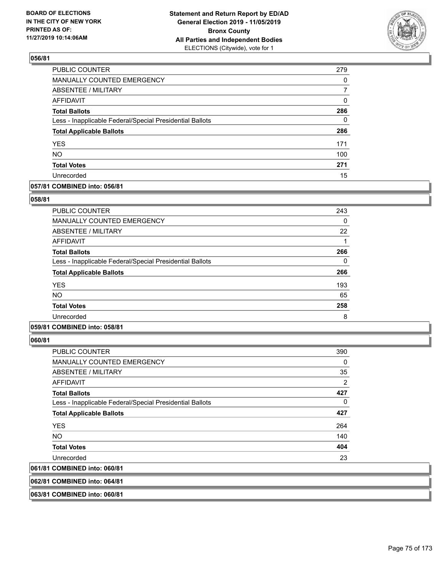

| PUBLIC COUNTER                                           | 279 |
|----------------------------------------------------------|-----|
| MANUALLY COUNTED EMERGENCY                               | 0   |
| ABSENTEE / MILITARY                                      |     |
| <b>AFFIDAVIT</b>                                         | 0   |
| <b>Total Ballots</b>                                     | 286 |
| Less - Inapplicable Federal/Special Presidential Ballots | 0   |
| <b>Total Applicable Ballots</b>                          | 286 |
| <b>YES</b>                                               | 171 |
| <b>NO</b>                                                | 100 |
| <b>Total Votes</b>                                       | 271 |
| Unrecorded                                               | 15  |

#### **057/81 COMBINED into: 056/81**

#### **058/81**

| PUBLIC COUNTER                                           | 243 |
|----------------------------------------------------------|-----|
| <b>MANUALLY COUNTED EMERGENCY</b>                        | 0   |
| ABSENTEE / MILITARY                                      | 22  |
| AFFIDAVIT                                                |     |
| <b>Total Ballots</b>                                     | 266 |
| Less - Inapplicable Federal/Special Presidential Ballots | 0   |
| <b>Total Applicable Ballots</b>                          | 266 |
| <b>YES</b>                                               | 193 |
| <b>NO</b>                                                | 65  |
| <b>Total Votes</b>                                       | 258 |
| Unrecorded                                               | 8   |

# **059/81 COMBINED into: 058/81**

**060/81** 

| <b>PUBLIC COUNTER</b>                                    | 390 |
|----------------------------------------------------------|-----|
| <b>MANUALLY COUNTED EMERGENCY</b>                        | 0   |
| ABSENTEE / MILITARY                                      | 35  |
| AFFIDAVIT                                                | 2   |
| <b>Total Ballots</b>                                     | 427 |
| Less - Inapplicable Federal/Special Presidential Ballots | 0   |
| <b>Total Applicable Ballots</b>                          | 427 |
| <b>YES</b>                                               | 264 |
| NO.                                                      | 140 |
| <b>Total Votes</b>                                       | 404 |
| Unrecorded                                               | 23  |
| 061/81 COMBINED into: 060/81                             |     |
|                                                          |     |

**062/81 COMBINED into: 064/81**

**063/81 COMBINED into: 060/81**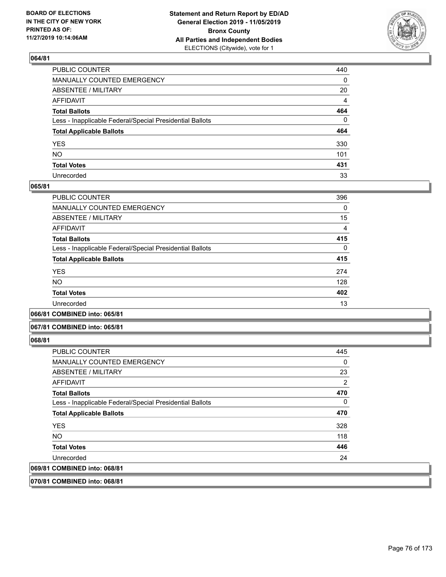

| PUBLIC COUNTER                                           | 440         |
|----------------------------------------------------------|-------------|
| MANUALLY COUNTED EMERGENCY                               | 0           |
| ABSENTEE / MILITARY                                      | 20          |
| AFFIDAVIT                                                | 4           |
| Total Ballots                                            | 464         |
| Less - Inapplicable Federal/Special Presidential Ballots | $\mathbf 0$ |
| <b>Total Applicable Ballots</b>                          | 464         |
| YES                                                      | 330         |
| NO.                                                      | 101         |
| <b>Total Votes</b>                                       | 431         |
| Unrecorded                                               | 33          |

#### **065/81**

| <b>PUBLIC COUNTER</b>                                    | 396      |
|----------------------------------------------------------|----------|
| <b>MANUALLY COUNTED EMERGENCY</b>                        | 0        |
| <b>ABSENTEE / MILITARY</b>                               | 15       |
| AFFIDAVIT                                                | 4        |
| <b>Total Ballots</b>                                     | 415      |
| Less - Inapplicable Federal/Special Presidential Ballots | $\Omega$ |
| <b>Total Applicable Ballots</b>                          | 415      |
| <b>YES</b>                                               | 274      |
| <b>NO</b>                                                | 128      |
| <b>Total Votes</b>                                       | 402      |
| Unrecorded                                               | 13       |
|                                                          |          |

#### **066/81 COMBINED into: 065/81**

#### **067/81 COMBINED into: 065/81**

#### **068/81**

| 069/81 COMBINED into: 068/81                             |                |
|----------------------------------------------------------|----------------|
| Unrecorded                                               | 24             |
| <b>Total Votes</b>                                       | 446            |
| NO.                                                      | 118            |
| <b>YES</b>                                               | 328            |
| <b>Total Applicable Ballots</b>                          | 470            |
| Less - Inapplicable Federal/Special Presidential Ballots | 0              |
| <b>Total Ballots</b>                                     | 470            |
| AFFIDAVIT                                                | $\overline{2}$ |
| ABSENTEE / MILITARY                                      | 23             |
| <b>MANUALLY COUNTED EMERGENCY</b>                        | 0              |
| <b>PUBLIC COUNTER</b>                                    | 445            |

**070/81 COMBINED into: 068/81**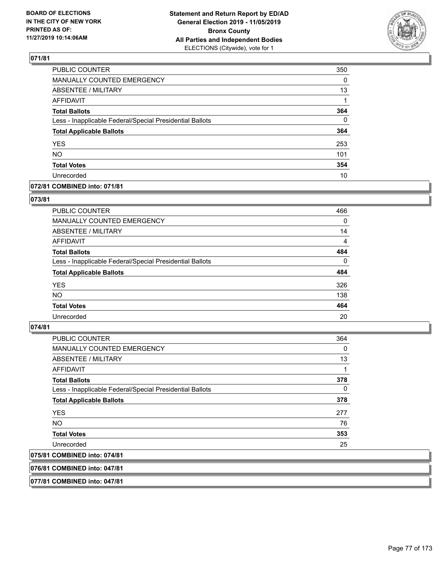

| <b>PUBLIC COUNTER</b>                                    | 350      |
|----------------------------------------------------------|----------|
| MANUALLY COUNTED EMERGENCY                               | 0        |
| ABSENTEE / MILITARY                                      | 13       |
| <b>AFFIDAVIT</b>                                         |          |
| <b>Total Ballots</b>                                     | 364      |
| Less - Inapplicable Federal/Special Presidential Ballots | $\Omega$ |
| <b>Total Applicable Ballots</b>                          | 364      |
| <b>YES</b>                                               | 253      |
| <b>NO</b>                                                | 101      |
| <b>Total Votes</b>                                       | 354      |
| Unrecorded                                               | 10       |

#### **072/81 COMBINED into: 071/81**

#### **073/81**

| PUBLIC COUNTER                                           | 466            |
|----------------------------------------------------------|----------------|
| <b>MANUALLY COUNTED EMERGENCY</b>                        | $\Omega$       |
| ABSENTEE / MILITARY                                      | 14             |
| AFFIDAVIT                                                | $\overline{4}$ |
| <b>Total Ballots</b>                                     | 484            |
| Less - Inapplicable Federal/Special Presidential Ballots | $\Omega$       |
| <b>Total Applicable Ballots</b>                          | 484            |
| <b>YES</b>                                               | 326            |
| <b>NO</b>                                                | 138            |
| <b>Total Votes</b>                                       | 464            |
| Unrecorded                                               | 20             |

# **074/81**

| PUBLIC COUNTER                                           | 364      |
|----------------------------------------------------------|----------|
| <b>MANUALLY COUNTED EMERGENCY</b>                        | 0        |
| ABSENTEE / MILITARY                                      | 13       |
| AFFIDAVIT                                                | 1        |
| <b>Total Ballots</b>                                     | 378      |
| Less - Inapplicable Federal/Special Presidential Ballots | $\Omega$ |
| <b>Total Applicable Ballots</b>                          | 378      |
| <b>YES</b>                                               | 277      |
| <b>NO</b>                                                | 76       |
| <b>Total Votes</b>                                       | 353      |
| Unrecorded                                               | 25       |
| 075/81 COMBINED into: 074/81                             |          |

### **076/81 COMBINED into: 047/81**

**077/81 COMBINED into: 047/81**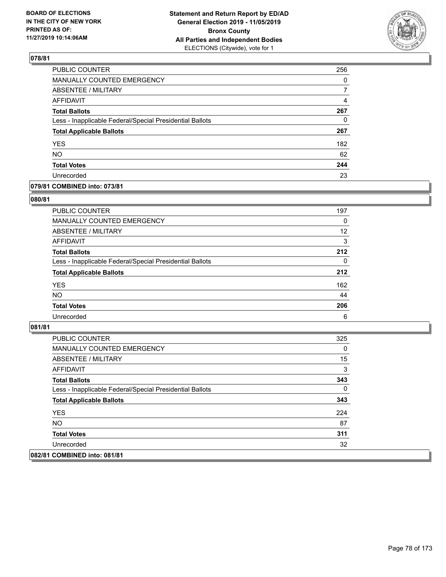

| PUBLIC COUNTER                                           | 256      |
|----------------------------------------------------------|----------|
| <b>MANUALLY COUNTED EMERGENCY</b>                        | $\Omega$ |
| ABSENTEE / MILITARY                                      | 7        |
| <b>AFFIDAVIT</b>                                         | 4        |
| <b>Total Ballots</b>                                     | 267      |
| Less - Inapplicable Federal/Special Presidential Ballots | 0        |
| <b>Total Applicable Ballots</b>                          | 267      |
| <b>YES</b>                                               | 182      |
| <b>NO</b>                                                | 62       |
| <b>Total Votes</b>                                       | 244      |
| Unrecorded                                               | 23       |

#### **079/81 COMBINED into: 073/81**

#### **080/81**

| <b>PUBLIC COUNTER</b>                                    | 197      |
|----------------------------------------------------------|----------|
| MANUALLY COUNTED EMERGENCY                               | $\Omega$ |
| ABSENTEE / MILITARY                                      | 12       |
| AFFIDAVIT                                                | 3        |
| <b>Total Ballots</b>                                     | 212      |
| Less - Inapplicable Federal/Special Presidential Ballots | $\Omega$ |
| <b>Total Applicable Ballots</b>                          | 212      |
| <b>YES</b>                                               | 162      |
| <b>NO</b>                                                | 44       |
| <b>Total Votes</b>                                       | 206      |
| Unrecorded                                               | 6        |

| PUBLIC COUNTER                                           | 325 |
|----------------------------------------------------------|-----|
| <b>MANUALLY COUNTED EMERGENCY</b>                        | 0   |
| ABSENTEE / MILITARY                                      | 15  |
| AFFIDAVIT                                                | 3   |
| <b>Total Ballots</b>                                     | 343 |
| Less - Inapplicable Federal/Special Presidential Ballots | 0   |
| <b>Total Applicable Ballots</b>                          | 343 |
| <b>YES</b>                                               | 224 |
| NO.                                                      | 87  |
| <b>Total Votes</b>                                       | 311 |
| Unrecorded                                               | 32  |
| 082/81 COMBINED into: 081/81                             |     |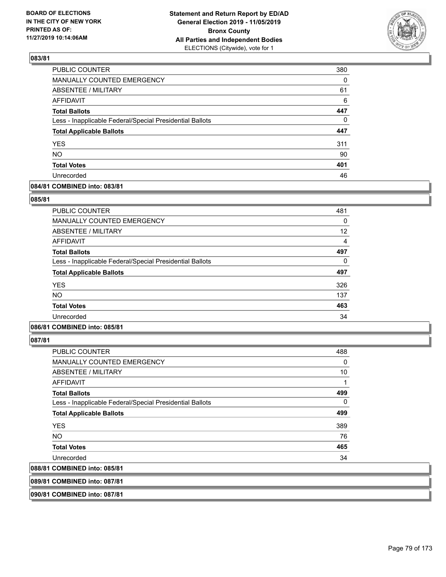

| PUBLIC COUNTER                                           | 380      |
|----------------------------------------------------------|----------|
| MANUALLY COUNTED EMERGENCY                               | 0        |
| ABSENTEE / MILITARY                                      | 61       |
| AFFIDAVIT                                                | 6        |
| <b>Total Ballots</b>                                     | 447      |
| Less - Inapplicable Federal/Special Presidential Ballots | $\Omega$ |
| <b>Total Applicable Ballots</b>                          | 447      |
| <b>YES</b>                                               | 311      |
| <b>NO</b>                                                | 90       |
| <b>Total Votes</b>                                       | 401      |
| Unrecorded                                               | 46       |

### **084/81 COMBINED into: 083/81**

#### **085/81**

| PUBLIC COUNTER                                           | 481      |
|----------------------------------------------------------|----------|
| <b>MANUALLY COUNTED EMERGENCY</b>                        | $\Omega$ |
| <b>ABSENTEE / MILITARY</b>                               | 12       |
| AFFIDAVIT                                                | 4        |
| <b>Total Ballots</b>                                     | 497      |
| Less - Inapplicable Federal/Special Presidential Ballots | 0        |
| <b>Total Applicable Ballots</b>                          | 497      |
| <b>YES</b>                                               | 326      |
| <b>NO</b>                                                | 137      |
| <b>Total Votes</b>                                       | 463      |
| Unrecorded                                               | 34       |
|                                                          |          |

# **086/81 COMBINED into: 085/81**

**087/81** 

| PUBLIC COUNTER                                           | 488 |
|----------------------------------------------------------|-----|
| MANUALLY COUNTED EMERGENCY                               | 0   |
| ABSENTEE / MILITARY                                      | 10  |
| AFFIDAVIT                                                |     |
| <b>Total Ballots</b>                                     | 499 |
| Less - Inapplicable Federal/Special Presidential Ballots | 0   |
| <b>Total Applicable Ballots</b>                          | 499 |
| <b>YES</b>                                               | 389 |
| NO                                                       | 76  |
| <b>Total Votes</b>                                       | 465 |
| Unrecorded                                               | 34  |
| 088/81 COMBINED into: 085/81                             |     |
|                                                          |     |

**089/81 COMBINED into: 087/81**

**090/81 COMBINED into: 087/81**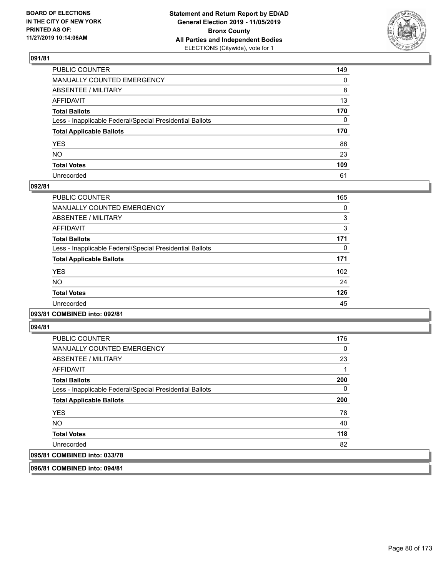

| PUBLIC COUNTER                                           | 149 |
|----------------------------------------------------------|-----|
| MANUALLY COUNTED EMERGENCY                               | 0   |
| ABSENTEE / MILITARY                                      | 8   |
| AFFIDAVIT                                                | 13  |
| Total Ballots                                            | 170 |
| Less - Inapplicable Federal/Special Presidential Ballots | 0   |
| <b>Total Applicable Ballots</b>                          | 170 |
| YES                                                      | 86  |
| NO.                                                      | 23  |
| <b>Total Votes</b>                                       | 109 |
| Unrecorded                                               | 61  |

#### **092/81**

| PUBLIC COUNTER                                           | 165 |
|----------------------------------------------------------|-----|
| <b>MANUALLY COUNTED EMERGENCY</b>                        | 0   |
| ABSENTEE / MILITARY                                      | 3   |
| <b>AFFIDAVIT</b>                                         | 3   |
| <b>Total Ballots</b>                                     | 171 |
| Less - Inapplicable Federal/Special Presidential Ballots | 0   |
| <b>Total Applicable Ballots</b>                          | 171 |
| <b>YES</b>                                               | 102 |
| NO.                                                      | 24  |
| <b>Total Votes</b>                                       | 126 |
| Unrecorded                                               | 45  |
|                                                          |     |

#### **093/81 COMBINED into: 092/81**

**094/81** 

| <b>PUBLIC COUNTER</b>                                    | 176 |
|----------------------------------------------------------|-----|
| <b>MANUALLY COUNTED EMERGENCY</b>                        | 0   |
| ABSENTEE / MILITARY                                      | 23  |
| AFFIDAVIT                                                |     |
| <b>Total Ballots</b>                                     | 200 |
| Less - Inapplicable Federal/Special Presidential Ballots | 0   |
| <b>Total Applicable Ballots</b>                          | 200 |
| <b>YES</b>                                               | 78  |
| <b>NO</b>                                                | 40  |
| <b>Total Votes</b>                                       | 118 |
| Unrecorded                                               | 82  |
| 095/81 COMBINED into: 033/78                             |     |

**096/81 COMBINED into: 094/81**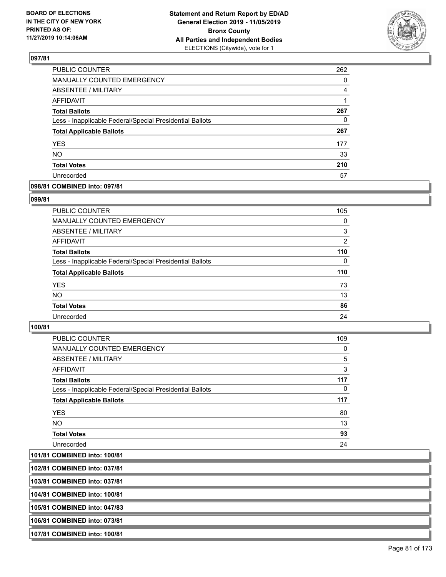

| PUBLIC COUNTER                                           | 262      |
|----------------------------------------------------------|----------|
| <b>MANUALLY COUNTED EMERGENCY</b>                        | $\Omega$ |
| ABSENTEE / MILITARY                                      | 4        |
| <b>AFFIDAVIT</b>                                         |          |
| <b>Total Ballots</b>                                     | 267      |
| Less - Inapplicable Federal/Special Presidential Ballots | 0        |
| <b>Total Applicable Ballots</b>                          | 267      |
| <b>YES</b>                                               | 177      |
| <b>NO</b>                                                | 33       |
| <b>Total Votes</b>                                       | 210      |
| Unrecorded                                               | 57       |

#### **098/81 COMBINED into: 097/81**

#### **099/81**

| PUBLIC COUNTER                                           | 105      |
|----------------------------------------------------------|----------|
| <b>MANUALLY COUNTED EMERGENCY</b>                        | $\Omega$ |
| ABSENTEE / MILITARY                                      | 3        |
| AFFIDAVIT                                                | 2        |
| <b>Total Ballots</b>                                     | 110      |
| Less - Inapplicable Federal/Special Presidential Ballots | $\Omega$ |
| <b>Total Applicable Ballots</b>                          | 110      |
| <b>YES</b>                                               | 73       |
| <b>NO</b>                                                | 13       |
| <b>Total Votes</b>                                       | 86       |
| Unrecorded                                               | 24       |
|                                                          |          |

#### **100/81**

| PUBLIC COUNTER                                           | 109      |
|----------------------------------------------------------|----------|
| <b>MANUALLY COUNTED EMERGENCY</b>                        | 0        |
| ABSENTEE / MILITARY                                      | 5        |
| AFFIDAVIT                                                | 3        |
| <b>Total Ballots</b>                                     | 117      |
| Less - Inapplicable Federal/Special Presidential Ballots | $\Omega$ |
| <b>Total Applicable Ballots</b>                          | 117      |
| <b>YES</b>                                               | 80       |
| NO.                                                      | 13       |
| <b>Total Votes</b>                                       | 93       |
| Unrecorded                                               | 24       |

**101/81 COMBINED into: 100/81**

**102/81 COMBINED into: 037/81**

**103/81 COMBINED into: 037/81**

**104/81 COMBINED into: 100/81**

**105/81 COMBINED into: 047/83**

**106/81 COMBINED into: 073/81**

**107/81 COMBINED into: 100/81**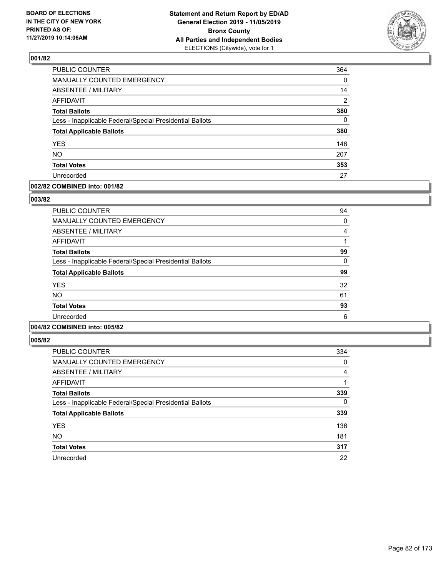

| PUBLIC COUNTER                                           | 364            |
|----------------------------------------------------------|----------------|
| MANUALLY COUNTED EMERGENCY                               | 0              |
| <b>ABSENTEE / MILITARY</b>                               | 14             |
| <b>AFFIDAVIT</b>                                         | $\overline{2}$ |
| <b>Total Ballots</b>                                     | 380            |
| Less - Inapplicable Federal/Special Presidential Ballots | $\Omega$       |
| <b>Total Applicable Ballots</b>                          | 380            |
| <b>YES</b>                                               | 146            |
| <b>NO</b>                                                | 207            |
| <b>Total Votes</b>                                       | 353            |
| Unrecorded                                               | 27             |

#### **002/82 COMBINED into: 001/82**

#### **003/82**

| <b>PUBLIC COUNTER</b>                                    | 94 |
|----------------------------------------------------------|----|
| MANUALLY COUNTED EMERGENCY                               | 0  |
| ABSENTEE / MILITARY                                      | 4  |
| AFFIDAVIT                                                |    |
| <b>Total Ballots</b>                                     | 99 |
| Less - Inapplicable Federal/Special Presidential Ballots | 0  |
| <b>Total Applicable Ballots</b>                          | 99 |
| <b>YES</b>                                               | 32 |
| <b>NO</b>                                                | 61 |
| <b>Total Votes</b>                                       | 93 |
| Unrecorded                                               | 6  |
|                                                          |    |

# **004/82 COMBINED into: 005/82**

| <b>PUBLIC COUNTER</b>                                    | 334            |
|----------------------------------------------------------|----------------|
| <b>MANUALLY COUNTED EMERGENCY</b>                        | 0              |
| ABSENTEE / MILITARY                                      | $\overline{4}$ |
| <b>AFFIDAVIT</b>                                         |                |
| <b>Total Ballots</b>                                     | 339            |
| Less - Inapplicable Federal/Special Presidential Ballots | 0              |
| <b>Total Applicable Ballots</b>                          | 339            |
| <b>YES</b>                                               | 136            |
| <b>NO</b>                                                | 181            |
| <b>Total Votes</b>                                       | 317            |
| Unrecorded                                               | 22             |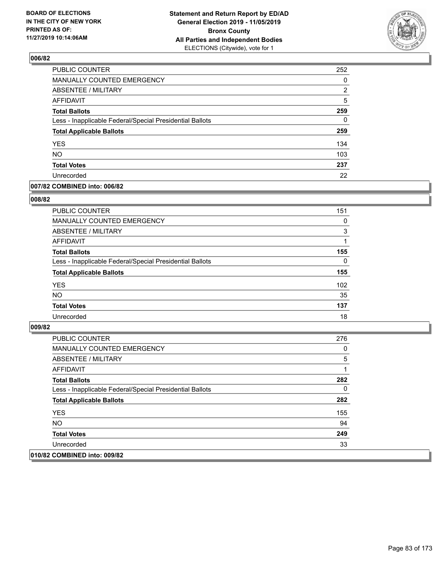

| PUBLIC COUNTER                                           | 252 |
|----------------------------------------------------------|-----|
| MANUALLY COUNTED EMERGENCY                               | 0   |
| ABSENTEE / MILITARY                                      | 2   |
| <b>AFFIDAVIT</b>                                         | 5   |
| <b>Total Ballots</b>                                     | 259 |
| Less - Inapplicable Federal/Special Presidential Ballots | 0   |
| <b>Total Applicable Ballots</b>                          | 259 |
| <b>YES</b>                                               | 134 |
| <b>NO</b>                                                | 103 |
| <b>Total Votes</b>                                       | 237 |
| Unrecorded                                               | 22  |

#### **007/82 COMBINED into: 006/82**

#### **008/82**

| <b>PUBLIC COUNTER</b>                                    | 151      |
|----------------------------------------------------------|----------|
| <b>MANUALLY COUNTED EMERGENCY</b>                        | $\Omega$ |
| ABSENTEE / MILITARY                                      | 3        |
| AFFIDAVIT                                                |          |
| <b>Total Ballots</b>                                     | 155      |
| Less - Inapplicable Federal/Special Presidential Ballots | $\Omega$ |
| <b>Total Applicable Ballots</b>                          | 155      |
| <b>YES</b>                                               | 102      |
| <b>NO</b>                                                | 35       |
| <b>Total Votes</b>                                       | 137      |
| Unrecorded                                               | 18       |
|                                                          |          |

| PUBLIC COUNTER                                           | 276 |
|----------------------------------------------------------|-----|
| <b>MANUALLY COUNTED EMERGENCY</b>                        | 0   |
| ABSENTEE / MILITARY                                      | 5   |
| AFFIDAVIT                                                |     |
| <b>Total Ballots</b>                                     | 282 |
| Less - Inapplicable Federal/Special Presidential Ballots | 0   |
| <b>Total Applicable Ballots</b>                          | 282 |
| <b>YES</b>                                               | 155 |
| NO.                                                      | 94  |
| <b>Total Votes</b>                                       | 249 |
| Unrecorded                                               | 33  |
| 010/82 COMBINED into: 009/82                             |     |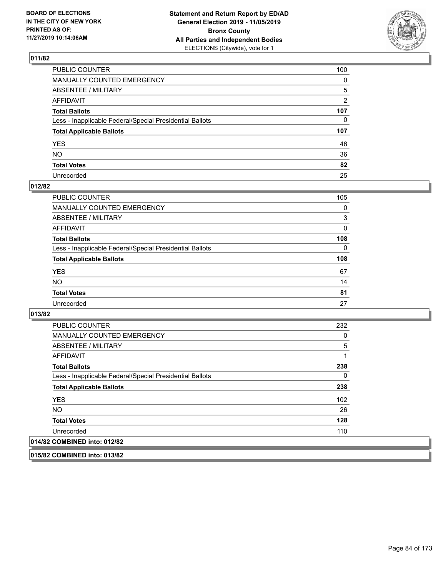

| PUBLIC COUNTER                                           | 100          |
|----------------------------------------------------------|--------------|
| MANUALLY COUNTED EMERGENCY                               | $\mathbf{0}$ |
| ABSENTEE / MILITARY                                      | 5            |
| AFFIDAVIT                                                | 2            |
| Total Ballots                                            | 107          |
| Less - Inapplicable Federal/Special Presidential Ballots | 0            |
| <b>Total Applicable Ballots</b>                          | 107          |
| YES                                                      | 46           |
| NO.                                                      | 36           |
| <b>Total Votes</b>                                       | 82           |
| Unrecorded                                               | 25           |

# **012/82**

| <b>PUBLIC COUNTER</b>                                    | 105      |
|----------------------------------------------------------|----------|
| <b>MANUALLY COUNTED EMERGENCY</b>                        | $\Omega$ |
| ABSENTEE / MILITARY                                      | 3        |
| AFFIDAVIT                                                | 0        |
| <b>Total Ballots</b>                                     | 108      |
| Less - Inapplicable Federal/Special Presidential Ballots | $\Omega$ |
| <b>Total Applicable Ballots</b>                          | 108      |
| <b>YES</b>                                               | 67       |
| <b>NO</b>                                                | 14       |
| <b>Total Votes</b>                                       | 81       |
| Unrecorded                                               | 27       |

**013/82** 

| PUBLIC COUNTER                                           | 232 |
|----------------------------------------------------------|-----|
| <b>MANUALLY COUNTED EMERGENCY</b>                        | 0   |
| ABSENTEE / MILITARY                                      | 5   |
| AFFIDAVIT                                                |     |
| <b>Total Ballots</b>                                     | 238 |
| Less - Inapplicable Federal/Special Presidential Ballots | 0   |
| <b>Total Applicable Ballots</b>                          | 238 |
| <b>YES</b>                                               | 102 |
| NO.                                                      | 26  |
| <b>Total Votes</b>                                       | 128 |
| Unrecorded                                               | 110 |
| 014/82 COMBINED into: 012/82                             |     |

**015/82 COMBINED into: 013/82**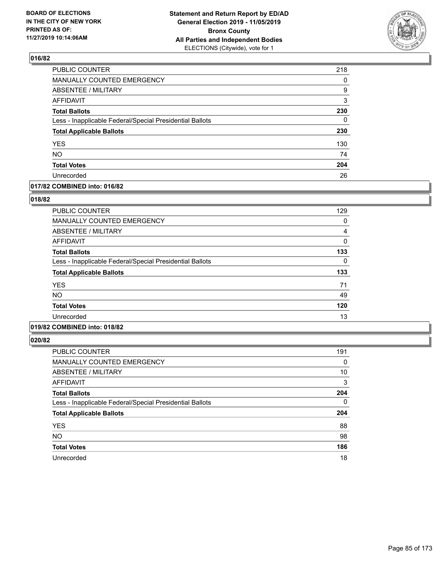

| PUBLIC COUNTER                                           | 218 |
|----------------------------------------------------------|-----|
| <b>MANUALLY COUNTED EMERGENCY</b>                        | 0   |
| <b>ABSENTEE / MILITARY</b>                               | 9   |
| <b>AFFIDAVIT</b>                                         | 3   |
| <b>Total Ballots</b>                                     | 230 |
| Less - Inapplicable Federal/Special Presidential Ballots | 0   |
| <b>Total Applicable Ballots</b>                          | 230 |
| <b>YES</b>                                               | 130 |
| <b>NO</b>                                                | 74  |
| <b>Total Votes</b>                                       | 204 |
| Unrecorded                                               | 26  |

#### **017/82 COMBINED into: 016/82**

#### **018/82**

| PUBLIC COUNTER                                           | 129 |
|----------------------------------------------------------|-----|
| <b>MANUALLY COUNTED EMERGENCY</b>                        | 0   |
| <b>ABSENTEE / MILITARY</b>                               | 4   |
| <b>AFFIDAVIT</b>                                         | 0   |
| <b>Total Ballots</b>                                     | 133 |
| Less - Inapplicable Federal/Special Presidential Ballots | 0   |
| <b>Total Applicable Ballots</b>                          | 133 |
| <b>YES</b>                                               | 71  |
| <b>NO</b>                                                | 49  |
| <b>Total Votes</b>                                       | 120 |
| Unrecorded                                               | 13  |
|                                                          |     |

# **019/82 COMBINED into: 018/82**

| PUBLIC COUNTER                                           | 191      |
|----------------------------------------------------------|----------|
| <b>MANUALLY COUNTED EMERGENCY</b>                        | 0        |
| ABSENTEE / MILITARY                                      | 10       |
| <b>AFFIDAVIT</b>                                         | 3        |
| <b>Total Ballots</b>                                     | 204      |
| Less - Inapplicable Federal/Special Presidential Ballots | $\Omega$ |
| <b>Total Applicable Ballots</b>                          | 204      |
| <b>YES</b>                                               | 88       |
| <b>NO</b>                                                | 98       |
| <b>Total Votes</b>                                       | 186      |
| Unrecorded                                               | 18       |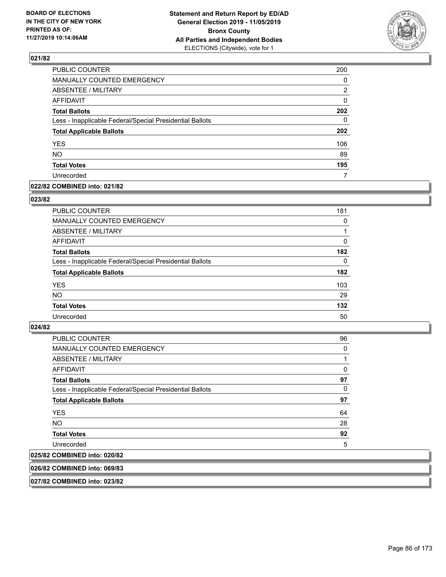

| PUBLIC COUNTER                                           | 200      |
|----------------------------------------------------------|----------|
| <b>MANUALLY COUNTED EMERGENCY</b>                        | $\Omega$ |
| <b>ABSENTEE / MILITARY</b>                               | 2        |
| <b>AFFIDAVIT</b>                                         | 0        |
| <b>Total Ballots</b>                                     | 202      |
| Less - Inapplicable Federal/Special Presidential Ballots | 0        |
| <b>Total Applicable Ballots</b>                          | 202      |
| <b>YES</b>                                               | 106      |
| <b>NO</b>                                                | 89       |
| <b>Total Votes</b>                                       | 195      |
| Unrecorded                                               |          |

#### **022/82 COMBINED into: 021/82**

#### **023/82**

| <b>PUBLIC COUNTER</b>                                    | 181      |
|----------------------------------------------------------|----------|
| <b>MANUALLY COUNTED EMERGENCY</b>                        | $\Omega$ |
| ABSENTEE / MILITARY                                      |          |
| AFFIDAVIT                                                | $\Omega$ |
| <b>Total Ballots</b>                                     | 182      |
| Less - Inapplicable Federal/Special Presidential Ballots | $\Omega$ |
| <b>Total Applicable Ballots</b>                          | 182      |
| <b>YES</b>                                               | 103      |
| <b>NO</b>                                                | 29       |
| <b>Total Votes</b>                                       | 132      |
| Unrecorded                                               | 50       |
|                                                          |          |

#### **024/82**

| PUBLIC COUNTER                                           | 96 |
|----------------------------------------------------------|----|
| <b>MANUALLY COUNTED EMERGENCY</b>                        | 0  |
| ABSENTEE / MILITARY                                      | 1  |
| AFFIDAVIT                                                | 0  |
| <b>Total Ballots</b>                                     | 97 |
| Less - Inapplicable Federal/Special Presidential Ballots | 0  |
| <b>Total Applicable Ballots</b>                          | 97 |
| <b>YES</b>                                               | 64 |
| <b>NO</b>                                                | 28 |
| <b>Total Votes</b>                                       | 92 |
| Unrecorded                                               | 5  |
| 025/82 COMBINED into: 020/82                             |    |

#### **026/82 COMBINED into: 069/83**

**027/82 COMBINED into: 023/82**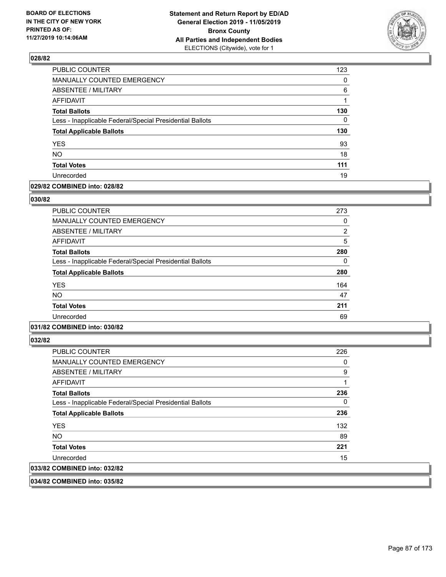

| PUBLIC COUNTER                                           | 123      |
|----------------------------------------------------------|----------|
| <b>MANUALLY COUNTED EMERGENCY</b>                        | $\Omega$ |
| <b>ABSENTEE / MILITARY</b>                               | 6        |
| <b>AFFIDAVIT</b>                                         |          |
| <b>Total Ballots</b>                                     | 130      |
| Less - Inapplicable Federal/Special Presidential Ballots | 0        |
| <b>Total Applicable Ballots</b>                          | 130      |
| <b>YES</b>                                               | 93       |
| <b>NO</b>                                                | 18       |
| <b>Total Votes</b>                                       | 111      |
| Unrecorded                                               | 19       |

#### **029/82 COMBINED into: 028/82**

#### **030/82**

| <b>PUBLIC COUNTER</b>                                    | 273 |
|----------------------------------------------------------|-----|
| <b>MANUALLY COUNTED EMERGENCY</b>                        | 0   |
| ABSENTEE / MILITARY                                      | 2   |
| AFFIDAVIT                                                | 5   |
| <b>Total Ballots</b>                                     | 280 |
| Less - Inapplicable Federal/Special Presidential Ballots | 0   |
| <b>Total Applicable Ballots</b>                          | 280 |
| <b>YES</b>                                               | 164 |
| <b>NO</b>                                                | 47  |
| <b>Total Votes</b>                                       | 211 |
| Unrecorded                                               | 69  |
|                                                          |     |

# **031/82 COMBINED into: 030/82**

**032/82** 

| PUBLIC COUNTER                                           | 226 |
|----------------------------------------------------------|-----|
| <b>MANUALLY COUNTED EMERGENCY</b>                        | 0   |
| ABSENTEE / MILITARY                                      | 9   |
| AFFIDAVIT                                                |     |
| <b>Total Ballots</b>                                     | 236 |
| Less - Inapplicable Federal/Special Presidential Ballots | 0   |
| <b>Total Applicable Ballots</b>                          | 236 |
| <b>YES</b>                                               | 132 |
| NO.                                                      | 89  |
| <b>Total Votes</b>                                       | 221 |
| Unrecorded                                               | 15  |
| 033/82 COMBINED into: 032/82                             |     |

**034/82 COMBINED into: 035/82**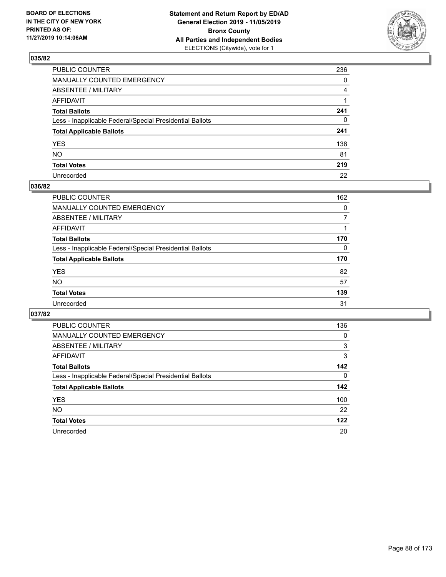

| PUBLIC COUNTER                                           | 236          |
|----------------------------------------------------------|--------------|
| MANUALLY COUNTED EMERGENCY                               | $\mathbf{0}$ |
| ABSENTEE / MILITARY                                      | 4            |
| AFFIDAVIT                                                |              |
| Total Ballots                                            | 241          |
| Less - Inapplicable Federal/Special Presidential Ballots | 0            |
| <b>Total Applicable Ballots</b>                          | 241          |
| YES                                                      | 138          |
| NO.                                                      | 81           |
| <b>Total Votes</b>                                       | 219          |
| Unrecorded                                               | 22           |

# **036/82**

| <b>PUBLIC COUNTER</b>                                    | 162      |
|----------------------------------------------------------|----------|
| <b>MANUALLY COUNTED EMERGENCY</b>                        | $\Omega$ |
| ABSENTEE / MILITARY                                      |          |
| AFFIDAVIT                                                |          |
| <b>Total Ballots</b>                                     | 170      |
| Less - Inapplicable Federal/Special Presidential Ballots | $\Omega$ |
| <b>Total Applicable Ballots</b>                          | 170      |
| <b>YES</b>                                               | 82       |
| <b>NO</b>                                                | 57       |
| <b>Total Votes</b>                                       | 139      |
| Unrecorded                                               | 31       |

| PUBLIC COUNTER                                           | 136      |
|----------------------------------------------------------|----------|
| MANUALLY COUNTED EMERGENCY                               | $\Omega$ |
| ABSENTEE / MILITARY                                      | 3        |
| AFFIDAVIT                                                | 3        |
| <b>Total Ballots</b>                                     | 142      |
| Less - Inapplicable Federal/Special Presidential Ballots | $\Omega$ |
| <b>Total Applicable Ballots</b>                          | 142      |
| <b>YES</b>                                               | 100      |
| <b>NO</b>                                                | 22       |
| <b>Total Votes</b>                                       | 122      |
| Unrecorded                                               | 20       |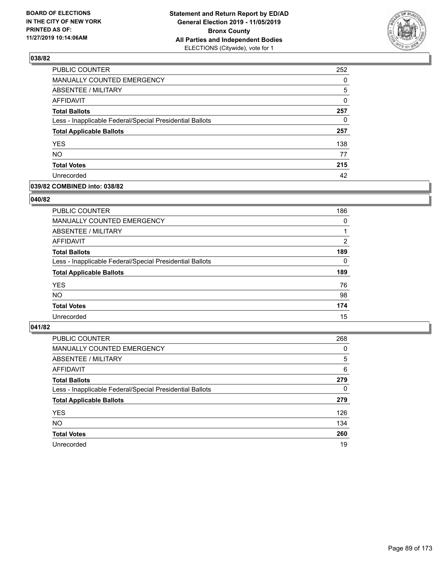

| PUBLIC COUNTER                                           | 252 |
|----------------------------------------------------------|-----|
| MANUALLY COUNTED EMERGENCY                               | 0   |
| <b>ABSENTEE / MILITARY</b>                               | 5   |
| <b>AFFIDAVIT</b>                                         | 0   |
| <b>Total Ballots</b>                                     | 257 |
| Less - Inapplicable Federal/Special Presidential Ballots | 0   |
| <b>Total Applicable Ballots</b>                          | 257 |
| <b>YES</b>                                               | 138 |
| <b>NO</b>                                                | 77  |
| <b>Total Votes</b>                                       | 215 |
| Unrecorded                                               | 42  |

#### **039/82 COMBINED into: 038/82**

#### **040/82**

| <b>PUBLIC COUNTER</b>                                    | 186      |
|----------------------------------------------------------|----------|
| <b>MANUALLY COUNTED EMERGENCY</b>                        | $\Omega$ |
| ABSENTEE / MILITARY                                      |          |
| AFFIDAVIT                                                | 2        |
| <b>Total Ballots</b>                                     | 189      |
| Less - Inapplicable Federal/Special Presidential Ballots | $\Omega$ |
| <b>Total Applicable Ballots</b>                          | 189      |
| <b>YES</b>                                               | 76       |
| <b>NO</b>                                                | 98       |
| <b>Total Votes</b>                                       | 174      |
| Unrecorded                                               | 15       |
|                                                          |          |

| PUBLIC COUNTER                                           | 268 |
|----------------------------------------------------------|-----|
| MANUALLY COUNTED EMERGENCY                               | 0   |
| ABSENTEE / MILITARY                                      | 5   |
| AFFIDAVIT                                                | 6   |
| <b>Total Ballots</b>                                     | 279 |
| Less - Inapplicable Federal/Special Presidential Ballots | 0   |
| <b>Total Applicable Ballots</b>                          | 279 |
| <b>YES</b>                                               | 126 |
| <b>NO</b>                                                | 134 |
| <b>Total Votes</b>                                       | 260 |
| Unrecorded                                               | 19  |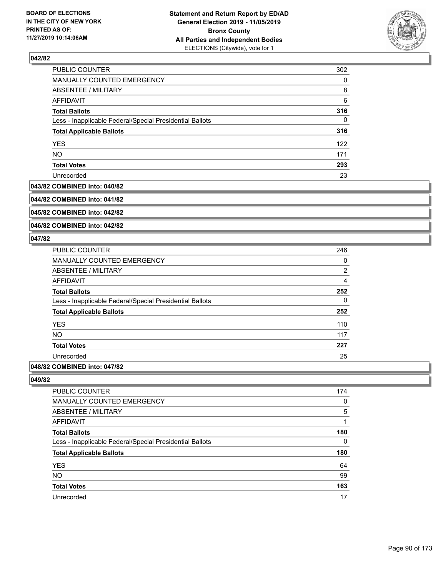

| PUBLIC COUNTER                                           | 302 |
|----------------------------------------------------------|-----|
| MANUALLY COUNTED EMERGENCY                               | 0   |
| ABSENTEE / MILITARY                                      | 8   |
| AFFIDAVIT                                                | 6   |
| <b>Total Ballots</b>                                     | 316 |
| Less - Inapplicable Federal/Special Presidential Ballots | 0   |
| <b>Total Applicable Ballots</b>                          | 316 |
| <b>YES</b>                                               | 122 |
| <b>NO</b>                                                | 171 |
| <b>Total Votes</b>                                       | 293 |
| Unrecorded                                               | 23  |

#### **043/82 COMBINED into: 040/82**

**044/82 COMBINED into: 041/82**

**045/82 COMBINED into: 042/82**

**046/82 COMBINED into: 042/82**

#### **047/82**

| PUBLIC COUNTER                                           | 246            |
|----------------------------------------------------------|----------------|
| <b>MANUALLY COUNTED EMERGENCY</b>                        | 0              |
| ABSENTEE / MILITARY                                      | $\overline{2}$ |
| AFFIDAVIT                                                | $\overline{4}$ |
| <b>Total Ballots</b>                                     | 252            |
| Less - Inapplicable Federal/Special Presidential Ballots | 0              |
| <b>Total Applicable Ballots</b>                          | 252            |
| <b>YES</b>                                               | 110            |
| <b>NO</b>                                                | 117            |
| <b>Total Votes</b>                                       | 227            |
| Unrecorded                                               | 25             |
|                                                          |                |

# **048/82 COMBINED into: 047/82**

| <b>PUBLIC COUNTER</b>                                    | 174 |
|----------------------------------------------------------|-----|
| MANUALLY COUNTED EMERGENCY                               | 0   |
| <b>ABSENTEE / MILITARY</b>                               | 5   |
| AFFIDAVIT                                                |     |
| <b>Total Ballots</b>                                     | 180 |
| Less - Inapplicable Federal/Special Presidential Ballots | 0   |
| <b>Total Applicable Ballots</b>                          | 180 |
| <b>YES</b>                                               | 64  |
| <b>NO</b>                                                | 99  |
| <b>Total Votes</b>                                       | 163 |
| Unrecorded                                               | 17  |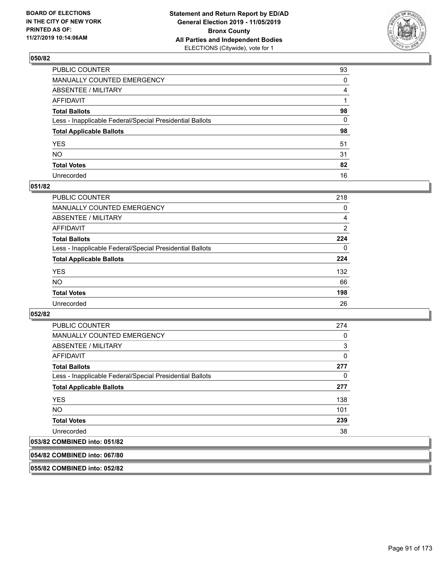

| PUBLIC COUNTER                                           | 93 |
|----------------------------------------------------------|----|
| MANUALLY COUNTED EMERGENCY                               | 0  |
| ABSENTEE / MILITARY                                      | 4  |
| AFFIDAVIT                                                |    |
| Total Ballots                                            | 98 |
| Less - Inapplicable Federal/Special Presidential Ballots | 0  |
| <b>Total Applicable Ballots</b>                          | 98 |
| YES                                                      | 51 |
| NO.                                                      | 31 |
| <b>Total Votes</b>                                       | 82 |
| Unrecorded                                               | 16 |

#### **051/82**

| <b>PUBLIC COUNTER</b>                                    | 218            |
|----------------------------------------------------------|----------------|
| <b>MANUALLY COUNTED EMERGENCY</b>                        | $\Omega$       |
| ABSENTEE / MILITARY                                      | 4              |
| AFFIDAVIT                                                | $\overline{2}$ |
| <b>Total Ballots</b>                                     | 224            |
| Less - Inapplicable Federal/Special Presidential Ballots | $\Omega$       |
| <b>Total Applicable Ballots</b>                          | 224            |
| <b>YES</b>                                               | 132            |
| <b>NO</b>                                                | 66             |
| <b>Total Votes</b>                                       | 198            |
| Unrecorded                                               | 26             |

**052/82** 

| <b>PUBLIC COUNTER</b>                                    | 274 |
|----------------------------------------------------------|-----|
| <b>MANUALLY COUNTED EMERGENCY</b>                        | 0   |
| ABSENTEE / MILITARY                                      | 3   |
| AFFIDAVIT                                                | 0   |
| <b>Total Ballots</b>                                     | 277 |
| Less - Inapplicable Federal/Special Presidential Ballots | 0   |
| <b>Total Applicable Ballots</b>                          | 277 |
| <b>YES</b>                                               | 138 |
| NO.                                                      | 101 |
| <b>Total Votes</b>                                       | 239 |
| Unrecorded                                               | 38  |
| $2$ COMDINIED $int$ $0.4$                                |     |

# **053/82 COMBINED into: 051/82**

**054/82 COMBINED into: 067/80**

**055/82 COMBINED into: 052/82**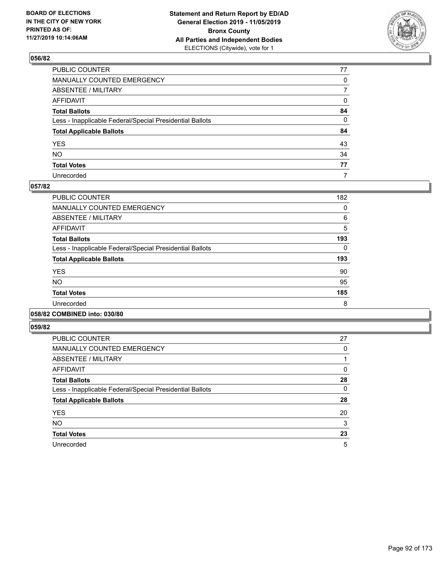

| PUBLIC COUNTER                                           | 77           |
|----------------------------------------------------------|--------------|
| MANUALLY COUNTED EMERGENCY                               | $\mathbf{0}$ |
| ABSENTEE / MILITARY                                      | 7            |
| AFFIDAVIT                                                | 0            |
| Total Ballots                                            | 84           |
| Less - Inapplicable Federal/Special Presidential Ballots | 0            |
| <b>Total Applicable Ballots</b>                          | 84           |
| YES                                                      | 43           |
| NO.                                                      | 34           |
| <b>Total Votes</b>                                       | 77           |
| Unrecorded                                               | 7            |

#### **057/82**

| PUBLIC COUNTER                                           | 182 |
|----------------------------------------------------------|-----|
| <b>MANUALLY COUNTED EMERGENCY</b>                        | 0   |
| ABSENTEE / MILITARY                                      | 6   |
| <b>AFFIDAVIT</b>                                         | 5   |
| <b>Total Ballots</b>                                     | 193 |
| Less - Inapplicable Federal/Special Presidential Ballots | 0   |
| <b>Total Applicable Ballots</b>                          | 193 |
| <b>YES</b>                                               | 90  |
| <b>NO</b>                                                | 95  |
| <b>Total Votes</b>                                       | 185 |
| Unrecorded                                               | 8   |
|                                                          |     |

# **058/82 COMBINED into: 030/80**

| <b>PUBLIC COUNTER</b>                                    | 27 |
|----------------------------------------------------------|----|
| <b>MANUALLY COUNTED EMERGENCY</b>                        | 0  |
| ABSENTEE / MILITARY                                      |    |
| AFFIDAVIT                                                | 0  |
| <b>Total Ballots</b>                                     | 28 |
| Less - Inapplicable Federal/Special Presidential Ballots | 0  |
| <b>Total Applicable Ballots</b>                          | 28 |
| <b>YES</b>                                               | 20 |
| <b>NO</b>                                                | 3  |
| <b>Total Votes</b>                                       | 23 |
| Unrecorded                                               | 5  |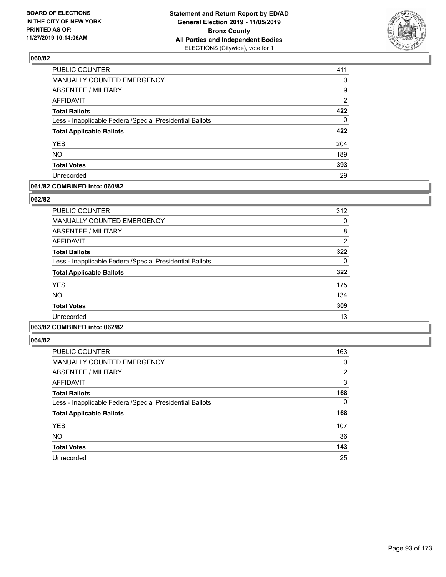

| PUBLIC COUNTER                                           | 411            |
|----------------------------------------------------------|----------------|
| MANUALLY COUNTED EMERGENCY                               | 0              |
| <b>ABSENTEE / MILITARY</b>                               | 9              |
| <b>AFFIDAVIT</b>                                         | $\overline{2}$ |
| <b>Total Ballots</b>                                     | 422            |
| Less - Inapplicable Federal/Special Presidential Ballots | $\Omega$       |
| <b>Total Applicable Ballots</b>                          | 422            |
| <b>YES</b>                                               | 204            |
| <b>NO</b>                                                | 189            |
| <b>Total Votes</b>                                       | 393            |
| Unrecorded                                               | 29             |

#### **061/82 COMBINED into: 060/82**

#### **062/82**

| <b>PUBLIC COUNTER</b>                                    | 312            |
|----------------------------------------------------------|----------------|
| <b>MANUALLY COUNTED EMERGENCY</b>                        | 0              |
| ABSENTEE / MILITARY                                      | 8              |
| AFFIDAVIT                                                | $\overline{2}$ |
| <b>Total Ballots</b>                                     | 322            |
| Less - Inapplicable Federal/Special Presidential Ballots | 0              |
| <b>Total Applicable Ballots</b>                          | 322            |
| <b>YES</b>                                               | 175            |
| <b>NO</b>                                                | 134            |
| <b>Total Votes</b>                                       | 309            |
| Unrecorded                                               | 13             |
|                                                          |                |

# **063/82 COMBINED into: 062/82**

| <b>PUBLIC COUNTER</b>                                    | 163      |
|----------------------------------------------------------|----------|
| MANUALLY COUNTED EMERGENCY                               | 0        |
| ABSENTEE / MILITARY                                      | 2        |
| AFFIDAVIT                                                | 3        |
| <b>Total Ballots</b>                                     | 168      |
| Less - Inapplicable Federal/Special Presidential Ballots | $\Omega$ |
| <b>Total Applicable Ballots</b>                          | 168      |
| <b>YES</b>                                               | 107      |
| <b>NO</b>                                                | 36       |
| <b>Total Votes</b>                                       | 143      |
| Unrecorded                                               | 25       |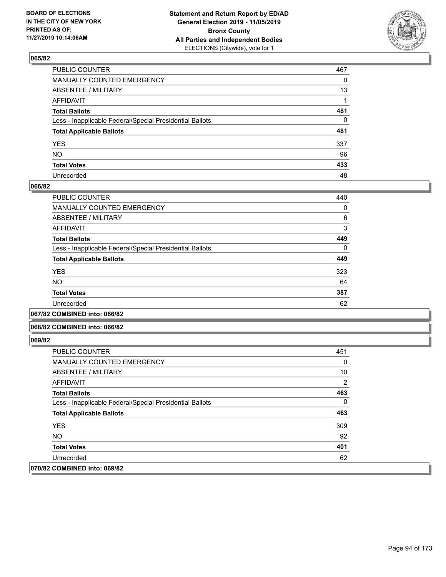

| PUBLIC COUNTER                                           | 467 |
|----------------------------------------------------------|-----|
| MANUALLY COUNTED EMERGENCY                               | 0   |
| ABSENTEE / MILITARY                                      | 13  |
| AFFIDAVIT                                                |     |
| Total Ballots                                            | 481 |
| Less - Inapplicable Federal/Special Presidential Ballots | 0   |
| <b>Total Applicable Ballots</b>                          | 481 |
| YES                                                      | 337 |
| NO.                                                      | 96  |
| <b>Total Votes</b>                                       | 433 |
| Unrecorded                                               | 48  |

#### **066/82**

| <b>PUBLIC COUNTER</b>                                    | 440      |
|----------------------------------------------------------|----------|
| <b>MANUALLY COUNTED EMERGENCY</b>                        | 0        |
| ABSENTEE / MILITARY                                      | 6        |
| <b>AFFIDAVIT</b>                                         | 3        |
| <b>Total Ballots</b>                                     | 449      |
| Less - Inapplicable Federal/Special Presidential Ballots | $\Omega$ |
| <b>Total Applicable Ballots</b>                          | 449      |
| <b>YES</b>                                               | 323      |
| <b>NO</b>                                                | 64       |
| <b>Total Votes</b>                                       | 387      |
| Unrecorded                                               | 62       |
|                                                          |          |

**067/82 COMBINED into: 066/82**

#### **068/82 COMBINED into: 066/82**

| PUBLIC COUNTER                                           | 451      |
|----------------------------------------------------------|----------|
| <b>MANUALLY COUNTED EMERGENCY</b>                        | 0        |
| ABSENTEE / MILITARY                                      | 10       |
| AFFIDAVIT                                                | 2        |
| <b>Total Ballots</b>                                     | 463      |
| Less - Inapplicable Federal/Special Presidential Ballots | $\Omega$ |
| <b>Total Applicable Ballots</b>                          | 463      |
| <b>YES</b>                                               | 309      |
| NO.                                                      | 92       |
| <b>Total Votes</b>                                       | 401      |
| Unrecorded                                               | 62       |
| 070/82 COMBINED into: 069/82                             |          |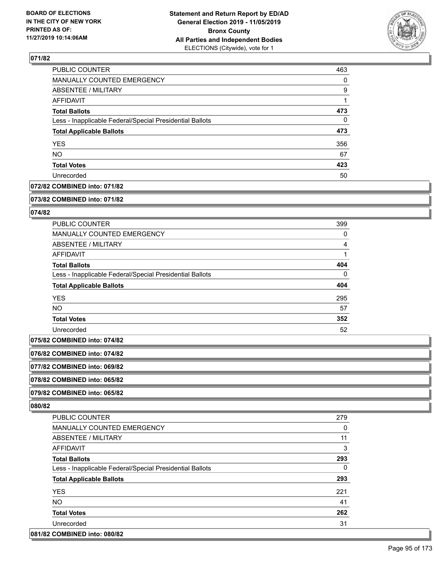

| PUBLIC COUNTER                                           | 463 |
|----------------------------------------------------------|-----|
| MANUALLY COUNTED EMERGENCY                               | 0   |
| ABSENTEE / MILITARY                                      | 9   |
| AFFIDAVIT                                                |     |
| <b>Total Ballots</b>                                     | 473 |
| Less - Inapplicable Federal/Special Presidential Ballots | 0   |
| <b>Total Applicable Ballots</b>                          | 473 |
| <b>YES</b>                                               | 356 |
| <b>NO</b>                                                | 67  |
| <b>Total Votes</b>                                       | 423 |
| Unrecorded                                               | 50  |

### **072/82 COMBINED into: 071/82**

#### **073/82 COMBINED into: 071/82**

#### **074/82**

| <b>PUBLIC COUNTER</b>                                    | 399      |
|----------------------------------------------------------|----------|
| <b>MANUALLY COUNTED EMERGENCY</b>                        | 0        |
| ABSENTEE / MILITARY                                      | 4        |
| AFFIDAVIT                                                |          |
| <b>Total Ballots</b>                                     | 404      |
| Less - Inapplicable Federal/Special Presidential Ballots | $\Omega$ |
| <b>Total Applicable Ballots</b>                          | 404      |
| <b>YES</b>                                               | 295      |
| NO.                                                      | 57       |
| <b>Total Votes</b>                                       | 352      |
| Unrecorded                                               | 52       |

**075/82 COMBINED into: 074/82**

**076/82 COMBINED into: 074/82**

**077/82 COMBINED into: 069/82**

**078/82 COMBINED into: 065/82**

**079/82 COMBINED into: 065/82**

| PUBLIC COUNTER                                           | 279 |
|----------------------------------------------------------|-----|
| <b>MANUALLY COUNTED EMERGENCY</b>                        | 0   |
| ABSENTEE / MILITARY                                      | 11  |
| AFFIDAVIT                                                | 3   |
| <b>Total Ballots</b>                                     | 293 |
| Less - Inapplicable Federal/Special Presidential Ballots | 0   |
| <b>Total Applicable Ballots</b>                          | 293 |
| <b>YES</b>                                               | 221 |
| NO.                                                      | 41  |
| <b>Total Votes</b>                                       | 262 |
| Unrecorded                                               | 31  |
| 081/82 COMBINED into: 080/82                             |     |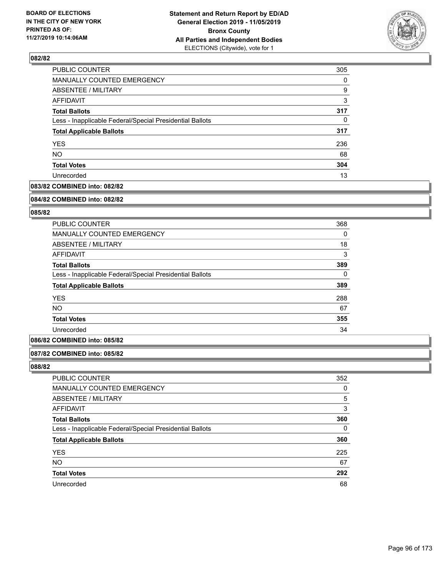

| PUBLIC COUNTER                                           | 305      |
|----------------------------------------------------------|----------|
| MANUALLY COUNTED EMERGENCY                               | $\Omega$ |
| <b>ABSENTEE / MILITARY</b>                               | 9        |
| AFFIDAVIT                                                | 3        |
| <b>Total Ballots</b>                                     | 317      |
| Less - Inapplicable Federal/Special Presidential Ballots | 0        |
| <b>Total Applicable Ballots</b>                          | 317      |
| <b>YES</b>                                               | 236      |
| <b>NO</b>                                                | 68       |
| <b>Total Votes</b>                                       | 304      |
| Unrecorded                                               | 13       |

# **083/82 COMBINED into: 082/82**

#### **084/82 COMBINED into: 082/82**

# **085/82**

| <b>PUBLIC COUNTER</b>                                    | 368      |
|----------------------------------------------------------|----------|
| <b>MANUALLY COUNTED EMERGENCY</b>                        | 0        |
| ABSENTEE / MILITARY                                      | 18       |
| AFFIDAVIT                                                | 3        |
| <b>Total Ballots</b>                                     | 389      |
| Less - Inapplicable Federal/Special Presidential Ballots | $\Omega$ |
| <b>Total Applicable Ballots</b>                          | 389      |
| <b>YES</b>                                               | 288      |
| <b>NO</b>                                                | 67       |
| <b>Total Votes</b>                                       | 355      |
| Unrecorded                                               | 34       |

#### **086/82 COMBINED into: 085/82**

#### **087/82 COMBINED into: 085/82**

| PUBLIC COUNTER                                           | 352 |
|----------------------------------------------------------|-----|
| MANUALLY COUNTED EMERGENCY                               | 0   |
| <b>ABSENTEE / MILITARY</b>                               | 5   |
| AFFIDAVIT                                                | 3   |
| <b>Total Ballots</b>                                     | 360 |
| Less - Inapplicable Federal/Special Presidential Ballots | 0   |
| <b>Total Applicable Ballots</b>                          | 360 |
| <b>YES</b>                                               | 225 |
| <b>NO</b>                                                | 67  |
| <b>Total Votes</b>                                       | 292 |
| Unrecorded                                               | 68  |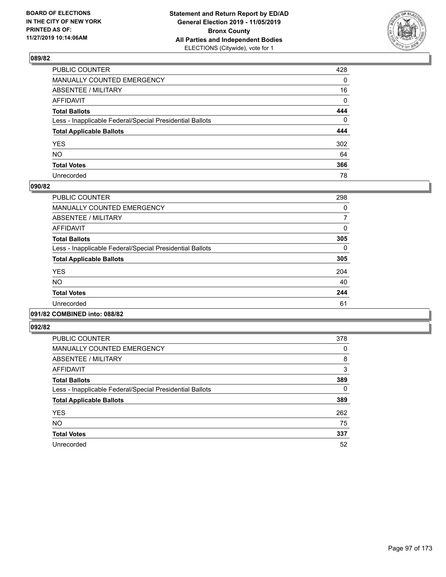

| PUBLIC COUNTER                                           | 428         |
|----------------------------------------------------------|-------------|
| MANUALLY COUNTED EMERGENCY                               | 0           |
| ABSENTEE / MILITARY                                      | 16          |
| AFFIDAVIT                                                | $\mathbf 0$ |
| Total Ballots                                            | 444         |
| Less - Inapplicable Federal/Special Presidential Ballots | $\mathbf 0$ |
| <b>Total Applicable Ballots</b>                          | 444         |
| YES                                                      | 302         |
| NO.                                                      | 64          |
| <b>Total Votes</b>                                       | 366         |
| Unrecorded                                               | 78          |

# **090/82**

| PUBLIC COUNTER                                           | 298      |
|----------------------------------------------------------|----------|
| <b>MANUALLY COUNTED EMERGENCY</b>                        | 0        |
| ABSENTEE / MILITARY                                      | 7        |
| <b>AFFIDAVIT</b>                                         | 0        |
| <b>Total Ballots</b>                                     | 305      |
| Less - Inapplicable Federal/Special Presidential Ballots | $\Omega$ |
| <b>Total Applicable Ballots</b>                          | 305      |
| <b>YES</b>                                               | 204      |
| NO.                                                      | 40       |
| <b>Total Votes</b>                                       | 244      |
| Unrecorded                                               | 61       |
|                                                          |          |

# **091/82 COMBINED into: 088/82**

| PUBLIC COUNTER                                           | 378 |
|----------------------------------------------------------|-----|
| <b>MANUALLY COUNTED EMERGENCY</b>                        | 0   |
| ABSENTEE / MILITARY                                      | 8   |
| <b>AFFIDAVIT</b>                                         | 3   |
| <b>Total Ballots</b>                                     | 389 |
| Less - Inapplicable Federal/Special Presidential Ballots | 0   |
| <b>Total Applicable Ballots</b>                          | 389 |
| <b>YES</b>                                               | 262 |
| <b>NO</b>                                                | 75  |
| <b>Total Votes</b>                                       | 337 |
| Unrecorded                                               | 52  |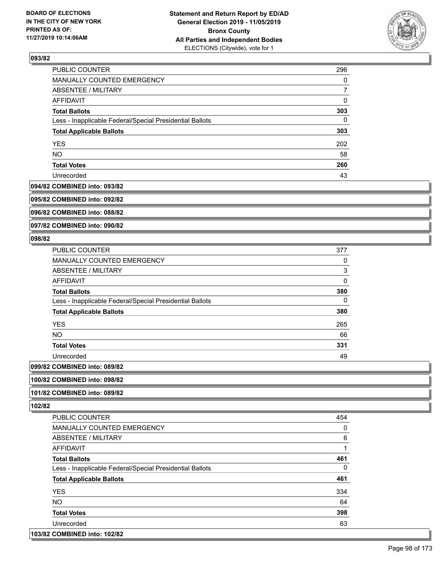

| PUBLIC COUNTER                                           | 296      |
|----------------------------------------------------------|----------|
| MANUALLY COUNTED EMERGENCY                               | 0        |
| ABSENTEE / MILITARY                                      |          |
| AFFIDAVIT                                                | 0        |
| <b>Total Ballots</b>                                     | 303      |
| Less - Inapplicable Federal/Special Presidential Ballots | $\Omega$ |
| <b>Total Applicable Ballots</b>                          | 303      |
| <b>YES</b>                                               | 202      |
| <b>NO</b>                                                | 58       |
| <b>Total Votes</b>                                       | 260      |
| Unrecorded                                               | 43       |

#### **094/82 COMBINED into: 093/82**

**095/82 COMBINED into: 092/82**

**096/82 COMBINED into: 088/82**

**097/82 COMBINED into: 090/82**

#### **098/82**

| PUBLIC COUNTER                                           | 377      |
|----------------------------------------------------------|----------|
| <b>MANUALLY COUNTED EMERGENCY</b>                        | 0        |
| <b>ABSENTEE / MILITARY</b>                               | 3        |
| AFFIDAVIT                                                | $\Omega$ |
| <b>Total Ballots</b>                                     | 380      |
| Less - Inapplicable Federal/Special Presidential Ballots | 0        |
| <b>Total Applicable Ballots</b>                          | 380      |
| <b>YES</b>                                               | 265      |
| <b>NO</b>                                                | 66       |
| <b>Total Votes</b>                                       | 331      |
| Unrecorded                                               | 49       |
| COMPINIER : 000/00                                       |          |

# **099/82 COMBINED into: 089/82**

**100/82 COMBINED into: 098/82**

#### **101/82 COMBINED into: 089/82**

| PUBLIC COUNTER                                           | 454      |
|----------------------------------------------------------|----------|
| <b>MANUALLY COUNTED EMERGENCY</b>                        | 0        |
| ABSENTEE / MILITARY                                      | 6        |
| AFFIDAVIT                                                |          |
| <b>Total Ballots</b>                                     | 461      |
| Less - Inapplicable Federal/Special Presidential Ballots | $\Omega$ |
| <b>Total Applicable Ballots</b>                          | 461      |
| <b>YES</b>                                               | 334      |
| NO.                                                      | 64       |
| <b>Total Votes</b>                                       | 398      |
| Unrecorded                                               | 63       |
| 103/82 COMBINED into: 102/82                             |          |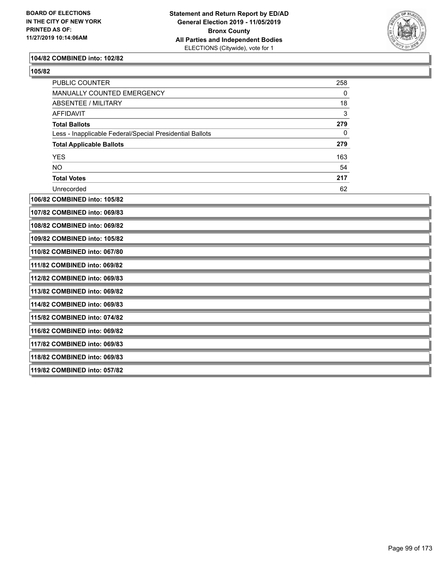

#### **104/82 COMBINED into: 102/82**

| ×<br>I<br>۰, |
|--------------|
|--------------|

| PUBLIC COUNTER                                           | 258          |  |
|----------------------------------------------------------|--------------|--|
| MANUALLY COUNTED EMERGENCY                               | 0            |  |
| <b>ABSENTEE / MILITARY</b>                               | 18           |  |
| <b>AFFIDAVIT</b>                                         | $\mathsf 3$  |  |
| <b>Total Ballots</b>                                     | 279          |  |
| Less - Inapplicable Federal/Special Presidential Ballots | $\mathbf{0}$ |  |
| <b>Total Applicable Ballots</b>                          | 279          |  |
| <b>YES</b>                                               | 163          |  |
| <b>NO</b>                                                | 54           |  |
| <b>Total Votes</b>                                       | 217          |  |
| Unrecorded                                               | 62           |  |
| 106/82 COMBINED into: 105/82                             |              |  |
| 107/82 COMBINED into: 069/83                             |              |  |
| 108/82 COMBINED into: 069/82                             |              |  |
| 109/82 COMBINED into: 105/82                             |              |  |
| 110/82 COMBINED into: 067/80                             |              |  |
| 111/82 COMBINED into: 069/82                             |              |  |
| 112/82 COMBINED into: 069/83                             |              |  |
| 113/82 COMBINED into: 069/82                             |              |  |
| 114/82 COMBINED into: 069/83                             |              |  |
| 115/82 COMBINED into: 074/82                             |              |  |
| 116/82 COMBINED into: 069/82                             |              |  |
| 117/82 COMBINED into: 069/83                             |              |  |
| 118/82 COMBINED into: 069/83                             |              |  |
| 119/82 COMBINED into: 057/82                             |              |  |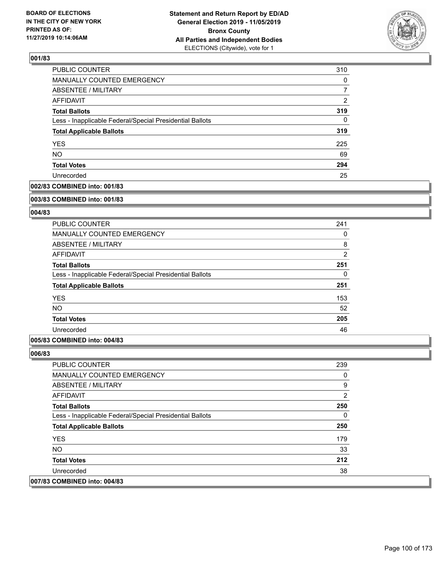

| <b>PUBLIC COUNTER</b>                                    | 310      |
|----------------------------------------------------------|----------|
| <b>MANUALLY COUNTED EMERGENCY</b>                        | $\Omega$ |
| <b>ABSENTEE / MILITARY</b>                               |          |
| AFFIDAVIT                                                | 2        |
| <b>Total Ballots</b>                                     | 319      |
| Less - Inapplicable Federal/Special Presidential Ballots | $\Omega$ |
| <b>Total Applicable Ballots</b>                          | 319      |
| <b>YES</b>                                               | 225      |
| <b>NO</b>                                                | 69       |
| <b>Total Votes</b>                                       | 294      |
| Unrecorded                                               | 25       |

### **002/83 COMBINED into: 001/83**

#### **003/83 COMBINED into: 001/83**

# **004/83**

| <b>PUBLIC COUNTER</b>                                    | 241            |
|----------------------------------------------------------|----------------|
| <b>MANUALLY COUNTED EMERGENCY</b>                        | 0              |
| ABSENTEE / MILITARY                                      | 8              |
| AFFIDAVIT                                                | $\overline{2}$ |
| <b>Total Ballots</b>                                     | 251            |
| Less - Inapplicable Federal/Special Presidential Ballots | 0              |
| <b>Total Applicable Ballots</b>                          | 251            |
| <b>YES</b>                                               | 153            |
| <b>NO</b>                                                | 52             |
| <b>Total Votes</b>                                       | 205            |
| Unrecorded                                               | 46             |

#### **005/83 COMBINED into: 004/83**

| <b>PUBLIC COUNTER</b>                                    | 239 |
|----------------------------------------------------------|-----|
| <b>MANUALLY COUNTED EMERGENCY</b>                        | 0   |
| ABSENTEE / MILITARY                                      | 9   |
| AFFIDAVIT                                                | 2   |
| <b>Total Ballots</b>                                     | 250 |
| Less - Inapplicable Federal/Special Presidential Ballots | 0   |
| <b>Total Applicable Ballots</b>                          | 250 |
| <b>YES</b>                                               | 179 |
| NO.                                                      | 33  |
| <b>Total Votes</b>                                       | 212 |
| Unrecorded                                               | 38  |
| 007/83 COMBINED into: 004/83                             |     |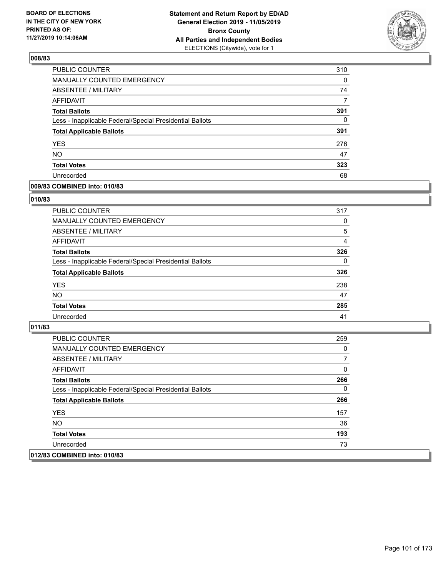

| PUBLIC COUNTER                                           | 310      |
|----------------------------------------------------------|----------|
| MANUALLY COUNTED EMERGENCY                               | 0        |
| <b>ABSENTEE / MILITARY</b>                               | 74       |
| AFFIDAVIT                                                | 7        |
| <b>Total Ballots</b>                                     | 391      |
| Less - Inapplicable Federal/Special Presidential Ballots | $\Omega$ |
| <b>Total Applicable Ballots</b>                          | 391      |
| <b>YES</b>                                               | 276      |
| <b>NO</b>                                                | 47       |
| <b>Total Votes</b>                                       | 323      |
| Unrecorded                                               | 68       |

#### **009/83 COMBINED into: 010/83**

#### **010/83**

| <b>PUBLIC COUNTER</b>                                    | 317            |
|----------------------------------------------------------|----------------|
| <b>MANUALLY COUNTED EMERGENCY</b>                        | $\Omega$       |
| <b>ABSENTEE / MILITARY</b>                               | 5              |
| AFFIDAVIT                                                | $\overline{4}$ |
| <b>Total Ballots</b>                                     | 326            |
| Less - Inapplicable Federal/Special Presidential Ballots | $\Omega$       |
| <b>Total Applicable Ballots</b>                          | 326            |
| <b>YES</b>                                               | 238            |
| <b>NO</b>                                                | 47             |
| <b>Total Votes</b>                                       | 285            |
| Unrecorded                                               | 41             |

| PUBLIC COUNTER                                           | 259 |
|----------------------------------------------------------|-----|
| <b>MANUALLY COUNTED EMERGENCY</b>                        | 0   |
| ABSENTEE / MILITARY                                      | 7   |
| AFFIDAVIT                                                | 0   |
| <b>Total Ballots</b>                                     | 266 |
| Less - Inapplicable Federal/Special Presidential Ballots | 0   |
| <b>Total Applicable Ballots</b>                          | 266 |
| <b>YES</b>                                               | 157 |
| NO.                                                      | 36  |
| <b>Total Votes</b>                                       | 193 |
| Unrecorded                                               | 73  |
| 012/83 COMBINED into: 010/83                             |     |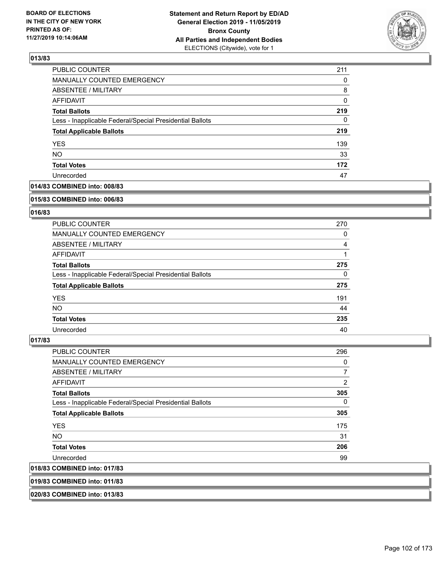

| PUBLIC COUNTER                                           | 211 |
|----------------------------------------------------------|-----|
| MANUALLY COUNTED EMERGENCY                               | 0   |
| <b>ABSENTEE / MILITARY</b>                               | 8   |
| AFFIDAVIT                                                | 0   |
| <b>Total Ballots</b>                                     | 219 |
| Less - Inapplicable Federal/Special Presidential Ballots | 0   |
| <b>Total Applicable Ballots</b>                          | 219 |
| <b>YES</b>                                               | 139 |
| <b>NO</b>                                                | 33  |
| <b>Total Votes</b>                                       | 172 |
| Unrecorded                                               | 47  |

# **014/83 COMBINED into: 008/83**

#### **015/83 COMBINED into: 006/83**

# **016/83**

| PUBLIC COUNTER                                           | 270      |
|----------------------------------------------------------|----------|
| <b>MANUALLY COUNTED EMERGENCY</b>                        | 0        |
| ABSENTEE / MILITARY                                      | 4        |
| AFFIDAVIT                                                |          |
| <b>Total Ballots</b>                                     | 275      |
| Less - Inapplicable Federal/Special Presidential Ballots | $\Omega$ |
| <b>Total Applicable Ballots</b>                          | 275      |
| <b>YES</b>                                               | 191      |
| NO.                                                      | 44       |
| <b>Total Votes</b>                                       | 235      |
| Unrecorded                                               | 40       |

#### **017/83**

| PUBLIC COUNTER                                           | 296            |
|----------------------------------------------------------|----------------|
| <b>MANUALLY COUNTED EMERGENCY</b>                        | 0              |
| ABSENTEE / MILITARY                                      | $\overline{7}$ |
| AFFIDAVIT                                                | $\overline{2}$ |
| <b>Total Ballots</b>                                     | 305            |
| Less - Inapplicable Federal/Special Presidential Ballots | $\Omega$       |
| <b>Total Applicable Ballots</b>                          | 305            |
| <b>YES</b>                                               | 175            |
| <b>NO</b>                                                | 31             |
| <b>Total Votes</b>                                       | 206            |
| Unrecorded                                               | 99             |
| 018/83 COMBINED into: 017/83                             |                |

**019/83 COMBINED into: 011/83**

**020/83 COMBINED into: 013/83**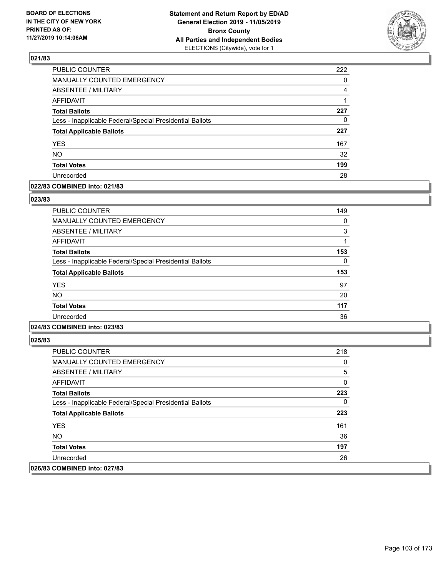

| PUBLIC COUNTER                                           | 222      |
|----------------------------------------------------------|----------|
| <b>MANUALLY COUNTED EMERGENCY</b>                        | $\Omega$ |
| ABSENTEE / MILITARY                                      | 4        |
| <b>AFFIDAVIT</b>                                         |          |
| <b>Total Ballots</b>                                     | 227      |
| Less - Inapplicable Federal/Special Presidential Ballots | 0        |
| <b>Total Applicable Ballots</b>                          | 227      |
| <b>YES</b>                                               | 167      |
| <b>NO</b>                                                | 32       |
| <b>Total Votes</b>                                       | 199      |
| Unrecorded                                               | 28       |

#### **022/83 COMBINED into: 021/83**

#### **023/83**

| PUBLIC COUNTER                                           | 149 |
|----------------------------------------------------------|-----|
| <b>MANUALLY COUNTED EMERGENCY</b>                        | 0   |
| <b>ABSENTEE / MILITARY</b>                               | 3   |
| <b>AFFIDAVIT</b>                                         | 1   |
| <b>Total Ballots</b>                                     | 153 |
| Less - Inapplicable Federal/Special Presidential Ballots | 0   |
| <b>Total Applicable Ballots</b>                          | 153 |
| <b>YES</b>                                               | 97  |
| NO.                                                      | 20  |
| <b>Total Votes</b>                                       | 117 |
| Unrecorded                                               | 36  |

# **024/83 COMBINED into: 023/83**

| <b>PUBLIC COUNTER</b>                                    | 218 |
|----------------------------------------------------------|-----|
| <b>MANUALLY COUNTED EMERGENCY</b>                        | 0   |
| ABSENTEE / MILITARY                                      | 5   |
| AFFIDAVIT                                                | 0   |
| <b>Total Ballots</b>                                     | 223 |
| Less - Inapplicable Federal/Special Presidential Ballots | 0   |
| <b>Total Applicable Ballots</b>                          | 223 |
| <b>YES</b>                                               | 161 |
| NO.                                                      | 36  |
| <b>Total Votes</b>                                       | 197 |
| Unrecorded                                               | 26  |
| 026/83 COMBINED into: 027/83                             |     |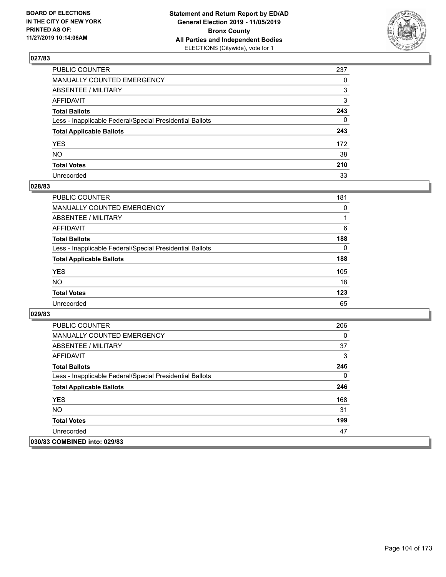

| PUBLIC COUNTER                                           | 237          |
|----------------------------------------------------------|--------------|
| MANUALLY COUNTED EMERGENCY                               | 0            |
| ABSENTEE / MILITARY                                      | 3            |
| AFFIDAVIT                                                | 3            |
| Total Ballots                                            | 243          |
| Less - Inapplicable Federal/Special Presidential Ballots | $\mathbf{0}$ |
| <b>Total Applicable Ballots</b>                          | 243          |
| YES                                                      | 172          |
| NO.                                                      | 38           |
| <b>Total Votes</b>                                       | 210          |
| Unrecorded                                               | 33           |

# **028/83**

| <b>PUBLIC COUNTER</b>                                    | 181      |
|----------------------------------------------------------|----------|
| MANUALLY COUNTED EMERGENCY                               | 0        |
| ABSENTEE / MILITARY                                      |          |
| AFFIDAVIT                                                | 6        |
| <b>Total Ballots</b>                                     | 188      |
| Less - Inapplicable Federal/Special Presidential Ballots | $\Omega$ |
| <b>Total Applicable Ballots</b>                          | 188      |
| <b>YES</b>                                               | 105      |
| <b>NO</b>                                                | 18       |
| <b>Total Votes</b>                                       | 123      |
| Unrecorded                                               | 65       |

| <b>PUBLIC COUNTER</b>                                    | 206 |
|----------------------------------------------------------|-----|
| <b>MANUALLY COUNTED EMERGENCY</b>                        | 0   |
| ABSENTEE / MILITARY                                      | 37  |
| AFFIDAVIT                                                | 3   |
| <b>Total Ballots</b>                                     | 246 |
| Less - Inapplicable Federal/Special Presidential Ballots | 0   |
| <b>Total Applicable Ballots</b>                          | 246 |
| <b>YES</b>                                               | 168 |
| NO.                                                      | 31  |
| <b>Total Votes</b>                                       | 199 |
| Unrecorded                                               | 47  |
| 030/83 COMBINED into: 029/83                             |     |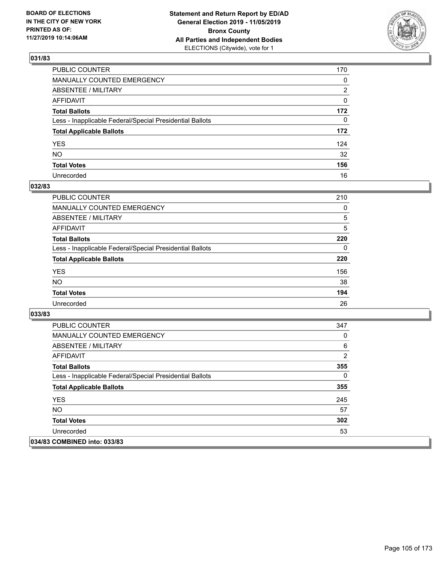

| PUBLIC COUNTER                                           | 170 |
|----------------------------------------------------------|-----|
| MANUALLY COUNTED EMERGENCY                               | 0   |
| ABSENTEE / MILITARY                                      | 2   |
| AFFIDAVIT                                                | 0   |
| Total Ballots                                            | 172 |
| Less - Inapplicable Federal/Special Presidential Ballots | 0   |
| <b>Total Applicable Ballots</b>                          | 172 |
| YES                                                      | 124 |
| NO.                                                      | 32  |
| <b>Total Votes</b>                                       | 156 |
| Unrecorded                                               | 16  |

# **032/83**

| <b>PUBLIC COUNTER</b>                                    | 210      |
|----------------------------------------------------------|----------|
| <b>MANUALLY COUNTED EMERGENCY</b>                        | $\Omega$ |
| ABSENTEE / MILITARY                                      | 5        |
| AFFIDAVIT                                                | 5        |
| <b>Total Ballots</b>                                     | 220      |
| Less - Inapplicable Federal/Special Presidential Ballots | 0        |
| <b>Total Applicable Ballots</b>                          | 220      |
| <b>YES</b>                                               | 156      |
| <b>NO</b>                                                | 38       |
| <b>Total Votes</b>                                       | 194      |
| Unrecorded                                               | 26       |

| <b>PUBLIC COUNTER</b>                                    | 347      |
|----------------------------------------------------------|----------|
| <b>MANUALLY COUNTED EMERGENCY</b>                        | 0        |
| ABSENTEE / MILITARY                                      | 6        |
| AFFIDAVIT                                                | 2        |
| <b>Total Ballots</b>                                     | 355      |
| Less - Inapplicable Federal/Special Presidential Ballots | $\Omega$ |
| <b>Total Applicable Ballots</b>                          | 355      |
| <b>YES</b>                                               | 245      |
| NO.                                                      | 57       |
| <b>Total Votes</b>                                       | 302      |
| Unrecorded                                               | 53       |
| 034/83 COMBINED into: 033/83                             |          |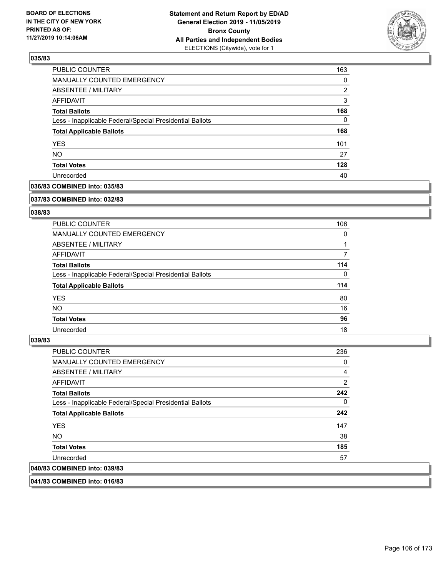

| PUBLIC COUNTER                                           | 163 |
|----------------------------------------------------------|-----|
| MANUALLY COUNTED EMERGENCY                               | 0   |
| ABSENTEE / MILITARY                                      | 2   |
| AFFIDAVIT                                                | 3   |
| <b>Total Ballots</b>                                     | 168 |
| Less - Inapplicable Federal/Special Presidential Ballots | 0   |
| <b>Total Applicable Ballots</b>                          | 168 |
| <b>YES</b>                                               | 101 |
| <b>NO</b>                                                | 27  |
| <b>Total Votes</b>                                       | 128 |
| Unrecorded                                               | 40  |

# **036/83 COMBINED into: 035/83**

#### **037/83 COMBINED into: 032/83**

# **038/83**

| <b>PUBLIC COUNTER</b>                                    | 106      |
|----------------------------------------------------------|----------|
| <b>MANUALLY COUNTED EMERGENCY</b>                        | 0        |
| ABSENTEE / MILITARY                                      |          |
| AFFIDAVIT                                                |          |
| <b>Total Ballots</b>                                     | 114      |
| Less - Inapplicable Federal/Special Presidential Ballots | $\Omega$ |
| <b>Total Applicable Ballots</b>                          | 114      |
| <b>YES</b>                                               | 80       |
| NO.                                                      | 16       |
| <b>Total Votes</b>                                       | 96       |
| Unrecorded                                               | 18       |

#### **039/83**

| <b>PUBLIC COUNTER</b>                                    | 236            |
|----------------------------------------------------------|----------------|
| <b>MANUALLY COUNTED EMERGENCY</b>                        | 0              |
| ABSENTEE / MILITARY                                      | $\overline{4}$ |
| <b>AFFIDAVIT</b>                                         | 2              |
| <b>Total Ballots</b>                                     | 242            |
| Less - Inapplicable Federal/Special Presidential Ballots | 0              |
| <b>Total Applicable Ballots</b>                          | 242            |
| <b>YES</b>                                               | 147            |
| NO.                                                      | 38             |
| <b>Total Votes</b>                                       | 185            |
| Unrecorded                                               | 57             |
| 040/83 COMBINED into: 039/83                             |                |
|                                                          |                |

**041/83 COMBINED into: 016/83**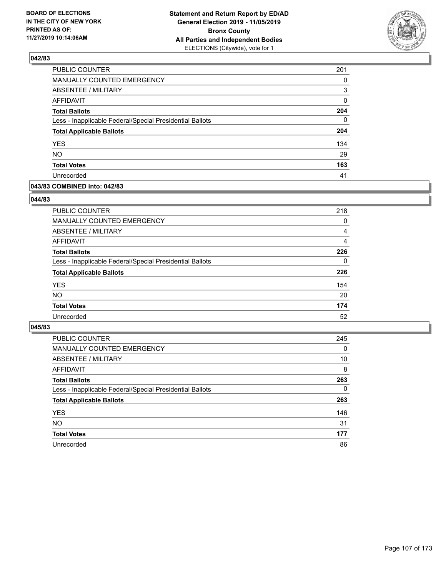

| PUBLIC COUNTER                                           | 201      |
|----------------------------------------------------------|----------|
| <b>MANUALLY COUNTED EMERGENCY</b>                        | 0        |
| ABSENTEE / MILITARY                                      | 3        |
| <b>AFFIDAVIT</b>                                         | 0        |
| <b>Total Ballots</b>                                     | 204      |
| Less - Inapplicable Federal/Special Presidential Ballots | $\Omega$ |
| <b>Total Applicable Ballots</b>                          | 204      |
| <b>YES</b>                                               | 134      |
| <b>NO</b>                                                | 29       |
| <b>Total Votes</b>                                       | 163      |
| Unrecorded                                               | 41       |

### **043/83 COMBINED into: 042/83**

#### **044/83**

| <b>PUBLIC COUNTER</b>                                    | 218      |
|----------------------------------------------------------|----------|
| <b>MANUALLY COUNTED EMERGENCY</b>                        | $\Omega$ |
| ABSENTEE / MILITARY                                      | 4        |
| AFFIDAVIT                                                | 4        |
| <b>Total Ballots</b>                                     | 226      |
| Less - Inapplicable Federal/Special Presidential Ballots | $\Omega$ |
| <b>Total Applicable Ballots</b>                          | 226      |
| <b>YES</b>                                               | 154      |
| <b>NO</b>                                                | 20       |
| <b>Total Votes</b>                                       | 174      |
| Unrecorded                                               | 52       |
|                                                          |          |

| <b>PUBLIC COUNTER</b>                                    | 245      |
|----------------------------------------------------------|----------|
| MANUALLY COUNTED EMERGENCY                               | $\Omega$ |
| ABSENTEE / MILITARY                                      | 10       |
| AFFIDAVIT                                                | 8        |
| <b>Total Ballots</b>                                     | 263      |
| Less - Inapplicable Federal/Special Presidential Ballots | $\Omega$ |
| <b>Total Applicable Ballots</b>                          | 263      |
| <b>YES</b>                                               | 146      |
| <b>NO</b>                                                | 31       |
| <b>Total Votes</b>                                       | 177      |
| Unrecorded                                               | 86       |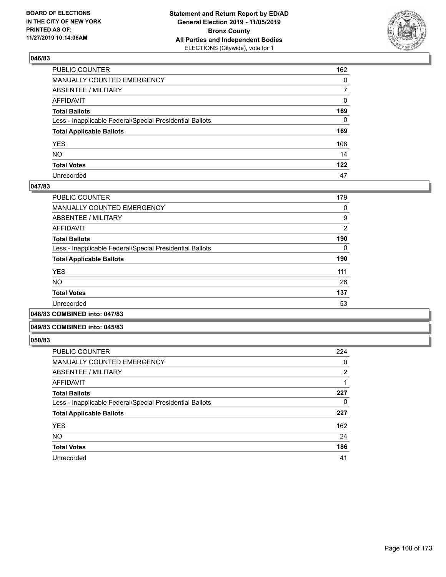

| PUBLIC COUNTER                                           | 162          |
|----------------------------------------------------------|--------------|
| MANUALLY COUNTED EMERGENCY                               | $\mathbf{0}$ |
| ABSENTEE / MILITARY                                      | 7            |
| AFFIDAVIT                                                | 0            |
| Total Ballots                                            | 169          |
| Less - Inapplicable Federal/Special Presidential Ballots | 0            |
| <b>Total Applicable Ballots</b>                          | 169          |
| YES                                                      | 108          |
| NO.                                                      | 14           |
| <b>Total Votes</b>                                       | 122          |
| Unrecorded                                               | 47           |

#### **047/83**

| PUBLIC COUNTER                                           | 179            |
|----------------------------------------------------------|----------------|
| <b>MANUALLY COUNTED EMERGENCY</b>                        | 0              |
| ABSENTEE / MILITARY                                      | 9              |
| AFFIDAVIT                                                | $\overline{2}$ |
| <b>Total Ballots</b>                                     | 190            |
| Less - Inapplicable Federal/Special Presidential Ballots | 0              |
| <b>Total Applicable Ballots</b>                          | 190            |
| <b>YES</b>                                               | 111            |
| <b>NO</b>                                                | 26             |
| <b>Total Votes</b>                                       | 137            |
| Unrecorded                                               | 53             |
| .                                                        |                |

**048/83 COMBINED into: 047/83**

#### **049/83 COMBINED into: 045/83**

| PUBLIC COUNTER                                           | 224            |
|----------------------------------------------------------|----------------|
| <b>MANUALLY COUNTED EMERGENCY</b>                        | 0              |
| ABSENTEE / MILITARY                                      | $\overline{2}$ |
| AFFIDAVIT                                                |                |
| <b>Total Ballots</b>                                     | 227            |
| Less - Inapplicable Federal/Special Presidential Ballots | 0              |
| <b>Total Applicable Ballots</b>                          | 227            |
| <b>YES</b>                                               | 162            |
| <b>NO</b>                                                | 24             |
| <b>Total Votes</b>                                       | 186            |
| Unrecorded                                               | 41             |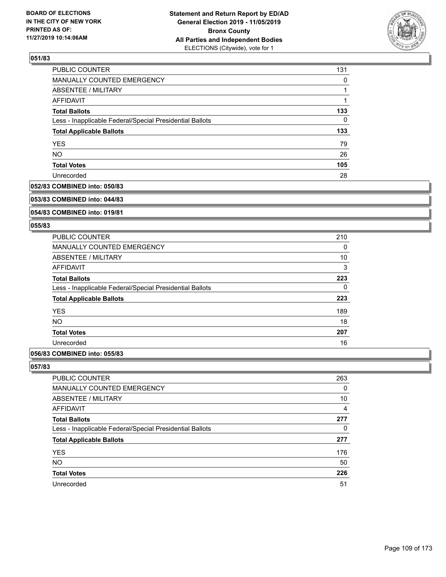

| PUBLIC COUNTER                                           | 131 |
|----------------------------------------------------------|-----|
| MANUALLY COUNTED EMERGENCY                               | 0   |
| ABSENTEE / MILITARY                                      |     |
| AFFIDAVIT                                                |     |
| <b>Total Ballots</b>                                     | 133 |
| Less - Inapplicable Federal/Special Presidential Ballots | 0   |
| <b>Total Applicable Ballots</b>                          | 133 |
| <b>YES</b>                                               | 79  |
| <b>NO</b>                                                | 26  |
| <b>Total Votes</b>                                       | 105 |
| Unrecorded                                               | 28  |

### **052/83 COMBINED into: 050/83**

#### **053/83 COMBINED into: 044/83**

## **054/83 COMBINED into: 019/81**

### **055/83**

| <b>PUBLIC COUNTER</b>                                    | 210 |
|----------------------------------------------------------|-----|
| <b>MANUALLY COUNTED EMERGENCY</b>                        | 0   |
| ABSENTEE / MILITARY                                      | 10  |
| AFFIDAVIT                                                | 3   |
| <b>Total Ballots</b>                                     | 223 |
| Less - Inapplicable Federal/Special Presidential Ballots | 0   |
| <b>Total Applicable Ballots</b>                          | 223 |
| <b>YES</b>                                               | 189 |
| <b>NO</b>                                                | 18  |
| <b>Total Votes</b>                                       | 207 |
| Unrecorded                                               | 16  |
|                                                          |     |

# **056/83 COMBINED into: 055/83**

| <b>PUBLIC COUNTER</b>                                    | 263            |
|----------------------------------------------------------|----------------|
| MANUALLY COUNTED EMERGENCY                               | 0              |
| ABSENTEE / MILITARY                                      | 10             |
| AFFIDAVIT                                                | $\overline{4}$ |
| <b>Total Ballots</b>                                     | 277            |
| Less - Inapplicable Federal/Special Presidential Ballots | $\Omega$       |
| <b>Total Applicable Ballots</b>                          | 277            |
| <b>YES</b>                                               | 176            |
| <b>NO</b>                                                | 50             |
| <b>Total Votes</b>                                       | 226            |
| Unrecorded                                               | 51             |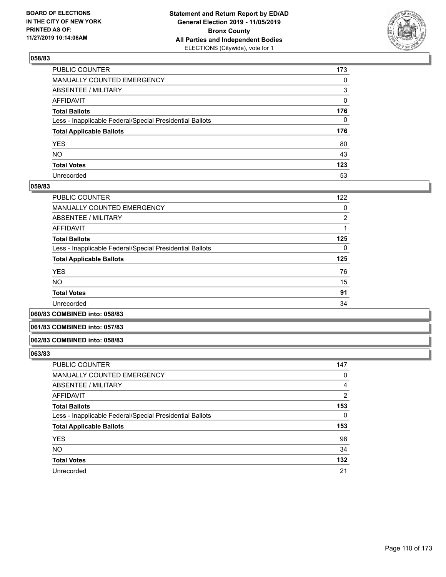

| PUBLIC COUNTER                                           | 173 |
|----------------------------------------------------------|-----|
| MANUALLY COUNTED EMERGENCY                               | 0   |
| ABSENTEE / MILITARY                                      | 3   |
| AFFIDAVIT                                                | 0   |
| Total Ballots                                            | 176 |
| Less - Inapplicable Federal/Special Presidential Ballots | 0   |
| <b>Total Applicable Ballots</b>                          | 176 |
| YES                                                      | 80  |
| NO.                                                      | 43  |
| <b>Total Votes</b>                                       | 123 |
| Unrecorded                                               | 53  |

### **059/83**

| <b>PUBLIC COUNTER</b>                                    | 122 |
|----------------------------------------------------------|-----|
| <b>MANUALLY COUNTED EMERGENCY</b>                        | 0   |
| ABSENTEE / MILITARY                                      | 2   |
| AFFIDAVIT                                                |     |
| <b>Total Ballots</b>                                     | 125 |
| Less - Inapplicable Federal/Special Presidential Ballots | 0   |
| <b>Total Applicable Ballots</b>                          | 125 |
| <b>YES</b>                                               | 76  |
| <b>NO</b>                                                | 15  |
| <b>Total Votes</b>                                       | 91  |
| Unrecorded                                               | 34  |
|                                                          |     |

**060/83 COMBINED into: 058/83**

### **061/83 COMBINED into: 057/83**

#### **062/83 COMBINED into: 058/83**

| <b>PUBLIC COUNTER</b>                                    | 147 |
|----------------------------------------------------------|-----|
| MANUALLY COUNTED EMERGENCY                               | 0   |
| <b>ABSENTEE / MILITARY</b>                               | 4   |
| AFFIDAVIT                                                | 2   |
| <b>Total Ballots</b>                                     | 153 |
| Less - Inapplicable Federal/Special Presidential Ballots | 0   |
| <b>Total Applicable Ballots</b>                          | 153 |
| <b>YES</b>                                               | 98  |
| <b>NO</b>                                                | 34  |
| <b>Total Votes</b>                                       | 132 |
| Unrecorded                                               | 21  |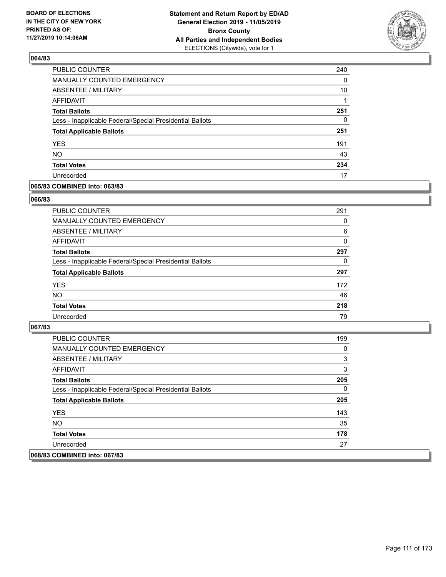

| <b>PUBLIC COUNTER</b>                                    | 240 |
|----------------------------------------------------------|-----|
| <b>MANUALLY COUNTED EMERGENCY</b>                        | 0   |
| ABSENTEE / MILITARY                                      | 10  |
| <b>AFFIDAVIT</b>                                         |     |
| <b>Total Ballots</b>                                     | 251 |
| Less - Inapplicable Federal/Special Presidential Ballots | 0   |
| <b>Total Applicable Ballots</b>                          | 251 |
| <b>YES</b>                                               | 191 |
| <b>NO</b>                                                | 43  |
| <b>Total Votes</b>                                       | 234 |
| Unrecorded                                               | 17  |

### **065/83 COMBINED into: 063/83**

### **066/83**

| <b>PUBLIC COUNTER</b>                                    | 291      |
|----------------------------------------------------------|----------|
| <b>MANUALLY COUNTED EMERGENCY</b>                        | 0        |
| ABSENTEE / MILITARY                                      | 6        |
| AFFIDAVIT                                                | $\Omega$ |
| <b>Total Ballots</b>                                     | 297      |
| Less - Inapplicable Federal/Special Presidential Ballots | 0        |
| <b>Total Applicable Ballots</b>                          | 297      |
| <b>YES</b>                                               | 172      |
| <b>NO</b>                                                | 46       |
| <b>Total Votes</b>                                       | 218      |
| Unrecorded                                               | 79       |

| <b>PUBLIC COUNTER</b>                                    | 199 |
|----------------------------------------------------------|-----|
| <b>MANUALLY COUNTED EMERGENCY</b>                        | 0   |
| ABSENTEE / MILITARY                                      | 3   |
| AFFIDAVIT                                                | 3   |
| <b>Total Ballots</b>                                     | 205 |
| Less - Inapplicable Federal/Special Presidential Ballots | 0   |
| <b>Total Applicable Ballots</b>                          | 205 |
| <b>YES</b>                                               | 143 |
| NO.                                                      | 35  |
| <b>Total Votes</b>                                       | 178 |
| Unrecorded                                               | 27  |
| 068/83 COMBINED into: 067/83                             |     |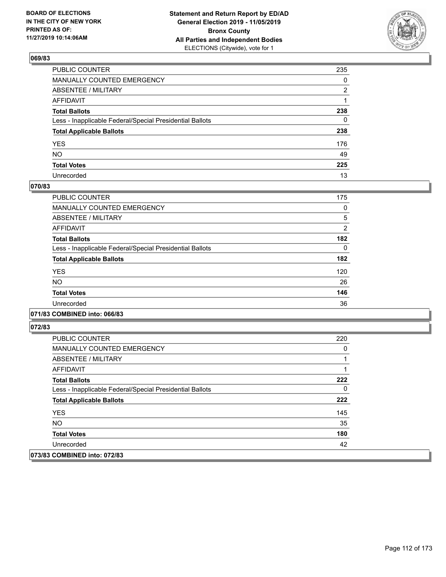

| PUBLIC COUNTER                                           | 235          |
|----------------------------------------------------------|--------------|
| MANUALLY COUNTED EMERGENCY                               | $\mathbf{0}$ |
| ABSENTEE / MILITARY                                      | 2            |
| AFFIDAVIT                                                |              |
| Total Ballots                                            | 238          |
| Less - Inapplicable Federal/Special Presidential Ballots | 0            |
| <b>Total Applicable Ballots</b>                          | 238          |
| YES                                                      | 176          |
| NO.                                                      | 49           |
| <b>Total Votes</b>                                       | 225          |
| Unrecorded                                               | 13           |

## **070/83**

| <b>PUBLIC COUNTER</b>                                    | 175      |
|----------------------------------------------------------|----------|
| <b>MANUALLY COUNTED EMERGENCY</b>                        | 0        |
| ABSENTEE / MILITARY                                      | 5        |
| <b>AFFIDAVIT</b>                                         | 2        |
| <b>Total Ballots</b>                                     | 182      |
| Less - Inapplicable Federal/Special Presidential Ballots | $\Omega$ |
| <b>Total Applicable Ballots</b>                          | 182      |
| <b>YES</b>                                               | 120      |
| <b>NO</b>                                                | 26       |
| <b>Total Votes</b>                                       | 146      |
| Unrecorded                                               | 36       |
|                                                          |          |

## **071/83 COMBINED into: 066/83**

| PUBLIC COUNTER                                           | 220 |
|----------------------------------------------------------|-----|
| <b>MANUALLY COUNTED EMERGENCY</b>                        | 0   |
| ABSENTEE / MILITARY                                      |     |
| <b>AFFIDAVIT</b>                                         |     |
| <b>Total Ballots</b>                                     | 222 |
| Less - Inapplicable Federal/Special Presidential Ballots | 0   |
| <b>Total Applicable Ballots</b>                          | 222 |
| <b>YES</b>                                               | 145 |
| NO.                                                      | 35  |
| <b>Total Votes</b>                                       | 180 |
| Unrecorded                                               | 42  |
| 073/83 COMBINED into: 072/83                             |     |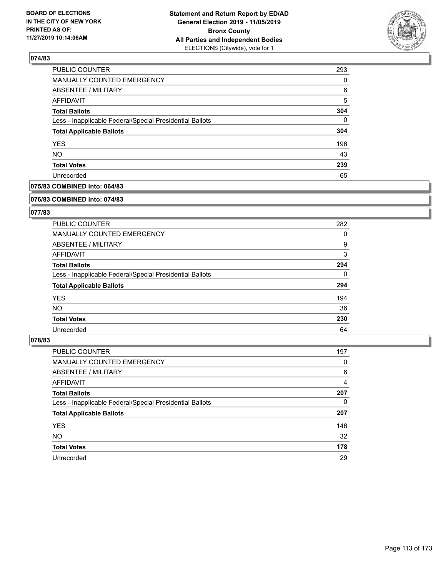

| <b>PUBLIC COUNTER</b>                                    | 293      |
|----------------------------------------------------------|----------|
| <b>MANUALLY COUNTED EMERGENCY</b>                        | 0        |
| <b>ABSENTEE / MILITARY</b>                               | 6        |
| <b>AFFIDAVIT</b>                                         | 5        |
| <b>Total Ballots</b>                                     | 304      |
| Less - Inapplicable Federal/Special Presidential Ballots | $\Omega$ |
| <b>Total Applicable Ballots</b>                          | 304      |
| <b>YES</b>                                               | 196      |
| <b>NO</b>                                                | 43       |
| <b>Total Votes</b>                                       | 239      |
| Unrecorded                                               | 65       |

### **075/83 COMBINED into: 064/83**

#### **076/83 COMBINED into: 074/83**

## **077/83**

| <b>PUBLIC COUNTER</b>                                    | 282      |
|----------------------------------------------------------|----------|
| <b>MANUALLY COUNTED EMERGENCY</b>                        | 0        |
| ABSENTEE / MILITARY                                      | 9        |
| AFFIDAVIT                                                | 3        |
| <b>Total Ballots</b>                                     | 294      |
| Less - Inapplicable Federal/Special Presidential Ballots | $\Omega$ |
| <b>Total Applicable Ballots</b>                          | 294      |
| <b>YES</b>                                               | 194      |
| NO.                                                      | 36       |
| <b>Total Votes</b>                                       | 230      |
| Unrecorded                                               | 64       |

| PUBLIC COUNTER                                           | 197 |
|----------------------------------------------------------|-----|
| <b>MANUALLY COUNTED EMERGENCY</b>                        | 0   |
| ABSENTEE / MILITARY                                      | 6   |
| AFFIDAVIT                                                | 4   |
| <b>Total Ballots</b>                                     | 207 |
| Less - Inapplicable Federal/Special Presidential Ballots | 0   |
| <b>Total Applicable Ballots</b>                          | 207 |
| <b>YES</b>                                               | 146 |
| <b>NO</b>                                                | 32  |
| <b>Total Votes</b>                                       | 178 |
| Unrecorded                                               | 29  |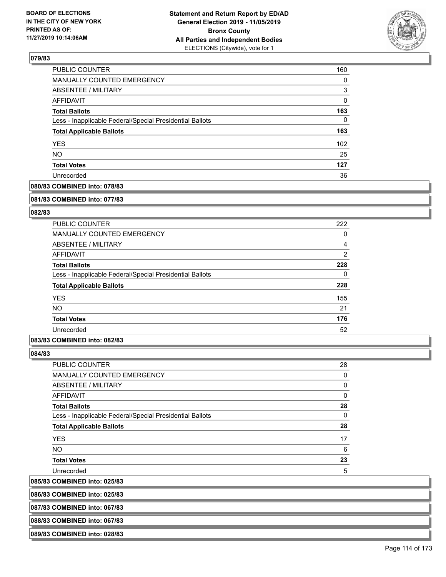

| PUBLIC COUNTER                                           | 160      |
|----------------------------------------------------------|----------|
| <b>MANUALLY COUNTED EMERGENCY</b>                        | $\Omega$ |
| <b>ABSENTEE / MILITARY</b>                               | 3        |
| AFFIDAVIT                                                | 0        |
| <b>Total Ballots</b>                                     | 163      |
| Less - Inapplicable Federal/Special Presidential Ballots | 0        |
| <b>Total Applicable Ballots</b>                          | 163      |
| <b>YES</b>                                               | 102      |
| <b>NO</b>                                                | 25       |
| <b>Total Votes</b>                                       | 127      |
| Unrecorded                                               | 36       |

# **080/83 COMBINED into: 078/83**

#### **081/83 COMBINED into: 077/83**

### **082/83**

| <b>PUBLIC COUNTER</b>                                    | 222            |
|----------------------------------------------------------|----------------|
| <b>MANUALLY COUNTED EMERGENCY</b>                        | 0              |
| ABSENTEE / MILITARY                                      | 4              |
| <b>AFFIDAVIT</b>                                         | $\overline{2}$ |
| <b>Total Ballots</b>                                     | 228            |
| Less - Inapplicable Federal/Special Presidential Ballots | 0              |
| <b>Total Applicable Ballots</b>                          | 228            |
| <b>YES</b>                                               | 155            |
| <b>NO</b>                                                | 21             |
| <b>Total Votes</b>                                       | 176            |
| Unrecorded                                               | 52             |

### **083/83 COMBINED into: 082/83**

**084/83** 

 $|085/83$ 

| PUBLIC COUNTER                                           | 28 |
|----------------------------------------------------------|----|
| MANUALLY COUNTED EMERGENCY                               | 0  |
| <b>ABSENTEE / MILITARY</b>                               | 0  |
| AFFIDAVIT                                                | 0  |
| <b>Total Ballots</b>                                     | 28 |
| Less - Inapplicable Federal/Special Presidential Ballots | 0  |
| <b>Total Applicable Ballots</b>                          | 28 |
| <b>YES</b>                                               | 17 |
| NO.                                                      | 6  |
| <b>Total Votes</b>                                       | 23 |
| Unrecorded                                               | 5  |
| <b>COMBINED into: 025/83</b>                             |    |

**086/83 COMBINED into: 025/83**

**087/83 COMBINED into: 067/83**

**088/83 COMBINED into: 067/83**

**089/83 COMBINED into: 028/83**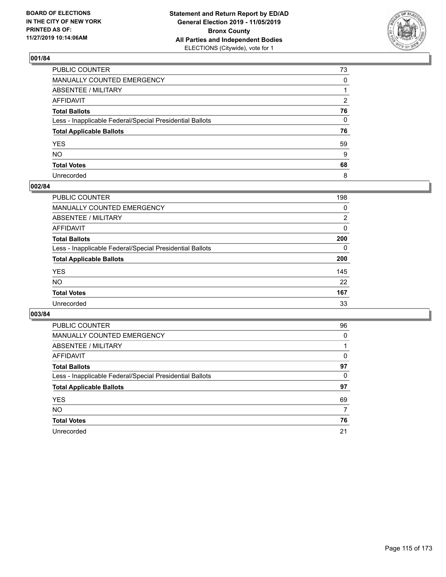

| PUBLIC COUNTER                                           | 73 |
|----------------------------------------------------------|----|
| MANUALLY COUNTED EMERGENCY                               | 0  |
| ABSENTEE / MILITARY                                      |    |
| AFFIDAVIT                                                | 2  |
| Total Ballots                                            | 76 |
| Less - Inapplicable Federal/Special Presidential Ballots | 0  |
| <b>Total Applicable Ballots</b>                          | 76 |
| YES                                                      | 59 |
| NO.                                                      | 9  |
| <b>Total Votes</b>                                       | 68 |
| Unrecorded                                               | 8  |

## **002/84**

| <b>PUBLIC COUNTER</b>                                    | 198      |
|----------------------------------------------------------|----------|
| MANUALLY COUNTED EMERGENCY                               | 0        |
| ABSENTEE / MILITARY                                      | 2        |
| AFFIDAVIT                                                | $\Omega$ |
| <b>Total Ballots</b>                                     | 200      |
| Less - Inapplicable Federal/Special Presidential Ballots | $\Omega$ |
| <b>Total Applicable Ballots</b>                          | 200      |
| <b>YES</b>                                               | 145      |
| <b>NO</b>                                                | 22       |
| <b>Total Votes</b>                                       | 167      |
| Unrecorded                                               | 33       |

| <b>PUBLIC COUNTER</b>                                    | 96       |
|----------------------------------------------------------|----------|
| <b>MANUALLY COUNTED EMERGENCY</b>                        | $\Omega$ |
| ABSENTEE / MILITARY                                      |          |
| AFFIDAVIT                                                | 0        |
| <b>Total Ballots</b>                                     | 97       |
| Less - Inapplicable Federal/Special Presidential Ballots | 0        |
| <b>Total Applicable Ballots</b>                          | 97       |
| <b>YES</b>                                               | 69       |
| NO.                                                      | 7        |
| <b>Total Votes</b>                                       | 76       |
| Unrecorded                                               | 21       |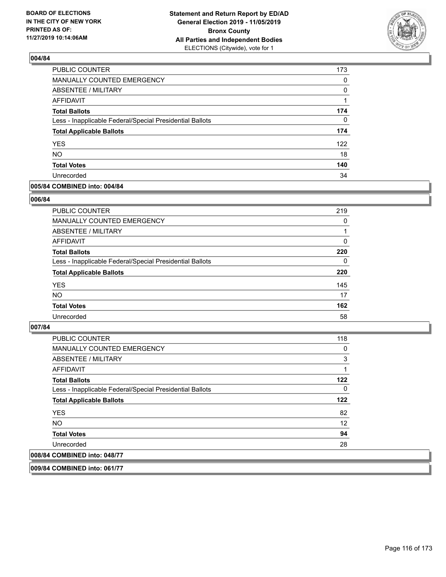

| PUBLIC COUNTER                                           | 173 |
|----------------------------------------------------------|-----|
| <b>MANUALLY COUNTED EMERGENCY</b>                        | 0   |
| <b>ABSENTEE / MILITARY</b>                               | 0   |
| AFFIDAVIT                                                |     |
| <b>Total Ballots</b>                                     | 174 |
| Less - Inapplicable Federal/Special Presidential Ballots | 0   |
| <b>Total Applicable Ballots</b>                          | 174 |
| <b>YES</b>                                               | 122 |
| <b>NO</b>                                                | 18  |
| <b>Total Votes</b>                                       | 140 |
| Unrecorded                                               | 34  |

### **005/84 COMBINED into: 004/84**

### **006/84**

| <b>PUBLIC COUNTER</b>                                    | 219      |
|----------------------------------------------------------|----------|
| MANUALLY COUNTED EMERGENCY                               | 0        |
| ABSENTEE / MILITARY                                      |          |
| AFFIDAVIT                                                | 0        |
| <b>Total Ballots</b>                                     | 220      |
| Less - Inapplicable Federal/Special Presidential Ballots | $\Omega$ |
| <b>Total Applicable Ballots</b>                          | 220      |
| <b>YES</b>                                               | 145      |
| <b>NO</b>                                                | 17       |
| <b>Total Votes</b>                                       | 162      |
| Unrecorded                                               | 58       |
|                                                          |          |

### **007/84**

| <b>PUBLIC COUNTER</b>                                    | 118 |
|----------------------------------------------------------|-----|
| <b>MANUALLY COUNTED EMERGENCY</b>                        | 0   |
| ABSENTEE / MILITARY                                      | 3   |
| AFFIDAVIT                                                |     |
| <b>Total Ballots</b>                                     | 122 |
| Less - Inapplicable Federal/Special Presidential Ballots | 0   |
| <b>Total Applicable Ballots</b>                          | 122 |
| <b>YES</b>                                               | 82  |
| NO.                                                      | 12  |
| <b>Total Votes</b>                                       | 94  |
| Unrecorded                                               | 28  |
| 008/84 COMBINED into: 048/77                             |     |

**009/84 COMBINED into: 061/77**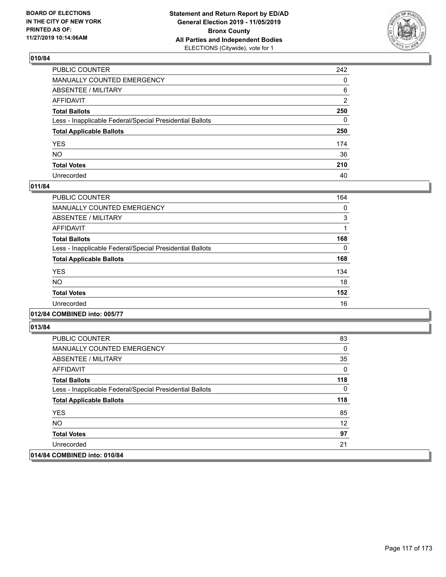

| PUBLIC COUNTER                                           | 242          |
|----------------------------------------------------------|--------------|
| MANUALLY COUNTED EMERGENCY                               | $\Omega$     |
| ABSENTEE / MILITARY                                      | 6            |
| AFFIDAVIT                                                | 2            |
| Total Ballots                                            | 250          |
| Less - Inapplicable Federal/Special Presidential Ballots | $\mathbf{0}$ |
| <b>Total Applicable Ballots</b>                          | 250          |
| YES                                                      | 174          |
| NO.                                                      | 36           |
| <b>Total Votes</b>                                       | 210          |
| Unrecorded                                               | 40           |

## **011/84**

| <b>PUBLIC COUNTER</b>                                    | 164      |
|----------------------------------------------------------|----------|
| <b>MANUALLY COUNTED EMERGENCY</b>                        | 0        |
| ABSENTEE / MILITARY                                      | 3        |
| <b>AFFIDAVIT</b>                                         |          |
| <b>Total Ballots</b>                                     | 168      |
| Less - Inapplicable Federal/Special Presidential Ballots | $\Omega$ |
| <b>Total Applicable Ballots</b>                          | 168      |
| <b>YES</b>                                               | 134      |
| <b>NO</b>                                                | 18       |
| <b>Total Votes</b>                                       | 152      |
| Unrecorded                                               | 16       |

### **012/84 COMBINED into: 005/77**

| <b>PUBLIC COUNTER</b>                                    | 83  |
|----------------------------------------------------------|-----|
| <b>MANUALLY COUNTED EMERGENCY</b>                        | 0   |
| ABSENTEE / MILITARY                                      | 35  |
| AFFIDAVIT                                                | 0   |
| <b>Total Ballots</b>                                     | 118 |
| Less - Inapplicable Federal/Special Presidential Ballots | 0   |
| <b>Total Applicable Ballots</b>                          | 118 |
| <b>YES</b>                                               | 85  |
| NO.                                                      | 12  |
| <b>Total Votes</b>                                       | 97  |
| Unrecorded                                               | 21  |
| 014/84 COMBINED into: 010/84                             |     |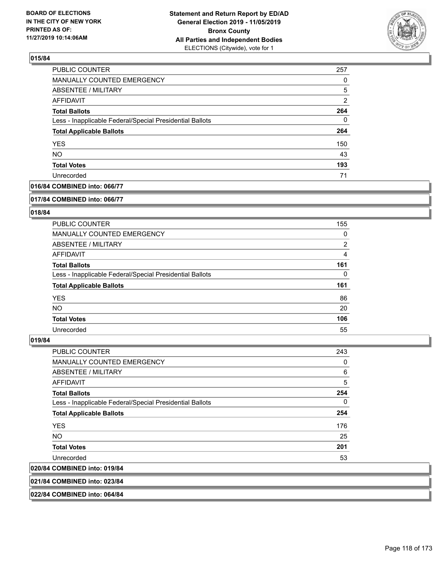

| <b>PUBLIC COUNTER</b>                                    | 257 |
|----------------------------------------------------------|-----|
| MANUALLY COUNTED EMERGENCY                               | 0   |
| <b>ABSENTEE / MILITARY</b>                               | 5   |
| AFFIDAVIT                                                | 2   |
| <b>Total Ballots</b>                                     | 264 |
| Less - Inapplicable Federal/Special Presidential Ballots | 0   |
| <b>Total Applicable Ballots</b>                          | 264 |
| <b>YES</b>                                               | 150 |
| <b>NO</b>                                                | 43  |
| <b>Total Votes</b>                                       | 193 |
| Unrecorded                                               | 71  |

## **016/84 COMBINED into: 066/77**

#### **017/84 COMBINED into: 066/77**

## **018/84**

| <b>PUBLIC COUNTER</b>                                    | 155            |
|----------------------------------------------------------|----------------|
| MANUALLY COUNTED EMERGENCY                               | 0              |
| ABSENTEE / MILITARY                                      | $\overline{2}$ |
| AFFIDAVIT                                                | 4              |
| <b>Total Ballots</b>                                     | 161            |
| Less - Inapplicable Federal/Special Presidential Ballots | $\Omega$       |
| <b>Total Applicable Ballots</b>                          | 161            |
| <b>YES</b>                                               | 86             |
| NO.                                                      | 20             |
| <b>Total Votes</b>                                       | 106            |
| Unrecorded                                               | 55             |

#### **019/84**

| 020/84 COMBINED into: 019/84                             |          |
|----------------------------------------------------------|----------|
| Unrecorded                                               | 53       |
| <b>Total Votes</b>                                       | 201      |
| NO.                                                      | 25       |
| <b>YES</b>                                               | 176      |
| <b>Total Applicable Ballots</b>                          | 254      |
| Less - Inapplicable Federal/Special Presidential Ballots | $\Omega$ |
| <b>Total Ballots</b>                                     | 254      |
| <b>AFFIDAVIT</b>                                         | 5        |
| ABSENTEE / MILITARY                                      | 6        |
| <b>MANUALLY COUNTED EMERGENCY</b>                        | 0        |
| <b>PUBLIC COUNTER</b>                                    | 243      |

**021/84 COMBINED into: 023/84**

**022/84 COMBINED into: 064/84**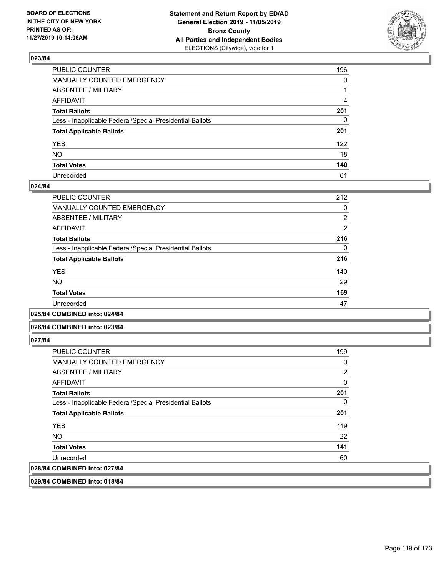

| PUBLIC COUNTER                                           | 196          |
|----------------------------------------------------------|--------------|
| MANUALLY COUNTED EMERGENCY                               | $\mathbf{0}$ |
| ABSENTEE / MILITARY                                      |              |
| AFFIDAVIT                                                | 4            |
| Total Ballots                                            | 201          |
| Less - Inapplicable Federal/Special Presidential Ballots | $\mathbf{0}$ |
| <b>Total Applicable Ballots</b>                          | 201          |
| YES                                                      | 122          |
| NO.                                                      | 18           |
| <b>Total Votes</b>                                       | 140          |
| Unrecorded                                               | 61           |

### **024/84**

| PUBLIC COUNTER                                           | 212            |
|----------------------------------------------------------|----------------|
| <b>MANUALLY COUNTED EMERGENCY</b>                        | 0              |
| ABSENTEE / MILITARY                                      | $\overline{2}$ |
| AFFIDAVIT                                                | $\overline{2}$ |
| <b>Total Ballots</b>                                     | 216            |
| Less - Inapplicable Federal/Special Presidential Ballots | 0              |
| <b>Total Applicable Ballots</b>                          | 216            |
| <b>YES</b>                                               | 140            |
| NO.                                                      | 29             |
| <b>Total Votes</b>                                       | 169            |
| Unrecorded                                               | 47             |
|                                                          |                |

**025/84 COMBINED into: 024/84**

### **026/84 COMBINED into: 023/84**

**027/84** 

| <b>PUBLIC COUNTER</b>                                    | 199 |
|----------------------------------------------------------|-----|
| <b>MANUALLY COUNTED EMERGENCY</b>                        | 0   |
| ABSENTEE / MILITARY                                      | 2   |
| AFFIDAVIT                                                | 0   |
| <b>Total Ballots</b>                                     | 201 |
| Less - Inapplicable Federal/Special Presidential Ballots | 0   |
| <b>Total Applicable Ballots</b>                          | 201 |
| <b>YES</b>                                               | 119 |
| NO.                                                      | 22  |
| <b>Total Votes</b>                                       | 141 |
| Unrecorded                                               | 60  |
| 028/84 COMBINED into: 027/84                             |     |
|                                                          |     |

**029/84 COMBINED into: 018/84**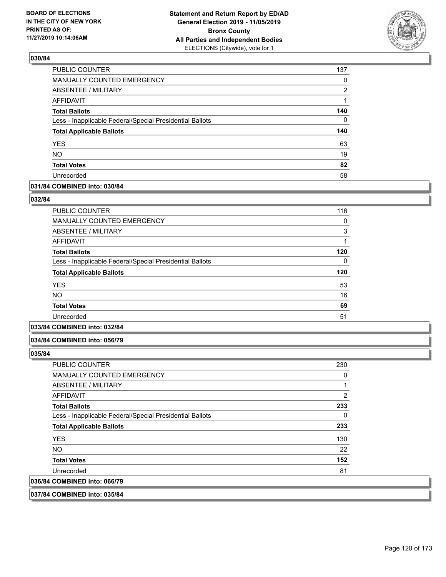

| PUBLIC COUNTER                                           | 137      |
|----------------------------------------------------------|----------|
| MANUALLY COUNTED EMERGENCY                               | 0        |
| <b>ABSENTEE / MILITARY</b>                               | 2        |
| <b>AFFIDAVIT</b>                                         | 1        |
| <b>Total Ballots</b>                                     | 140      |
| Less - Inapplicable Federal/Special Presidential Ballots | $\Omega$ |
| <b>Total Applicable Ballots</b>                          | 140      |
| <b>YES</b>                                               | 63       |
| <b>NO</b>                                                | 19       |
| <b>Total Votes</b>                                       | 82       |
| Unrecorded                                               | 58       |

### **031/84 COMBINED into: 030/84**

#### **032/84**

| <b>PUBLIC COUNTER</b>                                    | 116 |
|----------------------------------------------------------|-----|
| <b>MANUALLY COUNTED EMERGENCY</b>                        | 0   |
| <b>ABSENTEE / MILITARY</b>                               | 3   |
| <b>AFFIDAVIT</b>                                         | 1   |
| <b>Total Ballots</b>                                     | 120 |
| Less - Inapplicable Federal/Special Presidential Ballots | 0   |
| <b>Total Applicable Ballots</b>                          | 120 |
| <b>YES</b>                                               | 53  |
| <b>NO</b>                                                | 16  |
| <b>Total Votes</b>                                       | 69  |
| Unrecorded                                               | 51  |
|                                                          |     |

# **033/84 COMBINED into: 032/84**

#### **034/84 COMBINED into: 056/79**

**035/84** 

| <b>PUBLIC COUNTER</b>                                    | 230 |
|----------------------------------------------------------|-----|
| <b>MANUALLY COUNTED EMERGENCY</b>                        | 0   |
| ABSENTEE / MILITARY                                      | 1   |
| AFFIDAVIT                                                | 2   |
| <b>Total Ballots</b>                                     | 233 |
| Less - Inapplicable Federal/Special Presidential Ballots | 0   |
| <b>Total Applicable Ballots</b>                          | 233 |
| <b>YES</b>                                               | 130 |
| NO.                                                      | 22  |
| <b>Total Votes</b>                                       | 152 |
| Unrecorded                                               | 81  |
| 036/84 COMBINED into: 066/79                             |     |
|                                                          |     |

### **037/84 COMBINED into: 035/84**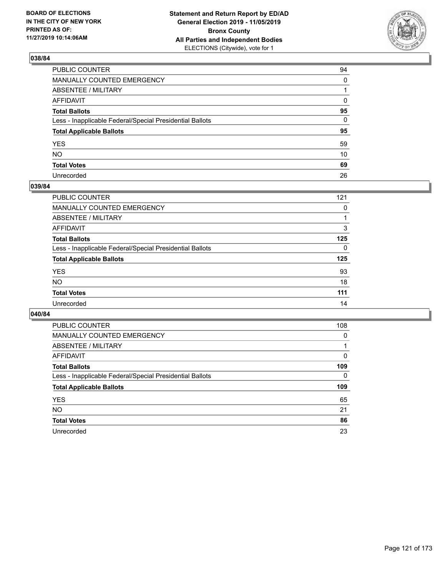

| PUBLIC COUNTER                                           | 94       |
|----------------------------------------------------------|----------|
| MANUALLY COUNTED EMERGENCY                               | $\Omega$ |
| ABSENTEE / MILITARY                                      |          |
| AFFIDAVIT                                                | 0        |
| Total Ballots                                            | 95       |
| Less - Inapplicable Federal/Special Presidential Ballots | 0        |
| <b>Total Applicable Ballots</b>                          | 95       |
| YES                                                      | 59       |
| NO.                                                      | 10       |
| <b>Total Votes</b>                                       | 69       |
| Unrecorded                                               | 26       |

## **039/84**

| <b>PUBLIC COUNTER</b>                                    | 121      |
|----------------------------------------------------------|----------|
| MANUALLY COUNTED EMERGENCY                               | 0        |
| ABSENTEE / MILITARY                                      |          |
| AFFIDAVIT                                                | 3        |
| <b>Total Ballots</b>                                     | 125      |
| Less - Inapplicable Federal/Special Presidential Ballots | $\Omega$ |
| <b>Total Applicable Ballots</b>                          | 125      |
| <b>YES</b>                                               | 93       |
| <b>NO</b>                                                | 18       |
| <b>Total Votes</b>                                       | 111      |
| Unrecorded                                               | 14       |

| <b>PUBLIC COUNTER</b>                                    | 108      |
|----------------------------------------------------------|----------|
| MANUALLY COUNTED EMERGENCY                               | $\Omega$ |
| ABSENTEE / MILITARY                                      |          |
| AFFIDAVIT                                                | 0        |
| <b>Total Ballots</b>                                     | 109      |
| Less - Inapplicable Federal/Special Presidential Ballots | 0        |
|                                                          |          |
| <b>Total Applicable Ballots</b>                          | 109      |
| <b>YES</b>                                               | 65       |
| NO.                                                      | 21       |
| <b>Total Votes</b>                                       | 86       |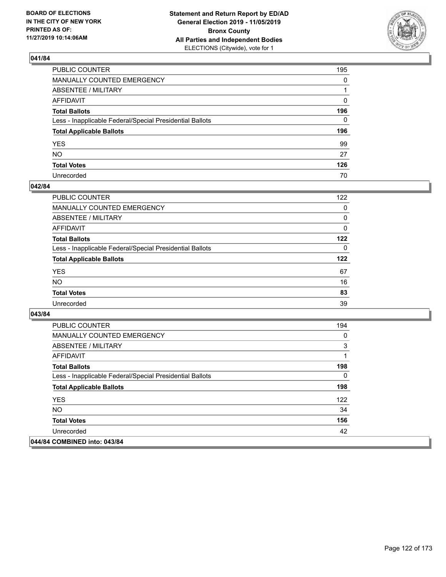

| PUBLIC COUNTER                                           | 195 |
|----------------------------------------------------------|-----|
| MANUALLY COUNTED EMERGENCY                               | 0   |
| ABSENTEE / MILITARY                                      |     |
| AFFIDAVIT                                                | 0   |
| Total Ballots                                            | 196 |
| Less - Inapplicable Federal/Special Presidential Ballots | 0   |
| <b>Total Applicable Ballots</b>                          | 196 |
| YES                                                      | 99  |
| NO.                                                      | 27  |
| <b>Total Votes</b>                                       | 126 |
| Unrecorded                                               | 70  |

### **042/84**

| <b>PUBLIC COUNTER</b>                                    | 122      |
|----------------------------------------------------------|----------|
| MANUALLY COUNTED EMERGENCY                               | $\Omega$ |
| ABSENTEE / MILITARY                                      | 0        |
| AFFIDAVIT                                                | $\Omega$ |
| <b>Total Ballots</b>                                     | 122      |
| Less - Inapplicable Federal/Special Presidential Ballots | $\Omega$ |
| <b>Total Applicable Ballots</b>                          | 122      |
| <b>YES</b>                                               | 67       |
| <b>NO</b>                                                | 16       |
| <b>Total Votes</b>                                       | 83       |
| Unrecorded                                               | 39       |

| <b>PUBLIC COUNTER</b>                                    | 194 |
|----------------------------------------------------------|-----|
| <b>MANUALLY COUNTED EMERGENCY</b>                        | 0   |
| ABSENTEE / MILITARY                                      | 3   |
| AFFIDAVIT                                                | 1   |
| <b>Total Ballots</b>                                     | 198 |
| Less - Inapplicable Federal/Special Presidential Ballots | 0   |
| <b>Total Applicable Ballots</b>                          | 198 |
| <b>YES</b>                                               | 122 |
| NO.                                                      | 34  |
| <b>Total Votes</b>                                       | 156 |
| Unrecorded                                               | 42  |
| 044/84 COMBINED into: 043/84                             |     |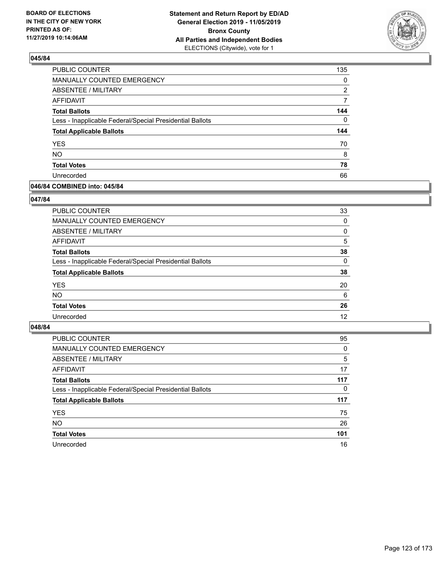

| <b>PUBLIC COUNTER</b>                                    | 135      |
|----------------------------------------------------------|----------|
| MANUALLY COUNTED EMERGENCY                               | 0        |
| ABSENTEE / MILITARY                                      | 2        |
| <b>AFFIDAVIT</b>                                         | 7        |
| <b>Total Ballots</b>                                     | 144      |
| Less - Inapplicable Federal/Special Presidential Ballots | $\Omega$ |
| <b>Total Applicable Ballots</b>                          | 144      |
| <b>YES</b>                                               | 70       |
| <b>NO</b>                                                | 8        |
|                                                          |          |
| <b>Total Votes</b>                                       | 78       |

### **046/84 COMBINED into: 045/84**

### **047/84**

| PUBLIC COUNTER                                           | 33       |
|----------------------------------------------------------|----------|
| MANUALLY COUNTED EMERGENCY                               | $\Omega$ |
| <b>ABSENTEE / MILITARY</b>                               | 0        |
| AFFIDAVIT                                                | 5        |
| <b>Total Ballots</b>                                     | 38       |
| Less - Inapplicable Federal/Special Presidential Ballots | $\Omega$ |
| <b>Total Applicable Ballots</b>                          | 38       |
| <b>YES</b>                                               | 20       |
| <b>NO</b>                                                | 6        |
| <b>Total Votes</b>                                       | 26       |
| Unrecorded                                               | 12       |
|                                                          |          |

| <b>PUBLIC COUNTER</b>                                    | 95       |
|----------------------------------------------------------|----------|
| MANUALLY COUNTED EMERGENCY                               | 0        |
| ABSENTEE / MILITARY                                      | 5        |
| AFFIDAVIT                                                | 17       |
| <b>Total Ballots</b>                                     | 117      |
| Less - Inapplicable Federal/Special Presidential Ballots | $\Omega$ |
| <b>Total Applicable Ballots</b>                          | 117      |
| <b>YES</b>                                               | 75       |
| <b>NO</b>                                                | 26       |
| <b>Total Votes</b>                                       | 101      |
| Unrecorded                                               | 16       |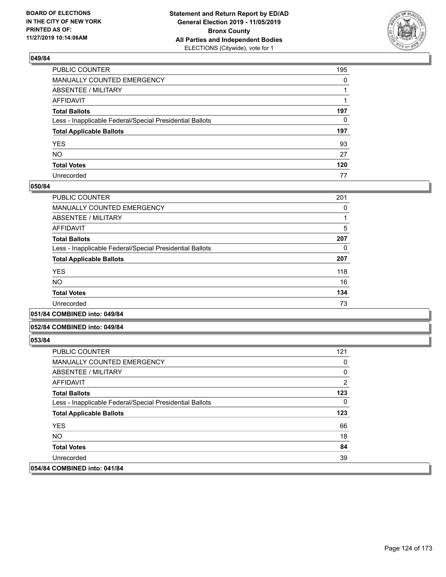

| PUBLIC COUNTER                                           | 195          |
|----------------------------------------------------------|--------------|
| MANUALLY COUNTED EMERGENCY                               | $\mathbf{0}$ |
| ABSENTEE / MILITARY                                      |              |
| AFFIDAVIT                                                |              |
| Total Ballots                                            | 197          |
| Less - Inapplicable Federal/Special Presidential Ballots | 0            |
| <b>Total Applicable Ballots</b>                          | 197          |
| YES                                                      | 93           |
| NO.                                                      | 27           |
| <b>Total Votes</b>                                       | 120          |
| Unrecorded                                               | 77           |

### **050/84**

| <b>PUBLIC COUNTER</b>                                    | 201 |
|----------------------------------------------------------|-----|
| <b>MANUALLY COUNTED EMERGENCY</b>                        | 0   |
| ABSENTEE / MILITARY                                      |     |
| <b>AFFIDAVIT</b>                                         | 5   |
| <b>Total Ballots</b>                                     | 207 |
| Less - Inapplicable Federal/Special Presidential Ballots | 0   |
| <b>Total Applicable Ballots</b>                          | 207 |
| <b>YES</b>                                               | 118 |
| <b>NO</b>                                                | 16  |
| <b>Total Votes</b>                                       | 134 |
| Unrecorded                                               | 73  |
|                                                          |     |

#### **051/84 COMBINED into: 049/84**

#### **052/84 COMBINED into: 049/84**

| <b>PUBLIC COUNTER</b>                                    | 121            |
|----------------------------------------------------------|----------------|
| MANUALLY COUNTED EMERGENCY                               | 0              |
| ABSENTEE / MILITARY                                      | 0              |
| AFFIDAVIT                                                | $\overline{2}$ |
| <b>Total Ballots</b>                                     | 123            |
| Less - Inapplicable Federal/Special Presidential Ballots | $\mathbf{0}$   |
| <b>Total Applicable Ballots</b>                          | 123            |
| <b>YES</b>                                               | 66             |
| NO.                                                      | 18             |
| <b>Total Votes</b>                                       | 84             |
| Unrecorded                                               | 39             |
| 054/84 COMBINED into: 041/84                             |                |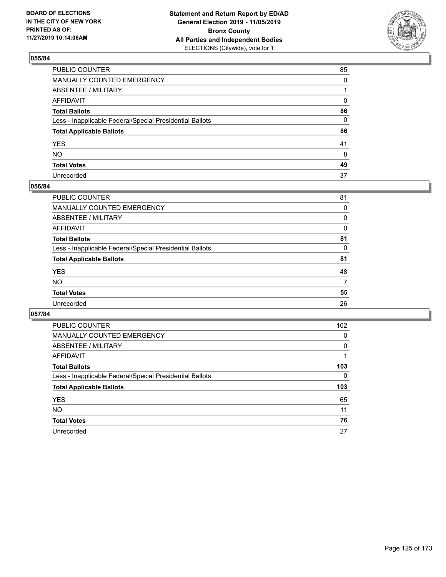

| PUBLIC COUNTER                                           | 85       |
|----------------------------------------------------------|----------|
| MANUALLY COUNTED EMERGENCY                               | $\Omega$ |
| ABSENTEE / MILITARY                                      |          |
| AFFIDAVIT                                                | 0        |
| Total Ballots                                            | 86       |
| Less - Inapplicable Federal/Special Presidential Ballots | 0        |
| <b>Total Applicable Ballots</b>                          | 86       |
| YES                                                      | 41       |
| NO.                                                      | 8        |
| <b>Total Votes</b>                                       | 49       |
| Unrecorded                                               | 37       |

### **056/84**

| <b>PUBLIC COUNTER</b>                                    | 81 |
|----------------------------------------------------------|----|
| <b>MANUALLY COUNTED EMERGENCY</b>                        | 0  |
| ABSENTEE / MILITARY                                      | 0  |
| AFFIDAVIT                                                | 0  |
| <b>Total Ballots</b>                                     | 81 |
| Less - Inapplicable Federal/Special Presidential Ballots | 0  |
| <b>Total Applicable Ballots</b>                          | 81 |
| <b>YES</b>                                               | 48 |
| <b>NO</b>                                                | 7  |
| <b>Total Votes</b>                                       | 55 |
| Unrecorded                                               | 26 |
|                                                          |    |

| <b>PUBLIC COUNTER</b>                                    | 102      |
|----------------------------------------------------------|----------|
| <b>MANUALLY COUNTED EMERGENCY</b>                        | 0        |
| ABSENTEE / MILITARY                                      | $\Omega$ |
| AFFIDAVIT                                                |          |
| <b>Total Ballots</b>                                     | 103      |
| Less - Inapplicable Federal/Special Presidential Ballots | 0        |
| <b>Total Applicable Ballots</b>                          | 103      |
| <b>YES</b>                                               | 65       |
| NO.                                                      | 11       |
| <b>Total Votes</b>                                       | 76       |
| Unrecorded                                               | 27       |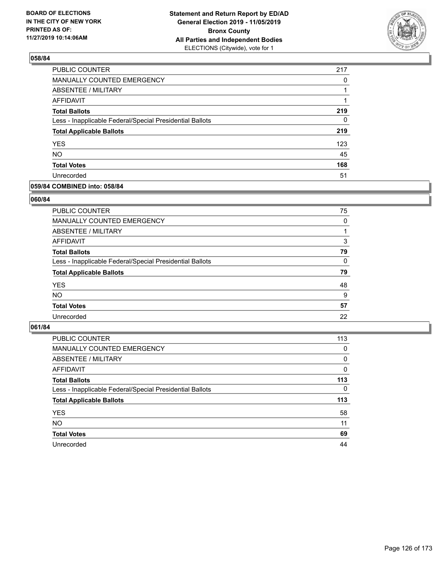

| PUBLIC COUNTER                                           | 217 |
|----------------------------------------------------------|-----|
| MANUALLY COUNTED EMERGENCY                               | 0   |
| <b>ABSENTEE / MILITARY</b>                               |     |
| <b>AFFIDAVIT</b>                                         |     |
| <b>Total Ballots</b>                                     | 219 |
| Less - Inapplicable Federal/Special Presidential Ballots | 0   |
| <b>Total Applicable Ballots</b>                          | 219 |
| <b>YES</b>                                               | 123 |
| <b>NO</b>                                                | 45  |
| <b>Total Votes</b>                                       | 168 |
| Unrecorded                                               | 51  |

### **059/84 COMBINED into: 058/84**

### **060/84**

| PUBLIC COUNTER                                           | 75           |
|----------------------------------------------------------|--------------|
| <b>MANUALLY COUNTED EMERGENCY</b>                        | $\Omega$     |
| ABSENTEE / MILITARY                                      |              |
| AFFIDAVIT                                                | 3            |
| <b>Total Ballots</b>                                     | 79           |
| Less - Inapplicable Federal/Special Presidential Ballots | $\mathbf{0}$ |
| <b>Total Applicable Ballots</b>                          | 79           |
| <b>YES</b>                                               | 48           |
| <b>NO</b>                                                | 9            |
| <b>Total Votes</b>                                       | 57           |
| Unrecorded                                               | 22           |
|                                                          |              |

| <b>PUBLIC COUNTER</b>                                    | 113      |
|----------------------------------------------------------|----------|
| MANUALLY COUNTED EMERGENCY                               | $\Omega$ |
| ABSENTEE / MILITARY                                      | 0        |
| AFFIDAVIT                                                | $\Omega$ |
| <b>Total Ballots</b>                                     | 113      |
| Less - Inapplicable Federal/Special Presidential Ballots | $\Omega$ |
| <b>Total Applicable Ballots</b>                          | 113      |
| <b>YES</b>                                               | 58       |
| <b>NO</b>                                                | 11       |
| <b>Total Votes</b>                                       | 69       |
|                                                          |          |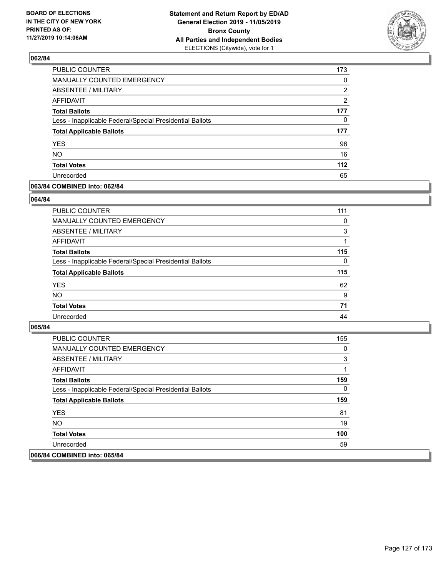

| PUBLIC COUNTER                                           | 173      |
|----------------------------------------------------------|----------|
| <b>MANUALLY COUNTED EMERGENCY</b>                        | $\Omega$ |
| ABSENTEE / MILITARY                                      | 2        |
| AFFIDAVIT                                                | 2        |
| <b>Total Ballots</b>                                     | 177      |
| Less - Inapplicable Federal/Special Presidential Ballots | 0        |
| <b>Total Applicable Ballots</b>                          | 177      |
| <b>YES</b>                                               | 96       |
| <b>NO</b>                                                | 16       |
| <b>Total Votes</b>                                       | $112$    |
| Unrecorded                                               | 65       |

### **063/84 COMBINED into: 062/84**

#### **064/84**

| <b>PUBLIC COUNTER</b>                                    | 111      |
|----------------------------------------------------------|----------|
| MANUALLY COUNTED EMERGENCY                               | 0        |
| ABSENTEE / MILITARY                                      | 3        |
| AFFIDAVIT                                                |          |
| <b>Total Ballots</b>                                     | 115      |
| Less - Inapplicable Federal/Special Presidential Ballots | $\Omega$ |
| <b>Total Applicable Ballots</b>                          | 115      |
| <b>YES</b>                                               | 62       |
| <b>NO</b>                                                | 9        |
| <b>Total Votes</b>                                       | 71       |
| Unrecorded                                               | 44       |
|                                                          |          |

| <b>PUBLIC COUNTER</b>                                    | 155 |
|----------------------------------------------------------|-----|
| <b>MANUALLY COUNTED EMERGENCY</b>                        | 0   |
| ABSENTEE / MILITARY                                      | 3   |
| AFFIDAVIT                                                |     |
| <b>Total Ballots</b>                                     | 159 |
| Less - Inapplicable Federal/Special Presidential Ballots | 0   |
| <b>Total Applicable Ballots</b>                          | 159 |
| <b>YES</b>                                               | 81  |
| NO.                                                      | 19  |
| <b>Total Votes</b>                                       | 100 |
| Unrecorded                                               | 59  |
| 066/84 COMBINED into: 065/84                             |     |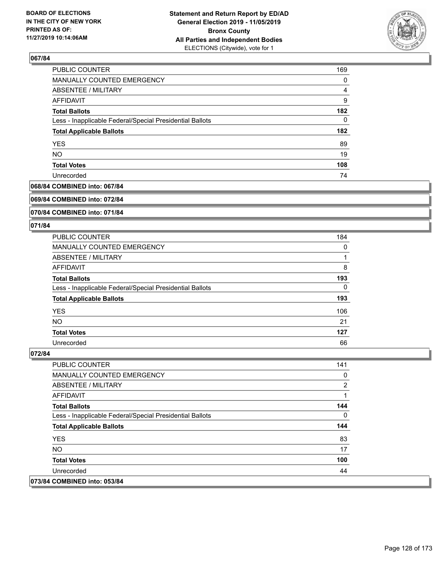

| PUBLIC COUNTER                                           | 169 |
|----------------------------------------------------------|-----|
| MANUALLY COUNTED EMERGENCY                               | 0   |
| ABSENTEE / MILITARY                                      | 4   |
| AFFIDAVIT                                                | 9   |
| <b>Total Ballots</b>                                     | 182 |
| Less - Inapplicable Federal/Special Presidential Ballots | 0   |
| <b>Total Applicable Ballots</b>                          | 182 |
| <b>YES</b>                                               | 89  |
| <b>NO</b>                                                | 19  |
| <b>Total Votes</b>                                       | 108 |
| Unrecorded                                               | 74  |

## **068/84 COMBINED into: 067/84**

#### **069/84 COMBINED into: 072/84**

### **070/84 COMBINED into: 071/84**

#### **071/84**

| <b>PUBLIC COUNTER</b>                                    | 184 |
|----------------------------------------------------------|-----|
| MANUALLY COUNTED EMERGENCY                               | 0   |
| ABSENTEE / MILITARY                                      |     |
| AFFIDAVIT                                                | 8   |
| <b>Total Ballots</b>                                     | 193 |
| Less - Inapplicable Federal/Special Presidential Ballots | 0   |
| <b>Total Applicable Ballots</b>                          | 193 |
| <b>YES</b>                                               | 106 |
| <b>NO</b>                                                | 21  |
| <b>Total Votes</b>                                       | 127 |
| Unrecorded                                               | 66  |

| <b>PUBLIC COUNTER</b>                                    | 141 |
|----------------------------------------------------------|-----|
| <b>MANUALLY COUNTED EMERGENCY</b>                        | 0   |
| ABSENTEE / MILITARY                                      | 2   |
| AFFIDAVIT                                                | 1   |
| <b>Total Ballots</b>                                     | 144 |
| Less - Inapplicable Federal/Special Presidential Ballots | 0   |
| <b>Total Applicable Ballots</b>                          | 144 |
| <b>YES</b>                                               | 83  |
| NO.                                                      | 17  |
| <b>Total Votes</b>                                       | 100 |
| Unrecorded                                               | 44  |
| 073/84 COMBINED into: 053/84                             |     |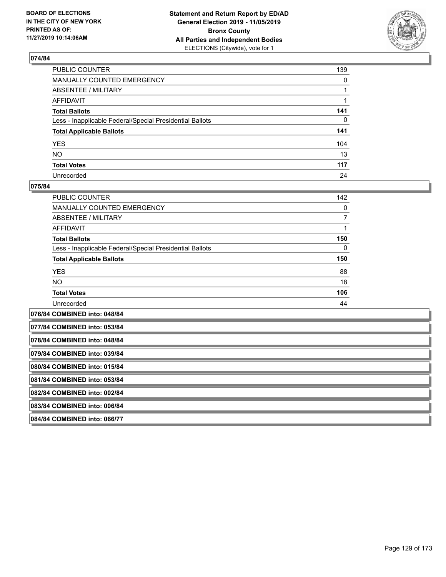

| PUBLIC COUNTER                                           | 139          |
|----------------------------------------------------------|--------------|
| MANUALLY COUNTED EMERGENCY                               | $\mathbf{0}$ |
| ABSENTEE / MILITARY                                      |              |
| AFFIDAVIT                                                |              |
| Total Ballots                                            | 141          |
| Less - Inapplicable Federal/Special Presidential Ballots | $\mathbf{0}$ |
| <b>Total Applicable Ballots</b>                          | 141          |
| YES                                                      | 104          |
| NO.                                                      | 13           |
| <b>Total Votes</b>                                       | 117          |
| Unrecorded                                               | 24           |

### **075/84**

| PUBLIC COUNTER                                           | 142 |
|----------------------------------------------------------|-----|
| <b>MANUALLY COUNTED EMERGENCY</b>                        | 0   |
| ABSENTEE / MILITARY                                      |     |
| AFFIDAVIT                                                |     |
| <b>Total Ballots</b>                                     | 150 |
| Less - Inapplicable Federal/Special Presidential Ballots | 0   |
| <b>Total Applicable Ballots</b>                          | 150 |
| <b>YES</b>                                               | 88  |
| <b>NO</b>                                                | 18  |
| <b>Total Votes</b>                                       | 106 |
| Unrecorded                                               | 44  |
|                                                          |     |

**076/84 COMBINED into: 048/84 077/84 COMBINED into: 053/84 078/84 COMBINED into: 048/84 079/84 COMBINED into: 039/84 080/84 COMBINED into: 015/84 081/84 COMBINED into: 053/84 082/84 COMBINED into: 002/84 083/84 COMBINED into: 006/84 084/84 COMBINED into: 066/77**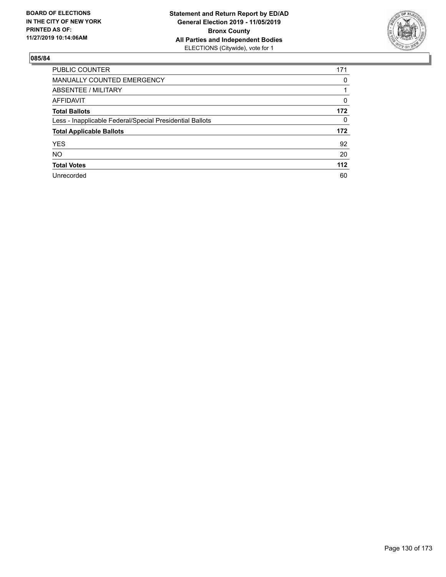

| <b>PUBLIC COUNTER</b>                                    | 171      |
|----------------------------------------------------------|----------|
| <b>MANUALLY COUNTED EMERGENCY</b>                        | 0        |
| ABSENTEE / MILITARY                                      |          |
| AFFIDAVIT                                                | $\Omega$ |
| <b>Total Ballots</b>                                     | 172      |
| Less - Inapplicable Federal/Special Presidential Ballots | 0        |
| <b>Total Applicable Ballots</b>                          | 172      |
| <b>YES</b>                                               | 92       |
| <b>NO</b>                                                | 20       |
| <b>Total Votes</b>                                       | $112$    |
| Unrecorded                                               | 60       |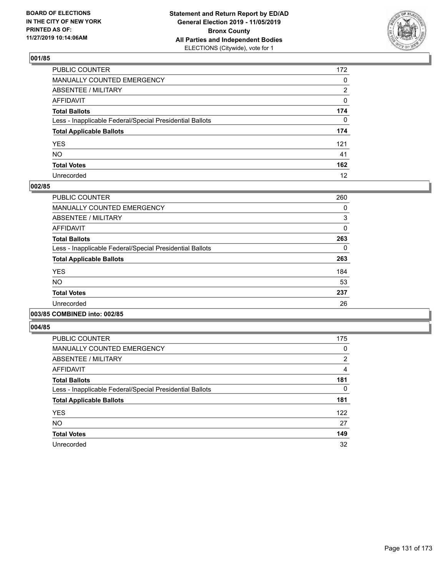

| PUBLIC COUNTER                                           | 172 |
|----------------------------------------------------------|-----|
| MANUALLY COUNTED EMERGENCY                               | 0   |
| ABSENTEE / MILITARY                                      | 2   |
| AFFIDAVIT                                                | 0   |
| Total Ballots                                            | 174 |
| Less - Inapplicable Federal/Special Presidential Ballots | 0   |
| <b>Total Applicable Ballots</b>                          | 174 |
| YES                                                      | 121 |
| NO.                                                      | 41  |
| <b>Total Votes</b>                                       | 162 |
| Unrecorded                                               | 12  |

## **002/85**

| PUBLIC COUNTER                                           | 260          |
|----------------------------------------------------------|--------------|
| <b>MANUALLY COUNTED EMERGENCY</b>                        | 0            |
| ABSENTEE / MILITARY                                      | 3            |
| <b>AFFIDAVIT</b>                                         | $\mathbf{0}$ |
| <b>Total Ballots</b>                                     | 263          |
| Less - Inapplicable Federal/Special Presidential Ballots | 0            |
| <b>Total Applicable Ballots</b>                          | 263          |
| <b>YES</b>                                               | 184          |
| NO.                                                      | 53           |
| <b>Total Votes</b>                                       | 237          |
| Unrecorded                                               | 26           |
|                                                          |              |

## **003/85 COMBINED into: 002/85**

| <b>PUBLIC COUNTER</b>                                    | 175 |
|----------------------------------------------------------|-----|
| <b>MANUALLY COUNTED EMERGENCY</b>                        | 0   |
| ABSENTEE / MILITARY                                      | 2   |
| <b>AFFIDAVIT</b>                                         | 4   |
| <b>Total Ballots</b>                                     | 181 |
| Less - Inapplicable Federal/Special Presidential Ballots | 0   |
| <b>Total Applicable Ballots</b>                          | 181 |
| <b>YES</b>                                               | 122 |
| <b>NO</b>                                                | 27  |
| <b>Total Votes</b>                                       | 149 |
| Unrecorded                                               | 32  |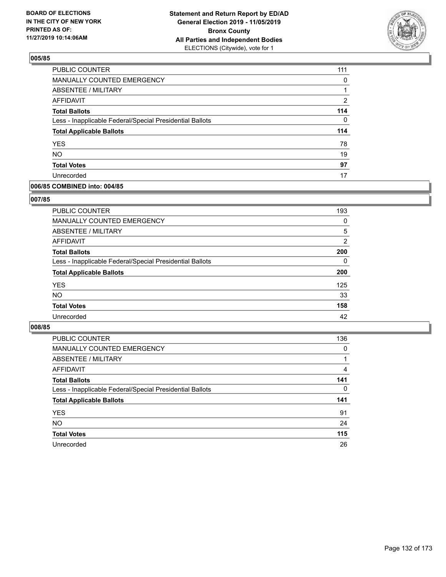

| PUBLIC COUNTER                                           | 111      |
|----------------------------------------------------------|----------|
| MANUALLY COUNTED EMERGENCY                               | 0        |
| ABSENTEE / MILITARY                                      |          |
| <b>AFFIDAVIT</b>                                         | 2        |
| <b>Total Ballots</b>                                     | 114      |
| Less - Inapplicable Federal/Special Presidential Ballots | $\Omega$ |
| <b>Total Applicable Ballots</b>                          | 114      |
| <b>YES</b>                                               | 78       |
| <b>NO</b>                                                | 19       |
| <b>Total Votes</b>                                       | 97       |
| Unrecorded                                               | 17       |

### **006/85 COMBINED into: 004/85**

### **007/85**

| <b>PUBLIC COUNTER</b>                                    | 193      |
|----------------------------------------------------------|----------|
| <b>MANUALLY COUNTED EMERGENCY</b>                        | 0        |
| ABSENTEE / MILITARY                                      | 5        |
| AFFIDAVIT                                                | 2        |
| <b>Total Ballots</b>                                     | 200      |
| Less - Inapplicable Federal/Special Presidential Ballots | $\Omega$ |
| <b>Total Applicable Ballots</b>                          | 200      |
| <b>YES</b>                                               | 125      |
| <b>NO</b>                                                | 33       |
| <b>Total Votes</b>                                       | 158      |
| Unrecorded                                               | 42       |

| <b>PUBLIC COUNTER</b>                                    | 136      |
|----------------------------------------------------------|----------|
| MANUALLY COUNTED EMERGENCY                               | 0        |
| ABSENTEE / MILITARY                                      |          |
| AFFIDAVIT                                                | 4        |
| <b>Total Ballots</b>                                     | 141      |
| Less - Inapplicable Federal/Special Presidential Ballots | $\Omega$ |
| <b>Total Applicable Ballots</b>                          | 141      |
| <b>YES</b>                                               | 91       |
| <b>NO</b>                                                | 24       |
| <b>Total Votes</b>                                       | 115      |
| Unrecorded                                               | 26       |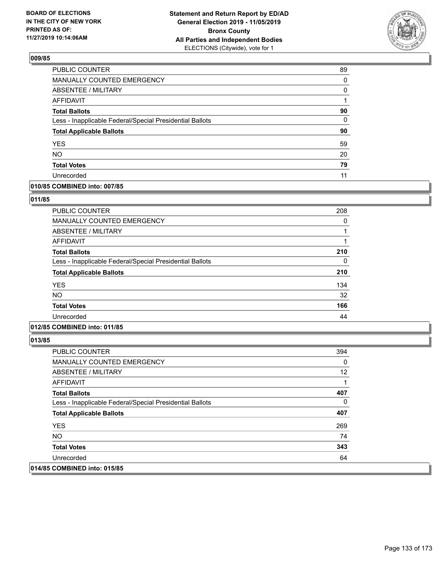

| <b>PUBLIC COUNTER</b>                                    | 89       |
|----------------------------------------------------------|----------|
| <b>MANUALLY COUNTED EMERGENCY</b>                        | $\Omega$ |
| ABSENTEE / MILITARY                                      | 0        |
| <b>AFFIDAVIT</b>                                         |          |
| <b>Total Ballots</b>                                     | 90       |
| Less - Inapplicable Federal/Special Presidential Ballots | 0        |
| <b>Total Applicable Ballots</b>                          | 90       |
| <b>YES</b>                                               | 59       |
| <b>NO</b>                                                | 20       |
| <b>Total Votes</b>                                       | 79       |
| Unrecorded                                               | 11       |

### **010/85 COMBINED into: 007/85**

### **011/85**

| <b>PUBLIC COUNTER</b>                                    | 208 |
|----------------------------------------------------------|-----|
| <b>MANUALLY COUNTED EMERGENCY</b>                        | 0   |
| ABSENTEE / MILITARY                                      |     |
| AFFIDAVIT                                                |     |
| <b>Total Ballots</b>                                     | 210 |
| Less - Inapplicable Federal/Special Presidential Ballots | 0   |
| <b>Total Applicable Ballots</b>                          | 210 |
| <b>YES</b>                                               | 134 |
| <b>NO</b>                                                | 32  |
| <b>Total Votes</b>                                       | 166 |
| Unrecorded                                               | 44  |

# **012/85 COMBINED into: 011/85**

| PUBLIC COUNTER                                           | 394 |
|----------------------------------------------------------|-----|
| <b>MANUALLY COUNTED EMERGENCY</b>                        | 0   |
| ABSENTEE / MILITARY                                      | 12  |
| AFFIDAVIT                                                |     |
| <b>Total Ballots</b>                                     | 407 |
| Less - Inapplicable Federal/Special Presidential Ballots | 0   |
| <b>Total Applicable Ballots</b>                          | 407 |
| <b>YES</b>                                               | 269 |
| NO.                                                      | 74  |
| <b>Total Votes</b>                                       | 343 |
| Unrecorded                                               | 64  |
| 014/85 COMBINED into: 015/85                             |     |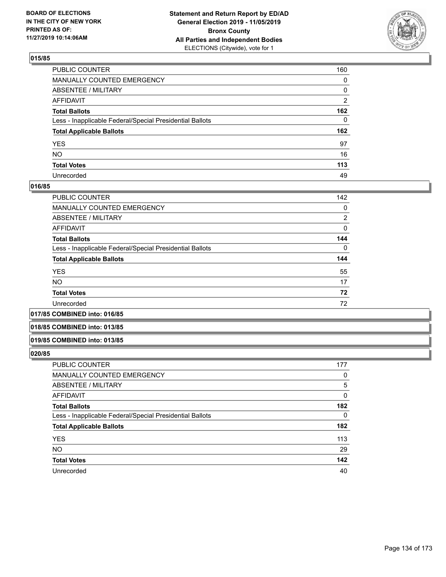

| PUBLIC COUNTER                                           | 160            |
|----------------------------------------------------------|----------------|
| MANUALLY COUNTED EMERGENCY                               | $\mathbf{0}$   |
| ABSENTEE / MILITARY                                      | 0              |
| AFFIDAVIT                                                | $\overline{2}$ |
| Total Ballots                                            | 162            |
| Less - Inapplicable Federal/Special Presidential Ballots | $\mathbf{0}$   |
| <b>Total Applicable Ballots</b>                          | 162            |
| YES                                                      | 97             |
| NO.                                                      | 16             |
| <b>Total Votes</b>                                       | 113            |
| Unrecorded                                               | 49             |

### **016/85**

| PUBLIC COUNTER                                           | 142      |
|----------------------------------------------------------|----------|
| <b>MANUALLY COUNTED EMERGENCY</b>                        | 0        |
| ABSENTEE / MILITARY                                      | 2        |
| AFFIDAVIT                                                | 0        |
| <b>Total Ballots</b>                                     | 144      |
| Less - Inapplicable Federal/Special Presidential Ballots | $\Omega$ |
| <b>Total Applicable Ballots</b>                          | 144      |
| <b>YES</b>                                               | 55       |
| <b>NO</b>                                                | 17       |
| <b>Total Votes</b>                                       | 72       |
| Unrecorded                                               | 72       |
|                                                          |          |

#### **017/85 COMBINED into: 016/85**

### **018/85 COMBINED into: 013/85**

#### **019/85 COMBINED into: 013/85**

| PUBLIC COUNTER                                           | 177      |
|----------------------------------------------------------|----------|
| <b>MANUALLY COUNTED EMERGENCY</b>                        | 0        |
| ABSENTEE / MILITARY                                      | 5        |
| AFFIDAVIT                                                | 0        |
| <b>Total Ballots</b>                                     | 182      |
| Less - Inapplicable Federal/Special Presidential Ballots | $\Omega$ |
| <b>Total Applicable Ballots</b>                          | 182      |
| <b>YES</b>                                               | 113      |
| <b>NO</b>                                                | 29       |
| <b>Total Votes</b>                                       | 142      |
| Unrecorded                                               | 40       |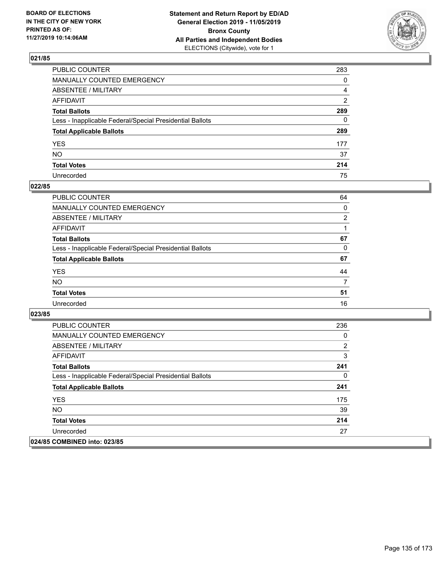

| PUBLIC COUNTER                                           | 283 |
|----------------------------------------------------------|-----|
| MANUALLY COUNTED EMERGENCY                               | 0   |
| ABSENTEE / MILITARY                                      | 4   |
| AFFIDAVIT                                                | 2   |
| Total Ballots                                            | 289 |
| Less - Inapplicable Federal/Special Presidential Ballots | 0   |
| <b>Total Applicable Ballots</b>                          | 289 |
| YES                                                      | 177 |
| NO.                                                      | 37  |
| <b>Total Votes</b>                                       | 214 |
| Unrecorded                                               | 75  |

# **022/85**

| <b>PUBLIC COUNTER</b>                                    | 64             |
|----------------------------------------------------------|----------------|
| <b>MANUALLY COUNTED EMERGENCY</b>                        | $\Omega$       |
| ABSENTEE / MILITARY                                      | $\overline{2}$ |
| AFFIDAVIT                                                |                |
| <b>Total Ballots</b>                                     | 67             |
| Less - Inapplicable Federal/Special Presidential Ballots | 0              |
| <b>Total Applicable Ballots</b>                          | 67             |
| <b>YES</b>                                               | 44             |
| <b>NO</b>                                                | 7              |
| <b>Total Votes</b>                                       | 51             |
| Unrecorded                                               | 16             |

| <b>PUBLIC COUNTER</b>                                    | 236 |
|----------------------------------------------------------|-----|
| <b>MANUALLY COUNTED EMERGENCY</b>                        | 0   |
| ABSENTEE / MILITARY                                      | 2   |
| AFFIDAVIT                                                | 3   |
| <b>Total Ballots</b>                                     | 241 |
| Less - Inapplicable Federal/Special Presidential Ballots | 0   |
| <b>Total Applicable Ballots</b>                          | 241 |
| <b>YES</b>                                               | 175 |
| NO.                                                      | 39  |
| <b>Total Votes</b>                                       | 214 |
| Unrecorded                                               | 27  |
| 024/85 COMBINED into: 023/85                             |     |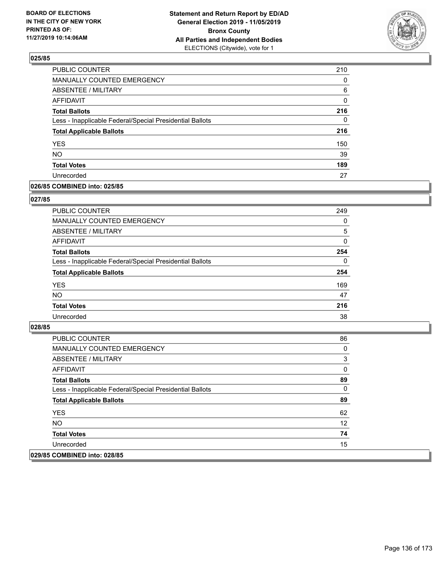

| PUBLIC COUNTER                                           | 210 |
|----------------------------------------------------------|-----|
| MANUALLY COUNTED EMERGENCY                               | 0   |
| <b>ABSENTEE / MILITARY</b>                               | 6   |
| <b>AFFIDAVIT</b>                                         | 0   |
| <b>Total Ballots</b>                                     | 216 |
| Less - Inapplicable Federal/Special Presidential Ballots | 0   |
| <b>Total Applicable Ballots</b>                          | 216 |
| <b>YES</b>                                               | 150 |
| <b>NO</b>                                                | 39  |
| <b>Total Votes</b>                                       | 189 |
| Unrecorded                                               | 27  |

### **026/85 COMBINED into: 025/85**

### **027/85**

| PUBLIC COUNTER                                           | 249      |
|----------------------------------------------------------|----------|
| <b>MANUALLY COUNTED EMERGENCY</b>                        | $\Omega$ |
| ABSENTEE / MILITARY                                      | 5        |
| AFFIDAVIT                                                | $\Omega$ |
| <b>Total Ballots</b>                                     | 254      |
| Less - Inapplicable Federal/Special Presidential Ballots | $\Omega$ |
| <b>Total Applicable Ballots</b>                          | 254      |
| <b>YES</b>                                               | 169      |
| <b>NO</b>                                                | 47       |
| <b>Total Votes</b>                                       | 216      |
| Unrecorded                                               | 38       |
|                                                          |          |

| <b>PUBLIC COUNTER</b>                                    | 86 |
|----------------------------------------------------------|----|
| <b>MANUALLY COUNTED EMERGENCY</b>                        | 0  |
| ABSENTEE / MILITARY                                      | 3  |
| AFFIDAVIT                                                | 0  |
| <b>Total Ballots</b>                                     | 89 |
| Less - Inapplicable Federal/Special Presidential Ballots | 0  |
| <b>Total Applicable Ballots</b>                          | 89 |
| <b>YES</b>                                               | 62 |
| NO.                                                      | 12 |
| <b>Total Votes</b>                                       | 74 |
| Unrecorded                                               | 15 |
| 029/85 COMBINED into: 028/85                             |    |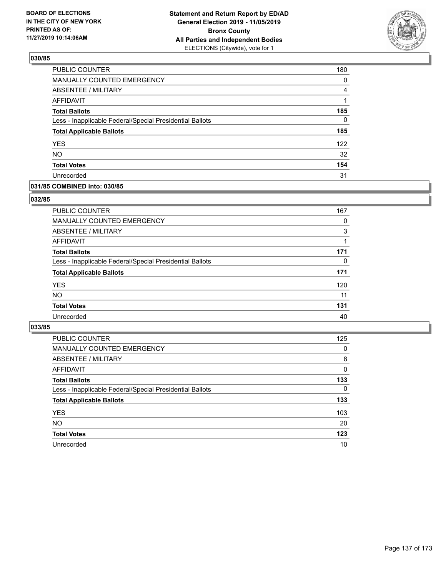

| PUBLIC COUNTER                                           | 180 |
|----------------------------------------------------------|-----|
| MANUALLY COUNTED EMERGENCY                               | 0   |
| ABSENTEE / MILITARY                                      | 4   |
| AFFIDAVIT                                                |     |
| <b>Total Ballots</b>                                     | 185 |
| Less - Inapplicable Federal/Special Presidential Ballots | 0   |
| <b>Total Applicable Ballots</b>                          | 185 |
| <b>YES</b>                                               | 122 |
| <b>NO</b>                                                | 32  |
| <b>Total Votes</b>                                       | 154 |
| Unrecorded                                               | 31  |

### **031/85 COMBINED into: 030/85**

### **032/85**

| <b>PUBLIC COUNTER</b>                                    | 167      |
|----------------------------------------------------------|----------|
| MANUALLY COUNTED EMERGENCY                               | 0        |
| ABSENTEE / MILITARY                                      | 3        |
| AFFIDAVIT                                                |          |
| <b>Total Ballots</b>                                     | 171      |
| Less - Inapplicable Federal/Special Presidential Ballots | $\Omega$ |
| <b>Total Applicable Ballots</b>                          | 171      |
| <b>YES</b>                                               | 120      |
| <b>NO</b>                                                | 11       |
| <b>Total Votes</b>                                       | 131      |
| Unrecorded                                               | 40       |
|                                                          |          |

| <b>PUBLIC COUNTER</b>                                    | 125      |
|----------------------------------------------------------|----------|
| MANUALLY COUNTED EMERGENCY                               | 0        |
| ABSENTEE / MILITARY                                      | 8        |
| AFFIDAVIT                                                | $\Omega$ |
| <b>Total Ballots</b>                                     | 133      |
| Less - Inapplicable Federal/Special Presidential Ballots | $\Omega$ |
| <b>Total Applicable Ballots</b>                          | 133      |
| <b>YES</b>                                               | 103      |
| <b>NO</b>                                                | 20       |
| <b>Total Votes</b>                                       | 123      |
| Unrecorded                                               | 10       |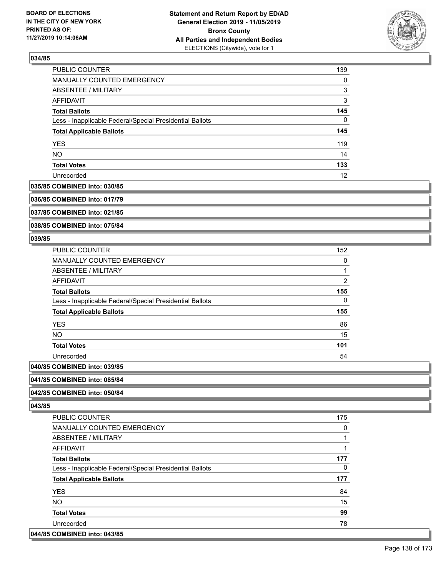

| <b>PUBLIC COUNTER</b>                                    | 139      |
|----------------------------------------------------------|----------|
| MANUALLY COUNTED EMERGENCY                               | $\Omega$ |
| ABSENTEE / MILITARY                                      | 3        |
| AFFIDAVIT                                                | 3        |
| <b>Total Ballots</b>                                     | 145      |
| Less - Inapplicable Federal/Special Presidential Ballots | 0        |
| <b>Total Applicable Ballots</b>                          | 145      |
| <b>YES</b>                                               | 119      |
| <b>NO</b>                                                | 14       |
| <b>Total Votes</b>                                       | 133      |
| Unrecorded                                               | 12       |

#### **035/85 COMBINED into: 030/85**

**036/85 COMBINED into: 017/79**

**037/85 COMBINED into: 021/85**

**038/85 COMBINED into: 075/84**

### **039/85**

| <b>PUBLIC COUNTER</b>                                    | 152 |
|----------------------------------------------------------|-----|
| <b>MANUALLY COUNTED EMERGENCY</b>                        | 0   |
| <b>ABSENTEE / MILITARY</b>                               |     |
| <b>AFFIDAVIT</b>                                         | 2   |
| <b>Total Ballots</b>                                     | 155 |
| Less - Inapplicable Federal/Special Presidential Ballots | 0   |
| <b>Total Applicable Ballots</b>                          | 155 |
| <b>YES</b>                                               | 86  |
| <b>NO</b>                                                | 15  |
| <b>Total Votes</b>                                       | 101 |
| Unrecorded                                               | 54  |
| COMPINIED into 020/05                                    |     |

# **040/85 COMBINED into: 039/85**

#### **041/85 COMBINED into: 085/84**

### **042/85 COMBINED into: 050/84**

**043/85** 

| PUBLIC COUNTER                                           | 175 |
|----------------------------------------------------------|-----|
| <b>MANUALLY COUNTED EMERGENCY</b>                        | 0   |
| ABSENTEE / MILITARY                                      |     |
| AFFIDAVIT                                                |     |
| <b>Total Ballots</b>                                     | 177 |
| Less - Inapplicable Federal/Special Presidential Ballots | 0   |
|                                                          |     |
| <b>Total Applicable Ballots</b>                          | 177 |
| <b>YES</b>                                               | 84  |
| <b>NO</b>                                                | 15  |
| <b>Total Votes</b>                                       | 99  |
| Unrecorded                                               | 78  |

#### **044/85 COMBINED into: 043/85**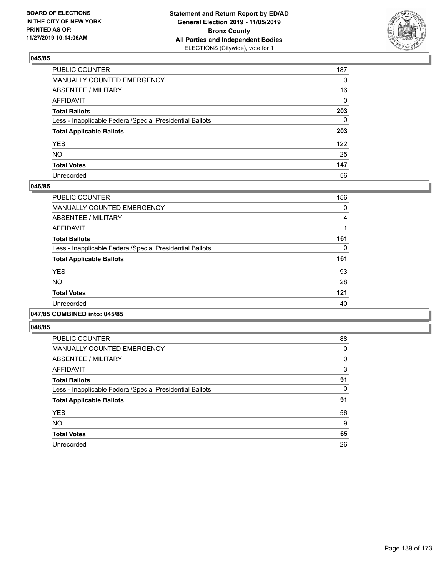

| PUBLIC COUNTER                                           | 187 |
|----------------------------------------------------------|-----|
| MANUALLY COUNTED EMERGENCY                               | 0   |
| ABSENTEE / MILITARY                                      | 16  |
| AFFIDAVIT                                                | 0   |
| Total Ballots                                            | 203 |
| Less - Inapplicable Federal/Special Presidential Ballots | 0   |
| <b>Total Applicable Ballots</b>                          | 203 |
| YES                                                      | 122 |
| NO.                                                      | 25  |
| <b>Total Votes</b>                                       | 147 |
| Unrecorded                                               | 56  |

### **046/85**

| PUBLIC COUNTER                                           | 156 |
|----------------------------------------------------------|-----|
| <b>MANUALLY COUNTED EMERGENCY</b>                        | 0   |
| ABSENTEE / MILITARY                                      | 4   |
| <b>AFFIDAVIT</b>                                         |     |
| <b>Total Ballots</b>                                     | 161 |
| Less - Inapplicable Federal/Special Presidential Ballots | 0   |
| <b>Total Applicable Ballots</b>                          | 161 |
| <b>YES</b>                                               | 93  |
| <b>NO</b>                                                | 28  |
| <b>Total Votes</b>                                       | 121 |
| Unrecorded                                               | 40  |
|                                                          |     |

### **047/85 COMBINED into: 045/85**

| <b>PUBLIC COUNTER</b>                                    | 88 |
|----------------------------------------------------------|----|
| <b>MANUALLY COUNTED EMERGENCY</b>                        | 0  |
| ABSENTEE / MILITARY                                      | 0  |
| <b>AFFIDAVIT</b>                                         | 3  |
| <b>Total Ballots</b>                                     | 91 |
| Less - Inapplicable Federal/Special Presidential Ballots | 0  |
| <b>Total Applicable Ballots</b>                          | 91 |
| <b>YES</b>                                               | 56 |
| <b>NO</b>                                                | 9  |
| <b>Total Votes</b>                                       | 65 |
| Unrecorded                                               | 26 |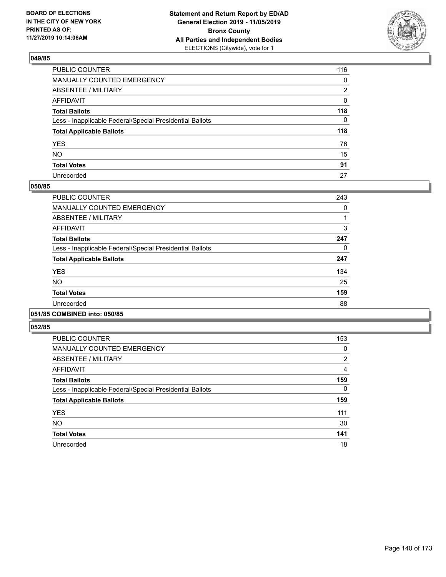

| PUBLIC COUNTER                                           | 116 |
|----------------------------------------------------------|-----|
| MANUALLY COUNTED EMERGENCY                               | 0   |
| ABSENTEE / MILITARY                                      | 2   |
| AFFIDAVIT                                                | 0   |
| Total Ballots                                            | 118 |
| Less - Inapplicable Federal/Special Presidential Ballots | 0   |
| <b>Total Applicable Ballots</b>                          | 118 |
| YES                                                      | 76  |
| NO.                                                      | 15  |
| <b>Total Votes</b>                                       | 91  |
| Unrecorded                                               | 27  |

### **050/85**

| PUBLIC COUNTER                                           | 243      |
|----------------------------------------------------------|----------|
| <b>MANUALLY COUNTED EMERGENCY</b>                        | $\Omega$ |
| ABSENTEE / MILITARY                                      |          |
| <b>AFFIDAVIT</b>                                         | 3        |
| <b>Total Ballots</b>                                     | 247      |
| Less - Inapplicable Federal/Special Presidential Ballots | 0        |
| <b>Total Applicable Ballots</b>                          | 247      |
| <b>YES</b>                                               | 134      |
| <b>NO</b>                                                | 25       |
| <b>Total Votes</b>                                       | 159      |
| Unrecorded                                               | 88       |
|                                                          |          |

### **051/85 COMBINED into: 050/85**

| PUBLIC COUNTER                                           | 153 |
|----------------------------------------------------------|-----|
| <b>MANUALLY COUNTED EMERGENCY</b>                        | 0   |
| <b>ABSENTEE / MILITARY</b>                               | 2   |
| <b>AFFIDAVIT</b>                                         | 4   |
| <b>Total Ballots</b>                                     | 159 |
| Less - Inapplicable Federal/Special Presidential Ballots | 0   |
| <b>Total Applicable Ballots</b>                          | 159 |
| <b>YES</b>                                               | 111 |
| <b>NO</b>                                                | 30  |
| <b>Total Votes</b>                                       | 141 |
| Unrecorded                                               | 18  |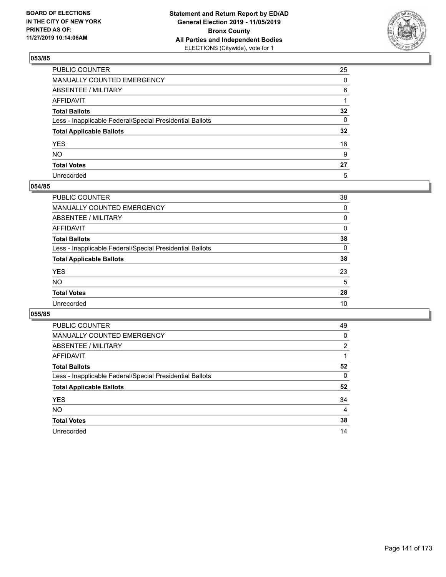

| PUBLIC COUNTER                                           | 25              |
|----------------------------------------------------------|-----------------|
| MANUALLY COUNTED EMERGENCY                               | $\mathbf{0}$    |
| ABSENTEE / MILITARY                                      | 6               |
| AFFIDAVIT                                                |                 |
| Total Ballots                                            | $32\phantom{a}$ |
| Less - Inapplicable Federal/Special Presidential Ballots | 0               |
| <b>Total Applicable Ballots</b>                          | $32\phantom{a}$ |
| YES                                                      | 18              |
| NO.                                                      | 9               |
| <b>Total Votes</b>                                       | 27              |
| Unrecorded                                               | 5               |

### **054/85**

| PUBLIC COUNTER                                           | 38       |
|----------------------------------------------------------|----------|
| <b>MANUALLY COUNTED EMERGENCY</b>                        | $\Omega$ |
| ABSENTEE / MILITARY                                      | 0        |
| AFFIDAVIT                                                | $\Omega$ |
| <b>Total Ballots</b>                                     | 38       |
| Less - Inapplicable Federal/Special Presidential Ballots | $\Omega$ |
| <b>Total Applicable Ballots</b>                          | 38       |
| <b>YES</b>                                               | 23       |
| <b>NO</b>                                                | 5        |
| <b>Total Votes</b>                                       | 28       |
| Unrecorded                                               | 10       |
|                                                          |          |

| PUBLIC COUNTER                                           | 49       |
|----------------------------------------------------------|----------|
| <b>MANUALLY COUNTED EMERGENCY</b>                        | 0        |
| ABSENTEE / MILITARY                                      | 2        |
| AFFIDAVIT                                                |          |
| <b>Total Ballots</b>                                     | 52       |
| Less - Inapplicable Federal/Special Presidential Ballots | $\Omega$ |
| <b>Total Applicable Ballots</b>                          | 52       |
| <b>YES</b>                                               | 34       |
| <b>NO</b>                                                | 4        |
| <b>Total Votes</b>                                       | 38       |
| Unrecorded                                               | 14       |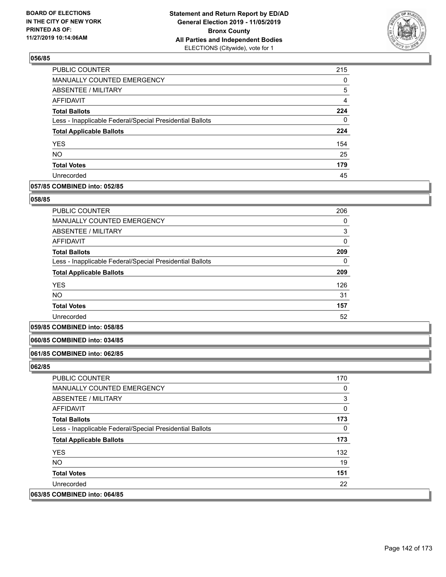

| PUBLIC COUNTER                                           | 215            |
|----------------------------------------------------------|----------------|
| MANUALLY COUNTED EMERGENCY                               | 0              |
| ABSENTEE / MILITARY                                      | 5              |
| AFFIDAVIT                                                | $\overline{4}$ |
| <b>Total Ballots</b>                                     | 224            |
| Less - Inapplicable Federal/Special Presidential Ballots | 0              |
| <b>Total Applicable Ballots</b>                          | 224            |
| <b>YES</b>                                               | 154            |
| <b>NO</b>                                                | 25             |
| <b>Total Votes</b>                                       | 179            |
| Unrecorded                                               | 45             |

### **057/85 COMBINED into: 052/85**

#### **058/85**

| <b>PUBLIC COUNTER</b>                                    | 206 |
|----------------------------------------------------------|-----|
| <b>MANUALLY COUNTED EMERGENCY</b>                        | 0   |
| <b>ABSENTEE / MILITARY</b>                               | 3   |
| AFFIDAVIT                                                | 0   |
| <b>Total Ballots</b>                                     | 209 |
| Less - Inapplicable Federal/Special Presidential Ballots | 0   |
| <b>Total Applicable Ballots</b>                          | 209 |
| <b>YES</b>                                               | 126 |
| <b>NO</b>                                                | 31  |
| <b>Total Votes</b>                                       | 157 |
| Unrecorded                                               | 52  |

## **059/85 COMBINED into: 058/85**

#### **060/85 COMBINED into: 034/85**

#### **061/85 COMBINED into: 062/85**

| PUBLIC COUNTER                                           | 170 |
|----------------------------------------------------------|-----|
| MANUALLY COUNTED EMERGENCY                               | 0   |
| ABSENTEE / MILITARY                                      | 3   |
| AFFIDAVIT                                                | 0   |
| <b>Total Ballots</b>                                     | 173 |
| Less - Inapplicable Federal/Special Presidential Ballots | 0   |
| <b>Total Applicable Ballots</b>                          | 173 |
| <b>YES</b>                                               | 132 |
| NO.                                                      | 19  |
| <b>Total Votes</b>                                       | 151 |
| Unrecorded                                               | 22  |
| 063/85 COMBINED into: 064/85                             |     |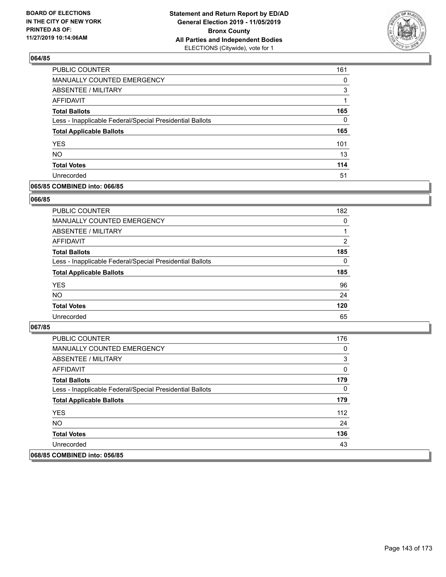

| PUBLIC COUNTER                                           | 161      |
|----------------------------------------------------------|----------|
| MANUALLY COUNTED EMERGENCY                               | $\Omega$ |
| ABSENTEE / MILITARY                                      | 3        |
| <b>AFFIDAVIT</b>                                         | 1        |
| <b>Total Ballots</b>                                     | 165      |
| Less - Inapplicable Federal/Special Presidential Ballots | 0        |
| <b>Total Applicable Ballots</b>                          | 165      |
| <b>YES</b>                                               | 101      |
| <b>NO</b>                                                | 13       |
| <b>Total Votes</b>                                       | 114      |
| Unrecorded                                               | 51       |

### **065/85 COMBINED into: 066/85**

#### **066/85**

| <b>PUBLIC COUNTER</b>                                    | 182      |
|----------------------------------------------------------|----------|
| MANUALLY COUNTED EMERGENCY                               | $\Omega$ |
| <b>ABSENTEE / MILITARY</b>                               |          |
| AFFIDAVIT                                                | 2        |
| <b>Total Ballots</b>                                     | 185      |
| Less - Inapplicable Federal/Special Presidential Ballots | $\Omega$ |
| <b>Total Applicable Ballots</b>                          | 185      |
| <b>YES</b>                                               | 96       |
| <b>NO</b>                                                | 24       |
| <b>Total Votes</b>                                       | 120      |
| Unrecorded                                               | 65       |
|                                                          |          |

| <b>PUBLIC COUNTER</b>                                    | 176 |
|----------------------------------------------------------|-----|
| <b>MANUALLY COUNTED EMERGENCY</b>                        | 0   |
| ABSENTEE / MILITARY                                      | 3   |
| AFFIDAVIT                                                | 0   |
| <b>Total Ballots</b>                                     | 179 |
| Less - Inapplicable Federal/Special Presidential Ballots | 0   |
| <b>Total Applicable Ballots</b>                          | 179 |
| <b>YES</b>                                               | 112 |
| NO.                                                      | 24  |
| <b>Total Votes</b>                                       | 136 |
| Unrecorded                                               | 43  |
| 068/85 COMBINED into: 056/85                             |     |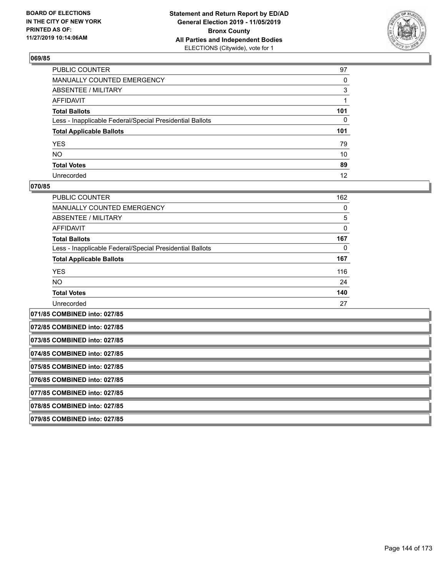

| PUBLIC COUNTER                                           | 97           |
|----------------------------------------------------------|--------------|
| MANUALLY COUNTED EMERGENCY                               | $\mathbf{0}$ |
| ABSENTEE / MILITARY                                      | 3            |
| AFFIDAVIT                                                |              |
| Total Ballots                                            | 101          |
| Less - Inapplicable Federal/Special Presidential Ballots | $\mathbf{0}$ |
| <b>Total Applicable Ballots</b>                          | 101          |
| YES                                                      | 79           |
| NO.                                                      | 10           |
| <b>Total Votes</b>                                       | 89           |
| Unrecorded                                               | 12           |

### **070/85**

| PUBLIC COUNTER                                           | 162 |
|----------------------------------------------------------|-----|
| <b>MANUALLY COUNTED EMERGENCY</b>                        | 0   |
| ABSENTEE / MILITARY                                      | 5   |
| <b>AFFIDAVIT</b>                                         | 0   |
| <b>Total Ballots</b>                                     | 167 |
| Less - Inapplicable Federal/Special Presidential Ballots | 0   |
| <b>Total Applicable Ballots</b>                          | 167 |
| <b>YES</b>                                               | 116 |
| NO.                                                      | 24  |
| <b>Total Votes</b>                                       | 140 |
| Unrecorded                                               | 27  |
| 071/85 COMBINED into: 027/85                             |     |

**072/85 COMBINED into: 027/85**

**073/85 COMBINED into: 027/85**

**074/85 COMBINED into: 027/85**

**075/85 COMBINED into: 027/85**

**076/85 COMBINED into: 027/85**

**077/85 COMBINED into: 027/85**

**078/85 COMBINED into: 027/85**

**079/85 COMBINED into: 027/85**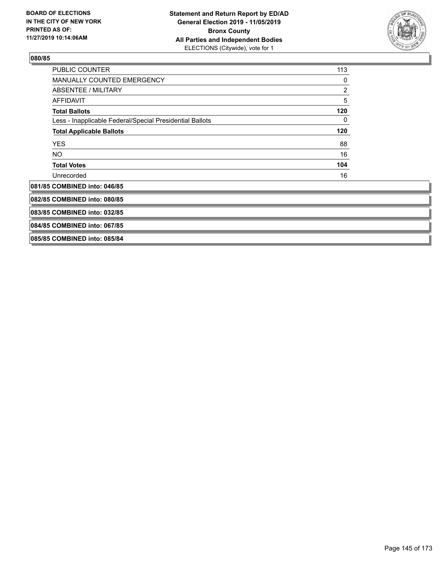

| PUBLIC COUNTER                                           | 113            |
|----------------------------------------------------------|----------------|
| <b>MANUALLY COUNTED EMERGENCY</b>                        | 0              |
| ABSENTEE / MILITARY                                      | $\overline{c}$ |
| <b>AFFIDAVIT</b>                                         | 5              |
| <b>Total Ballots</b>                                     | 120            |
| Less - Inapplicable Federal/Special Presidential Ballots | 0              |
| <b>Total Applicable Ballots</b>                          | 120            |
| <b>YES</b>                                               | 88             |
| NO.                                                      | 16             |
| <b>Total Votes</b>                                       | 104            |
| Unrecorded                                               | 16             |
| 081/85 COMBINED into: 046/85                             |                |
| 082/85 COMBINED into: 080/85                             |                |
| 083/85 COMBINED into: 032/85                             |                |
| 084/85 COMBINED into: 067/85                             |                |
| 085/85 COMBINED into: 085/84                             |                |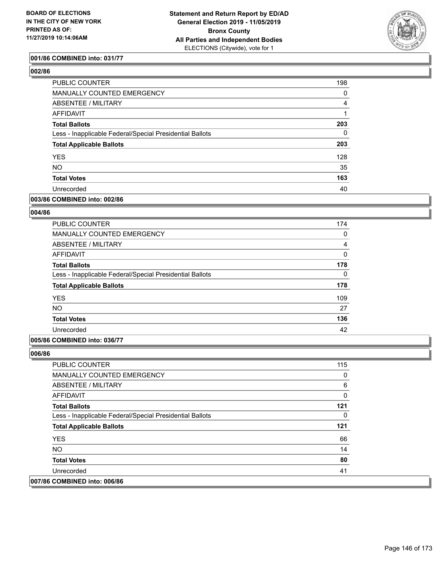

### **001/86 COMBINED into: 031/77**

# **002/86**

| PUBLIC COUNTER                                           | 198      |
|----------------------------------------------------------|----------|
| MANUALLY COUNTED EMERGENCY                               | $\Omega$ |
| ABSENTEE / MILITARY                                      | 4        |
| AFFIDAVIT                                                |          |
| <b>Total Ballots</b>                                     | 203      |
| Less - Inapplicable Federal/Special Presidential Ballots | $\Omega$ |
| <b>Total Applicable Ballots</b>                          | 203      |
| <b>YES</b>                                               | 128      |
| <b>NO</b>                                                | 35       |
| <b>Total Votes</b>                                       | 163      |
| Unrecorded                                               | 40       |
|                                                          |          |

### **003/86 COMBINED into: 002/86**

# **004/86**

| <b>PUBLIC COUNTER</b>                                    | 174          |
|----------------------------------------------------------|--------------|
| <b>MANUALLY COUNTED EMERGENCY</b>                        | 0            |
| ABSENTEE / MILITARY                                      | 4            |
| AFFIDAVIT                                                | $\mathbf{0}$ |
| <b>Total Ballots</b>                                     | 178          |
| Less - Inapplicable Federal/Special Presidential Ballots | $\Omega$     |
| <b>Total Applicable Ballots</b>                          | 178          |
| <b>YES</b>                                               | 109          |
| NO.                                                      | 27           |
| <b>Total Votes</b>                                       | 136          |
| Unrecorded                                               | 42           |

### **005/86 COMBINED into: 036/77**

| <b>PUBLIC COUNTER</b>                                    | 115 |
|----------------------------------------------------------|-----|
| <b>MANUALLY COUNTED EMERGENCY</b>                        | 0   |
| ABSENTEE / MILITARY                                      | 6   |
| AFFIDAVIT                                                | 0   |
| <b>Total Ballots</b>                                     | 121 |
| Less - Inapplicable Federal/Special Presidential Ballots | 0   |
| <b>Total Applicable Ballots</b>                          | 121 |
| <b>YES</b>                                               | 66  |
| NO.                                                      | 14  |
| <b>Total Votes</b>                                       | 80  |
| Unrecorded                                               | 41  |
| 007/86 COMBINED into: 006/86                             |     |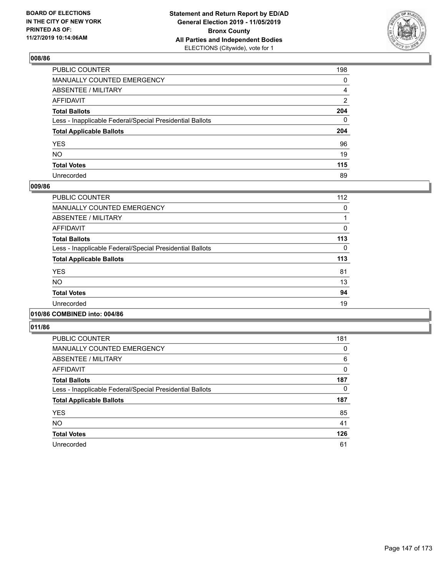

| PUBLIC COUNTER                                           | 198 |
|----------------------------------------------------------|-----|
| MANUALLY COUNTED EMERGENCY                               | 0   |
| ABSENTEE / MILITARY                                      | 4   |
| AFFIDAVIT                                                | 2   |
| Total Ballots                                            | 204 |
| Less - Inapplicable Federal/Special Presidential Ballots | 0   |
| <b>Total Applicable Ballots</b>                          | 204 |
| YES                                                      | 96  |
| NO.                                                      | 19  |
| <b>Total Votes</b>                                       | 115 |
| Unrecorded                                               | 89  |

### **009/86**

| <b>PUBLIC COUNTER</b>                                    | 112      |
|----------------------------------------------------------|----------|
| <b>MANUALLY COUNTED EMERGENCY</b>                        | 0        |
| ABSENTEE / MILITARY                                      |          |
| AFFIDAVIT                                                | 0        |
| <b>Total Ballots</b>                                     | 113      |
| Less - Inapplicable Federal/Special Presidential Ballots | $\Omega$ |
| <b>Total Applicable Ballots</b>                          | 113      |
| <b>YES</b>                                               | 81       |
| <b>NO</b>                                                | 13       |
| <b>Total Votes</b>                                       | 94       |
| Unrecorded                                               | 19       |
|                                                          |          |

# **010/86 COMBINED into: 004/86**

| PUBLIC COUNTER                                           | 181          |
|----------------------------------------------------------|--------------|
| <b>MANUALLY COUNTED EMERGENCY</b>                        | 0            |
| ABSENTEE / MILITARY                                      | 6            |
| <b>AFFIDAVIT</b>                                         | $\mathbf{0}$ |
| <b>Total Ballots</b>                                     | 187          |
| Less - Inapplicable Federal/Special Presidential Ballots | 0            |
| <b>Total Applicable Ballots</b>                          | 187          |
| <b>YES</b>                                               | 85           |
| <b>NO</b>                                                | 41           |
| <b>Total Votes</b>                                       | 126          |
| Unrecorded                                               | 61           |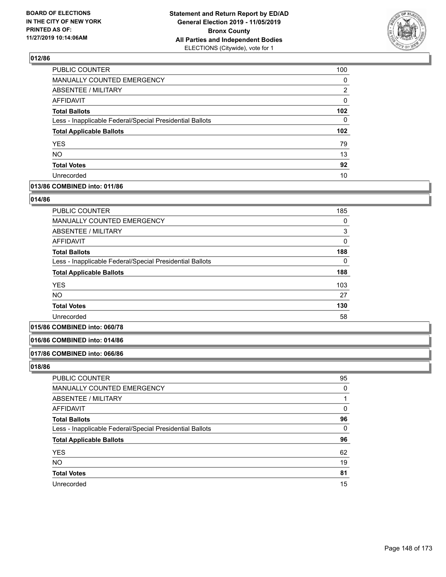

| PUBLIC COUNTER                                           | 100              |
|----------------------------------------------------------|------------------|
| <b>MANUALLY COUNTED EMERGENCY</b>                        | $\Omega$         |
| ABSENTEE / MILITARY                                      | 2                |
| <b>AFFIDAVIT</b>                                         | 0                |
| <b>Total Ballots</b>                                     | 102              |
| Less - Inapplicable Federal/Special Presidential Ballots | 0                |
| <b>Total Applicable Ballots</b>                          | 102 <sub>2</sub> |
| <b>YES</b>                                               | 79               |
| <b>NO</b>                                                | 13               |
| <b>Total Votes</b>                                       | 92               |
| Unrecorded                                               | 10               |

# **013/86 COMBINED into: 011/86**

#### **014/86**

| <b>PUBLIC COUNTER</b>                                    | 185      |
|----------------------------------------------------------|----------|
| MANUALLY COUNTED EMERGENCY                               | 0        |
| ABSENTEE / MILITARY                                      | 3        |
| AFFIDAVIT                                                | $\Omega$ |
| <b>Total Ballots</b>                                     | 188      |
| Less - Inapplicable Federal/Special Presidential Ballots | 0        |
| <b>Total Applicable Ballots</b>                          | 188      |
| <b>YES</b>                                               | 103      |
| <b>NO</b>                                                | 27       |
| <b>Total Votes</b>                                       | 130      |
| Unrecorded                                               | 58       |

# **015/86 COMBINED into: 060/78**

#### **016/86 COMBINED into: 014/86**

#### **017/86 COMBINED into: 066/86**

| PUBLIC COUNTER                                           | 95       |
|----------------------------------------------------------|----------|
| MANUALLY COUNTED EMERGENCY                               | 0        |
| ABSENTEE / MILITARY                                      |          |
| AFFIDAVIT                                                | 0        |
| <b>Total Ballots</b>                                     | 96       |
| Less - Inapplicable Federal/Special Presidential Ballots | $\Omega$ |
| <b>Total Applicable Ballots</b>                          | 96       |
| <b>YES</b>                                               | 62       |
| <b>NO</b>                                                | 19       |
| <b>Total Votes</b>                                       | 81       |
| Unrecorded                                               | 15       |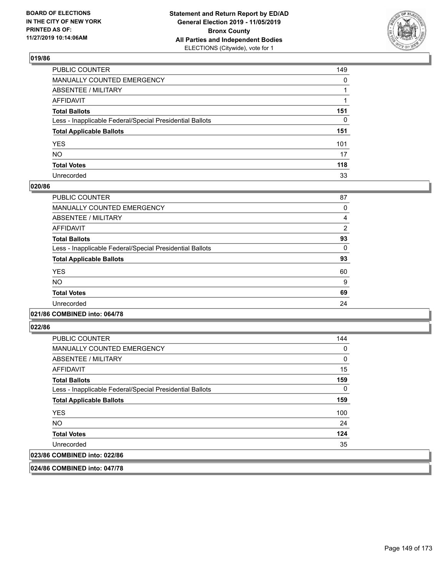

| PUBLIC COUNTER                                           | 149          |
|----------------------------------------------------------|--------------|
| MANUALLY COUNTED EMERGENCY                               | $\mathbf{0}$ |
| ABSENTEE / MILITARY                                      |              |
| AFFIDAVIT                                                |              |
| Total Ballots                                            | 151          |
| Less - Inapplicable Federal/Special Presidential Ballots | $\mathbf{0}$ |
| <b>Total Applicable Ballots</b>                          | 151          |
| YES                                                      | 101          |
| NO.                                                      | 17           |
| <b>Total Votes</b>                                       | 118          |
| Unrecorded                                               | 33           |

### **020/86**

| <b>PUBLIC COUNTER</b>                                    | 87       |
|----------------------------------------------------------|----------|
| <b>MANUALLY COUNTED EMERGENCY</b>                        | 0        |
| ABSENTEE / MILITARY                                      | 4        |
| <b>AFFIDAVIT</b>                                         | 2        |
| <b>Total Ballots</b>                                     | 93       |
| Less - Inapplicable Federal/Special Presidential Ballots | $\Omega$ |
| <b>Total Applicable Ballots</b>                          | 93       |
| <b>YES</b>                                               | 60       |
| <b>NO</b>                                                | 9        |
| <b>Total Votes</b>                                       | 69       |
| Unrecorded                                               | 24       |
|                                                          |          |

### **021/86 COMBINED into: 064/78**

**022/86** 

| <b>PUBLIC COUNTER</b>                                    | 144 |
|----------------------------------------------------------|-----|
| MANUALLY COUNTED EMERGENCY                               | 0   |
| ABSENTEE / MILITARY                                      | 0   |
| AFFIDAVIT                                                | 15  |
| <b>Total Ballots</b>                                     | 159 |
| Less - Inapplicable Federal/Special Presidential Ballots | 0   |
| <b>Total Applicable Ballots</b>                          | 159 |
| <b>YES</b>                                               | 100 |
| NO.                                                      | 24  |
| <b>Total Votes</b>                                       | 124 |
| Unrecorded                                               | 35  |
| 023/86 COMBINED into: 022/86                             |     |

**024/86 COMBINED into: 047/78**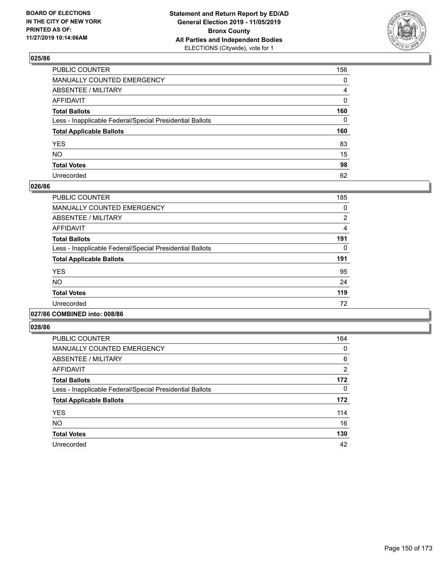

| PUBLIC COUNTER                                           | 156 |
|----------------------------------------------------------|-----|
| MANUALLY COUNTED EMERGENCY                               | 0   |
| ABSENTEE / MILITARY                                      | 4   |
| AFFIDAVIT                                                | 0   |
| Total Ballots                                            | 160 |
| Less - Inapplicable Federal/Special Presidential Ballots | 0   |
| <b>Total Applicable Ballots</b>                          | 160 |
| YES                                                      | 83  |
| NO.                                                      | 15  |
| <b>Total Votes</b>                                       | 98  |
| Unrecorded                                               | 62  |

### **026/86**

| <b>PUBLIC COUNTER</b>                                    | 185 |
|----------------------------------------------------------|-----|
| <b>MANUALLY COUNTED EMERGENCY</b>                        | 0   |
| ABSENTEE / MILITARY                                      | 2   |
| <b>AFFIDAVIT</b>                                         | 4   |
| <b>Total Ballots</b>                                     | 191 |
| Less - Inapplicable Federal/Special Presidential Ballots | 0   |
| <b>Total Applicable Ballots</b>                          | 191 |
| <b>YES</b>                                               | 95  |
| <b>NO</b>                                                | 24  |
| <b>Total Votes</b>                                       | 119 |
| Unrecorded                                               | 72  |
|                                                          |     |

### **027/86 COMBINED into: 008/86**

| PUBLIC COUNTER                                           | 164            |
|----------------------------------------------------------|----------------|
| <b>MANUALLY COUNTED EMERGENCY</b>                        | 0              |
| ABSENTEE / MILITARY                                      | 6              |
| <b>AFFIDAVIT</b>                                         | $\overline{2}$ |
| <b>Total Ballots</b>                                     | 172            |
| Less - Inapplicable Federal/Special Presidential Ballots | 0              |
| <b>Total Applicable Ballots</b>                          | 172            |
| <b>YES</b>                                               | 114            |
| <b>NO</b>                                                | 16             |
| <b>Total Votes</b>                                       | 130            |
| Unrecorded                                               | 42             |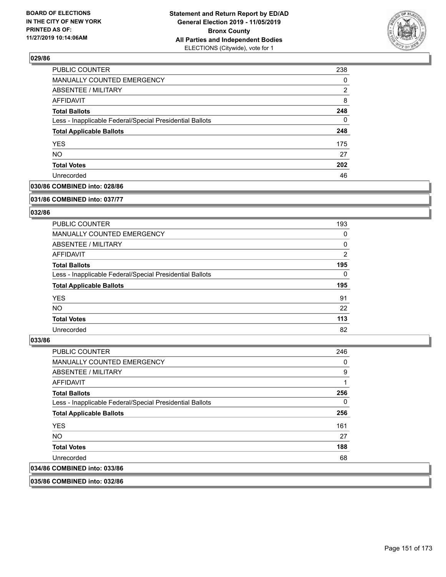

| PUBLIC COUNTER                                           | 238 |
|----------------------------------------------------------|-----|
| <b>MANUALLY COUNTED EMERGENCY</b>                        | 0   |
| <b>ABSENTEE / MILITARY</b>                               | 2   |
| <b>AFFIDAVIT</b>                                         | 8   |
| <b>Total Ballots</b>                                     | 248 |
| Less - Inapplicable Federal/Special Presidential Ballots | 0   |
| <b>Total Applicable Ballots</b>                          | 248 |
| <b>YES</b>                                               | 175 |
| <b>NO</b>                                                | 27  |
| <b>Total Votes</b>                                       | 202 |
| Unrecorded                                               | 46  |

# **030/86 COMBINED into: 028/86**

#### **031/86 COMBINED into: 037/77**

# **032/86**

| <b>PUBLIC COUNTER</b>                                    | 193            |
|----------------------------------------------------------|----------------|
| <b>MANUALLY COUNTED EMERGENCY</b>                        | 0              |
| ABSENTEE / MILITARY                                      | 0              |
| AFFIDAVIT                                                | $\overline{2}$ |
| <b>Total Ballots</b>                                     | 195            |
| Less - Inapplicable Federal/Special Presidential Ballots | $\Omega$       |
| <b>Total Applicable Ballots</b>                          | 195            |
| <b>YES</b>                                               | 91             |
| NO.                                                      | 22             |
| <b>Total Votes</b>                                       | 113            |
| Unrecorded                                               | 82             |

#### **033/86**

| <b>PUBLIC COUNTER</b>                                    | 246 |
|----------------------------------------------------------|-----|
| <b>MANUALLY COUNTED EMERGENCY</b>                        | 0   |
| ABSENTEE / MILITARY                                      | 9   |
| AFFIDAVIT                                                | 1   |
| <b>Total Ballots</b>                                     | 256 |
| Less - Inapplicable Federal/Special Presidential Ballots | 0   |
| <b>Total Applicable Ballots</b>                          | 256 |
| <b>YES</b>                                               | 161 |
| NO.                                                      | 27  |
| <b>Total Votes</b>                                       | 188 |
| Unrecorded                                               | 68  |
| 034/86 COMBINED into: 033/86                             |     |
|                                                          |     |

**035/86 COMBINED into: 032/86**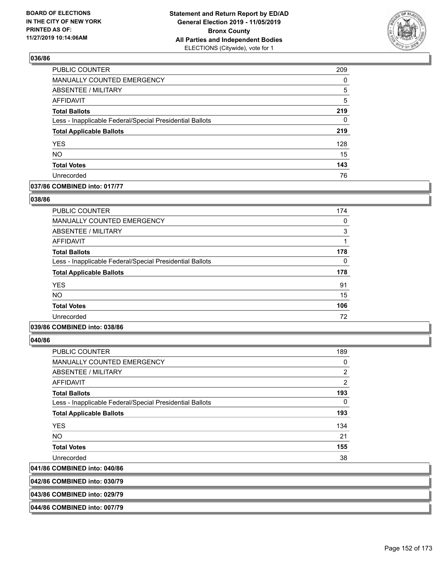

| PUBLIC COUNTER                                           | 209 |
|----------------------------------------------------------|-----|
| MANUALLY COUNTED EMERGENCY                               | 0   |
| <b>ABSENTEE / MILITARY</b>                               | 5   |
| <b>AFFIDAVIT</b>                                         | 5   |
| <b>Total Ballots</b>                                     | 219 |
| Less - Inapplicable Federal/Special Presidential Ballots | 0   |
| <b>Total Applicable Ballots</b>                          | 219 |
| <b>YES</b>                                               | 128 |
| <b>NO</b>                                                | 15  |
| <b>Total Votes</b>                                       | 143 |
| Unrecorded                                               | 76  |

### **037/86 COMBINED into: 017/77**

### **038/86**

| <b>PUBLIC COUNTER</b>                                    | 174 |
|----------------------------------------------------------|-----|
| <b>MANUALLY COUNTED EMERGENCY</b>                        | 0   |
| ABSENTEE / MILITARY                                      | 3   |
| AFFIDAVIT                                                |     |
| <b>Total Ballots</b>                                     | 178 |
| Less - Inapplicable Federal/Special Presidential Ballots | 0   |
| <b>Total Applicable Ballots</b>                          | 178 |
| <b>YES</b>                                               | 91  |
| NO.                                                      | 15  |
| <b>Total Votes</b>                                       | 106 |
| Unrecorded                                               | 72  |
|                                                          |     |

### **039/86 COMBINED into: 038/86**

**040/86** 

| <b>PUBLIC COUNTER</b>                                    | 189 |
|----------------------------------------------------------|-----|
| <b>MANUALLY COUNTED EMERGENCY</b>                        | 0   |
| ABSENTEE / MILITARY                                      | 2   |
| <b>AFFIDAVIT</b>                                         | 2   |
| <b>Total Ballots</b>                                     | 193 |
| Less - Inapplicable Federal/Special Presidential Ballots | 0   |
| <b>Total Applicable Ballots</b>                          | 193 |
| <b>YES</b>                                               | 134 |
| NO.                                                      | 21  |
| <b>Total Votes</b>                                       | 155 |
| Unrecorded                                               | 38  |
| 041/86 COMBINED into: 040/86                             |     |
|                                                          |     |

**042/86 COMBINED into: 030/79**

#### **043/86 COMBINED into: 029/79**

**044/86 COMBINED into: 007/79**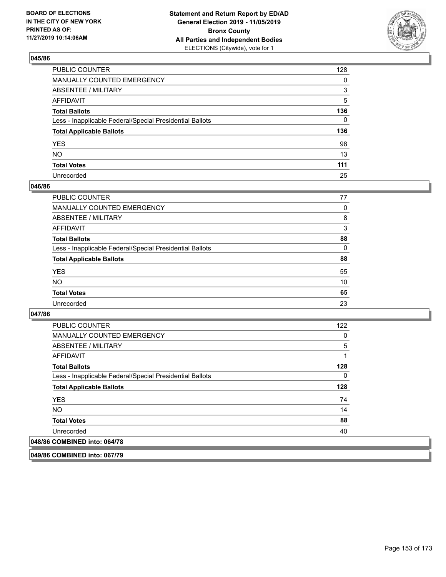

| PUBLIC COUNTER                                           | 128          |
|----------------------------------------------------------|--------------|
| MANUALLY COUNTED EMERGENCY                               | 0            |
| ABSENTEE / MILITARY                                      | 3            |
| AFFIDAVIT                                                | 5            |
| Total Ballots                                            | 136          |
| Less - Inapplicable Federal/Special Presidential Ballots | $\mathbf{0}$ |
| <b>Total Applicable Ballots</b>                          | 136          |
| YES                                                      | 98           |
| NO.                                                      | 13           |
| <b>Total Votes</b>                                       | 111          |
| Unrecorded                                               | 25           |

### **046/86**

| <b>PUBLIC COUNTER</b>                                    | 77       |
|----------------------------------------------------------|----------|
| <b>MANUALLY COUNTED EMERGENCY</b>                        | 0        |
| ABSENTEE / MILITARY                                      | 8        |
| AFFIDAVIT                                                | 3        |
| <b>Total Ballots</b>                                     | 88       |
| Less - Inapplicable Federal/Special Presidential Ballots | $\Omega$ |
| <b>Total Applicable Ballots</b>                          | 88       |
| <b>YES</b>                                               | 55       |
| <b>NO</b>                                                | 10       |
| <b>Total Votes</b>                                       | 65       |
| Unrecorded                                               | 23       |

### **047/86**

| <b>PUBLIC COUNTER</b>                                    | 122 |
|----------------------------------------------------------|-----|
| <b>MANUALLY COUNTED EMERGENCY</b>                        | 0   |
| ABSENTEE / MILITARY                                      | 5   |
| AFFIDAVIT                                                | 1   |
| <b>Total Ballots</b>                                     | 128 |
| Less - Inapplicable Federal/Special Presidential Ballots | 0   |
| <b>Total Applicable Ballots</b>                          | 128 |
| <b>YES</b>                                               | 74  |
| NO.                                                      | 14  |
| <b>Total Votes</b>                                       | 88  |
| Unrecorded                                               | 40  |
| 048/86 COMBINED into: 064/78                             |     |

**049/86 COMBINED into: 067/79**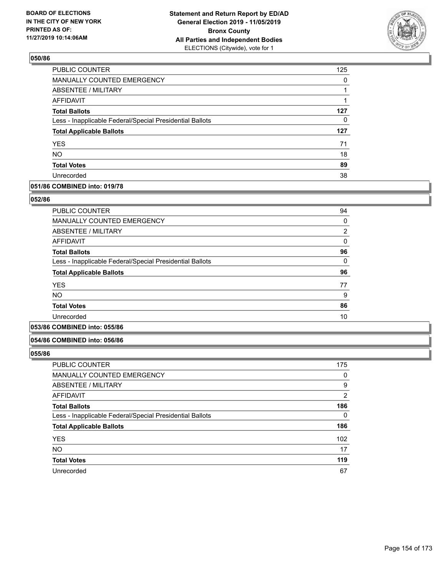

| PUBLIC COUNTER                                           | 125 |
|----------------------------------------------------------|-----|
| MANUALLY COUNTED EMERGENCY                               | 0   |
| ABSENTEE / MILITARY                                      |     |
| AFFIDAVIT                                                | 1   |
| <b>Total Ballots</b>                                     | 127 |
| Less - Inapplicable Federal/Special Presidential Ballots | 0   |
| <b>Total Applicable Ballots</b>                          | 127 |
| <b>YES</b>                                               | 71  |
| <b>NO</b>                                                | 18  |
| <b>Total Votes</b>                                       | 89  |
| Unrecorded                                               | 38  |

### **051/86 COMBINED into: 019/78**

### **052/86**

| <b>PUBLIC COUNTER</b>                                    | 94       |
|----------------------------------------------------------|----------|
| <b>MANUALLY COUNTED EMERGENCY</b>                        | 0        |
| ABSENTEE / MILITARY                                      | 2        |
| AFFIDAVIT                                                | 0        |
| <b>Total Ballots</b>                                     | 96       |
| Less - Inapplicable Federal/Special Presidential Ballots | $\Omega$ |
| <b>Total Applicable Ballots</b>                          | 96       |
| <b>YES</b>                                               | 77       |
| <b>NO</b>                                                | 9        |
| <b>Total Votes</b>                                       | 86       |
| Unrecorded                                               | 10       |
|                                                          |          |

# **053/86 COMBINED into: 055/86**

#### **054/86 COMBINED into: 056/86**

| <b>PUBLIC COUNTER</b>                                    | 175            |
|----------------------------------------------------------|----------------|
| MANUALLY COUNTED EMERGENCY                               | 0              |
| ABSENTEE / MILITARY                                      | 9              |
| AFFIDAVIT                                                | $\overline{2}$ |
| <b>Total Ballots</b>                                     | 186            |
| Less - Inapplicable Federal/Special Presidential Ballots | $\Omega$       |
| <b>Total Applicable Ballots</b>                          | 186            |
| <b>YES</b>                                               | 102            |
| <b>NO</b>                                                | 17             |
| <b>Total Votes</b>                                       | 119            |
| Unrecorded                                               | 67             |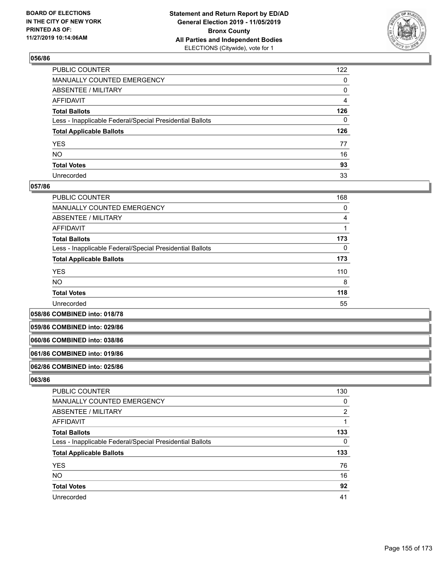

| PUBLIC COUNTER                                           | 122            |
|----------------------------------------------------------|----------------|
| MANUALLY COUNTED EMERGENCY                               | 0              |
| ABSENTEE / MILITARY                                      | 0              |
| AFFIDAVIT                                                | $\overline{4}$ |
| Total Ballots                                            | 126            |
| Less - Inapplicable Federal/Special Presidential Ballots | 0              |
| <b>Total Applicable Ballots</b>                          | 126            |
| YES                                                      | 77             |
| NO.                                                      | 16             |
| <b>Total Votes</b>                                       | 93             |
| Unrecorded                                               | 33             |

### **057/86**

| <b>PUBLIC COUNTER</b>                                    | 168      |
|----------------------------------------------------------|----------|
| <b>MANUALLY COUNTED EMERGENCY</b>                        | 0        |
| ABSENTEE / MILITARY                                      | 4        |
| AFFIDAVIT                                                |          |
| <b>Total Ballots</b>                                     | 173      |
| Less - Inapplicable Federal/Special Presidential Ballots | $\Omega$ |
| <b>Total Applicable Ballots</b>                          | 173      |
| <b>YES</b>                                               | 110      |
| <b>NO</b>                                                | 8        |
| <b>Total Votes</b>                                       | 118      |
| Unrecorded                                               | 55       |

**058/86 COMBINED into: 018/78**

**059/86 COMBINED into: 029/86**

#### **060/86 COMBINED into: 038/86**

#### **061/86 COMBINED into: 019/86**

#### **062/86 COMBINED into: 025/86**

| <b>PUBLIC COUNTER</b>                                    | 130          |
|----------------------------------------------------------|--------------|
| MANUALLY COUNTED EMERGENCY                               | 0            |
| ABSENTEE / MILITARY                                      | 2            |
| AFFIDAVIT                                                | $\mathbf{1}$ |
| <b>Total Ballots</b>                                     | 133          |
| Less - Inapplicable Federal/Special Presidential Ballots | 0            |
| <b>Total Applicable Ballots</b>                          | 133          |
| <b>YES</b>                                               | 76           |
| <b>NO</b>                                                | 16           |
| <b>Total Votes</b>                                       | 92           |
| Unrecorded                                               | 41           |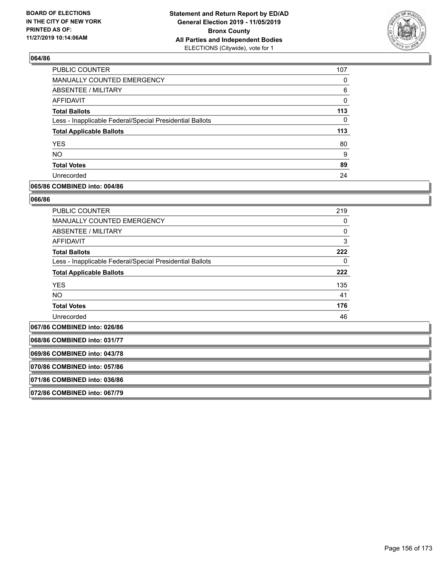

| PUBLIC COUNTER                                           | 107 |
|----------------------------------------------------------|-----|
| <b>MANUALLY COUNTED EMERGENCY</b>                        | 0   |
| ABSENTEE / MILITARY                                      | 6   |
| AFFIDAVIT                                                | 0   |
| <b>Total Ballots</b>                                     | 113 |
| Less - Inapplicable Federal/Special Presidential Ballots | 0   |
| <b>Total Applicable Ballots</b>                          | 113 |
| <b>YES</b>                                               | 80  |
| <b>NO</b>                                                | 9   |
| <b>Total Votes</b>                                       | 89  |
| Unrecorded                                               | 24  |

### **065/86 COMBINED into: 004/86**

### **066/86**

| <b>PUBLIC COUNTER</b>                                    | 219 |
|----------------------------------------------------------|-----|
| <b>MANUALLY COUNTED EMERGENCY</b>                        | 0   |
| <b>ABSENTEE / MILITARY</b>                               | 0   |
| AFFIDAVIT                                                | 3   |
| <b>Total Ballots</b>                                     | 222 |
| Less - Inapplicable Federal/Special Presidential Ballots | 0   |
| <b>Total Applicable Ballots</b>                          | 222 |
| <b>YES</b>                                               | 135 |
| <b>NO</b>                                                | 41  |
| <b>Total Votes</b>                                       | 176 |
| Unrecorded                                               | 46  |
|                                                          |     |

**067/86 COMBINED into: 026/86**

**068/86 COMBINED into: 031/77**

**069/86 COMBINED into: 043/78**

**070/86 COMBINED into: 057/86**

**071/86 COMBINED into: 036/86**

**072/86 COMBINED into: 067/79**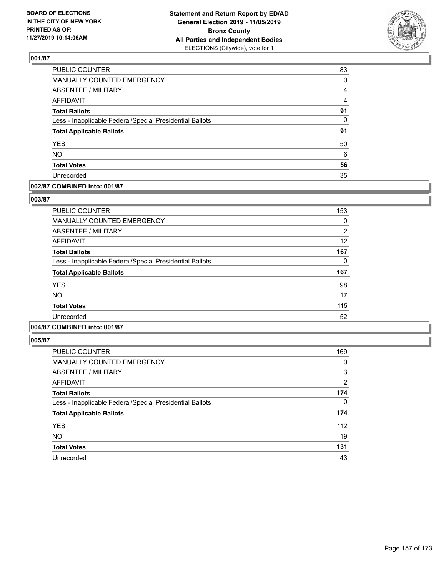

| PUBLIC COUNTER                                           | 83             |
|----------------------------------------------------------|----------------|
| <b>MANUALLY COUNTED EMERGENCY</b>                        | $\Omega$       |
| ABSENTEE / MILITARY                                      | 4              |
| <b>AFFIDAVIT</b>                                         | $\overline{4}$ |
| <b>Total Ballots</b>                                     | 91             |
| Less - Inapplicable Federal/Special Presidential Ballots | 0              |
| <b>Total Applicable Ballots</b>                          | 91             |
| <b>YES</b>                                               | 50             |
| <b>NO</b>                                                | 6              |
| <b>Total Votes</b>                                       | 56             |
| Unrecorded                                               | 35             |

# **002/87 COMBINED into: 001/87**

### **003/87**

| <b>PUBLIC COUNTER</b>                                    | 153            |
|----------------------------------------------------------|----------------|
| <b>MANUALLY COUNTED EMERGENCY</b>                        | 0              |
| <b>ABSENTEE / MILITARY</b>                               | $\overline{2}$ |
| <b>AFFIDAVIT</b>                                         | 12             |
| <b>Total Ballots</b>                                     | 167            |
| Less - Inapplicable Federal/Special Presidential Ballots | 0              |
| <b>Total Applicable Ballots</b>                          | 167            |
| <b>YES</b>                                               | 98             |
| <b>NO</b>                                                | 17             |
| <b>Total Votes</b>                                       | 115            |
| Unrecorded                                               | 52             |
|                                                          |                |

# **004/87 COMBINED into: 001/87**

| <b>PUBLIC COUNTER</b>                                    | 169      |
|----------------------------------------------------------|----------|
| <b>MANUALLY COUNTED EMERGENCY</b>                        | 0        |
| <b>ABSENTEE / MILITARY</b>                               | 3        |
| AFFIDAVIT                                                | 2        |
| <b>Total Ballots</b>                                     | 174      |
| Less - Inapplicable Federal/Special Presidential Ballots | $\Omega$ |
| <b>Total Applicable Ballots</b>                          | 174      |
| <b>YES</b>                                               | 112      |
| <b>NO</b>                                                | 19       |
| <b>Total Votes</b>                                       | 131      |
| Unrecorded                                               | 43       |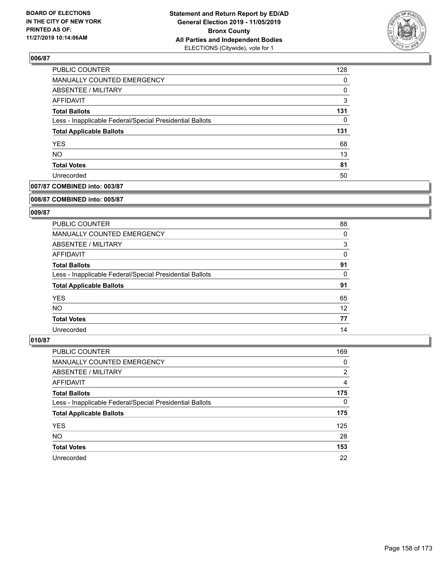

| PUBLIC COUNTER                                           | 128      |
|----------------------------------------------------------|----------|
| MANUALLY COUNTED EMERGENCY                               | $\Omega$ |
| <b>ABSENTEE / MILITARY</b>                               | 0        |
| AFFIDAVIT                                                | 3        |
| <b>Total Ballots</b>                                     | 131      |
| Less - Inapplicable Federal/Special Presidential Ballots | 0        |
| <b>Total Applicable Ballots</b>                          | 131      |
| <b>YES</b>                                               | 68       |
| <b>NO</b>                                                | 13       |
| <b>Total Votes</b>                                       | 81       |
| Unrecorded                                               | 50       |

# **007/87 COMBINED into: 003/87**

#### **008/87 COMBINED into: 005/87**

# **009/87**

| <b>PUBLIC COUNTER</b>                                    | 88 |
|----------------------------------------------------------|----|
| <b>MANUALLY COUNTED EMERGENCY</b>                        | 0  |
| ABSENTEE / MILITARY                                      | 3  |
| AFFIDAVIT                                                | 0  |
| <b>Total Ballots</b>                                     | 91 |
| Less - Inapplicable Federal/Special Presidential Ballots | 0  |
| <b>Total Applicable Ballots</b>                          | 91 |
| <b>YES</b>                                               | 65 |
| NO.                                                      | 12 |
| <b>Total Votes</b>                                       | 77 |
| Unrecorded                                               | 14 |

| <b>PUBLIC COUNTER</b>                                    | 169            |
|----------------------------------------------------------|----------------|
| <b>MANUALLY COUNTED EMERGENCY</b>                        | 0              |
| ABSENTEE / MILITARY                                      | $\overline{2}$ |
| AFFIDAVIT                                                | 4              |
| <b>Total Ballots</b>                                     | 175            |
| Less - Inapplicable Federal/Special Presidential Ballots | $\Omega$       |
| <b>Total Applicable Ballots</b>                          | 175            |
| <b>YES</b>                                               | 125            |
| <b>NO</b>                                                | 28             |
| <b>Total Votes</b>                                       | 153            |
| Unrecorded                                               | 22             |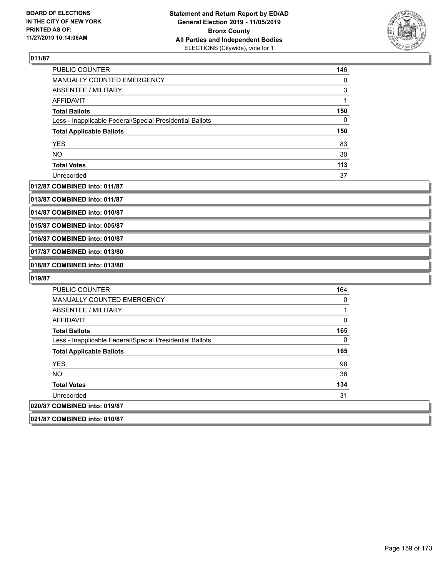

| PUBLIC COUNTER                                           | 146 |
|----------------------------------------------------------|-----|
| <b>MANUALLY COUNTED EMERGENCY</b>                        | 0   |
| ABSENTEE / MILITARY                                      | 3   |
| AFFIDAVIT                                                |     |
| <b>Total Ballots</b>                                     | 150 |
| Less - Inapplicable Federal/Special Presidential Ballots | 0   |
| <b>Total Applicable Ballots</b>                          | 150 |
| <b>YES</b>                                               | 83  |
| <b>NO</b>                                                | 30  |
| <b>Total Votes</b>                                       | 113 |
| Unrecorded                                               | 37  |

#### **012/87 COMBINED into: 011/87**

**013/87 COMBINED into: 011/87**

**014/87 COMBINED into: 010/87**

**015/87 COMBINED into: 005/87**

**016/87 COMBINED into: 010/87**

**017/87 COMBINED into: 013/80**

**018/87 COMBINED into: 013/80**

| <b>PUBLIC COUNTER</b>                                    | 164 |
|----------------------------------------------------------|-----|
| MANUALLY COUNTED EMERGENCY                               | 0   |
| ABSENTEE / MILITARY                                      |     |
| AFFIDAVIT                                                | 0   |
| <b>Total Ballots</b>                                     | 165 |
| Less - Inapplicable Federal/Special Presidential Ballots | 0   |
| <b>Total Applicable Ballots</b>                          | 165 |
| <b>YES</b>                                               | 98  |
| <b>NO</b>                                                | 36  |
| <b>Total Votes</b>                                       | 134 |
| Unrecorded                                               | 31  |
| 020/87 COMBINED into: 019/87                             |     |
| 021/87 COMBINED into: 010/87                             |     |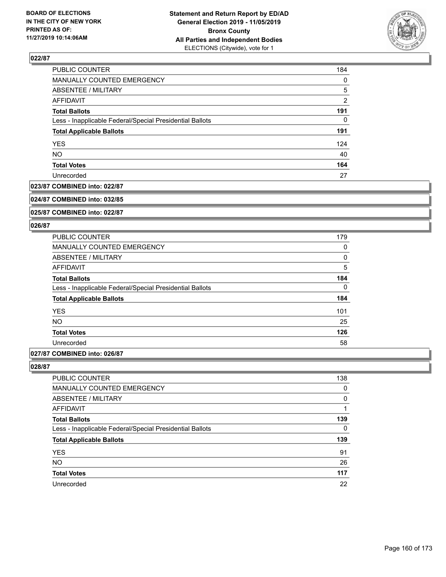

| <b>PUBLIC COUNTER</b>                                    | 184            |
|----------------------------------------------------------|----------------|
| MANUALLY COUNTED EMERGENCY                               | $\Omega$       |
| ABSENTEE / MILITARY                                      | 5              |
| <b>AFFIDAVIT</b>                                         | $\overline{2}$ |
| <b>Total Ballots</b>                                     | 191            |
| Less - Inapplicable Federal/Special Presidential Ballots | $\Omega$       |
| <b>Total Applicable Ballots</b>                          | 191            |
| <b>YES</b>                                               | 124            |
| <b>NO</b>                                                | 40             |
| <b>Total Votes</b>                                       | 164            |
| Unrecorded                                               | 27             |

### **023/87 COMBINED into: 022/87**

#### **024/87 COMBINED into: 032/85**

**025/87 COMBINED into: 022/87**

#### **026/87**

| <b>PUBLIC COUNTER</b>                                    | 179 |
|----------------------------------------------------------|-----|
| <b>MANUALLY COUNTED EMERGENCY</b>                        | 0   |
| ABSENTEE / MILITARY                                      | 0   |
| AFFIDAVIT                                                | 5   |
| <b>Total Ballots</b>                                     | 184 |
| Less - Inapplicable Federal/Special Presidential Ballots | 0   |
| <b>Total Applicable Ballots</b>                          | 184 |
| <b>YES</b>                                               | 101 |
| <b>NO</b>                                                | 25  |
| <b>Total Votes</b>                                       | 126 |
| Unrecorded                                               | 58  |
|                                                          |     |

# **027/87 COMBINED into: 026/87**

| <b>PUBLIC COUNTER</b>                                    | 138 |
|----------------------------------------------------------|-----|
| <b>MANUALLY COUNTED EMERGENCY</b>                        | 0   |
| ABSENTEE / MILITARY                                      | 0   |
| AFFIDAVIT                                                |     |
| <b>Total Ballots</b>                                     | 139 |
| Less - Inapplicable Federal/Special Presidential Ballots | 0   |
| <b>Total Applicable Ballots</b>                          | 139 |
| <b>YES</b>                                               | 91  |
| <b>NO</b>                                                | 26  |
| <b>Total Votes</b>                                       | 117 |
| Unrecorded                                               | 22  |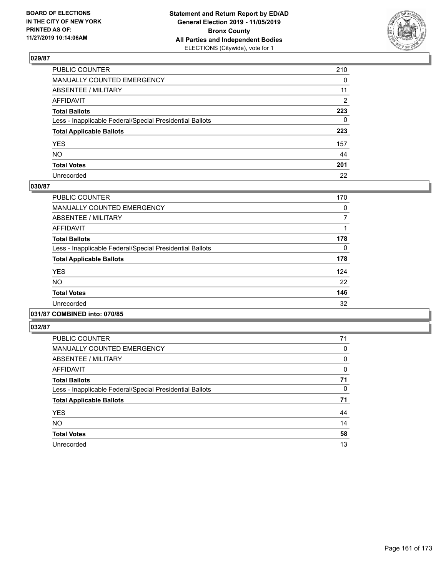

| PUBLIC COUNTER                                           | 210          |
|----------------------------------------------------------|--------------|
| MANUALLY COUNTED EMERGENCY                               | $\mathbf{0}$ |
| ABSENTEE / MILITARY                                      | 11           |
| AFFIDAVIT                                                | 2            |
| Total Ballots                                            | 223          |
| Less - Inapplicable Federal/Special Presidential Ballots | $\mathbf{0}$ |
| <b>Total Applicable Ballots</b>                          | 223          |
| YES                                                      | 157          |
| NO.                                                      | 44           |
| <b>Total Votes</b>                                       | 201          |
| Unrecorded                                               | 22           |

# **030/87**

| <b>PUBLIC COUNTER</b>                                    | 170 |
|----------------------------------------------------------|-----|
| <b>MANUALLY COUNTED EMERGENCY</b>                        | 0   |
| ABSENTEE / MILITARY                                      |     |
| AFFIDAVIT                                                |     |
| <b>Total Ballots</b>                                     | 178 |
| Less - Inapplicable Federal/Special Presidential Ballots | 0   |
| <b>Total Applicable Ballots</b>                          | 178 |
| <b>YES</b>                                               | 124 |
| <b>NO</b>                                                | 22  |
| <b>Total Votes</b>                                       | 146 |
| Unrecorded                                               | 32  |
|                                                          |     |

# **031/87 COMBINED into: 070/85**

| PUBLIC COUNTER                                           | 71 |
|----------------------------------------------------------|----|
| <b>MANUALLY COUNTED EMERGENCY</b>                        | 0  |
| ABSENTEE / MILITARY                                      | 0  |
| <b>AFFIDAVIT</b>                                         | 0  |
| <b>Total Ballots</b>                                     | 71 |
| Less - Inapplicable Federal/Special Presidential Ballots | 0  |
| <b>Total Applicable Ballots</b>                          | 71 |
| <b>YES</b>                                               | 44 |
| <b>NO</b>                                                | 14 |
| <b>Total Votes</b>                                       | 58 |
| Unrecorded                                               | 13 |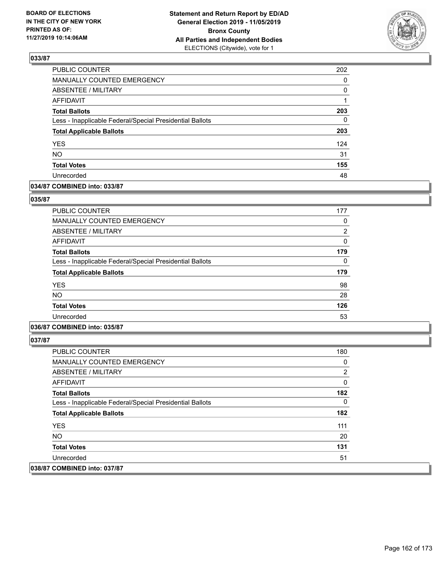

| PUBLIC COUNTER                                           | 202      |
|----------------------------------------------------------|----------|
| MANUALLY COUNTED EMERGENCY                               | 0        |
| ABSENTEE / MILITARY                                      | $\Omega$ |
| <b>AFFIDAVIT</b>                                         |          |
| <b>Total Ballots</b>                                     | 203      |
| Less - Inapplicable Federal/Special Presidential Ballots | 0        |
| <b>Total Applicable Ballots</b>                          | 203      |
| <b>YES</b>                                               | 124      |
| <b>NO</b>                                                | 31       |
| <b>Total Votes</b>                                       | 155      |
| Unrecorded                                               | 48       |

### **034/87 COMBINED into: 033/87**

### **035/87**

| <b>PUBLIC COUNTER</b>                                    | 177      |
|----------------------------------------------------------|----------|
| <b>MANUALLY COUNTED EMERGENCY</b>                        | 0        |
| ABSENTEE / MILITARY                                      | 2        |
| AFFIDAVIT                                                | $\Omega$ |
| <b>Total Ballots</b>                                     | 179      |
| Less - Inapplicable Federal/Special Presidential Ballots | $\Omega$ |
| <b>Total Applicable Ballots</b>                          | 179      |
| <b>YES</b>                                               | 98       |
| <b>NO</b>                                                | 28       |
| <b>Total Votes</b>                                       | 126      |
| Unrecorded                                               | 53       |
|                                                          |          |

# **036/87 COMBINED into: 035/87**

| <b>PUBLIC COUNTER</b>                                    | 180 |
|----------------------------------------------------------|-----|
| <b>MANUALLY COUNTED EMERGENCY</b>                        | 0   |
| ABSENTEE / MILITARY                                      | 2   |
| AFFIDAVIT                                                | 0   |
| <b>Total Ballots</b>                                     | 182 |
| Less - Inapplicable Federal/Special Presidential Ballots | 0   |
| <b>Total Applicable Ballots</b>                          | 182 |
| <b>YES</b>                                               | 111 |
| NO.                                                      | 20  |
| <b>Total Votes</b>                                       | 131 |
| Unrecorded                                               | 51  |
| 038/87 COMBINED into: 037/87                             |     |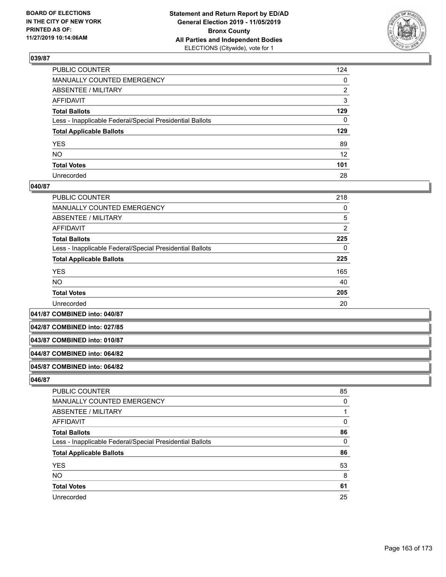

| PUBLIC COUNTER                                           | 124 |
|----------------------------------------------------------|-----|
| MANUALLY COUNTED EMERGENCY                               | 0   |
| ABSENTEE / MILITARY                                      | 2   |
| AFFIDAVIT                                                | 3   |
| Total Ballots                                            | 129 |
| Less - Inapplicable Federal/Special Presidential Ballots | 0   |
| <b>Total Applicable Ballots</b>                          | 129 |
| YES                                                      | 89  |
| NO.                                                      | 12  |
| <b>Total Votes</b>                                       | 101 |
| Unrecorded                                               | 28  |

### **040/87**

| PUBLIC COUNTER                                           | 218            |
|----------------------------------------------------------|----------------|
| <b>MANUALLY COUNTED EMERGENCY</b>                        | 0              |
| ABSENTEE / MILITARY                                      | 5              |
| AFFIDAVIT                                                | $\overline{2}$ |
| <b>Total Ballots</b>                                     | 225            |
| Less - Inapplicable Federal/Special Presidential Ballots | 0              |
| <b>Total Applicable Ballots</b>                          | 225            |
| <b>YES</b>                                               | 165            |
| <b>NO</b>                                                | 40             |
| <b>Total Votes</b>                                       | 205            |
| Unrecorded                                               | 20             |

**041/87 COMBINED into: 040/87**

**042/87 COMBINED into: 027/85**

### **043/87 COMBINED into: 010/87**

#### **044/87 COMBINED into: 064/82**

#### **045/87 COMBINED into: 064/82**

| PUBLIC COUNTER                                           | 85       |
|----------------------------------------------------------|----------|
| MANUALLY COUNTED EMERGENCY                               | $\Omega$ |
| <b>ABSENTEE / MILITARY</b>                               |          |
| AFFIDAVIT                                                | 0        |
| <b>Total Ballots</b>                                     | 86       |
| Less - Inapplicable Federal/Special Presidential Ballots | $\Omega$ |
| <b>Total Applicable Ballots</b>                          | 86       |
| <b>YES</b>                                               | 53       |
| <b>NO</b>                                                | 8        |
| <b>Total Votes</b>                                       | 61       |
| Unrecorded                                               | 25       |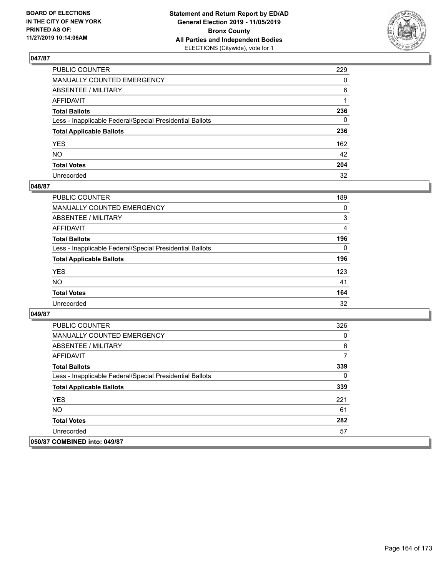

| PUBLIC COUNTER                                           | 229          |
|----------------------------------------------------------|--------------|
| MANUALLY COUNTED EMERGENCY                               | $\mathbf{0}$ |
| ABSENTEE / MILITARY                                      | 6            |
| AFFIDAVIT                                                |              |
| Total Ballots                                            | 236          |
| Less - Inapplicable Federal/Special Presidential Ballots | 0            |
| <b>Total Applicable Ballots</b>                          | 236          |
| YES                                                      | 162          |
| NO.                                                      | 42           |
| <b>Total Votes</b>                                       | 204          |
| Unrecorded                                               | 32           |

# **048/87**

| <b>PUBLIC COUNTER</b>                                    | 189      |
|----------------------------------------------------------|----------|
| MANUALLY COUNTED EMERGENCY                               | $\Omega$ |
| ABSENTEE / MILITARY                                      | 3        |
| AFFIDAVIT                                                | 4        |
| <b>Total Ballots</b>                                     | 196      |
| Less - Inapplicable Federal/Special Presidential Ballots | $\Omega$ |
| <b>Total Applicable Ballots</b>                          | 196      |
| <b>YES</b>                                               | 123      |
| <b>NO</b>                                                | 41       |
| <b>Total Votes</b>                                       | 164      |
| Unrecorded                                               | 32       |

| <b>PUBLIC COUNTER</b>                                    | 326 |
|----------------------------------------------------------|-----|
| <b>MANUALLY COUNTED EMERGENCY</b>                        | 0   |
| ABSENTEE / MILITARY                                      | 6   |
| AFFIDAVIT                                                | 7   |
| <b>Total Ballots</b>                                     | 339 |
| Less - Inapplicable Federal/Special Presidential Ballots | 0   |
| <b>Total Applicable Ballots</b>                          | 339 |
| <b>YES</b>                                               | 221 |
| <b>NO</b>                                                | 61  |
| <b>Total Votes</b>                                       | 282 |
| Unrecorded                                               | 57  |
| 050/87 COMBINED into: 049/87                             |     |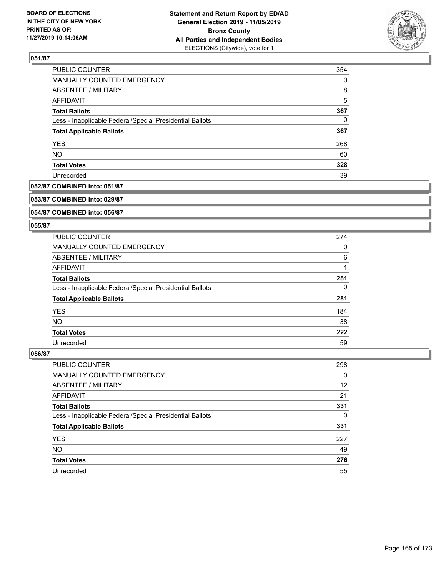

| PUBLIC COUNTER                                           | 354      |
|----------------------------------------------------------|----------|
| <b>MANUALLY COUNTED EMERGENCY</b>                        | $\Omega$ |
| ABSENTEE / MILITARY                                      | 8        |
| AFFIDAVIT                                                | 5        |
| <b>Total Ballots</b>                                     | 367      |
| Less - Inapplicable Federal/Special Presidential Ballots | $\Omega$ |
| <b>Total Applicable Ballots</b>                          | 367      |
| <b>YES</b>                                               | 268      |
| <b>NO</b>                                                | 60       |
| <b>Total Votes</b>                                       | 328      |
| Unrecorded                                               | 39       |

### **052/87 COMBINED into: 051/87**

#### **053/87 COMBINED into: 029/87**

# **054/87 COMBINED into: 056/87**

#### **055/87**

| <b>PUBLIC COUNTER</b>                                    | 274 |
|----------------------------------------------------------|-----|
| MANUALLY COUNTED EMERGENCY                               | 0   |
| ABSENTEE / MILITARY                                      | 6   |
| AFFIDAVIT                                                |     |
| <b>Total Ballots</b>                                     | 281 |
| Less - Inapplicable Federal/Special Presidential Ballots | 0   |
| <b>Total Applicable Ballots</b>                          | 281 |
| <b>YES</b>                                               | 184 |
| NO.                                                      | 38  |
| <b>Total Votes</b>                                       | 222 |
| Unrecorded                                               | 59  |

| <b>PUBLIC COUNTER</b>                                    | 298 |
|----------------------------------------------------------|-----|
| MANUALLY COUNTED EMERGENCY                               | 0   |
| ABSENTEE / MILITARY                                      | 12  |
| AFFIDAVIT                                                | 21  |
| <b>Total Ballots</b>                                     | 331 |
| Less - Inapplicable Federal/Special Presidential Ballots | 0   |
| <b>Total Applicable Ballots</b>                          | 331 |
| <b>YES</b>                                               | 227 |
| <b>NO</b>                                                | 49  |
| <b>Total Votes</b>                                       | 276 |
| Unrecorded                                               | 55  |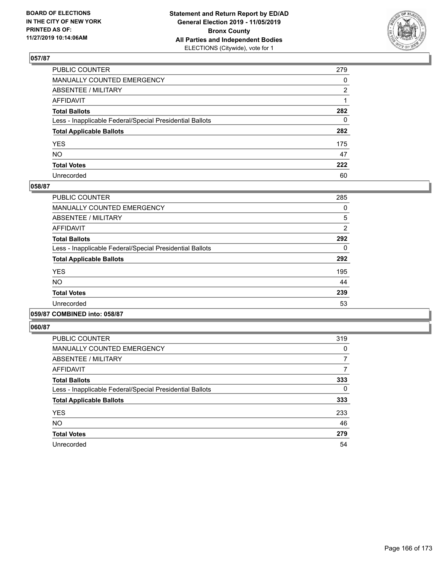

| PUBLIC COUNTER                                           | 279          |
|----------------------------------------------------------|--------------|
| MANUALLY COUNTED EMERGENCY                               | $\mathbf{0}$ |
| ABSENTEE / MILITARY                                      | 2            |
| AFFIDAVIT                                                |              |
| Total Ballots                                            | 282          |
| Less - Inapplicable Federal/Special Presidential Ballots | 0            |
| <b>Total Applicable Ballots</b>                          | 282          |
| YES                                                      | 175          |
| NO.                                                      | 47           |
| <b>Total Votes</b>                                       | 222          |
| Unrecorded                                               | 60           |

### **058/87**

| PUBLIC COUNTER                                           | 285            |
|----------------------------------------------------------|----------------|
| <b>MANUALLY COUNTED EMERGENCY</b>                        | 0              |
| ABSENTEE / MILITARY                                      | 5              |
| <b>AFFIDAVIT</b>                                         | $\overline{2}$ |
| <b>Total Ballots</b>                                     | 292            |
| Less - Inapplicable Federal/Special Presidential Ballots | 0              |
| <b>Total Applicable Ballots</b>                          | 292            |
| <b>YES</b>                                               | 195            |
| <b>NO</b>                                                | 44             |
| <b>Total Votes</b>                                       | 239            |
| Unrecorded                                               | 53             |
|                                                          |                |

### **059/87 COMBINED into: 058/87**

| PUBLIC COUNTER                                           | 319 |
|----------------------------------------------------------|-----|
| <b>MANUALLY COUNTED EMERGENCY</b>                        | 0   |
| ABSENTEE / MILITARY                                      | 7   |
| <b>AFFIDAVIT</b>                                         | 7   |
| <b>Total Ballots</b>                                     | 333 |
| Less - Inapplicable Federal/Special Presidential Ballots | 0   |
| <b>Total Applicable Ballots</b>                          | 333 |
| <b>YES</b>                                               | 233 |
| <b>NO</b>                                                | 46  |
| <b>Total Votes</b>                                       | 279 |
| Unrecorded                                               | 54  |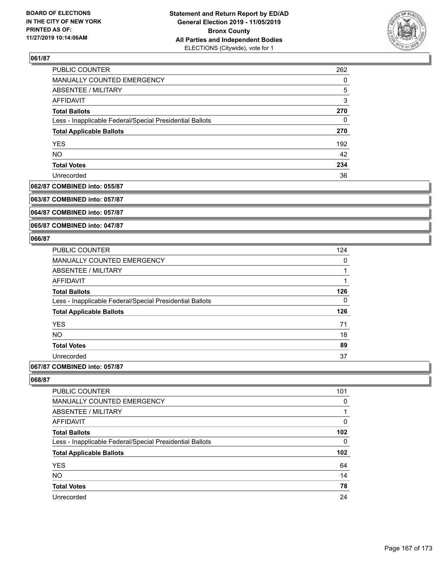

| PUBLIC COUNTER                                           | 262 |
|----------------------------------------------------------|-----|
| MANUALLY COUNTED EMERGENCY                               | 0   |
| ABSENTEE / MILITARY                                      | 5   |
| AFFIDAVIT                                                | 3   |
| <b>Total Ballots</b>                                     | 270 |
| Less - Inapplicable Federal/Special Presidential Ballots | 0   |
| <b>Total Applicable Ballots</b>                          | 270 |
| <b>YES</b>                                               | 192 |
| <b>NO</b>                                                | 42  |
| <b>Total Votes</b>                                       | 234 |
| Unrecorded                                               | 36  |

#### **062/87 COMBINED into: 055/87**

**063/87 COMBINED into: 057/87**

**064/87 COMBINED into: 057/87**

**065/87 COMBINED into: 047/87**

### **066/87**

| <b>PUBLIC COUNTER</b>                                    | 124 |
|----------------------------------------------------------|-----|
| MANUALLY COUNTED EMERGENCY                               | 0   |
| ABSENTEE / MILITARY                                      |     |
| AFFIDAVIT                                                |     |
| <b>Total Ballots</b>                                     | 126 |
| Less - Inapplicable Federal/Special Presidential Ballots | 0   |
| <b>Total Applicable Ballots</b>                          | 126 |
| <b>YES</b>                                               | 71  |
| <b>NO</b>                                                | 18  |
| <b>Total Votes</b>                                       | 89  |
| Unrecorded                                               | 37  |
|                                                          |     |

# **067/87 COMBINED into: 057/87**

| 101 |
|-----|
| 0   |
|     |
| 0   |
| 102 |
| 0   |
| 102 |
| 64  |
| 14  |
| 78  |
| 24  |
|     |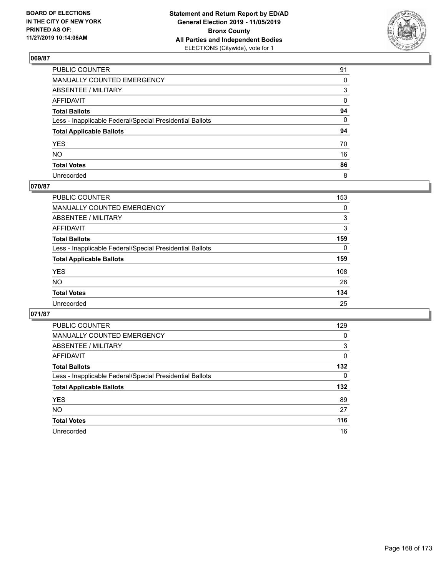

| PUBLIC COUNTER                                           | 91 |
|----------------------------------------------------------|----|
| MANUALLY COUNTED EMERGENCY                               | 0  |
| ABSENTEE / MILITARY                                      | 3  |
| AFFIDAVIT                                                | 0  |
| Total Ballots                                            | 94 |
| Less - Inapplicable Federal/Special Presidential Ballots | 0  |
| <b>Total Applicable Ballots</b>                          | 94 |
| YES                                                      | 70 |
| NO.                                                      | 16 |
| <b>Total Votes</b>                                       | 86 |
| Unrecorded                                               | 8  |

# **070/87**

| <b>PUBLIC COUNTER</b>                                    | 153      |
|----------------------------------------------------------|----------|
| <b>MANUALLY COUNTED EMERGENCY</b>                        | 0        |
| ABSENTEE / MILITARY                                      | 3        |
| AFFIDAVIT                                                | 3        |
| <b>Total Ballots</b>                                     | 159      |
| Less - Inapplicable Federal/Special Presidential Ballots | $\Omega$ |
| <b>Total Applicable Ballots</b>                          | 159      |
| <b>YES</b>                                               | 108      |
| <b>NO</b>                                                | 26       |
| <b>Total Votes</b>                                       | 134      |
| Unrecorded                                               | 25       |

| <b>PUBLIC COUNTER</b>                                    | 129 |
|----------------------------------------------------------|-----|
| <b>MANUALLY COUNTED EMERGENCY</b>                        | 0   |
| ABSENTEE / MILITARY                                      | 3   |
| AFFIDAVIT                                                | 0   |
| <b>Total Ballots</b>                                     | 132 |
| Less - Inapplicable Federal/Special Presidential Ballots | 0   |
| <b>Total Applicable Ballots</b>                          | 132 |
| <b>YES</b>                                               | 89  |
| NO.                                                      | 27  |
|                                                          |     |
| <b>Total Votes</b>                                       | 116 |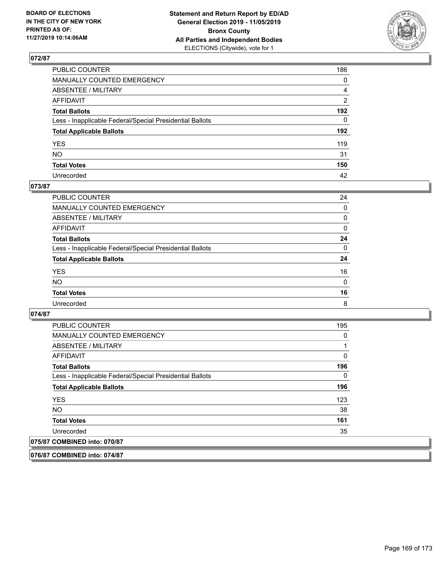

| PUBLIC COUNTER                                           | 186 |
|----------------------------------------------------------|-----|
| MANUALLY COUNTED EMERGENCY                               | 0   |
| ABSENTEE / MILITARY                                      | 4   |
| AFFIDAVIT                                                | 2   |
| Total Ballots                                            | 192 |
| Less - Inapplicable Federal/Special Presidential Ballots | 0   |
| <b>Total Applicable Ballots</b>                          | 192 |
| YES                                                      | 119 |
| NΟ                                                       | 31  |
| <b>Total Votes</b>                                       | 150 |
| Unrecorded                                               | 42  |

### **073/87**

| <b>PUBLIC COUNTER</b>                                    | 24           |
|----------------------------------------------------------|--------------|
| MANUALLY COUNTED EMERGENCY                               | $\Omega$     |
| ABSENTEE / MILITARY                                      | 0            |
| AFFIDAVIT                                                | $\Omega$     |
| <b>Total Ballots</b>                                     | 24           |
| Less - Inapplicable Federal/Special Presidential Ballots | $\Omega$     |
| <b>Total Applicable Ballots</b>                          | 24           |
| <b>YES</b>                                               | 16           |
| <b>NO</b>                                                | $\mathbf{0}$ |
| <b>Total Votes</b>                                       | 16           |
| Unrecorded                                               | 8            |

### **074/87**

| <b>PUBLIC COUNTER</b>                                    | 195 |
|----------------------------------------------------------|-----|
| <b>MANUALLY COUNTED EMERGENCY</b>                        | 0   |
| ABSENTEE / MILITARY                                      |     |
| AFFIDAVIT                                                | 0   |
| <b>Total Ballots</b>                                     | 196 |
| Less - Inapplicable Federal/Special Presidential Ballots | 0   |
| <b>Total Applicable Ballots</b>                          | 196 |
| <b>YES</b>                                               | 123 |
| <b>NO</b>                                                | 38  |
| <b>Total Votes</b>                                       | 161 |
| Unrecorded                                               | 35  |
| 075/87 COMBINED into: 070/87                             |     |

**076/87 COMBINED into: 074/87**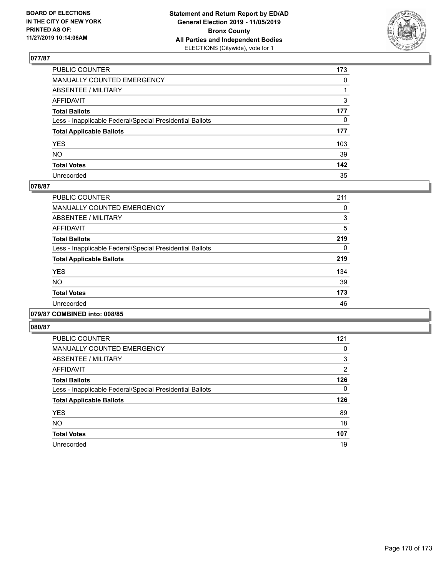

| PUBLIC COUNTER                                           | 173          |
|----------------------------------------------------------|--------------|
| MANUALLY COUNTED EMERGENCY                               | $\mathbf{0}$ |
| ABSENTEE / MILITARY                                      |              |
| AFFIDAVIT                                                | 3            |
| Total Ballots                                            | 177          |
| Less - Inapplicable Federal/Special Presidential Ballots | 0            |
| <b>Total Applicable Ballots</b>                          | 177          |
| YES                                                      | 103          |
| NO.                                                      | 39           |
| <b>Total Votes</b>                                       | 142          |
| Unrecorded                                               | 35           |

### **078/87**

| <b>PUBLIC COUNTER</b>                                    | 211      |
|----------------------------------------------------------|----------|
| <b>MANUALLY COUNTED EMERGENCY</b>                        | 0        |
| ABSENTEE / MILITARY                                      | 3        |
| <b>AFFIDAVIT</b>                                         | 5        |
| <b>Total Ballots</b>                                     | 219      |
| Less - Inapplicable Federal/Special Presidential Ballots | $\Omega$ |
| <b>Total Applicable Ballots</b>                          | 219      |
| <b>YES</b>                                               | 134      |
| NO.                                                      | 39       |
| <b>Total Votes</b>                                       | 173      |
| Unrecorded                                               | 46       |
|                                                          |          |

### **079/87 COMBINED into: 008/85**

| <b>PUBLIC COUNTER</b>                                    | 121           |
|----------------------------------------------------------|---------------|
| <b>MANUALLY COUNTED EMERGENCY</b>                        | 0             |
| ABSENTEE / MILITARY                                      | 3             |
| AFFIDAVIT                                                | $\mathcal{P}$ |
| <b>Total Ballots</b>                                     | 126           |
| Less - Inapplicable Federal/Special Presidential Ballots | 0             |
| <b>Total Applicable Ballots</b>                          | 126           |
| <b>YES</b>                                               | 89            |
| <b>NO</b>                                                | 18            |
| <b>Total Votes</b>                                       | 107           |
| Unrecorded                                               | 19            |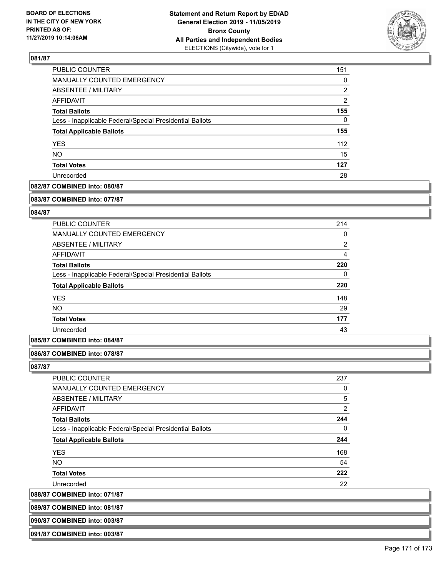

| PUBLIC COUNTER                                           | 151      |  |
|----------------------------------------------------------|----------|--|
| MANUALLY COUNTED EMERGENCY                               | $\Omega$ |  |
| ABSENTEE / MILITARY                                      | 2        |  |
| AFFIDAVIT                                                | 2        |  |
| <b>Total Ballots</b>                                     | 155      |  |
| Less - Inapplicable Federal/Special Presidential Ballots | 0        |  |
| <b>Total Applicable Ballots</b>                          | 155      |  |
| <b>YES</b>                                               | 112      |  |
| <b>NO</b>                                                | 15       |  |
| <b>Total Votes</b>                                       | 127      |  |
| Unrecorded                                               | 28       |  |

# **082/87 COMBINED into: 080/87**

#### **083/87 COMBINED into: 077/87**

### **084/87**

| PUBLIC COUNTER                                           | 214            |
|----------------------------------------------------------|----------------|
| <b>MANUALLY COUNTED EMERGENCY</b>                        | 0              |
| ABSENTEE / MILITARY                                      | $\overline{2}$ |
| AFFIDAVIT                                                | 4              |
| <b>Total Ballots</b>                                     | 220            |
| Less - Inapplicable Federal/Special Presidential Ballots | $\Omega$       |
| <b>Total Applicable Ballots</b>                          | 220            |
| <b>YES</b>                                               | 148            |
| <b>NO</b>                                                | 29             |
| <b>Total Votes</b>                                       | 177            |
| Unrecorded                                               | 43             |

### **085/87 COMBINED into: 084/87**

#### **086/87 COMBINED into: 078/87**

#### **087/87**

| <b>PUBLIC COUNTER</b>                                    | 237 |
|----------------------------------------------------------|-----|
| MANUALLY COUNTED EMERGENCY                               | 0   |
| ABSENTEE / MILITARY                                      | 5   |
| AFFIDAVIT                                                | 2   |
| <b>Total Ballots</b>                                     | 244 |
| Less - Inapplicable Federal/Special Presidential Ballots | 0   |
| <b>Total Applicable Ballots</b>                          | 244 |
| <b>YES</b>                                               | 168 |
| <b>NO</b>                                                | 54  |
| <b>Total Votes</b>                                       | 222 |
| Unrecorded                                               | 22  |

**088/87 COMBINED into: 071/87**

| 089/87 COMBINED into: 081/87 |
|------------------------------|
|                              |
|                              |

# **090/87 COMBINED into: 003/87**

**091/87 COMBINED into: 003/87**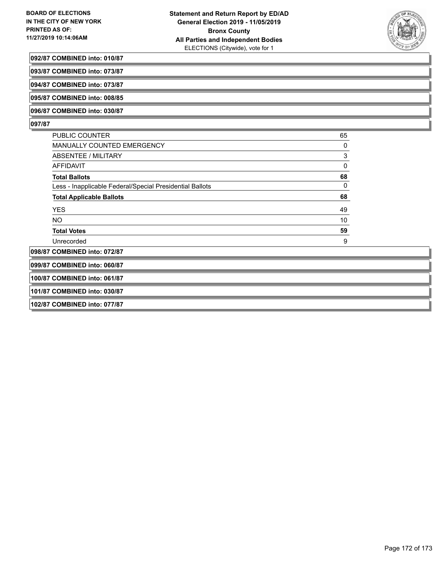

#### **092/87 COMBINED into: 010/87**

**093/87 COMBINED into: 073/87**

**094/87 COMBINED into: 073/87**

**095/87 COMBINED into: 008/85**

**096/87 COMBINED into: 030/87**

### **097/87**

| <b>PUBLIC COUNTER</b>                                    | 65 |
|----------------------------------------------------------|----|
| <b>MANUALLY COUNTED EMERGENCY</b>                        | 0  |
| ABSENTEE / MILITARY                                      | 3  |
| AFFIDAVIT                                                | 0  |
| <b>Total Ballots</b>                                     | 68 |
| Less - Inapplicable Federal/Special Presidential Ballots | 0  |
| <b>Total Applicable Ballots</b>                          | 68 |
| <b>YES</b>                                               | 49 |
| NO.                                                      | 10 |
| <b>Total Votes</b>                                       | 59 |
| Unrecorded                                               | 9  |
| 098/87 COMBINED into: 072/87                             |    |

**099/87 COMBINED into: 060/87**

**100/87 COMBINED into: 061/87**

**101/87 COMBINED into: 030/87**

**102/87 COMBINED into: 077/87**